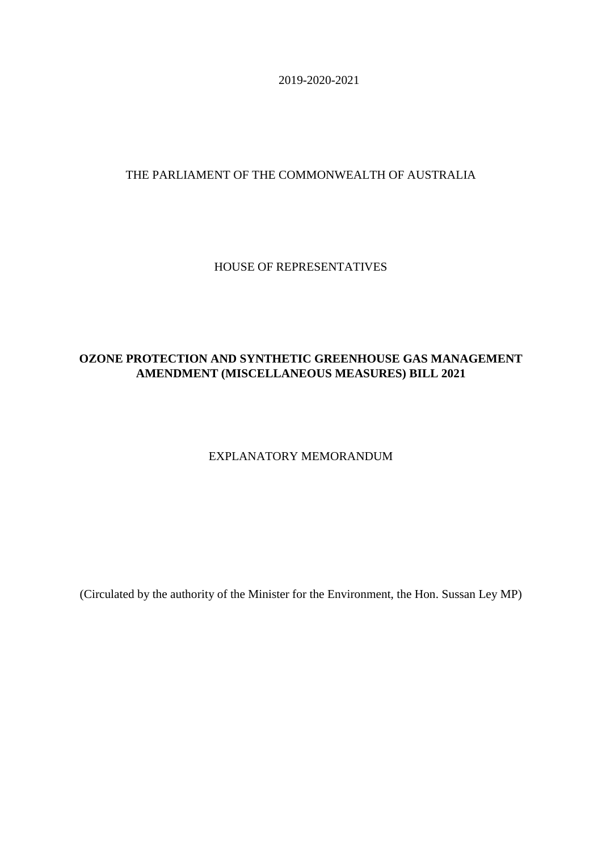2019-2020-2021

# THE PARLIAMENT OF THE COMMONWEALTH OF AUSTRALIA

## HOUSE OF REPRESENTATIVES

# **OZONE PROTECTION AND SYNTHETIC GREENHOUSE GAS MANAGEMENT AMENDMENT (MISCELLANEOUS MEASURES) BILL 2021**

## EXPLANATORY MEMORANDUM

(Circulated by the authority of the Minister for the Environment, the Hon. Sussan Ley MP)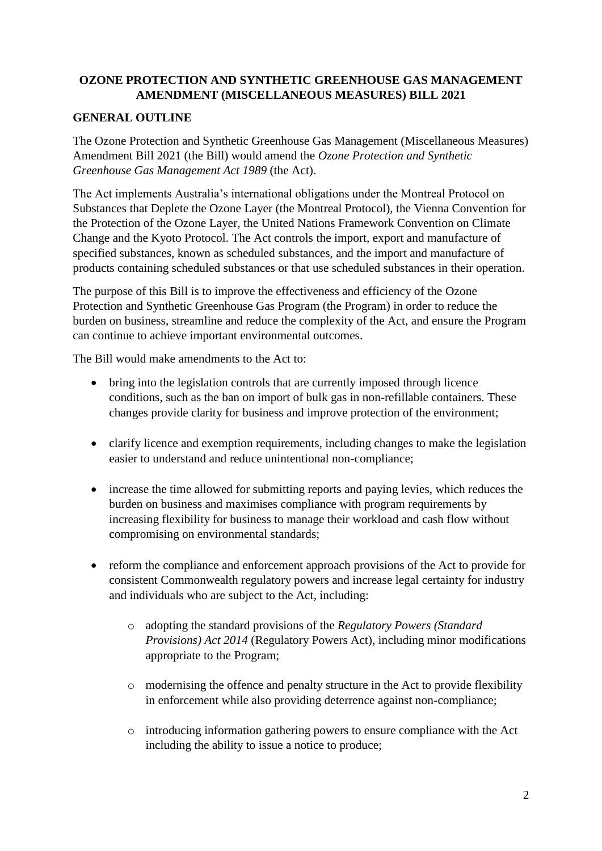# **OZONE PROTECTION AND SYNTHETIC GREENHOUSE GAS MANAGEMENT AMENDMENT (MISCELLANEOUS MEASURES) BILL 2021**

#### **GENERAL OUTLINE**

The Ozone Protection and Synthetic Greenhouse Gas Management (Miscellaneous Measures) Amendment Bill 2021 (the Bill) would amend the *Ozone Protection and Synthetic Greenhouse Gas Management Act 1989* (the Act).

The Act implements Australia's international obligations under the Montreal Protocol on Substances that Deplete the Ozone Layer (the Montreal Protocol), the Vienna Convention for the Protection of the Ozone Layer, the United Nations Framework Convention on Climate Change and the Kyoto Protocol. The Act controls the import, export and manufacture of specified substances, known as scheduled substances, and the import and manufacture of products containing scheduled substances or that use scheduled substances in their operation.

The purpose of this Bill is to improve the effectiveness and efficiency of the Ozone Protection and Synthetic Greenhouse Gas Program (the Program) in order to reduce the burden on business, streamline and reduce the complexity of the Act, and ensure the Program can continue to achieve important environmental outcomes.

The Bill would make amendments to the Act to:

- bring into the legislation controls that are currently imposed through licence conditions, such as the ban on import of bulk gas in non-refillable containers. These changes provide clarity for business and improve protection of the environment;
- clarify licence and exemption requirements, including changes to make the legislation easier to understand and reduce unintentional non-compliance;
- increase the time allowed for submitting reports and paying levies, which reduces the burden on business and maximises compliance with program requirements by increasing flexibility for business to manage their workload and cash flow without compromising on environmental standards;
- reform the compliance and enforcement approach provisions of the Act to provide for consistent Commonwealth regulatory powers and increase legal certainty for industry and individuals who are subject to the Act, including:
	- o adopting the standard provisions of the *Regulatory Powers (Standard Provisions) Act 2014* (Regulatory Powers Act), including minor modifications appropriate to the Program;
	- o modernising the offence and penalty structure in the Act to provide flexibility in enforcement while also providing deterrence against non-compliance;
	- o introducing information gathering powers to ensure compliance with the Act including the ability to issue a notice to produce;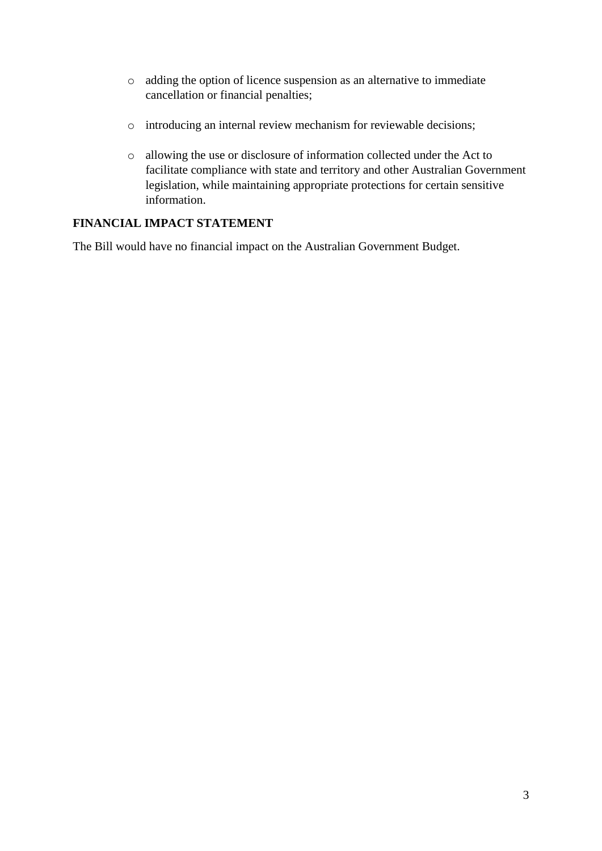- o adding the option of licence suspension as an alternative to immediate cancellation or financial penalties;
- o introducing an internal review mechanism for reviewable decisions;
- o allowing the use or disclosure of information collected under the Act to facilitate compliance with state and territory and other Australian Government legislation, while maintaining appropriate protections for certain sensitive information.

## **FINANCIAL IMPACT STATEMENT**

The Bill would have no financial impact on the Australian Government Budget.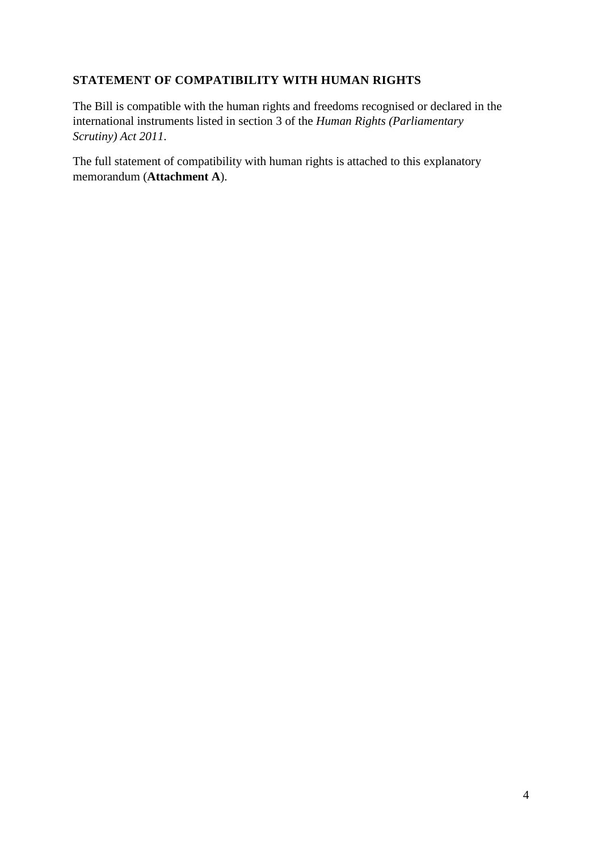# **STATEMENT OF COMPATIBILITY WITH HUMAN RIGHTS**

The Bill is compatible with the human rights and freedoms recognised or declared in the international instruments listed in section 3 of the *Human Rights (Parliamentary Scrutiny) Act 2011*.

The full statement of compatibility with human rights is attached to this explanatory memorandum (**Attachment A**).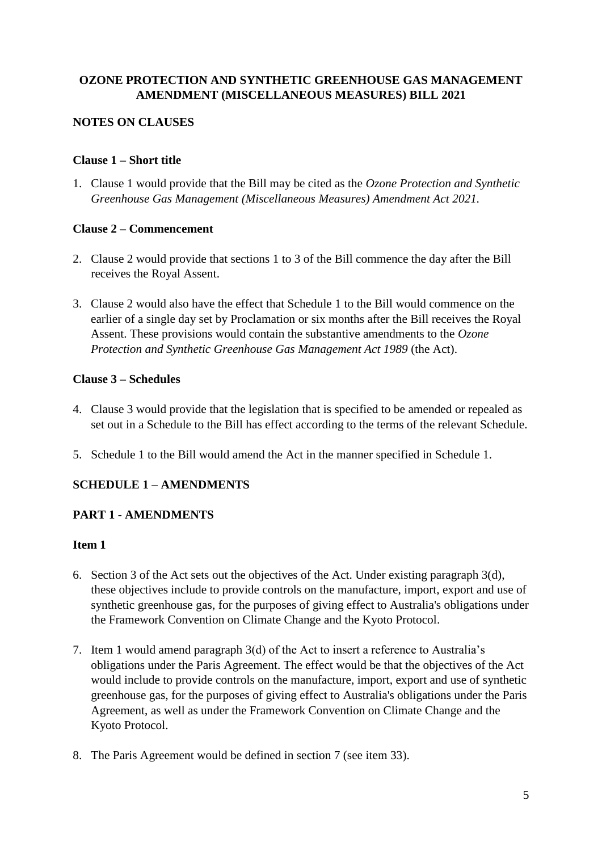## **OZONE PROTECTION AND SYNTHETIC GREENHOUSE GAS MANAGEMENT AMENDMENT (MISCELLANEOUS MEASURES) BILL 2021**

## **NOTES ON CLAUSES**

## **Clause 1 – Short title**

1. Clause 1 would provide that the Bill may be cited as the *Ozone Protection and Synthetic Greenhouse Gas Management (Miscellaneous Measures) Amendment Act 2021.*

## **Clause 2 – Commencement**

- 2. Clause 2 would provide that sections 1 to 3 of the Bill commence the day after the Bill receives the Royal Assent.
- 3. Clause 2 would also have the effect that Schedule 1 to the Bill would commence on the earlier of a single day set by Proclamation or six months after the Bill receives the Royal Assent. These provisions would contain the substantive amendments to the *Ozone Protection and Synthetic Greenhouse Gas Management Act 1989* (the Act).

## **Clause 3 – Schedules**

- 4. Clause 3 would provide that the legislation that is specified to be amended or repealed as set out in a Schedule to the Bill has effect according to the terms of the relevant Schedule.
- 5. Schedule 1 to the Bill would amend the Act in the manner specified in Schedule 1.

# **SCHEDULE 1 – AMENDMENTS**

## **PART 1 - AMENDMENTS**

- 6. Section 3 of the Act sets out the objectives of the Act. Under existing paragraph 3(d), these objectives include to provide controls on the manufacture, import, export and use of synthetic greenhouse gas, for the purposes of giving effect to Australia's obligations under the Framework Convention on Climate Change and the Kyoto Protocol.
- 7. Item 1 would amend paragraph 3(d) of the Act to insert a reference to Australia's obligations under the Paris Agreement. The effect would be that the objectives of the Act would include to provide controls on the manufacture, import, export and use of synthetic greenhouse gas, for the purposes of giving effect to Australia's obligations under the Paris Agreement, as well as under the Framework Convention on Climate Change and the Kyoto Protocol.
- 8. The Paris Agreement would be defined in section 7 (see item 33).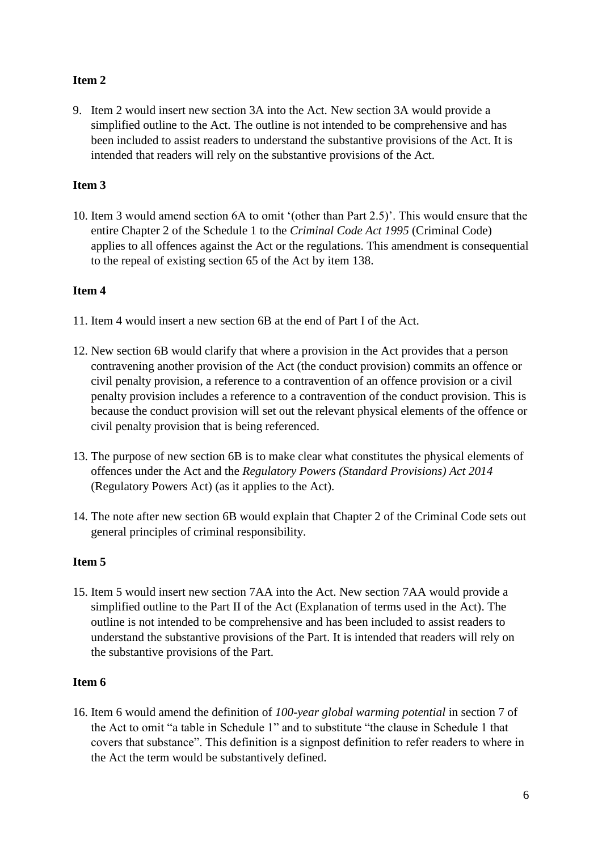9. Item 2 would insert new section 3A into the Act. New section 3A would provide a simplified outline to the Act. The outline is not intended to be comprehensive and has been included to assist readers to understand the substantive provisions of the Act. It is intended that readers will rely on the substantive provisions of the Act.

## **Item 3**

10. Item 3 would amend section 6A to omit '(other than Part 2.5)'. This would ensure that the entire Chapter 2 of the Schedule 1 to the *Criminal Code Act 1995* (Criminal Code) applies to all offences against the Act or the regulations. This amendment is consequential to the repeal of existing section 65 of the Act by item 138.

## **Item 4**

- 11. Item 4 would insert a new section 6B at the end of Part I of the Act.
- 12. New section 6B would clarify that where a provision in the Act provides that a person contravening another provision of the Act (the conduct provision) commits an offence or civil penalty provision, a reference to a contravention of an offence provision or a civil penalty provision includes a reference to a contravention of the conduct provision. This is because the conduct provision will set out the relevant physical elements of the offence or civil penalty provision that is being referenced.
- 13. The purpose of new section 6B is to make clear what constitutes the physical elements of offences under the Act and the *Regulatory Powers (Standard Provisions) Act 2014* (Regulatory Powers Act) (as it applies to the Act).
- 14. The note after new section 6B would explain that Chapter 2 of the Criminal Code sets out general principles of criminal responsibility.

## **Item 5**

15. Item 5 would insert new section 7AA into the Act. New section 7AA would provide a simplified outline to the Part II of the Act (Explanation of terms used in the Act). The outline is not intended to be comprehensive and has been included to assist readers to understand the substantive provisions of the Part. It is intended that readers will rely on the substantive provisions of the Part.

## **Item 6**

16. Item 6 would amend the definition of *100-year global warming potential* in section 7 of the Act to omit "a table in Schedule 1" and to substitute "the clause in Schedule 1 that covers that substance". This definition is a signpost definition to refer readers to where in the Act the term would be substantively defined.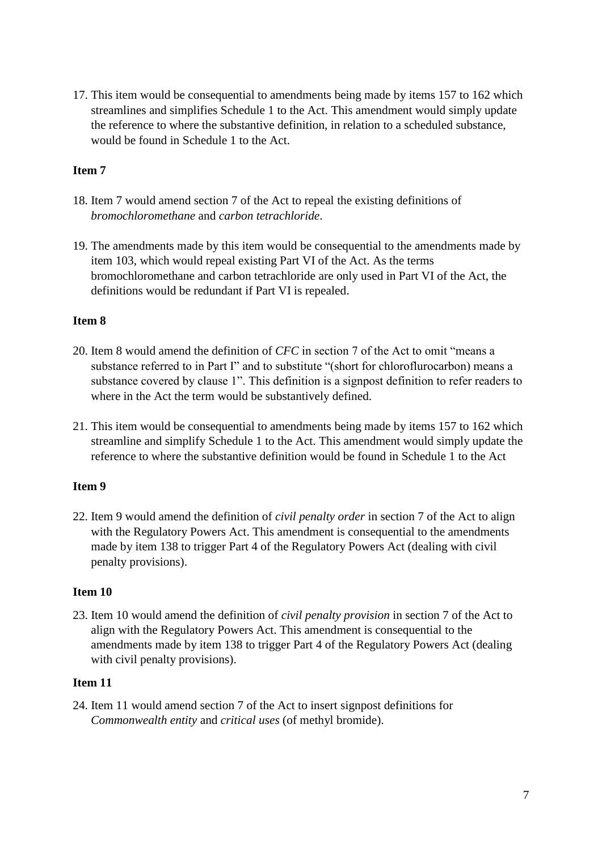17. This item would be consequential to amendments being made by items 157 to 162 which streamlines and simplifies Schedule 1 to the Act. This amendment would simply update the reference to where the substantive definition, in relation to a scheduled substance, would be found in Schedule 1 to the Act.

## **Item 7**

- 18. Item 7 would amend section 7 of the Act to repeal the existing definitions of *bromochloromethane* and *carbon tetrachloride*.
- 19. The amendments made by this item would be consequential to the amendments made by item 103, which would repeal existing Part VI of the Act. As the terms bromochloromethane and carbon tetrachloride are only used in Part VI of the Act, the definitions would be redundant if Part VI is repealed.

## **Item 8**

- 20. Item 8 would amend the definition of *CFC* in section 7 of the Act to omit "means a substance referred to in Part I" and to substitute "(short for chloroflurocarbon) means a substance covered by clause 1". This definition is a signpost definition to refer readers to where in the Act the term would be substantively defined.
- 21. This item would be consequential to amendments being made by items 157 to 162 which streamline and simplify Schedule 1 to the Act. This amendment would simply update the reference to where the substantive definition would be found in Schedule 1 to the Act

## **Item 9**

22. Item 9 would amend the definition of *civil penalty order* in section 7 of the Act to align with the Regulatory Powers Act. This amendment is consequential to the amendments made by item 138 to trigger Part 4 of the Regulatory Powers Act (dealing with civil penalty provisions).

#### **Item 10**

23. Item 10 would amend the definition of *civil penalty provision* in section 7 of the Act to align with the Regulatory Powers Act. This amendment is consequential to the amendments made by item 138 to trigger Part 4 of the Regulatory Powers Act (dealing with civil penalty provisions).

## **Item 11**

24. Item 11 would amend section 7 of the Act to insert signpost definitions for *Commonwealth entity* and *critical uses* (of methyl bromide).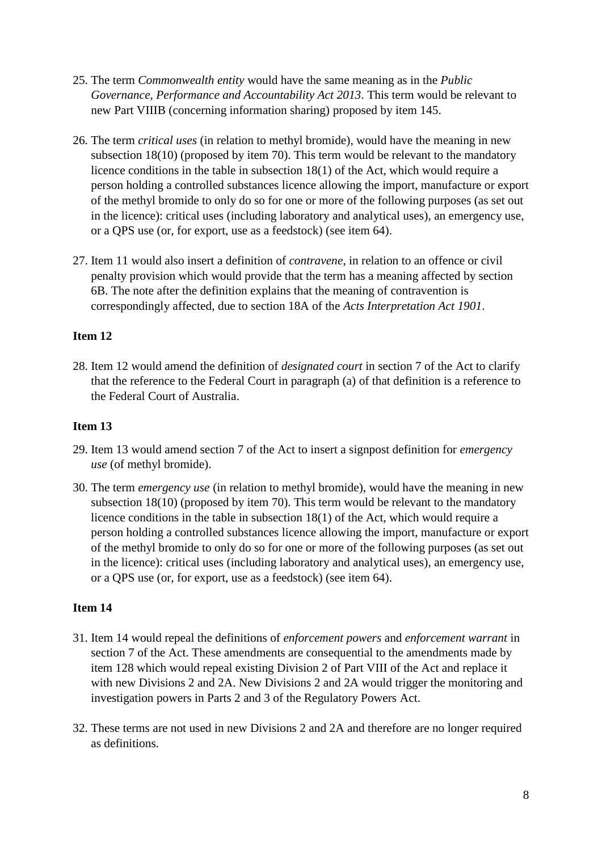- 25. The term *Commonwealth entity* would have the same meaning as in the *Public Governance, Performance and Accountability Act 2013*. This term would be relevant to new Part VIIIB (concerning information sharing) proposed by item 145.
- 26. The term *critical uses* (in relation to methyl bromide), would have the meaning in new subsection 18(10) (proposed by item 70). This term would be relevant to the mandatory licence conditions in the table in subsection 18(1) of the Act, which would require a person holding a controlled substances licence allowing the import, manufacture or export of the methyl bromide to only do so for one or more of the following purposes (as set out in the licence): critical uses (including laboratory and analytical uses), an emergency use, or a QPS use (or, for export, use as a feedstock) (see item 64).
- 27. Item 11 would also insert a definition of *contravene*, in relation to an offence or civil penalty provision which would provide that the term has a meaning affected by section 6B. The note after the definition explains that the meaning of contravention is correspondingly affected, due to section 18A of the *Acts Interpretation Act 1901*.

28. Item 12 would amend the definition of *designated court* in section 7 of the Act to clarify that the reference to the Federal Court in paragraph (a) of that definition is a reference to the Federal Court of Australia.

#### **Item 13**

- 29. Item 13 would amend section 7 of the Act to insert a signpost definition for *emergency use* (of methyl bromide).
- 30. The term *emergency use* (in relation to methyl bromide), would have the meaning in new subsection 18(10) (proposed by item 70). This term would be relevant to the mandatory licence conditions in the table in subsection 18(1) of the Act, which would require a person holding a controlled substances licence allowing the import, manufacture or export of the methyl bromide to only do so for one or more of the following purposes (as set out in the licence): critical uses (including laboratory and analytical uses), an emergency use, or a QPS use (or, for export, use as a feedstock) (see item 64).

- 31. Item 14 would repeal the definitions of *enforcement powers* and *enforcement warrant* in section 7 of the Act. These amendments are consequential to the amendments made by item 128 which would repeal existing Division 2 of Part VIII of the Act and replace it with new Divisions 2 and 2A. New Divisions 2 and 2A would trigger the monitoring and investigation powers in Parts 2 and 3 of the Regulatory Powers Act.
- 32. These terms are not used in new Divisions 2 and 2A and therefore are no longer required as definitions.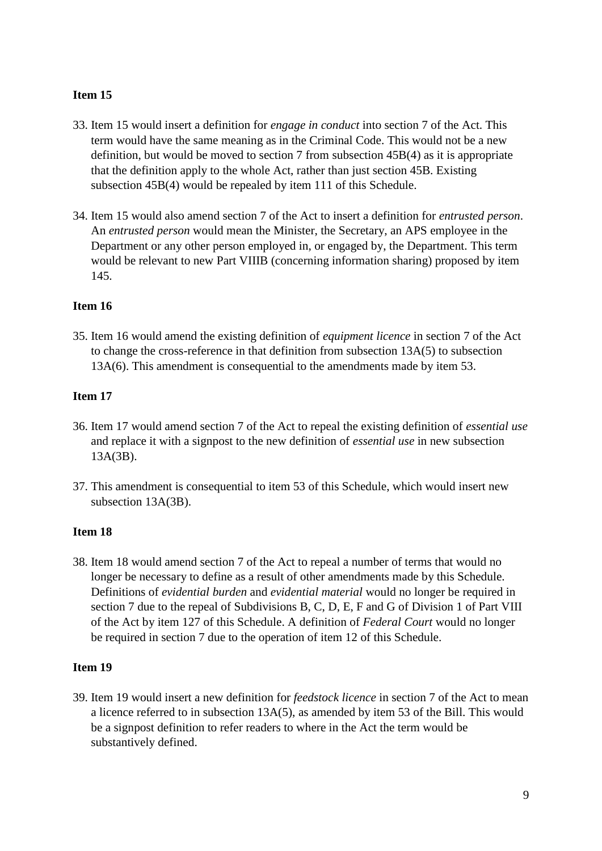- 33. Item 15 would insert a definition for *engage in conduct* into section 7 of the Act. This term would have the same meaning as in the Criminal Code. This would not be a new definition, but would be moved to section 7 from subsection 45B(4) as it is appropriate that the definition apply to the whole Act, rather than just section 45B. Existing subsection 45B(4) would be repealed by item 111 of this Schedule.
- 34. Item 15 would also amend section 7 of the Act to insert a definition for *entrusted person*. An *entrusted person* would mean the Minister, the Secretary, an APS employee in the Department or any other person employed in, or engaged by, the Department. This term would be relevant to new Part VIIIB (concerning information sharing) proposed by item 145.

#### **Item 16**

35. Item 16 would amend the existing definition of *equipment licence* in section 7 of the Act to change the cross-reference in that definition from subsection 13A(5) to subsection 13A(6). This amendment is consequential to the amendments made by item 53.

#### **Item 17**

- 36. Item 17 would amend section 7 of the Act to repeal the existing definition of *essential use* and replace it with a signpost to the new definition of *essential use* in new subsection 13A(3B).
- 37. This amendment is consequential to item 53 of this Schedule, which would insert new subsection 13A(3B).

## **Item 18**

38. Item 18 would amend section 7 of the Act to repeal a number of terms that would no longer be necessary to define as a result of other amendments made by this Schedule. Definitions of *evidential burden* and *evidential material* would no longer be required in section 7 due to the repeal of Subdivisions B, C, D, E, F and G of Division 1 of Part VIII of the Act by item 127 of this Schedule. A definition of *Federal Court* would no longer be required in section 7 due to the operation of item 12 of this Schedule.

#### **Item 19**

39. Item 19 would insert a new definition for *feedstock licence* in section 7 of the Act to mean a licence referred to in subsection 13A(5), as amended by item 53 of the Bill. This would be a signpost definition to refer readers to where in the Act the term would be substantively defined.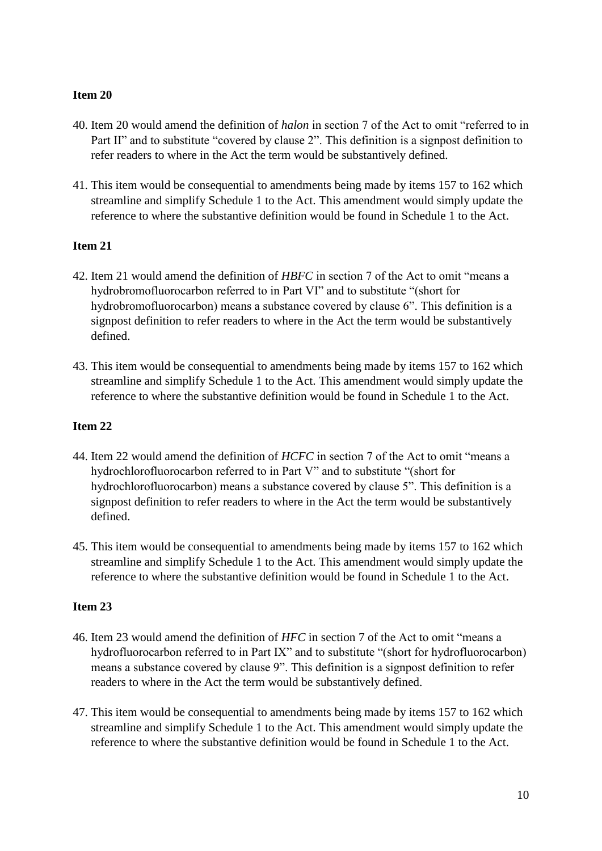- 40. Item 20 would amend the definition of *halon* in section 7 of the Act to omit "referred to in Part II" and to substitute "covered by clause 2". This definition is a signpost definition to refer readers to where in the Act the term would be substantively defined.
- 41. This item would be consequential to amendments being made by items 157 to 162 which streamline and simplify Schedule 1 to the Act. This amendment would simply update the reference to where the substantive definition would be found in Schedule 1 to the Act.

## **Item 21**

- 42. Item 21 would amend the definition of *HBFC* in section 7 of the Act to omit "means a hydrobromofluorocarbon referred to in Part VI" and to substitute "(short for hydrobromofluorocarbon) means a substance covered by clause 6". This definition is a signpost definition to refer readers to where in the Act the term would be substantively defined.
- 43. This item would be consequential to amendments being made by items 157 to 162 which streamline and simplify Schedule 1 to the Act. This amendment would simply update the reference to where the substantive definition would be found in Schedule 1 to the Act.

## **Item 22**

- 44. Item 22 would amend the definition of *HCFC* in section 7 of the Act to omit "means a hydrochlorofluorocarbon referred to in Part V" and to substitute "(short for hydrochlorofluorocarbon) means a substance covered by clause 5". This definition is a signpost definition to refer readers to where in the Act the term would be substantively defined.
- 45. This item would be consequential to amendments being made by items 157 to 162 which streamline and simplify Schedule 1 to the Act. This amendment would simply update the reference to where the substantive definition would be found in Schedule 1 to the Act.

- 46. Item 23 would amend the definition of *HFC* in section 7 of the Act to omit "means a hydrofluorocarbon referred to in Part IX" and to substitute "(short for hydrofluorocarbon) means a substance covered by clause 9". This definition is a signpost definition to refer readers to where in the Act the term would be substantively defined.
- 47. This item would be consequential to amendments being made by items 157 to 162 which streamline and simplify Schedule 1 to the Act. This amendment would simply update the reference to where the substantive definition would be found in Schedule 1 to the Act.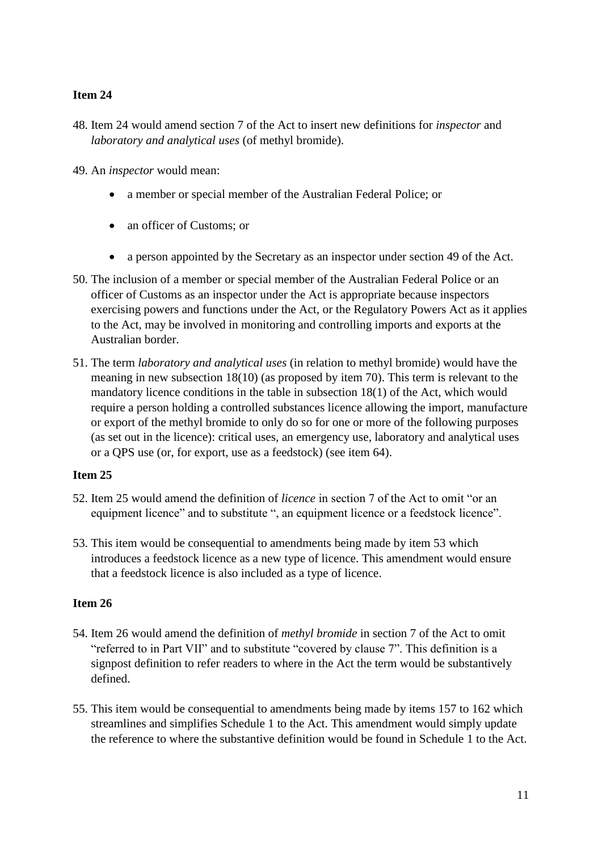- 48. Item 24 would amend section 7 of the Act to insert new definitions for *inspector* and *laboratory and analytical uses* (of methyl bromide).
- 49. An *inspector* would mean:
	- a member or special member of the Australian Federal Police; or
	- an officer of Customs; or
	- a person appointed by the Secretary as an inspector under section 49 of the Act.
- 50. The inclusion of a member or special member of the Australian Federal Police or an officer of Customs as an inspector under the Act is appropriate because inspectors exercising powers and functions under the Act, or the Regulatory Powers Act as it applies to the Act, may be involved in monitoring and controlling imports and exports at the Australian border.
- 51. The term *laboratory and analytical uses* (in relation to methyl bromide) would have the meaning in new subsection 18(10) (as proposed by item 70). This term is relevant to the mandatory licence conditions in the table in subsection 18(1) of the Act, which would require a person holding a controlled substances licence allowing the import, manufacture or export of the methyl bromide to only do so for one or more of the following purposes (as set out in the licence): critical uses, an emergency use, laboratory and analytical uses or a QPS use (or, for export, use as a feedstock) (see item 64).

#### **Item 25**

- 52. Item 25 would amend the definition of *licence* in section 7 of the Act to omit "or an equipment licence" and to substitute ", an equipment licence or a feedstock licence".
- 53. This item would be consequential to amendments being made by item 53 which introduces a feedstock licence as a new type of licence. This amendment would ensure that a feedstock licence is also included as a type of licence.

- 54. Item 26 would amend the definition of *methyl bromide* in section 7 of the Act to omit "referred to in Part VII" and to substitute "covered by clause 7". This definition is a signpost definition to refer readers to where in the Act the term would be substantively defined.
- 55. This item would be consequential to amendments being made by items 157 to 162 which streamlines and simplifies Schedule 1 to the Act. This amendment would simply update the reference to where the substantive definition would be found in Schedule 1 to the Act.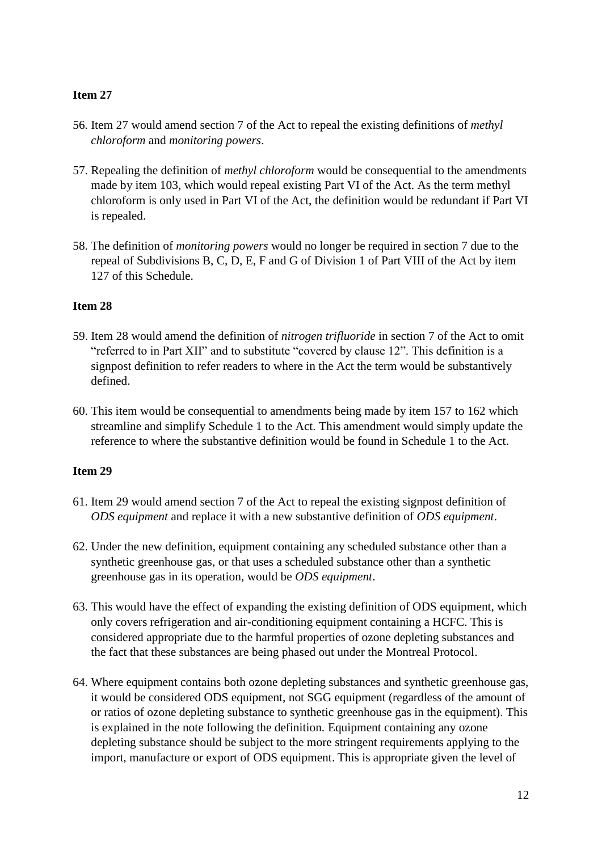- 56. Item 27 would amend section 7 of the Act to repeal the existing definitions of *methyl chloroform* and *monitoring powers*.
- 57. Repealing the definition of *methyl chloroform* would be consequential to the amendments made by item 103, which would repeal existing Part VI of the Act. As the term methyl chloroform is only used in Part VI of the Act, the definition would be redundant if Part VI is repealed.
- 58. The definition of *monitoring powers* would no longer be required in section 7 due to the repeal of Subdivisions B, C, D, E, F and G of Division 1 of Part VIII of the Act by item 127 of this Schedule.

## **Item 28**

- 59. Item 28 would amend the definition of *nitrogen trifluoride* in section 7 of the Act to omit "referred to in Part XII" and to substitute "covered by clause 12". This definition is a signpost definition to refer readers to where in the Act the term would be substantively defined.
- 60. This item would be consequential to amendments being made by item 157 to 162 which streamline and simplify Schedule 1 to the Act. This amendment would simply update the reference to where the substantive definition would be found in Schedule 1 to the Act.

- 61. Item 29 would amend section 7 of the Act to repeal the existing signpost definition of *ODS equipment* and replace it with a new substantive definition of *ODS equipment*.
- 62. Under the new definition, equipment containing any scheduled substance other than a synthetic greenhouse gas, or that uses a scheduled substance other than a synthetic greenhouse gas in its operation, would be *ODS equipment*.
- 63. This would have the effect of expanding the existing definition of ODS equipment, which only covers refrigeration and air-conditioning equipment containing a HCFC. This is considered appropriate due to the harmful properties of ozone depleting substances and the fact that these substances are being phased out under the Montreal Protocol.
- 64. Where equipment contains both ozone depleting substances and synthetic greenhouse gas, it would be considered ODS equipment, not SGG equipment (regardless of the amount of or ratios of ozone depleting substance to synthetic greenhouse gas in the equipment). This is explained in the note following the definition. Equipment containing any ozone depleting substance should be subject to the more stringent requirements applying to the import, manufacture or export of ODS equipment. This is appropriate given the level of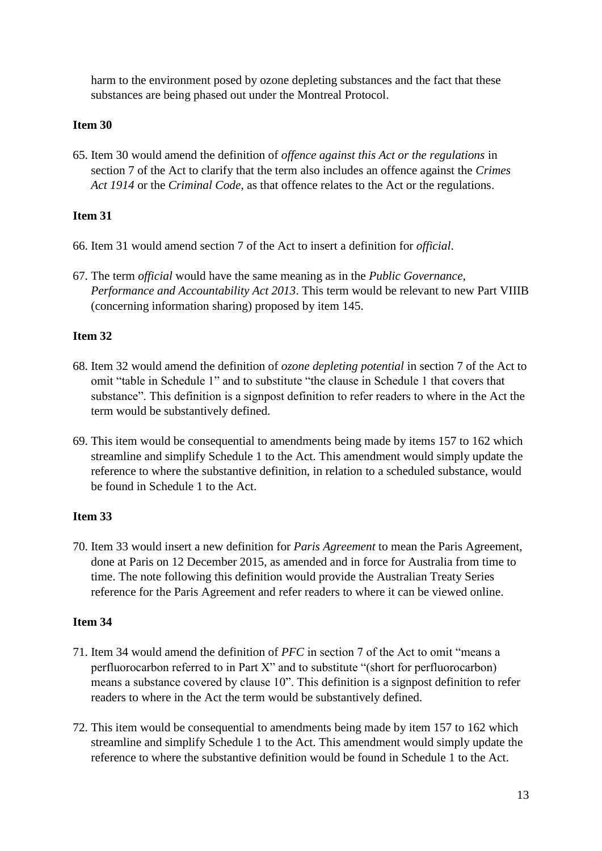harm to the environment posed by ozone depleting substances and the fact that these substances are being phased out under the Montreal Protocol.

## **Item 30**

65. Item 30 would amend the definition of *offence against this Act or the regulations* in section 7 of the Act to clarify that the term also includes an offence against the *Crimes Act 1914* or the *Criminal Code*, as that offence relates to the Act or the regulations.

## **Item 31**

- 66. Item 31 would amend section 7 of the Act to insert a definition for *official*.
- 67. The term *official* would have the same meaning as in the *Public Governance, Performance and Accountability Act 2013*. This term would be relevant to new Part VIIIB (concerning information sharing) proposed by item 145.

## **Item 32**

- 68. Item 32 would amend the definition of *ozone depleting potential* in section 7 of the Act to omit "table in Schedule 1" and to substitute "the clause in Schedule 1 that covers that substance". This definition is a signpost definition to refer readers to where in the Act the term would be substantively defined.
- 69. This item would be consequential to amendments being made by items 157 to 162 which streamline and simplify Schedule 1 to the Act. This amendment would simply update the reference to where the substantive definition, in relation to a scheduled substance, would be found in Schedule 1 to the Act.

## **Item 33**

70. Item 33 would insert a new definition for *Paris Agreement* to mean the Paris Agreement, done at Paris on 12 December 2015, as amended and in force for Australia from time to time. The note following this definition would provide the Australian Treaty Series reference for the Paris Agreement and refer readers to where it can be viewed online.

- 71. Item 34 would amend the definition of *PFC* in section 7 of the Act to omit "means a perfluorocarbon referred to in Part X" and to substitute "(short for perfluorocarbon) means a substance covered by clause 10". This definition is a signpost definition to refer readers to where in the Act the term would be substantively defined.
- 72. This item would be consequential to amendments being made by item 157 to 162 which streamline and simplify Schedule 1 to the Act. This amendment would simply update the reference to where the substantive definition would be found in Schedule 1 to the Act.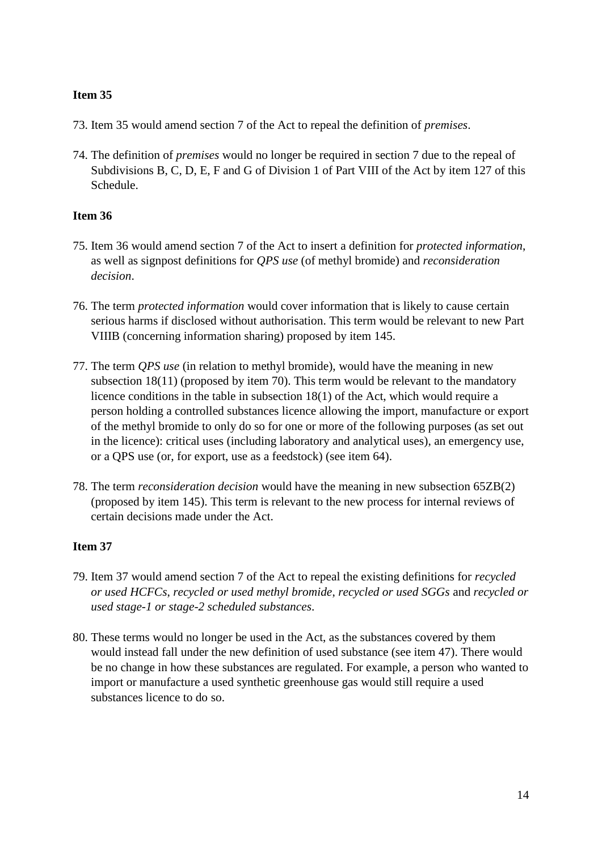- 73. Item 35 would amend section 7 of the Act to repeal the definition of *premises*.
- 74. The definition of *premises* would no longer be required in section 7 due to the repeal of Subdivisions B, C, D, E, F and G of Division 1 of Part VIII of the Act by item 127 of this Schedule.

## **Item 36**

- 75. Item 36 would amend section 7 of the Act to insert a definition for *protected information*, as well as signpost definitions for *QPS use* (of methyl bromide) and *reconsideration decision*.
- 76. The term *protected information* would cover information that is likely to cause certain serious harms if disclosed without authorisation. This term would be relevant to new Part VIIIB (concerning information sharing) proposed by item 145.
- 77. The term *QPS use* (in relation to methyl bromide), would have the meaning in new subsection 18(11) (proposed by item 70). This term would be relevant to the mandatory licence conditions in the table in subsection 18(1) of the Act, which would require a person holding a controlled substances licence allowing the import, manufacture or export of the methyl bromide to only do so for one or more of the following purposes (as set out in the licence): critical uses (including laboratory and analytical uses), an emergency use, or a QPS use (or, for export, use as a feedstock) (see item 64).
- 78. The term *reconsideration decision* would have the meaning in new subsection 65ZB(2) (proposed by item 145). This term is relevant to the new process for internal reviews of certain decisions made under the Act.

- 79. Item 37 would amend section 7 of the Act to repeal the existing definitions for *recycled or used HCFCs*, *recycled or used methyl bromide*, *recycled or used SGGs* and *recycled or used stage-1 or stage-2 scheduled substances*.
- 80. These terms would no longer be used in the Act, as the substances covered by them would instead fall under the new definition of used substance (see item 47). There would be no change in how these substances are regulated. For example, a person who wanted to import or manufacture a used synthetic greenhouse gas would still require a used substances licence to do so.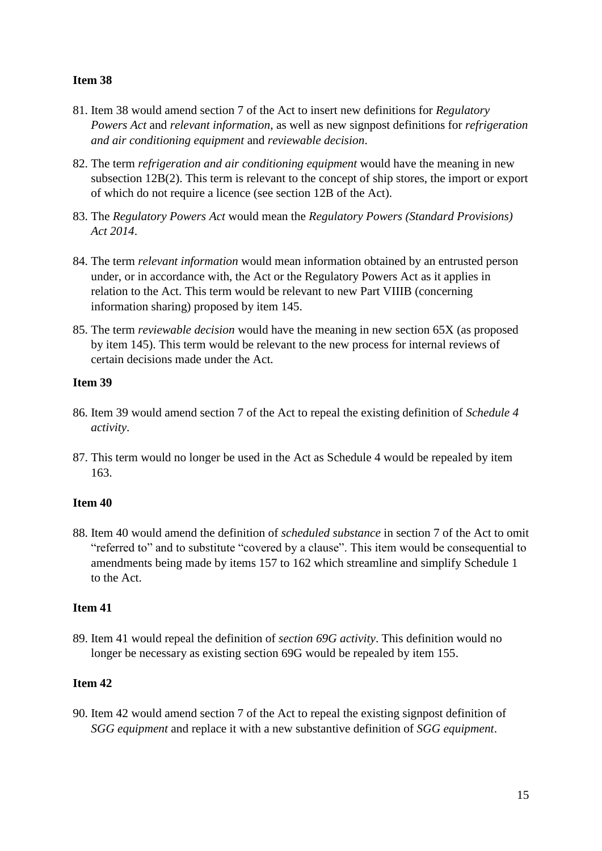- 81. Item 38 would amend section 7 of the Act to insert new definitions for *Regulatory Powers Act* and *relevant information*, as well as new signpost definitions for *refrigeration and air conditioning equipment* and *reviewable decision*.
- 82. The term *refrigeration and air conditioning equipment* would have the meaning in new subsection 12B(2). This term is relevant to the concept of ship stores, the import or export of which do not require a licence (see section 12B of the Act).
- 83. The *Regulatory Powers Act* would mean the *Regulatory Powers (Standard Provisions) Act 2014*.
- 84. The term *relevant information* would mean information obtained by an entrusted person under, or in accordance with, the Act or the Regulatory Powers Act as it applies in relation to the Act. This term would be relevant to new Part VIIIB (concerning information sharing) proposed by item 145.
- 85. The term *reviewable decision* would have the meaning in new section 65X (as proposed by item 145). This term would be relevant to the new process for internal reviews of certain decisions made under the Act.

## **Item 39**

- 86. Item 39 would amend section 7 of the Act to repeal the existing definition of *Schedule 4 activity*.
- 87. This term would no longer be used in the Act as Schedule 4 would be repealed by item 163.

## **Item 40**

88. Item 40 would amend the definition of *scheduled substance* in section 7 of the Act to omit "referred to" and to substitute "covered by a clause". This item would be consequential to amendments being made by items 157 to 162 which streamline and simplify Schedule 1 to the Act.

## **Item 41**

89. Item 41 would repeal the definition of *section 69G activity*. This definition would no longer be necessary as existing section 69G would be repealed by item 155.

## **Item 42**

90. Item 42 would amend section 7 of the Act to repeal the existing signpost definition of *SGG equipment* and replace it with a new substantive definition of *SGG equipment*.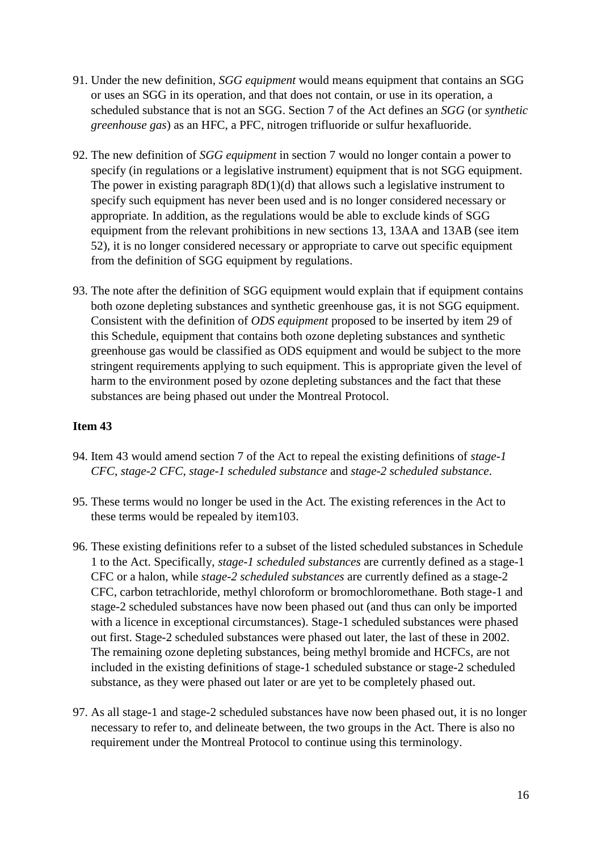- 91. Under the new definition, *SGG equipment* would means equipment that contains an SGG or uses an SGG in its operation, and that does not contain, or use in its operation, a scheduled substance that is not an SGG. Section 7 of the Act defines an *SGG* (or *synthetic greenhouse gas*) as an HFC, a PFC, nitrogen trifluoride or sulfur hexafluoride.
- 92. The new definition of *SGG equipment* in section 7 would no longer contain a power to specify (in regulations or a legislative instrument) equipment that is not SGG equipment. The power in existing paragraph 8D(1)(d) that allows such a legislative instrument to specify such equipment has never been used and is no longer considered necessary or appropriate. In addition, as the regulations would be able to exclude kinds of SGG equipment from the relevant prohibitions in new sections 13, 13AA and 13AB (see item 52), it is no longer considered necessary or appropriate to carve out specific equipment from the definition of SGG equipment by regulations.
- 93. The note after the definition of SGG equipment would explain that if equipment contains both ozone depleting substances and synthetic greenhouse gas, it is not SGG equipment. Consistent with the definition of *ODS equipment* proposed to be inserted by item 29 of this Schedule, equipment that contains both ozone depleting substances and synthetic greenhouse gas would be classified as ODS equipment and would be subject to the more stringent requirements applying to such equipment. This is appropriate given the level of harm to the environment posed by ozone depleting substances and the fact that these substances are being phased out under the Montreal Protocol.

- 94. Item 43 would amend section 7 of the Act to repeal the existing definitions of *stage-1 CFC*, *stage-2 CFC*, *stage-1 scheduled substance* and *stage-2 scheduled substance*.
- 95. These terms would no longer be used in the Act. The existing references in the Act to these terms would be repealed by item103.
- 96. These existing definitions refer to a subset of the listed scheduled substances in Schedule 1 to the Act. Specifically, *stage-1 scheduled substances* are currently defined as a stage-1 CFC or a halon, while *stage-2 scheduled substances* are currently defined as a stage-2 CFC, carbon tetrachloride, methyl chloroform or bromochloromethane. Both stage-1 and stage-2 scheduled substances have now been phased out (and thus can only be imported with a licence in exceptional circumstances). Stage-1 scheduled substances were phased out first. Stage-2 scheduled substances were phased out later, the last of these in 2002. The remaining ozone depleting substances, being methyl bromide and HCFCs, are not included in the existing definitions of stage-1 scheduled substance or stage-2 scheduled substance, as they were phased out later or are yet to be completely phased out.
- 97. As all stage-1 and stage-2 scheduled substances have now been phased out, it is no longer necessary to refer to, and delineate between, the two groups in the Act. There is also no requirement under the Montreal Protocol to continue using this terminology.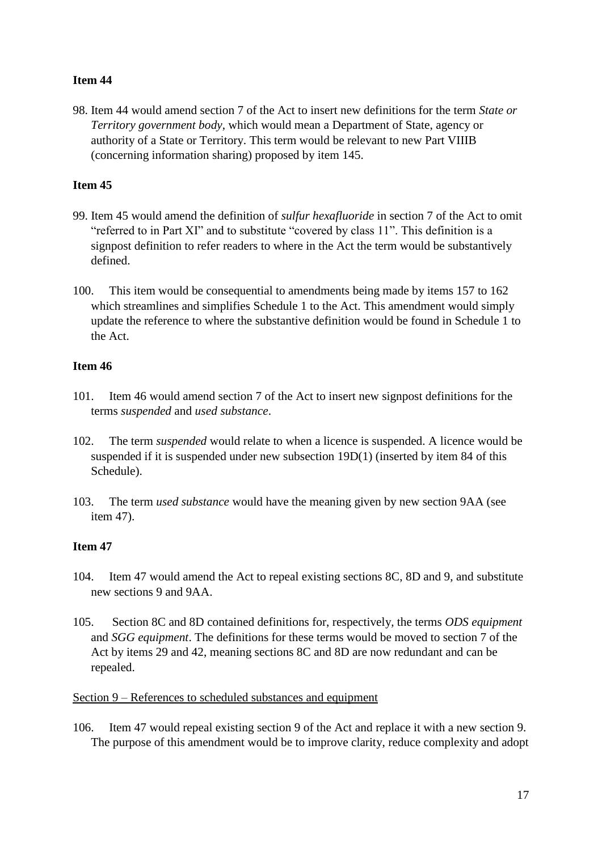98. Item 44 would amend section 7 of the Act to insert new definitions for the term *State or Territory government body*, which would mean a Department of State, agency or authority of a State or Territory. This term would be relevant to new Part VIIIB (concerning information sharing) proposed by item 145.

## **Item 45**

- 99. Item 45 would amend the definition of *sulfur hexafluoride* in section 7 of the Act to omit "referred to in Part XI" and to substitute "covered by class 11". This definition is a signpost definition to refer readers to where in the Act the term would be substantively defined.
- 100. This item would be consequential to amendments being made by items 157 to 162 which streamlines and simplifies Schedule 1 to the Act. This amendment would simply update the reference to where the substantive definition would be found in Schedule 1 to the Act.

## **Item 46**

- 101. Item 46 would amend section 7 of the Act to insert new signpost definitions for the terms *suspended* and *used substance*.
- 102. The term *suspended* would relate to when a licence is suspended. A licence would be suspended if it is suspended under new subsection 19D(1) (inserted by item 84 of this Schedule).
- 103. The term *used substance* would have the meaning given by new section 9AA (see item 47).

## **Item 47**

- 104. Item 47 would amend the Act to repeal existing sections 8C, 8D and 9, and substitute new sections 9 and 9AA.
- 105. Section 8C and 8D contained definitions for, respectively, the terms *ODS equipment* and *SGG equipment*. The definitions for these terms would be moved to section 7 of the Act by items 29 and 42, meaning sections 8C and 8D are now redundant and can be repealed.

## Section 9 – References to scheduled substances and equipment

106. Item 47 would repeal existing section 9 of the Act and replace it with a new section 9. The purpose of this amendment would be to improve clarity, reduce complexity and adopt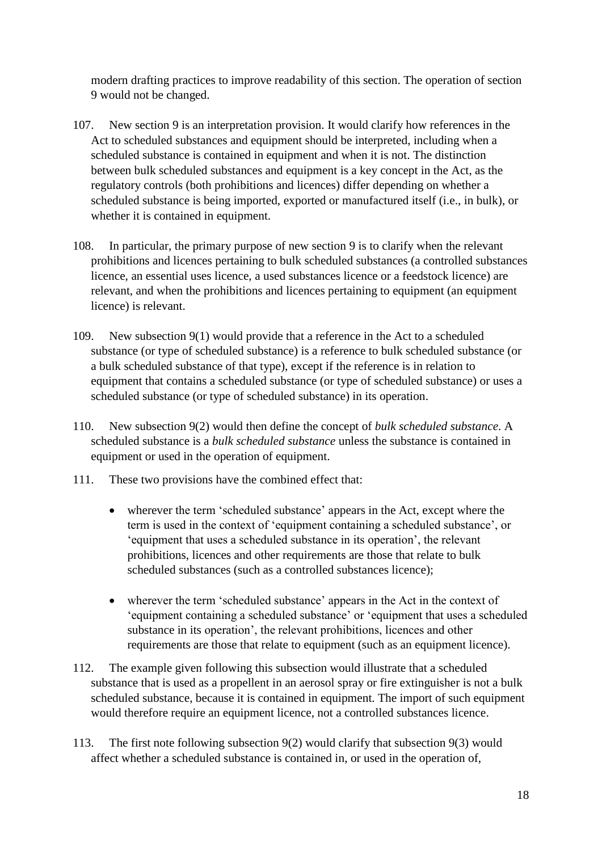modern drafting practices to improve readability of this section. The operation of section 9 would not be changed.

- 107. New section 9 is an interpretation provision. It would clarify how references in the Act to scheduled substances and equipment should be interpreted, including when a scheduled substance is contained in equipment and when it is not. The distinction between bulk scheduled substances and equipment is a key concept in the Act, as the regulatory controls (both prohibitions and licences) differ depending on whether a scheduled substance is being imported, exported or manufactured itself (i.e., in bulk), or whether it is contained in equipment.
- 108. In particular, the primary purpose of new section 9 is to clarify when the relevant prohibitions and licences pertaining to bulk scheduled substances (a controlled substances licence, an essential uses licence, a used substances licence or a feedstock licence) are relevant, and when the prohibitions and licences pertaining to equipment (an equipment licence) is relevant.
- 109. New subsection 9(1) would provide that a reference in the Act to a scheduled substance (or type of scheduled substance) is a reference to bulk scheduled substance (or a bulk scheduled substance of that type), except if the reference is in relation to equipment that contains a scheduled substance (or type of scheduled substance) or uses a scheduled substance (or type of scheduled substance) in its operation.
- 110. New subsection 9(2) would then define the concept of *bulk scheduled substance*. A scheduled substance is a *bulk scheduled substance* unless the substance is contained in equipment or used in the operation of equipment.
- 111. These two provisions have the combined effect that:
	- wherever the term 'scheduled substance' appears in the Act, except where the term is used in the context of 'equipment containing a scheduled substance', or 'equipment that uses a scheduled substance in its operation', the relevant prohibitions, licences and other requirements are those that relate to bulk scheduled substances (such as a controlled substances licence);
	- wherever the term 'scheduled substance' appears in the Act in the context of 'equipment containing a scheduled substance' or 'equipment that uses a scheduled substance in its operation', the relevant prohibitions, licences and other requirements are those that relate to equipment (such as an equipment licence).
- 112. The example given following this subsection would illustrate that a scheduled substance that is used as a propellent in an aerosol spray or fire extinguisher is not a bulk scheduled substance, because it is contained in equipment. The import of such equipment would therefore require an equipment licence, not a controlled substances licence.
- 113. The first note following subsection 9(2) would clarify that subsection 9(3) would affect whether a scheduled substance is contained in, or used in the operation of,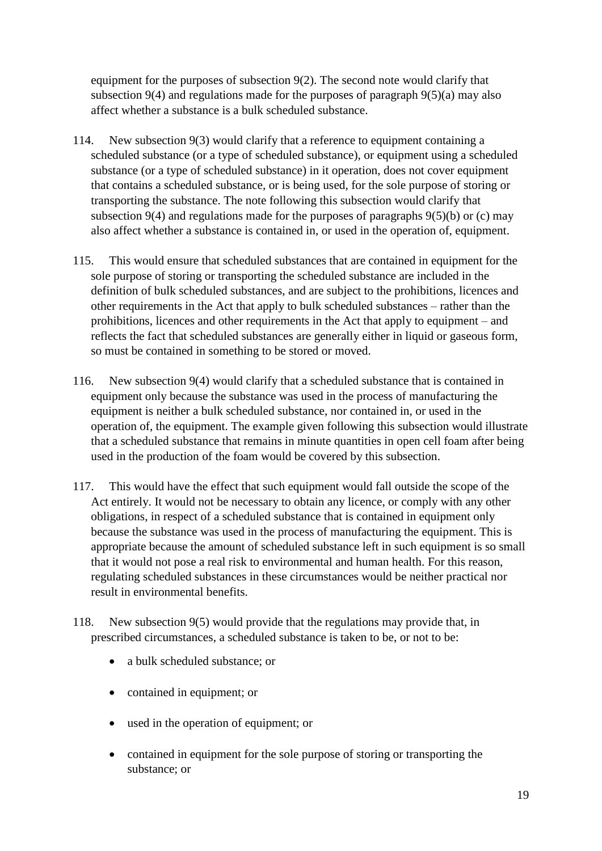equipment for the purposes of subsection 9(2). The second note would clarify that subsection 9(4) and regulations made for the purposes of paragraph  $9(5)(a)$  may also affect whether a substance is a bulk scheduled substance.

- 114. New subsection 9(3) would clarify that a reference to equipment containing a scheduled substance (or a type of scheduled substance), or equipment using a scheduled substance (or a type of scheduled substance) in it operation, does not cover equipment that contains a scheduled substance, or is being used, for the sole purpose of storing or transporting the substance. The note following this subsection would clarify that subsection 9(4) and regulations made for the purposes of paragraphs 9(5)(b) or (c) may also affect whether a substance is contained in, or used in the operation of, equipment.
- 115. This would ensure that scheduled substances that are contained in equipment for the sole purpose of storing or transporting the scheduled substance are included in the definition of bulk scheduled substances, and are subject to the prohibitions, licences and other requirements in the Act that apply to bulk scheduled substances – rather than the prohibitions, licences and other requirements in the Act that apply to equipment – and reflects the fact that scheduled substances are generally either in liquid or gaseous form, so must be contained in something to be stored or moved.
- 116. New subsection 9(4) would clarify that a scheduled substance that is contained in equipment only because the substance was used in the process of manufacturing the equipment is neither a bulk scheduled substance, nor contained in, or used in the operation of, the equipment. The example given following this subsection would illustrate that a scheduled substance that remains in minute quantities in open cell foam after being used in the production of the foam would be covered by this subsection.
- 117. This would have the effect that such equipment would fall outside the scope of the Act entirely. It would not be necessary to obtain any licence, or comply with any other obligations, in respect of a scheduled substance that is contained in equipment only because the substance was used in the process of manufacturing the equipment. This is appropriate because the amount of scheduled substance left in such equipment is so small that it would not pose a real risk to environmental and human health. For this reason, regulating scheduled substances in these circumstances would be neither practical nor result in environmental benefits.
- 118. New subsection 9(5) would provide that the regulations may provide that, in prescribed circumstances, a scheduled substance is taken to be, or not to be:
	- a bulk scheduled substance; or
	- contained in equipment; or
	- used in the operation of equipment; or
	- contained in equipment for the sole purpose of storing or transporting the substance; or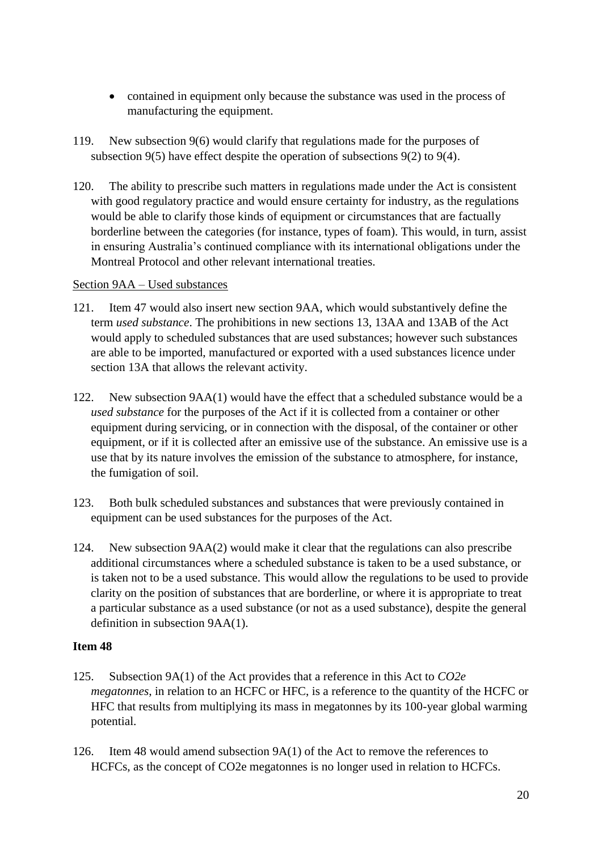- contained in equipment only because the substance was used in the process of manufacturing the equipment.
- 119. New subsection 9(6) would clarify that regulations made for the purposes of subsection 9(5) have effect despite the operation of subsections 9(2) to 9(4).
- 120. The ability to prescribe such matters in regulations made under the Act is consistent with good regulatory practice and would ensure certainty for industry, as the regulations would be able to clarify those kinds of equipment or circumstances that are factually borderline between the categories (for instance, types of foam). This would, in turn, assist in ensuring Australia's continued compliance with its international obligations under the Montreal Protocol and other relevant international treaties.

#### Section 9AA – Used substances

- 121. Item 47 would also insert new section 9AA, which would substantively define the term *used substance*. The prohibitions in new sections 13, 13AA and 13AB of the Act would apply to scheduled substances that are used substances; however such substances are able to be imported, manufactured or exported with a used substances licence under section 13A that allows the relevant activity.
- 122. New subsection 9AA(1) would have the effect that a scheduled substance would be a *used substance* for the purposes of the Act if it is collected from a container or other equipment during servicing, or in connection with the disposal, of the container or other equipment, or if it is collected after an emissive use of the substance. An emissive use is a use that by its nature involves the emission of the substance to atmosphere, for instance, the fumigation of soil.
- 123. Both bulk scheduled substances and substances that were previously contained in equipment can be used substances for the purposes of the Act.
- 124. New subsection 9AA(2) would make it clear that the regulations can also prescribe additional circumstances where a scheduled substance is taken to be a used substance, or is taken not to be a used substance. This would allow the regulations to be used to provide clarity on the position of substances that are borderline, or where it is appropriate to treat a particular substance as a used substance (or not as a used substance), despite the general definition in subsection 9AA(1).

- 125. Subsection 9A(1) of the Act provides that a reference in this Act to *CO2e megatonnes*, in relation to an HCFC or HFC, is a reference to the quantity of the HCFC or HFC that results from multiplying its mass in megatonnes by its 100-year global warming potential.
- 126. Item 48 would amend subsection  $9A(1)$  of the Act to remove the references to HCFCs, as the concept of CO2e megatonnes is no longer used in relation to HCFCs.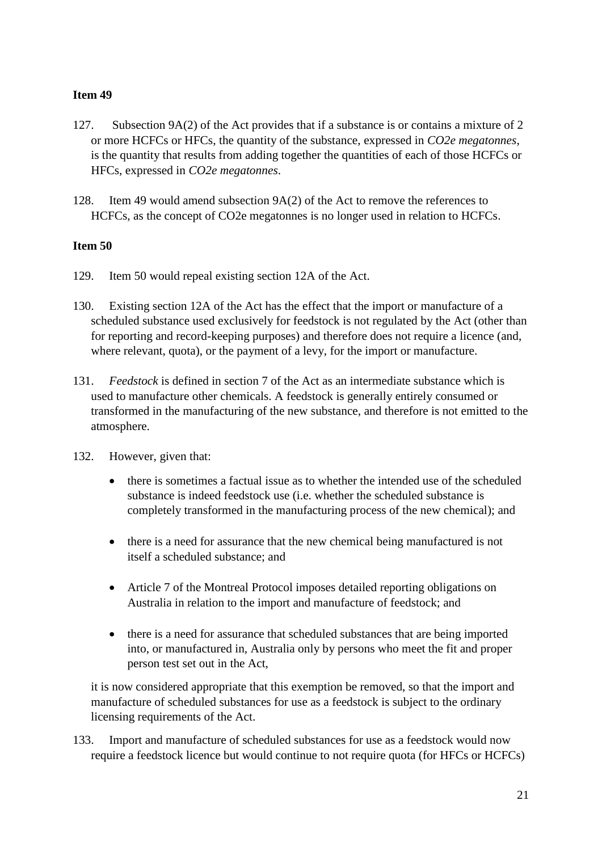- 127. Subsection 9A(2) of the Act provides that if a substance is or contains a mixture of 2 or more HCFCs or HFCs, the quantity of the substance, expressed in *CO2e megatonnes*, is the quantity that results from adding together the quantities of each of those HCFCs or HFCs, expressed in *CO2e megatonnes*.
- 128. Item 49 would amend subsection  $9A(2)$  of the Act to remove the references to HCFCs, as the concept of CO2e megatonnes is no longer used in relation to HCFCs.

## **Item 50**

- 129. Item 50 would repeal existing section 12A of the Act.
- 130. Existing section 12A of the Act has the effect that the import or manufacture of a scheduled substance used exclusively for feedstock is not regulated by the Act (other than for reporting and record-keeping purposes) and therefore does not require a licence (and, where relevant, quota), or the payment of a levy, for the import or manufacture.
- 131. *Feedstock* is defined in section 7 of the Act as an intermediate substance which is used to manufacture other chemicals. A feedstock is generally entirely consumed or transformed in the manufacturing of the new substance, and therefore is not emitted to the atmosphere.
- 132. However, given that:
	- there is sometimes a factual issue as to whether the intended use of the scheduled substance is indeed feedstock use (i.e. whether the scheduled substance is completely transformed in the manufacturing process of the new chemical); and
	- there is a need for assurance that the new chemical being manufactured is not itself a scheduled substance; and
	- Article 7 of the Montreal Protocol imposes detailed reporting obligations on Australia in relation to the import and manufacture of feedstock; and
	- there is a need for assurance that scheduled substances that are being imported into, or manufactured in, Australia only by persons who meet the fit and proper person test set out in the Act,

it is now considered appropriate that this exemption be removed, so that the import and manufacture of scheduled substances for use as a feedstock is subject to the ordinary licensing requirements of the Act.

133. Import and manufacture of scheduled substances for use as a feedstock would now require a feedstock licence but would continue to not require quota (for HFCs or HCFCs)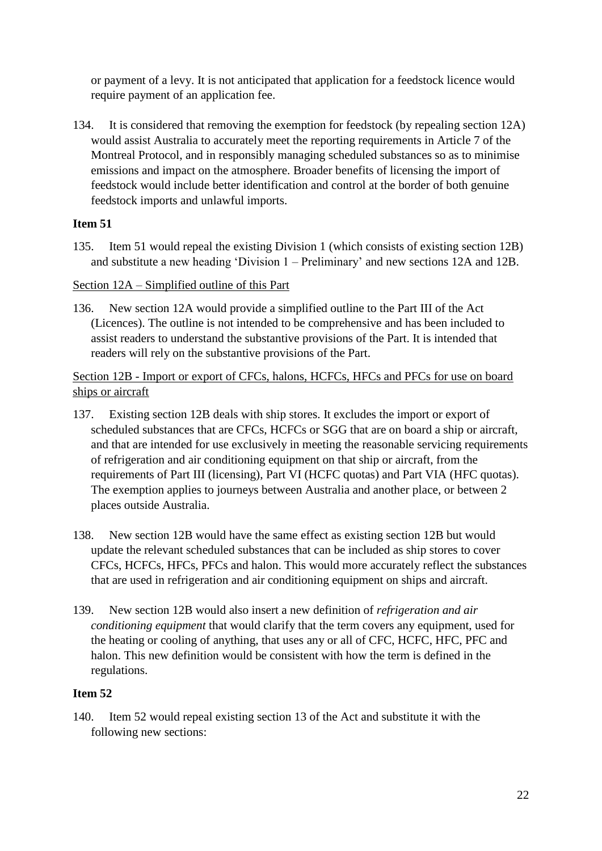or payment of a levy. It is not anticipated that application for a feedstock licence would require payment of an application fee.

134. It is considered that removing the exemption for feedstock (by repealing section 12A) would assist Australia to accurately meet the reporting requirements in Article 7 of the Montreal Protocol, and in responsibly managing scheduled substances so as to minimise emissions and impact on the atmosphere. Broader benefits of licensing the import of feedstock would include better identification and control at the border of both genuine feedstock imports and unlawful imports.

## **Item 51**

135. Item 51 would repeal the existing Division 1 (which consists of existing section 12B) and substitute a new heading 'Division 1 – Preliminary' and new sections 12A and 12B.

#### Section 12A – Simplified outline of this Part

136. New section 12A would provide a simplified outline to the Part III of the Act (Licences). The outline is not intended to be comprehensive and has been included to assist readers to understand the substantive provisions of the Part. It is intended that readers will rely on the substantive provisions of the Part.

## Section 12B - Import or export of CFCs, halons, HCFCs, HFCs and PFCs for use on board ships or aircraft

- 137. Existing section 12B deals with ship stores. It excludes the import or export of scheduled substances that are CFCs, HCFCs or SGG that are on board a ship or aircraft, and that are intended for use exclusively in meeting the reasonable servicing requirements of refrigeration and air conditioning equipment on that ship or aircraft, from the requirements of Part III (licensing), Part VI (HCFC quotas) and Part VIA (HFC quotas). The exemption applies to journeys between Australia and another place, or between 2 places outside Australia.
- 138. New section 12B would have the same effect as existing section 12B but would update the relevant scheduled substances that can be included as ship stores to cover CFCs, HCFCs, HFCs, PFCs and halon. This would more accurately reflect the substances that are used in refrigeration and air conditioning equipment on ships and aircraft.
- 139. New section 12B would also insert a new definition of *refrigeration and air conditioning equipment* that would clarify that the term covers any equipment, used for the heating or cooling of anything, that uses any or all of CFC, HCFC, HFC, PFC and halon. This new definition would be consistent with how the term is defined in the regulations.

## **Item 52**

140. Item 52 would repeal existing section 13 of the Act and substitute it with the following new sections: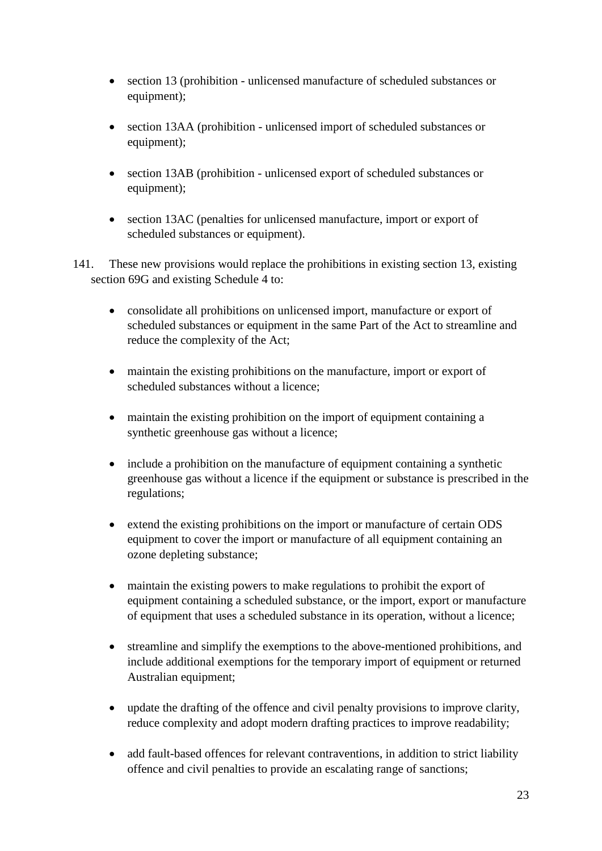- section 13 (prohibition unlicensed manufacture of scheduled substances or equipment);
- section 13AA (prohibition unlicensed import of scheduled substances or equipment);
- section 13AB (prohibition unlicensed export of scheduled substances or equipment);
- section 13AC (penalties for unlicensed manufacture, import or export of scheduled substances or equipment).
- 141. These new provisions would replace the prohibitions in existing section 13, existing section 69G and existing Schedule 4 to:
	- consolidate all prohibitions on unlicensed import, manufacture or export of scheduled substances or equipment in the same Part of the Act to streamline and reduce the complexity of the Act;
	- maintain the existing prohibitions on the manufacture, import or export of scheduled substances without a licence;
	- maintain the existing prohibition on the import of equipment containing a synthetic greenhouse gas without a licence;
	- include a prohibition on the manufacture of equipment containing a synthetic greenhouse gas without a licence if the equipment or substance is prescribed in the regulations;
	- extend the existing prohibitions on the import or manufacture of certain ODS equipment to cover the import or manufacture of all equipment containing an ozone depleting substance;
	- maintain the existing powers to make regulations to prohibit the export of equipment containing a scheduled substance, or the import, export or manufacture of equipment that uses a scheduled substance in its operation, without a licence;
	- streamline and simplify the exemptions to the above-mentioned prohibitions, and include additional exemptions for the temporary import of equipment or returned Australian equipment;
	- update the drafting of the offence and civil penalty provisions to improve clarity, reduce complexity and adopt modern drafting practices to improve readability;
	- add fault-based offences for relevant contraventions, in addition to strict liability offence and civil penalties to provide an escalating range of sanctions;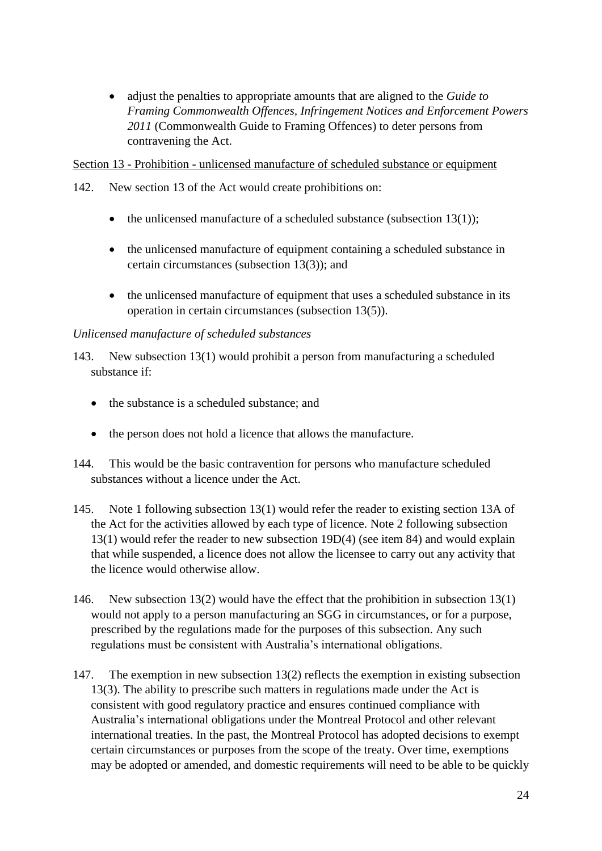• adjust the penalties to appropriate amounts that are aligned to the *Guide to Framing Commonwealth Offences, Infringement Notices and Enforcement Powers 2011* (Commonwealth Guide to Framing Offences) to deter persons from contravening the Act.

Section 13 - Prohibition - unlicensed manufacture of scheduled substance or equipment

- 142. New section 13 of the Act would create prohibitions on:
	- the unlicensed manufacture of a scheduled substance (subsection  $13(1)$ );
	- the unlicensed manufacture of equipment containing a scheduled substance in certain circumstances (subsection 13(3)); and
	- the unlicensed manufacture of equipment that uses a scheduled substance in its operation in certain circumstances (subsection 13(5)).

## *Unlicensed manufacture of scheduled substances*

143. New subsection 13(1) would prohibit a person from manufacturing a scheduled substance if:

- the substance is a scheduled substance: and
- the person does not hold a licence that allows the manufacture.
- 144. This would be the basic contravention for persons who manufacture scheduled substances without a licence under the Act.
- 145. Note 1 following subsection 13(1) would refer the reader to existing section 13A of the Act for the activities allowed by each type of licence. Note 2 following subsection 13(1) would refer the reader to new subsection 19D(4) (see item 84) and would explain that while suspended, a licence does not allow the licensee to carry out any activity that the licence would otherwise allow.
- 146. New subsection 13(2) would have the effect that the prohibition in subsection 13(1) would not apply to a person manufacturing an SGG in circumstances, or for a purpose, prescribed by the regulations made for the purposes of this subsection. Any such regulations must be consistent with Australia's international obligations.
- 147. The exemption in new subsection 13(2) reflects the exemption in existing subsection 13(3). The ability to prescribe such matters in regulations made under the Act is consistent with good regulatory practice and ensures continued compliance with Australia's international obligations under the Montreal Protocol and other relevant international treaties. In the past, the Montreal Protocol has adopted decisions to exempt certain circumstances or purposes from the scope of the treaty. Over time, exemptions may be adopted or amended, and domestic requirements will need to be able to be quickly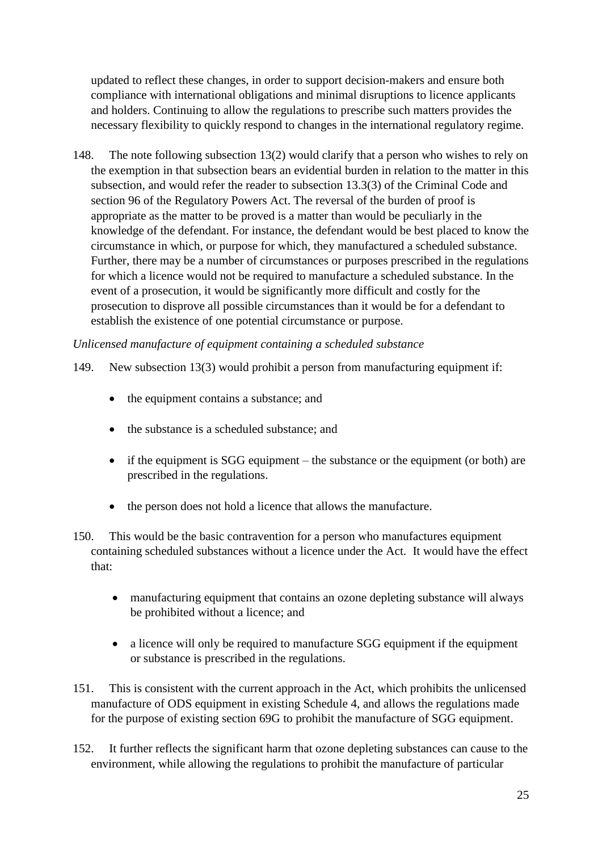updated to reflect these changes, in order to support decision-makers and ensure both compliance with international obligations and minimal disruptions to licence applicants and holders. Continuing to allow the regulations to prescribe such matters provides the necessary flexibility to quickly respond to changes in the international regulatory regime.

148. The note following subsection 13(2) would clarify that a person who wishes to rely on the exemption in that subsection bears an evidential burden in relation to the matter in this subsection, and would refer the reader to subsection 13.3(3) of the Criminal Code and section 96 of the Regulatory Powers Act. The reversal of the burden of proof is appropriate as the matter to be proved is a matter than would be peculiarly in the knowledge of the defendant. For instance, the defendant would be best placed to know the circumstance in which, or purpose for which, they manufactured a scheduled substance. Further, there may be a number of circumstances or purposes prescribed in the regulations for which a licence would not be required to manufacture a scheduled substance. In the event of a prosecution, it would be significantly more difficult and costly for the prosecution to disprove all possible circumstances than it would be for a defendant to establish the existence of one potential circumstance or purpose.

## *Unlicensed manufacture of equipment containing a scheduled substance*

- 149. New subsection 13(3) would prohibit a person from manufacturing equipment if:
	- the equipment contains a substance; and
	- the substance is a scheduled substance; and
	- if the equipment is SGG equipment the substance or the equipment (or both) are prescribed in the regulations.
	- the person does not hold a licence that allows the manufacture.
- 150. This would be the basic contravention for a person who manufactures equipment containing scheduled substances without a licence under the Act. It would have the effect that:
	- manufacturing equipment that contains an ozone depleting substance will always be prohibited without a licence; and
	- a licence will only be required to manufacture SGG equipment if the equipment or substance is prescribed in the regulations.
- 151. This is consistent with the current approach in the Act, which prohibits the unlicensed manufacture of ODS equipment in existing Schedule 4, and allows the regulations made for the purpose of existing section 69G to prohibit the manufacture of SGG equipment.
- 152. It further reflects the significant harm that ozone depleting substances can cause to the environment, while allowing the regulations to prohibit the manufacture of particular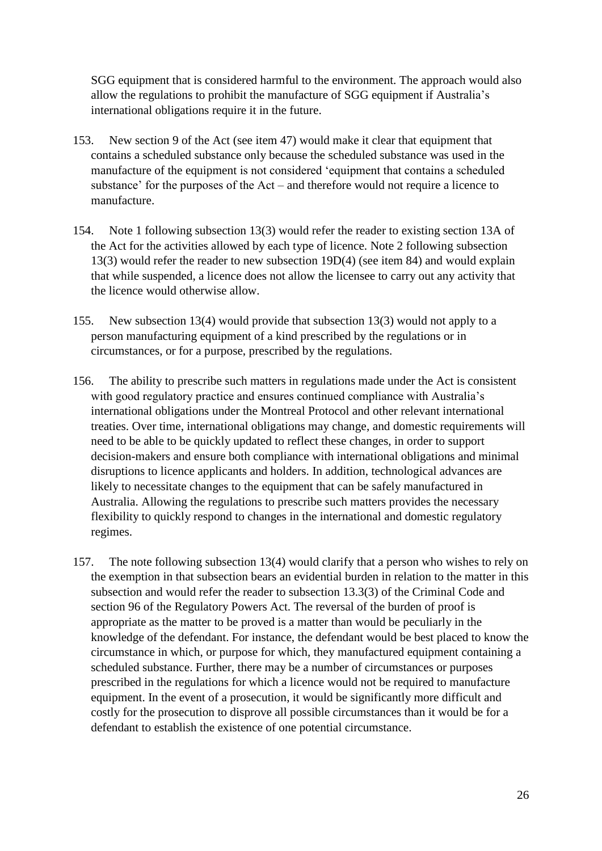SGG equipment that is considered harmful to the environment. The approach would also allow the regulations to prohibit the manufacture of SGG equipment if Australia's international obligations require it in the future.

- 153. New section 9 of the Act (see item 47) would make it clear that equipment that contains a scheduled substance only because the scheduled substance was used in the manufacture of the equipment is not considered 'equipment that contains a scheduled substance' for the purposes of the Act – and therefore would not require a licence to manufacture.
- 154. Note 1 following subsection 13(3) would refer the reader to existing section 13A of the Act for the activities allowed by each type of licence. Note 2 following subsection 13(3) would refer the reader to new subsection 19D(4) (see item 84) and would explain that while suspended, a licence does not allow the licensee to carry out any activity that the licence would otherwise allow.
- 155. New subsection 13(4) would provide that subsection 13(3) would not apply to a person manufacturing equipment of a kind prescribed by the regulations or in circumstances, or for a purpose, prescribed by the regulations.
- 156. The ability to prescribe such matters in regulations made under the Act is consistent with good regulatory practice and ensures continued compliance with Australia's international obligations under the Montreal Protocol and other relevant international treaties. Over time, international obligations may change, and domestic requirements will need to be able to be quickly updated to reflect these changes, in order to support decision-makers and ensure both compliance with international obligations and minimal disruptions to licence applicants and holders. In addition, technological advances are likely to necessitate changes to the equipment that can be safely manufactured in Australia. Allowing the regulations to prescribe such matters provides the necessary flexibility to quickly respond to changes in the international and domestic regulatory regimes.
- 157. The note following subsection 13(4) would clarify that a person who wishes to rely on the exemption in that subsection bears an evidential burden in relation to the matter in this subsection and would refer the reader to subsection 13.3(3) of the Criminal Code and section 96 of the Regulatory Powers Act. The reversal of the burden of proof is appropriate as the matter to be proved is a matter than would be peculiarly in the knowledge of the defendant. For instance, the defendant would be best placed to know the circumstance in which, or purpose for which, they manufactured equipment containing a scheduled substance. Further, there may be a number of circumstances or purposes prescribed in the regulations for which a licence would not be required to manufacture equipment. In the event of a prosecution, it would be significantly more difficult and costly for the prosecution to disprove all possible circumstances than it would be for a defendant to establish the existence of one potential circumstance.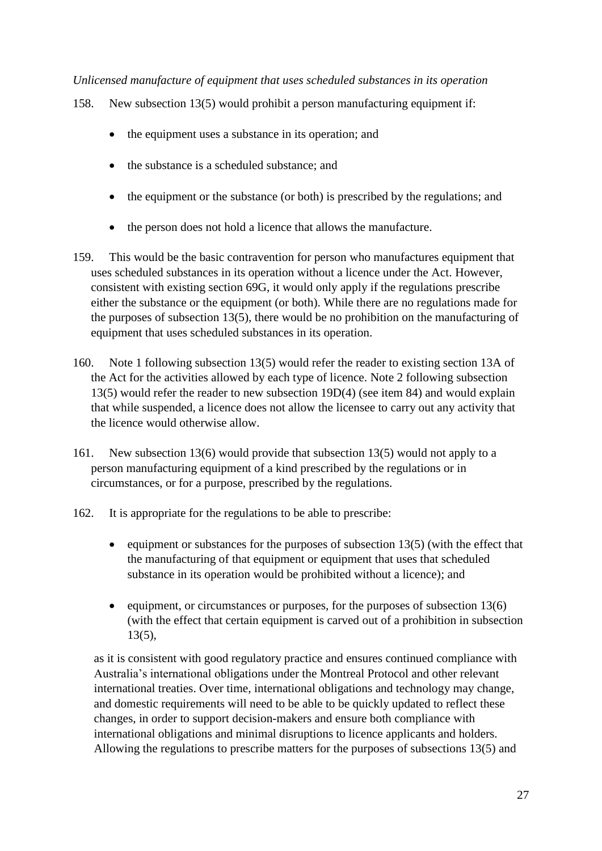*Unlicensed manufacture of equipment that uses scheduled substances in its operation*

- 158. New subsection 13(5) would prohibit a person manufacturing equipment if:
	- the equipment uses a substance in its operation; and
	- the substance is a scheduled substance; and
	- the equipment or the substance (or both) is prescribed by the regulations; and
	- the person does not hold a licence that allows the manufacture.
- 159. This would be the basic contravention for person who manufactures equipment that uses scheduled substances in its operation without a licence under the Act. However, consistent with existing section 69G, it would only apply if the regulations prescribe either the substance or the equipment (or both). While there are no regulations made for the purposes of subsection 13(5), there would be no prohibition on the manufacturing of equipment that uses scheduled substances in its operation.
- 160. Note 1 following subsection 13(5) would refer the reader to existing section 13A of the Act for the activities allowed by each type of licence. Note 2 following subsection 13(5) would refer the reader to new subsection 19D(4) (see item 84) and would explain that while suspended, a licence does not allow the licensee to carry out any activity that the licence would otherwise allow.
- 161. New subsection 13(6) would provide that subsection 13(5) would not apply to a person manufacturing equipment of a kind prescribed by the regulations or in circumstances, or for a purpose, prescribed by the regulations.
- 162. It is appropriate for the regulations to be able to prescribe:
	- equipment or substances for the purposes of subsection  $13(5)$  (with the effect that the manufacturing of that equipment or equipment that uses that scheduled substance in its operation would be prohibited without a licence); and
	- equipment, or circumstances or purposes, for the purposes of subsection  $13(6)$ (with the effect that certain equipment is carved out of a prohibition in subsection 13(5),

as it is consistent with good regulatory practice and ensures continued compliance with Australia's international obligations under the Montreal Protocol and other relevant international treaties. Over time, international obligations and technology may change, and domestic requirements will need to be able to be quickly updated to reflect these changes, in order to support decision-makers and ensure both compliance with international obligations and minimal disruptions to licence applicants and holders. Allowing the regulations to prescribe matters for the purposes of subsections 13(5) and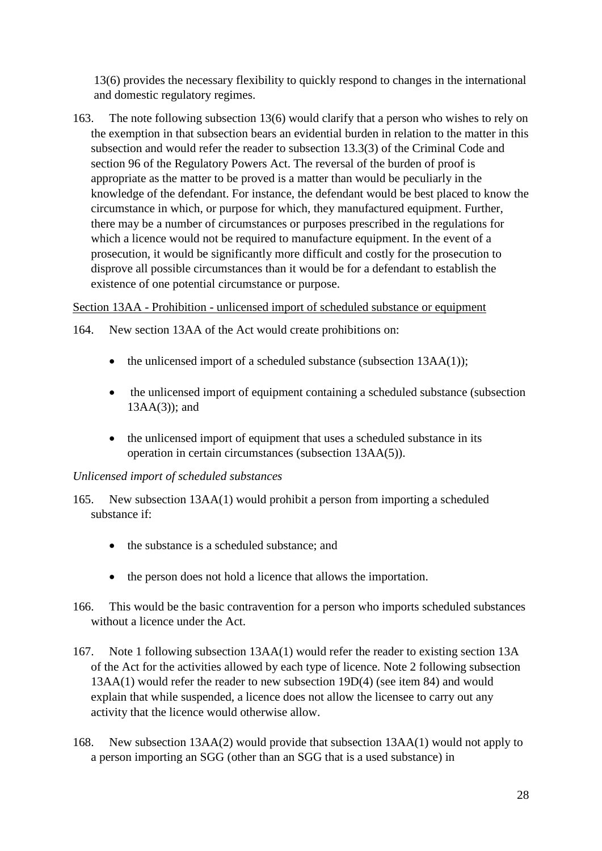13(6) provides the necessary flexibility to quickly respond to changes in the international and domestic regulatory regimes.

163. The note following subsection 13(6) would clarify that a person who wishes to rely on the exemption in that subsection bears an evidential burden in relation to the matter in this subsection and would refer the reader to subsection 13.3(3) of the Criminal Code and section 96 of the Regulatory Powers Act. The reversal of the burden of proof is appropriate as the matter to be proved is a matter than would be peculiarly in the knowledge of the defendant. For instance, the defendant would be best placed to know the circumstance in which, or purpose for which, they manufactured equipment. Further, there may be a number of circumstances or purposes prescribed in the regulations for which a licence would not be required to manufacture equipment. In the event of a prosecution, it would be significantly more difficult and costly for the prosecution to disprove all possible circumstances than it would be for a defendant to establish the existence of one potential circumstance or purpose.

## Section 13AA - Prohibition - unlicensed import of scheduled substance or equipment

- 164. New section 13AA of the Act would create prohibitions on:
	- the unlicensed import of a scheduled substance (subsection  $13AA(1)$ );
	- the unlicensed import of equipment containing a scheduled substance (subsection 13AA(3)); and
	- the unlicensed import of equipment that uses a scheduled substance in its operation in certain circumstances (subsection 13AA(5)).

# *Unlicensed import of scheduled substances*

- 165. New subsection 13AA(1) would prohibit a person from importing a scheduled substance if:
	- the substance is a scheduled substance; and
	- the person does not hold a licence that allows the importation.
- 166. This would be the basic contravention for a person who imports scheduled substances without a licence under the Act.
- 167. Note 1 following subsection 13AA(1) would refer the reader to existing section 13A of the Act for the activities allowed by each type of licence. Note 2 following subsection 13AA(1) would refer the reader to new subsection 19D(4) (see item 84) and would explain that while suspended, a licence does not allow the licensee to carry out any activity that the licence would otherwise allow.
- 168. New subsection 13AA(2) would provide that subsection 13AA(1) would not apply to a person importing an SGG (other than an SGG that is a used substance) in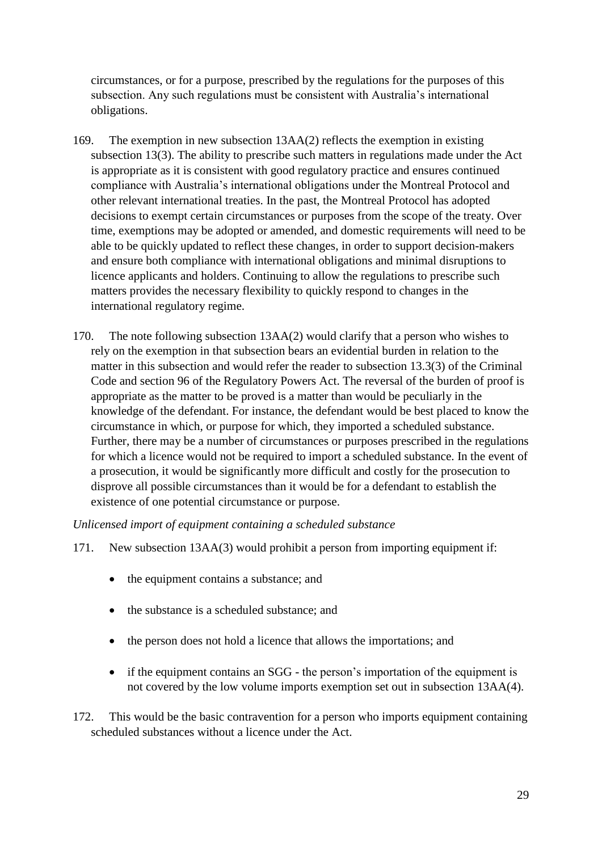circumstances, or for a purpose, prescribed by the regulations for the purposes of this subsection. Any such regulations must be consistent with Australia's international obligations.

- 169. The exemption in new subsection 13AA(2) reflects the exemption in existing subsection 13(3). The ability to prescribe such matters in regulations made under the Act is appropriate as it is consistent with good regulatory practice and ensures continued compliance with Australia's international obligations under the Montreal Protocol and other relevant international treaties. In the past, the Montreal Protocol has adopted decisions to exempt certain circumstances or purposes from the scope of the treaty. Over time, exemptions may be adopted or amended, and domestic requirements will need to be able to be quickly updated to reflect these changes, in order to support decision-makers and ensure both compliance with international obligations and minimal disruptions to licence applicants and holders. Continuing to allow the regulations to prescribe such matters provides the necessary flexibility to quickly respond to changes in the international regulatory regime.
- 170. The note following subsection 13AA(2) would clarify that a person who wishes to rely on the exemption in that subsection bears an evidential burden in relation to the matter in this subsection and would refer the reader to subsection 13.3(3) of the Criminal Code and section 96 of the Regulatory Powers Act. The reversal of the burden of proof is appropriate as the matter to be proved is a matter than would be peculiarly in the knowledge of the defendant. For instance, the defendant would be best placed to know the circumstance in which, or purpose for which, they imported a scheduled substance. Further, there may be a number of circumstances or purposes prescribed in the regulations for which a licence would not be required to import a scheduled substance. In the event of a prosecution, it would be significantly more difficult and costly for the prosecution to disprove all possible circumstances than it would be for a defendant to establish the existence of one potential circumstance or purpose.

*Unlicensed import of equipment containing a scheduled substance* 

- 171. New subsection 13AA(3) would prohibit a person from importing equipment if:
	- the equipment contains a substance; and
	- the substance is a scheduled substance; and
	- the person does not hold a licence that allows the importations; and
	- if the equipment contains an SGG the person's importation of the equipment is not covered by the low volume imports exemption set out in subsection 13AA(4).
- 172. This would be the basic contravention for a person who imports equipment containing scheduled substances without a licence under the Act.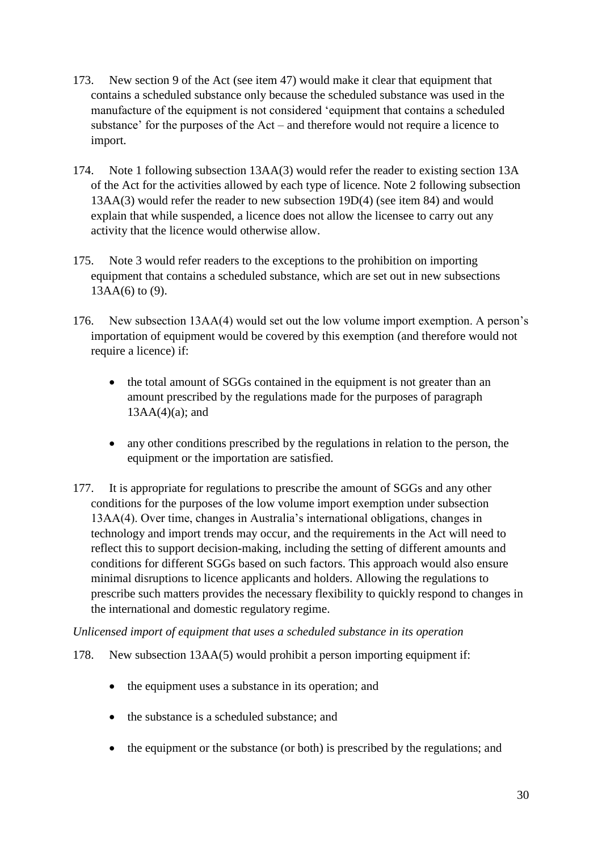- 173. New section 9 of the Act (see item 47) would make it clear that equipment that contains a scheduled substance only because the scheduled substance was used in the manufacture of the equipment is not considered 'equipment that contains a scheduled substance' for the purposes of the Act – and therefore would not require a licence to import.
- 174. Note 1 following subsection 13AA(3) would refer the reader to existing section 13A of the Act for the activities allowed by each type of licence. Note 2 following subsection 13AA(3) would refer the reader to new subsection 19D(4) (see item 84) and would explain that while suspended, a licence does not allow the licensee to carry out any activity that the licence would otherwise allow.
- 175. Note 3 would refer readers to the exceptions to the prohibition on importing equipment that contains a scheduled substance, which are set out in new subsections 13AA(6) to (9).
- 176. New subsection 13AA(4) would set out the low volume import exemption. A person's importation of equipment would be covered by this exemption (and therefore would not require a licence) if:
	- the total amount of SGGs contained in the equipment is not greater than an amount prescribed by the regulations made for the purposes of paragraph  $13AA(4)(a)$ ; and
	- any other conditions prescribed by the regulations in relation to the person, the equipment or the importation are satisfied.
- 177. It is appropriate for regulations to prescribe the amount of SGGs and any other conditions for the purposes of the low volume import exemption under subsection 13AA(4). Over time, changes in Australia's international obligations, changes in technology and import trends may occur, and the requirements in the Act will need to reflect this to support decision-making, including the setting of different amounts and conditions for different SGGs based on such factors. This approach would also ensure minimal disruptions to licence applicants and holders. Allowing the regulations to prescribe such matters provides the necessary flexibility to quickly respond to changes in the international and domestic regulatory regime.

## *Unlicensed import of equipment that uses a scheduled substance in its operation*

- 178. New subsection 13AA(5) would prohibit a person importing equipment if:
	- the equipment uses a substance in its operation; and
	- the substance is a scheduled substance; and
	- the equipment or the substance (or both) is prescribed by the regulations; and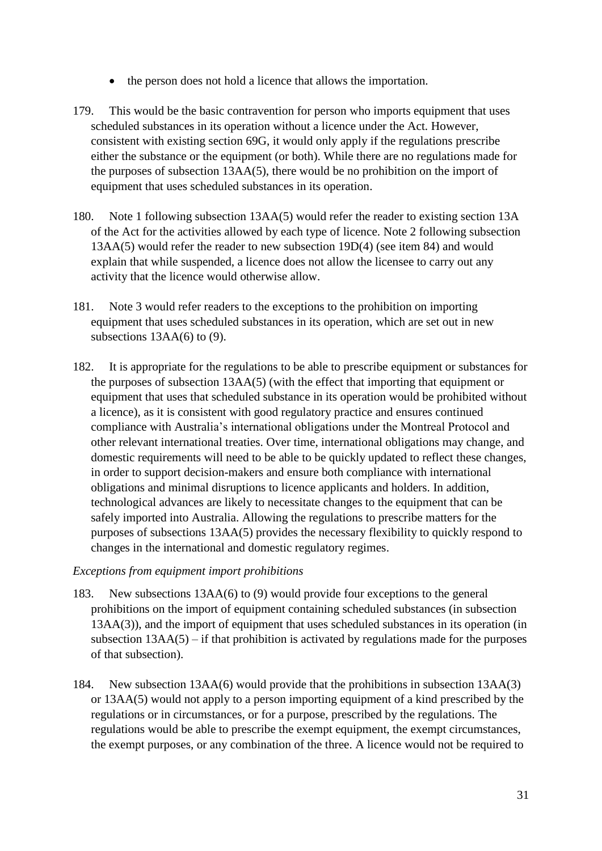- the person does not hold a licence that allows the importation.
- 179. This would be the basic contravention for person who imports equipment that uses scheduled substances in its operation without a licence under the Act. However, consistent with existing section 69G, it would only apply if the regulations prescribe either the substance or the equipment (or both). While there are no regulations made for the purposes of subsection 13AA(5), there would be no prohibition on the import of equipment that uses scheduled substances in its operation.
- 180. Note 1 following subsection 13AA(5) would refer the reader to existing section 13A of the Act for the activities allowed by each type of licence. Note 2 following subsection 13AA(5) would refer the reader to new subsection 19D(4) (see item 84) and would explain that while suspended, a licence does not allow the licensee to carry out any activity that the licence would otherwise allow.
- 181. Note 3 would refer readers to the exceptions to the prohibition on importing equipment that uses scheduled substances in its operation, which are set out in new subsections 13AA(6) to (9).
- 182. It is appropriate for the regulations to be able to prescribe equipment or substances for the purposes of subsection 13AA(5) (with the effect that importing that equipment or equipment that uses that scheduled substance in its operation would be prohibited without a licence), as it is consistent with good regulatory practice and ensures continued compliance with Australia's international obligations under the Montreal Protocol and other relevant international treaties. Over time, international obligations may change, and domestic requirements will need to be able to be quickly updated to reflect these changes, in order to support decision-makers and ensure both compliance with international obligations and minimal disruptions to licence applicants and holders. In addition, technological advances are likely to necessitate changes to the equipment that can be safely imported into Australia. Allowing the regulations to prescribe matters for the purposes of subsections 13AA(5) provides the necessary flexibility to quickly respond to changes in the international and domestic regulatory regimes.

*Exceptions from equipment import prohibitions*

- 183. New subsections 13AA(6) to (9) would provide four exceptions to the general prohibitions on the import of equipment containing scheduled substances (in subsection 13AA(3)), and the import of equipment that uses scheduled substances in its operation (in subsection  $13AA(5)$  – if that prohibition is activated by regulations made for the purposes of that subsection).
- 184. New subsection 13AA(6) would provide that the prohibitions in subsection 13AA(3) or 13AA(5) would not apply to a person importing equipment of a kind prescribed by the regulations or in circumstances, or for a purpose, prescribed by the regulations. The regulations would be able to prescribe the exempt equipment, the exempt circumstances, the exempt purposes, or any combination of the three. A licence would not be required to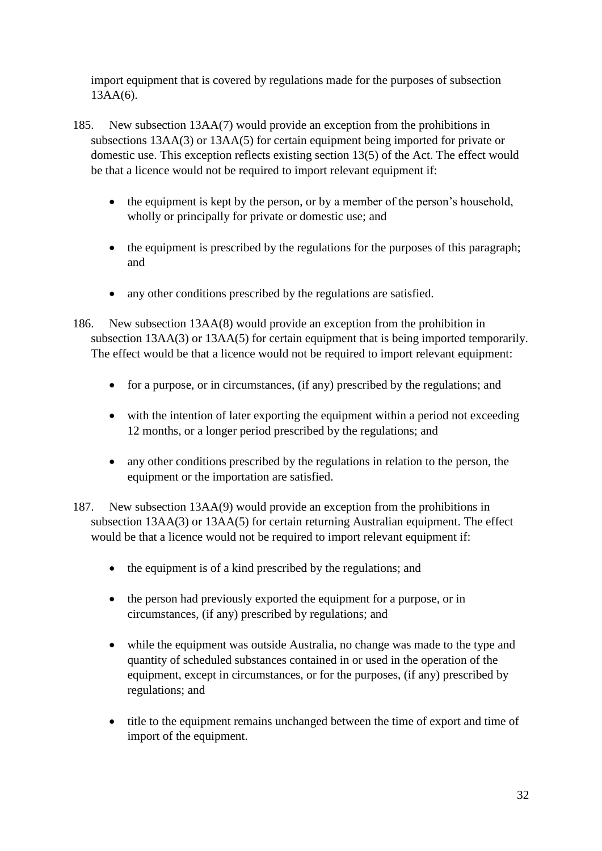import equipment that is covered by regulations made for the purposes of subsection 13AA(6).

- 185. New subsection 13AA(7) would provide an exception from the prohibitions in subsections 13AA(3) or 13AA(5) for certain equipment being imported for private or domestic use. This exception reflects existing section 13(5) of the Act. The effect would be that a licence would not be required to import relevant equipment if:
	- the equipment is kept by the person, or by a member of the person's household, wholly or principally for private or domestic use; and
	- the equipment is prescribed by the regulations for the purposes of this paragraph; and
	- any other conditions prescribed by the regulations are satisfied.
- 186. New subsection 13AA(8) would provide an exception from the prohibition in subsection 13AA(3) or 13AA(5) for certain equipment that is being imported temporarily. The effect would be that a licence would not be required to import relevant equipment:
	- for a purpose, or in circumstances, (if any) prescribed by the regulations; and
	- with the intention of later exporting the equipment within a period not exceeding 12 months, or a longer period prescribed by the regulations; and
	- any other conditions prescribed by the regulations in relation to the person, the equipment or the importation are satisfied.
- 187. New subsection 13AA(9) would provide an exception from the prohibitions in subsection 13AA(3) or 13AA(5) for certain returning Australian equipment. The effect would be that a licence would not be required to import relevant equipment if:
	- the equipment is of a kind prescribed by the regulations; and
	- the person had previously exported the equipment for a purpose, or in circumstances, (if any) prescribed by regulations; and
	- while the equipment was outside Australia, no change was made to the type and quantity of scheduled substances contained in or used in the operation of the equipment, except in circumstances, or for the purposes, (if any) prescribed by regulations; and
	- title to the equipment remains unchanged between the time of export and time of import of the equipment.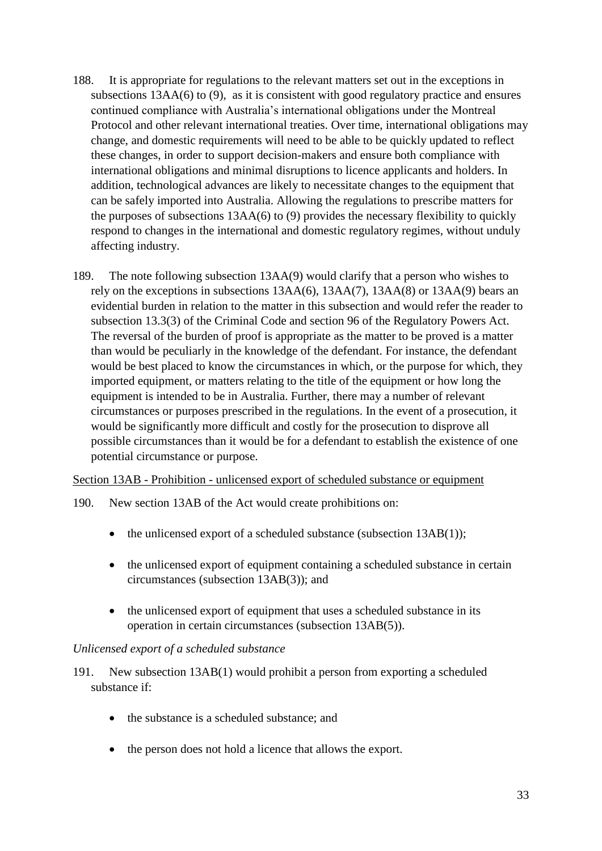- 188. It is appropriate for regulations to the relevant matters set out in the exceptions in subsections 13AA(6) to (9), as it is consistent with good regulatory practice and ensures continued compliance with Australia's international obligations under the Montreal Protocol and other relevant international treaties. Over time, international obligations may change, and domestic requirements will need to be able to be quickly updated to reflect these changes, in order to support decision-makers and ensure both compliance with international obligations and minimal disruptions to licence applicants and holders. In addition, technological advances are likely to necessitate changes to the equipment that can be safely imported into Australia. Allowing the regulations to prescribe matters for the purposes of subsections 13AA(6) to (9) provides the necessary flexibility to quickly respond to changes in the international and domestic regulatory regimes, without unduly affecting industry.
- 189. The note following subsection 13AA(9) would clarify that a person who wishes to rely on the exceptions in subsections 13AA(6), 13AA(7), 13AA(8) or 13AA(9) bears an evidential burden in relation to the matter in this subsection and would refer the reader to subsection 13.3(3) of the Criminal Code and section 96 of the Regulatory Powers Act. The reversal of the burden of proof is appropriate as the matter to be proved is a matter than would be peculiarly in the knowledge of the defendant. For instance, the defendant would be best placed to know the circumstances in which, or the purpose for which, they imported equipment, or matters relating to the title of the equipment or how long the equipment is intended to be in Australia. Further, there may a number of relevant circumstances or purposes prescribed in the regulations. In the event of a prosecution, it would be significantly more difficult and costly for the prosecution to disprove all possible circumstances than it would be for a defendant to establish the existence of one potential circumstance or purpose.

Section 13AB - Prohibition - unlicensed export of scheduled substance or equipment

- 190. New section 13AB of the Act would create prohibitions on:
	- the unlicensed export of a scheduled substance (subsection 13AB(1));
	- the unlicensed export of equipment containing a scheduled substance in certain circumstances (subsection 13AB(3)); and
	- the unlicensed export of equipment that uses a scheduled substance in its operation in certain circumstances (subsection 13AB(5)).

## *Unlicensed export of a scheduled substance*

- 191. New subsection 13AB(1) would prohibit a person from exporting a scheduled substance if:
	- the substance is a scheduled substance; and
	- the person does not hold a licence that allows the export.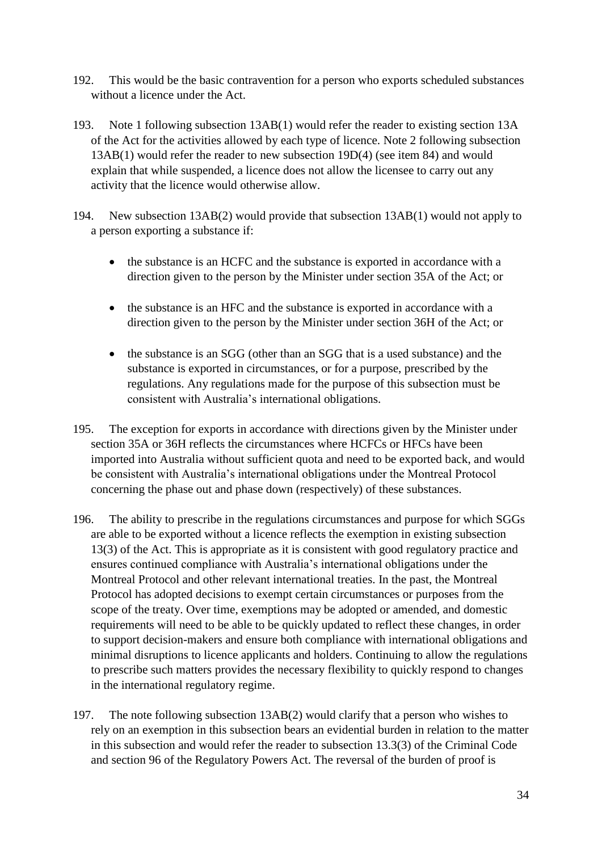- 192. This would be the basic contravention for a person who exports scheduled substances without a licence under the Act.
- 193. Note 1 following subsection 13AB(1) would refer the reader to existing section 13A of the Act for the activities allowed by each type of licence. Note 2 following subsection 13AB(1) would refer the reader to new subsection 19D(4) (see item 84) and would explain that while suspended, a licence does not allow the licensee to carry out any activity that the licence would otherwise allow.
- 194. New subsection 13AB(2) would provide that subsection 13AB(1) would not apply to a person exporting a substance if:
	- the substance is an HCFC and the substance is exported in accordance with a direction given to the person by the Minister under section 35A of the Act; or
	- the substance is an HFC and the substance is exported in accordance with a direction given to the person by the Minister under section 36H of the Act; or
	- the substance is an SGG (other than an SGG that is a used substance) and the substance is exported in circumstances, or for a purpose, prescribed by the regulations. Any regulations made for the purpose of this subsection must be consistent with Australia's international obligations.
- 195. The exception for exports in accordance with directions given by the Minister under section 35A or 36H reflects the circumstances where HCFCs or HFCs have been imported into Australia without sufficient quota and need to be exported back, and would be consistent with Australia's international obligations under the Montreal Protocol concerning the phase out and phase down (respectively) of these substances.
- 196. The ability to prescribe in the regulations circumstances and purpose for which SGGs are able to be exported without a licence reflects the exemption in existing subsection 13(3) of the Act. This is appropriate as it is consistent with good regulatory practice and ensures continued compliance with Australia's international obligations under the Montreal Protocol and other relevant international treaties. In the past, the Montreal Protocol has adopted decisions to exempt certain circumstances or purposes from the scope of the treaty. Over time, exemptions may be adopted or amended, and domestic requirements will need to be able to be quickly updated to reflect these changes, in order to support decision-makers and ensure both compliance with international obligations and minimal disruptions to licence applicants and holders. Continuing to allow the regulations to prescribe such matters provides the necessary flexibility to quickly respond to changes in the international regulatory regime.
- 197. The note following subsection 13AB(2) would clarify that a person who wishes to rely on an exemption in this subsection bears an evidential burden in relation to the matter in this subsection and would refer the reader to subsection 13.3(3) of the Criminal Code and section 96 of the Regulatory Powers Act. The reversal of the burden of proof is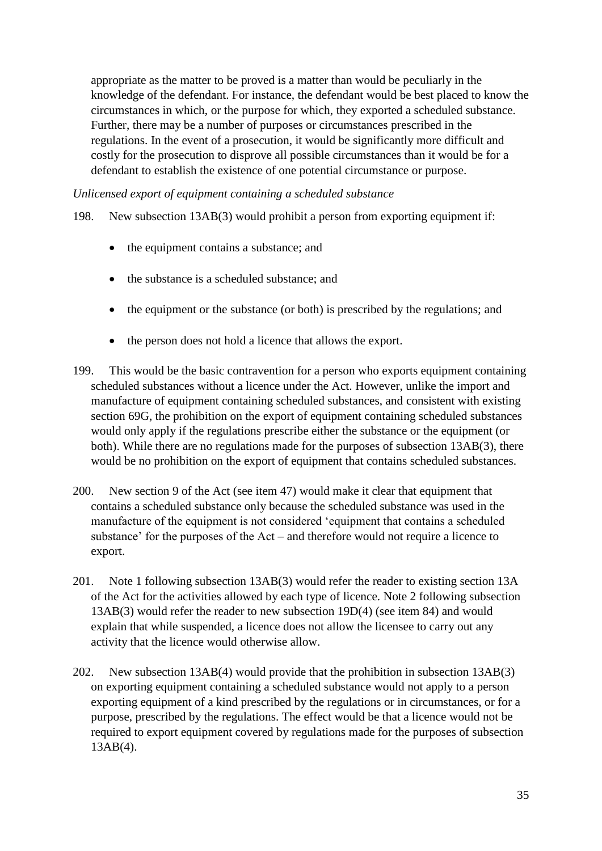appropriate as the matter to be proved is a matter than would be peculiarly in the knowledge of the defendant. For instance, the defendant would be best placed to know the circumstances in which, or the purpose for which, they exported a scheduled substance. Further, there may be a number of purposes or circumstances prescribed in the regulations. In the event of a prosecution, it would be significantly more difficult and costly for the prosecution to disprove all possible circumstances than it would be for a defendant to establish the existence of one potential circumstance or purpose.

*Unlicensed export of equipment containing a scheduled substance*

198. New subsection 13AB(3) would prohibit a person from exporting equipment if:

- the equipment contains a substance; and
- the substance is a scheduled substance; and
- the equipment or the substance (or both) is prescribed by the regulations; and
- the person does not hold a licence that allows the export.
- 199. This would be the basic contravention for a person who exports equipment containing scheduled substances without a licence under the Act. However, unlike the import and manufacture of equipment containing scheduled substances, and consistent with existing section 69G, the prohibition on the export of equipment containing scheduled substances would only apply if the regulations prescribe either the substance or the equipment (or both). While there are no regulations made for the purposes of subsection 13AB(3), there would be no prohibition on the export of equipment that contains scheduled substances.
- 200. New section 9 of the Act (see item 47) would make it clear that equipment that contains a scheduled substance only because the scheduled substance was used in the manufacture of the equipment is not considered 'equipment that contains a scheduled substance' for the purposes of the Act – and therefore would not require a licence to export.
- 201. Note 1 following subsection 13AB(3) would refer the reader to existing section 13A of the Act for the activities allowed by each type of licence. Note 2 following subsection 13AB(3) would refer the reader to new subsection 19D(4) (see item 84) and would explain that while suspended, a licence does not allow the licensee to carry out any activity that the licence would otherwise allow.
- 202. New subsection 13AB(4) would provide that the prohibition in subsection 13AB(3) on exporting equipment containing a scheduled substance would not apply to a person exporting equipment of a kind prescribed by the regulations or in circumstances, or for a purpose, prescribed by the regulations. The effect would be that a licence would not be required to export equipment covered by regulations made for the purposes of subsection 13AB(4).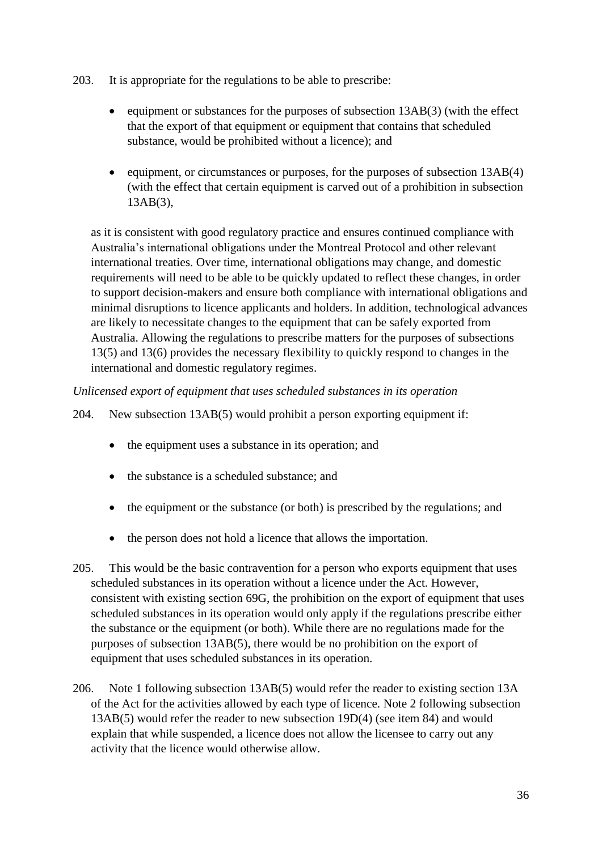- 203. It is appropriate for the regulations to be able to prescribe:
	- equipment or substances for the purposes of subsection 13AB(3) (with the effect that the export of that equipment or equipment that contains that scheduled substance, would be prohibited without a licence); and
	- equipment, or circumstances or purposes, for the purposes of subsection 13AB(4) (with the effect that certain equipment is carved out of a prohibition in subsection 13AB(3),

as it is consistent with good regulatory practice and ensures continued compliance with Australia's international obligations under the Montreal Protocol and other relevant international treaties. Over time, international obligations may change, and domestic requirements will need to be able to be quickly updated to reflect these changes, in order to support decision-makers and ensure both compliance with international obligations and minimal disruptions to licence applicants and holders. In addition, technological advances are likely to necessitate changes to the equipment that can be safely exported from Australia. Allowing the regulations to prescribe matters for the purposes of subsections 13(5) and 13(6) provides the necessary flexibility to quickly respond to changes in the international and domestic regulatory regimes.

#### *Unlicensed export of equipment that uses scheduled substances in its operation*

204. New subsection 13AB(5) would prohibit a person exporting equipment if:

- the equipment uses a substance in its operation; and
- the substance is a scheduled substance; and
- the equipment or the substance (or both) is prescribed by the regulations; and
- the person does not hold a licence that allows the importation.
- 205. This would be the basic contravention for a person who exports equipment that uses scheduled substances in its operation without a licence under the Act. However, consistent with existing section 69G, the prohibition on the export of equipment that uses scheduled substances in its operation would only apply if the regulations prescribe either the substance or the equipment (or both). While there are no regulations made for the purposes of subsection 13AB(5), there would be no prohibition on the export of equipment that uses scheduled substances in its operation.
- 206. Note 1 following subsection 13AB(5) would refer the reader to existing section 13A of the Act for the activities allowed by each type of licence. Note 2 following subsection 13AB(5) would refer the reader to new subsection 19D(4) (see item 84) and would explain that while suspended, a licence does not allow the licensee to carry out any activity that the licence would otherwise allow.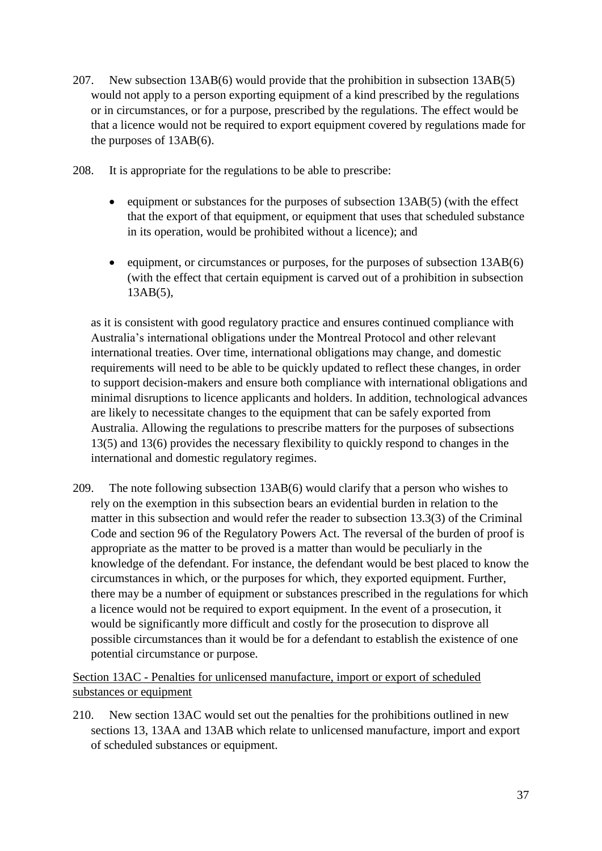- 207. New subsection 13AB(6) would provide that the prohibition in subsection 13AB(5) would not apply to a person exporting equipment of a kind prescribed by the regulations or in circumstances, or for a purpose, prescribed by the regulations. The effect would be that a licence would not be required to export equipment covered by regulations made for the purposes of 13AB(6).
- 208. It is appropriate for the regulations to be able to prescribe:
	- equipment or substances for the purposes of subsection 13AB(5) (with the effect that the export of that equipment, or equipment that uses that scheduled substance in its operation, would be prohibited without a licence); and
	- equipment, or circumstances or purposes, for the purposes of subsection 13AB(6) (with the effect that certain equipment is carved out of a prohibition in subsection 13AB(5),

as it is consistent with good regulatory practice and ensures continued compliance with Australia's international obligations under the Montreal Protocol and other relevant international treaties. Over time, international obligations may change, and domestic requirements will need to be able to be quickly updated to reflect these changes, in order to support decision-makers and ensure both compliance with international obligations and minimal disruptions to licence applicants and holders. In addition, technological advances are likely to necessitate changes to the equipment that can be safely exported from Australia. Allowing the regulations to prescribe matters for the purposes of subsections 13(5) and 13(6) provides the necessary flexibility to quickly respond to changes in the international and domestic regulatory regimes.

209. The note following subsection 13AB(6) would clarify that a person who wishes to rely on the exemption in this subsection bears an evidential burden in relation to the matter in this subsection and would refer the reader to subsection 13.3(3) of the Criminal Code and section 96 of the Regulatory Powers Act. The reversal of the burden of proof is appropriate as the matter to be proved is a matter than would be peculiarly in the knowledge of the defendant. For instance, the defendant would be best placed to know the circumstances in which, or the purposes for which, they exported equipment. Further, there may be a number of equipment or substances prescribed in the regulations for which a licence would not be required to export equipment. In the event of a prosecution, it would be significantly more difficult and costly for the prosecution to disprove all possible circumstances than it would be for a defendant to establish the existence of one potential circumstance or purpose.

Section 13AC - Penalties for unlicensed manufacture, import or export of scheduled substances or equipment

210. New section 13AC would set out the penalties for the prohibitions outlined in new sections 13, 13AA and 13AB which relate to unlicensed manufacture, import and export of scheduled substances or equipment.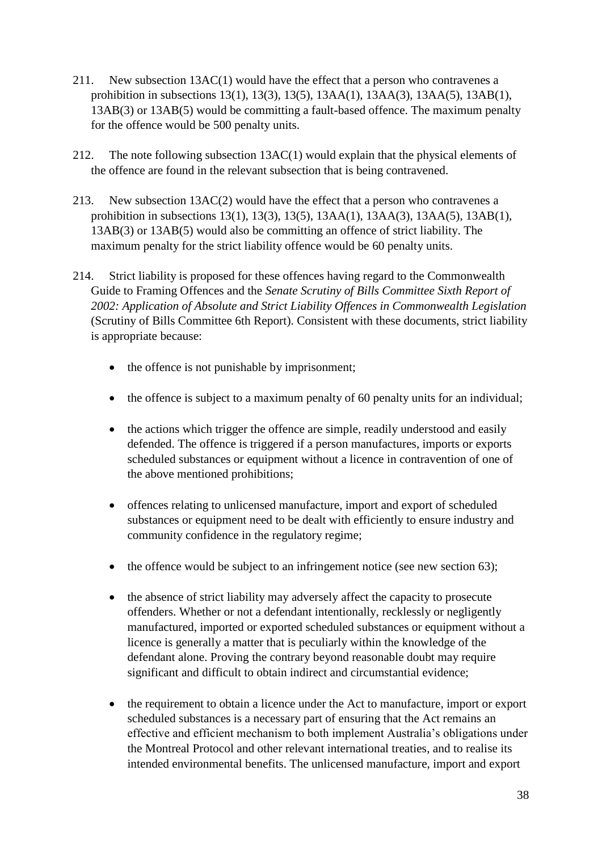- 211. New subsection 13AC(1) would have the effect that a person who contravenes a prohibition in subsections 13(1), 13(3), 13(5), 13AA(1), 13AA(3), 13AA(5), 13AB(1), 13AB(3) or 13AB(5) would be committing a fault-based offence. The maximum penalty for the offence would be 500 penalty units.
- 212. The note following subsection 13AC(1) would explain that the physical elements of the offence are found in the relevant subsection that is being contravened.
- 213. New subsection 13AC(2) would have the effect that a person who contravenes a prohibition in subsections 13(1), 13(3), 13(5), 13AA(1), 13AA(3), 13AA(5), 13AB(1), 13AB(3) or 13AB(5) would also be committing an offence of strict liability. The maximum penalty for the strict liability offence would be 60 penalty units.
- 214. Strict liability is proposed for these offences having regard to the Commonwealth Guide to Framing Offences and the *Senate Scrutiny of Bills Committee Sixth Report of 2002: Application of Absolute and Strict Liability Offences in Commonwealth Legislation*  (Scrutiny of Bills Committee 6th Report). Consistent with these documents, strict liability is appropriate because:
	- the offence is not punishable by imprisonment;
	- the offence is subject to a maximum penalty of 60 penalty units for an individual;
	- the actions which trigger the offence are simple, readily understood and easily defended. The offence is triggered if a person manufactures, imports or exports scheduled substances or equipment without a licence in contravention of one of the above mentioned prohibitions;
	- offences relating to unlicensed manufacture, import and export of scheduled substances or equipment need to be dealt with efficiently to ensure industry and community confidence in the regulatory regime;
	- the offence would be subject to an infringement notice (see new section 63);
	- the absence of strict liability may adversely affect the capacity to prosecute offenders. Whether or not a defendant intentionally, recklessly or negligently manufactured, imported or exported scheduled substances or equipment without a licence is generally a matter that is peculiarly within the knowledge of the defendant alone. Proving the contrary beyond reasonable doubt may require significant and difficult to obtain indirect and circumstantial evidence;
	- the requirement to obtain a licence under the Act to manufacture, import or export scheduled substances is a necessary part of ensuring that the Act remains an effective and efficient mechanism to both implement Australia's obligations under the Montreal Protocol and other relevant international treaties, and to realise its intended environmental benefits. The unlicensed manufacture, import and export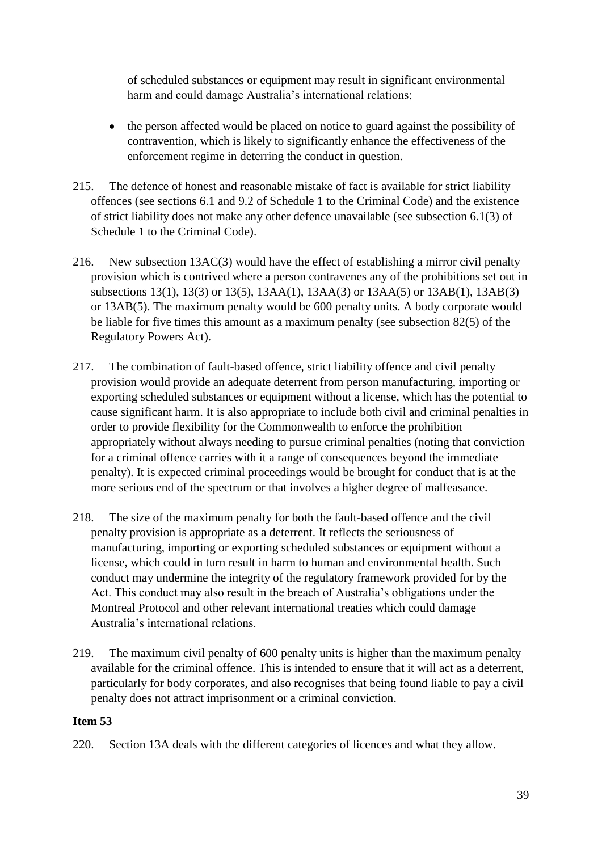of scheduled substances or equipment may result in significant environmental harm and could damage Australia's international relations;

- the person affected would be placed on notice to guard against the possibility of contravention, which is likely to significantly enhance the effectiveness of the enforcement regime in deterring the conduct in question.
- 215. The defence of honest and reasonable mistake of fact is available for strict liability offences (see sections 6.1 and 9.2 of Schedule 1 to the Criminal Code) and the existence of strict liability does not make any other defence unavailable (see subsection 6.1(3) of Schedule 1 to the Criminal Code).
- 216. New subsection 13AC(3) would have the effect of establishing a mirror civil penalty provision which is contrived where a person contravenes any of the prohibitions set out in subsections 13(1), 13(3) or 13(5), 13AA(1), 13AA(3) or 13AA(5) or 13AB(1), 13AB(3) or 13AB(5). The maximum penalty would be 600 penalty units. A body corporate would be liable for five times this amount as a maximum penalty (see subsection 82(5) of the Regulatory Powers Act).
- 217. The combination of fault-based offence, strict liability offence and civil penalty provision would provide an adequate deterrent from person manufacturing, importing or exporting scheduled substances or equipment without a license, which has the potential to cause significant harm. It is also appropriate to include both civil and criminal penalties in order to provide flexibility for the Commonwealth to enforce the prohibition appropriately without always needing to pursue criminal penalties (noting that conviction for a criminal offence carries with it a range of consequences beyond the immediate penalty). It is expected criminal proceedings would be brought for conduct that is at the more serious end of the spectrum or that involves a higher degree of malfeasance.
- 218. The size of the maximum penalty for both the fault-based offence and the civil penalty provision is appropriate as a deterrent. It reflects the seriousness of manufacturing, importing or exporting scheduled substances or equipment without a license, which could in turn result in harm to human and environmental health. Such conduct may undermine the integrity of the regulatory framework provided for by the Act. This conduct may also result in the breach of Australia's obligations under the Montreal Protocol and other relevant international treaties which could damage Australia's international relations.
- 219. The maximum civil penalty of 600 penalty units is higher than the maximum penalty available for the criminal offence. This is intended to ensure that it will act as a deterrent, particularly for body corporates, and also recognises that being found liable to pay a civil penalty does not attract imprisonment or a criminal conviction.

# **Item 53**

220. Section 13A deals with the different categories of licences and what they allow.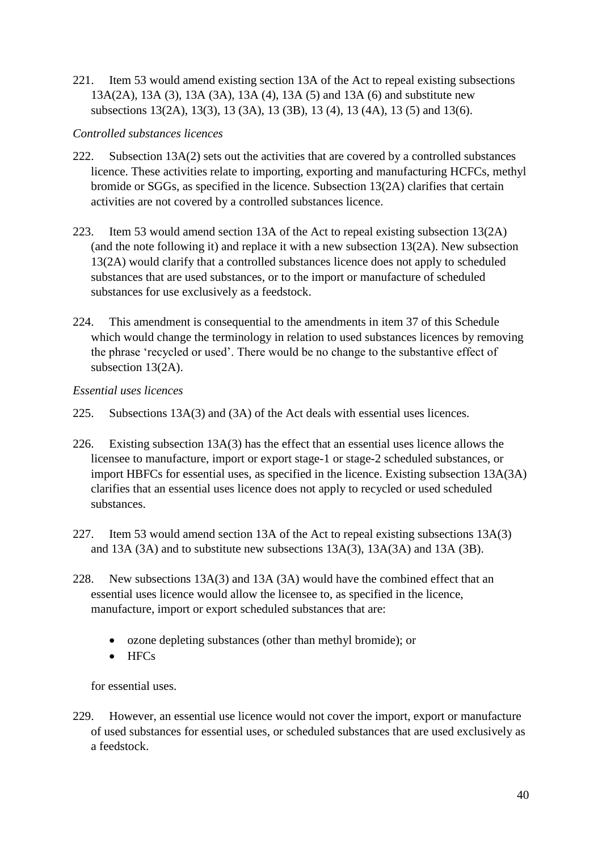221. Item 53 would amend existing section 13A of the Act to repeal existing subsections 13A(2A), 13A (3), 13A (3A), 13A (4), 13A (5) and 13A (6) and substitute new subsections 13(2A), 13(3), 13 (3A), 13 (3B), 13 (4), 13 (4A), 13 (5) and 13(6).

# *Controlled substances licences*

- 222. Subsection 13A(2) sets out the activities that are covered by a controlled substances licence. These activities relate to importing, exporting and manufacturing HCFCs, methyl bromide or SGGs, as specified in the licence. Subsection 13(2A) clarifies that certain activities are not covered by a controlled substances licence.
- 223. Item 53 would amend section 13A of the Act to repeal existing subsection 13(2A) (and the note following it) and replace it with a new subsection 13(2A). New subsection 13(2A) would clarify that a controlled substances licence does not apply to scheduled substances that are used substances, or to the import or manufacture of scheduled substances for use exclusively as a feedstock.
- 224. This amendment is consequential to the amendments in item 37 of this Schedule which would change the terminology in relation to used substances licences by removing the phrase 'recycled or used'. There would be no change to the substantive effect of subsection 13(2A).

# *Essential uses licences*

- 225. Subsections 13A(3) and (3A) of the Act deals with essential uses licences.
- 226. Existing subsection 13A(3) has the effect that an essential uses licence allows the licensee to manufacture, import or export stage-1 or stage-2 scheduled substances, or import HBFCs for essential uses, as specified in the licence. Existing subsection 13A(3A) clarifies that an essential uses licence does not apply to recycled or used scheduled substances.
- 227. Item 53 would amend section 13A of the Act to repeal existing subsections 13A(3) and 13A (3A) and to substitute new subsections 13A(3), 13A(3A) and 13A (3B).
- 228. New subsections 13A(3) and 13A (3A) would have the combined effect that an essential uses licence would allow the licensee to, as specified in the licence, manufacture, import or export scheduled substances that are:
	- ozone depleting substances (other than methyl bromide); or
	- HFCs

for essential uses.

229. However, an essential use licence would not cover the import, export or manufacture of used substances for essential uses, or scheduled substances that are used exclusively as a feedstock.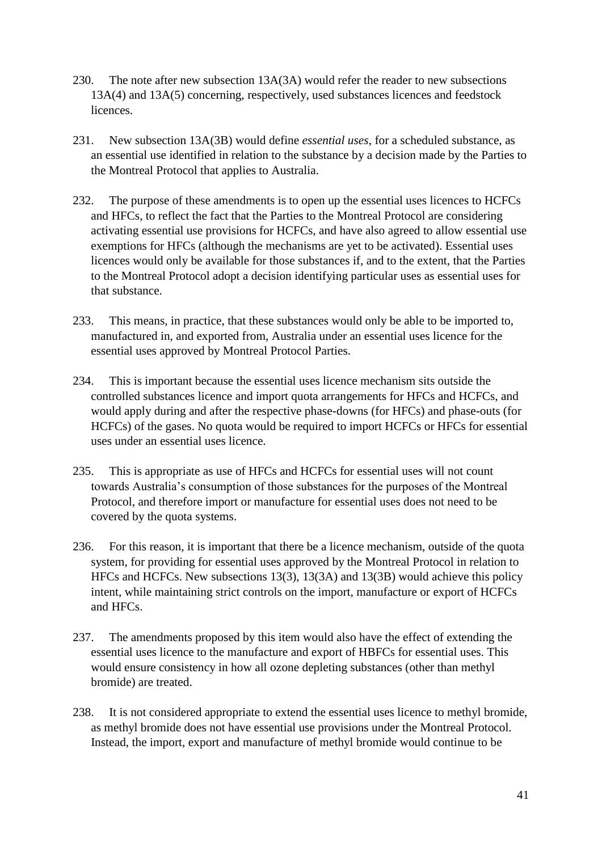- 230. The note after new subsection 13A(3A) would refer the reader to new subsections 13A(4) and 13A(5) concerning, respectively, used substances licences and feedstock licences.
- 231. New subsection 13A(3B) would define *essential uses*, for a scheduled substance, as an essential use identified in relation to the substance by a decision made by the Parties to the Montreal Protocol that applies to Australia.
- 232. The purpose of these amendments is to open up the essential uses licences to HCFCs and HFCs, to reflect the fact that the Parties to the Montreal Protocol are considering activating essential use provisions for HCFCs, and have also agreed to allow essential use exemptions for HFCs (although the mechanisms are yet to be activated). Essential uses licences would only be available for those substances if, and to the extent, that the Parties to the Montreal Protocol adopt a decision identifying particular uses as essential uses for that substance.
- 233. This means, in practice, that these substances would only be able to be imported to, manufactured in, and exported from, Australia under an essential uses licence for the essential uses approved by Montreal Protocol Parties.
- 234. This is important because the essential uses licence mechanism sits outside the controlled substances licence and import quota arrangements for HFCs and HCFCs, and would apply during and after the respective phase-downs (for HFCs) and phase-outs (for HCFCs) of the gases. No quota would be required to import HCFCs or HFCs for essential uses under an essential uses licence.
- 235. This is appropriate as use of HFCs and HCFCs for essential uses will not count towards Australia's consumption of those substances for the purposes of the Montreal Protocol, and therefore import or manufacture for essential uses does not need to be covered by the quota systems.
- 236. For this reason, it is important that there be a licence mechanism, outside of the quota system, for providing for essential uses approved by the Montreal Protocol in relation to HFCs and HCFCs. New subsections 13(3), 13(3A) and 13(3B) would achieve this policy intent, while maintaining strict controls on the import, manufacture or export of HCFCs and HFCs.
- 237. The amendments proposed by this item would also have the effect of extending the essential uses licence to the manufacture and export of HBFCs for essential uses. This would ensure consistency in how all ozone depleting substances (other than methyl bromide) are treated.
- 238. It is not considered appropriate to extend the essential uses licence to methyl bromide, as methyl bromide does not have essential use provisions under the Montreal Protocol. Instead, the import, export and manufacture of methyl bromide would continue to be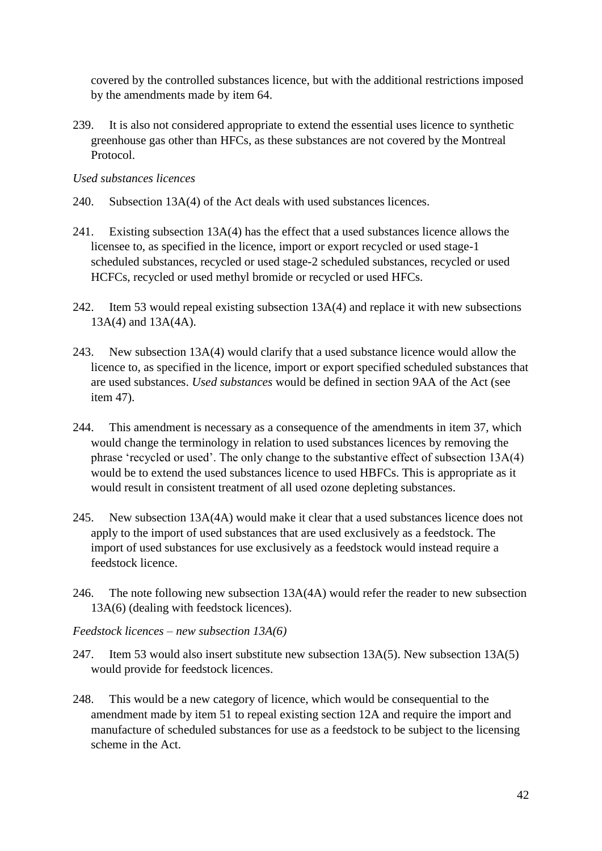covered by the controlled substances licence, but with the additional restrictions imposed by the amendments made by item 64.

239. It is also not considered appropriate to extend the essential uses licence to synthetic greenhouse gas other than HFCs, as these substances are not covered by the Montreal Protocol.

*Used substances licences*

- 240. Subsection 13A(4) of the Act deals with used substances licences.
- 241. Existing subsection 13A(4) has the effect that a used substances licence allows the licensee to, as specified in the licence, import or export recycled or used stage-1 scheduled substances, recycled or used stage-2 scheduled substances, recycled or used HCFCs, recycled or used methyl bromide or recycled or used HFCs.
- 242. Item 53 would repeal existing subsection 13A(4) and replace it with new subsections 13A(4) and 13A(4A).
- 243. New subsection 13A(4) would clarify that a used substance licence would allow the licence to, as specified in the licence, import or export specified scheduled substances that are used substances. *Used substances* would be defined in section 9AA of the Act (see item 47).
- 244. This amendment is necessary as a consequence of the amendments in item 37, which would change the terminology in relation to used substances licences by removing the phrase 'recycled or used'. The only change to the substantive effect of subsection 13A(4) would be to extend the used substances licence to used HBFCs. This is appropriate as it would result in consistent treatment of all used ozone depleting substances.
- 245. New subsection 13A(4A) would make it clear that a used substances licence does not apply to the import of used substances that are used exclusively as a feedstock. The import of used substances for use exclusively as a feedstock would instead require a feedstock licence.
- 246. The note following new subsection 13A(4A) would refer the reader to new subsection 13A(6) (dealing with feedstock licences).

*Feedstock licences – new subsection 13A(6)*

- 247. Item 53 would also insert substitute new subsection 13A(5). New subsection 13A(5) would provide for feedstock licences.
- 248. This would be a new category of licence, which would be consequential to the amendment made by item 51 to repeal existing section 12A and require the import and manufacture of scheduled substances for use as a feedstock to be subject to the licensing scheme in the Act.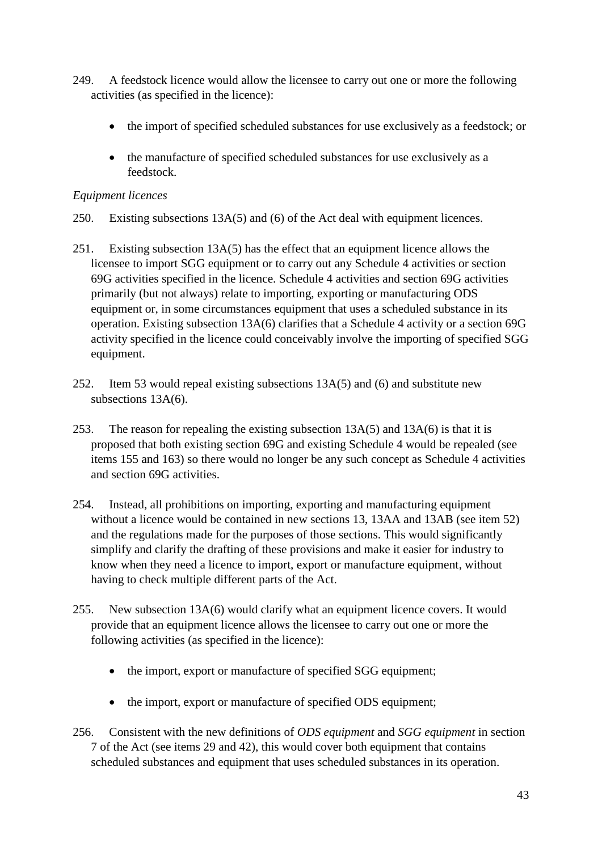- 249. A feedstock licence would allow the licensee to carry out one or more the following activities (as specified in the licence):
	- the import of specified scheduled substances for use exclusively as a feedstock; or
	- the manufacture of specified scheduled substances for use exclusively as a feedstock.

# *Equipment licences*

- 250. Existing subsections 13A(5) and (6) of the Act deal with equipment licences.
- 251. Existing subsection 13A(5) has the effect that an equipment licence allows the licensee to import SGG equipment or to carry out any Schedule 4 activities or section 69G activities specified in the licence. Schedule 4 activities and section 69G activities primarily (but not always) relate to importing, exporting or manufacturing ODS equipment or, in some circumstances equipment that uses a scheduled substance in its operation. Existing subsection 13A(6) clarifies that a Schedule 4 activity or a section 69G activity specified in the licence could conceivably involve the importing of specified SGG equipment.
- 252. Item 53 would repeal existing subsections 13A(5) and (6) and substitute new subsections 13A(6).
- 253. The reason for repealing the existing subsection 13A(5) and 13A(6) is that it is proposed that both existing section 69G and existing Schedule 4 would be repealed (see items 155 and 163) so there would no longer be any such concept as Schedule 4 activities and section 69G activities.
- 254. Instead, all prohibitions on importing, exporting and manufacturing equipment without a licence would be contained in new sections 13, 13AA and 13AB (see item 52) and the regulations made for the purposes of those sections. This would significantly simplify and clarify the drafting of these provisions and make it easier for industry to know when they need a licence to import, export or manufacture equipment, without having to check multiple different parts of the Act.
- 255. New subsection 13A(6) would clarify what an equipment licence covers. It would provide that an equipment licence allows the licensee to carry out one or more the following activities (as specified in the licence):
	- the import, export or manufacture of specified SGG equipment;
	- the import, export or manufacture of specified ODS equipment;
- 256. Consistent with the new definitions of *ODS equipment* and *SGG equipment* in section 7 of the Act (see items 29 and 42), this would cover both equipment that contains scheduled substances and equipment that uses scheduled substances in its operation.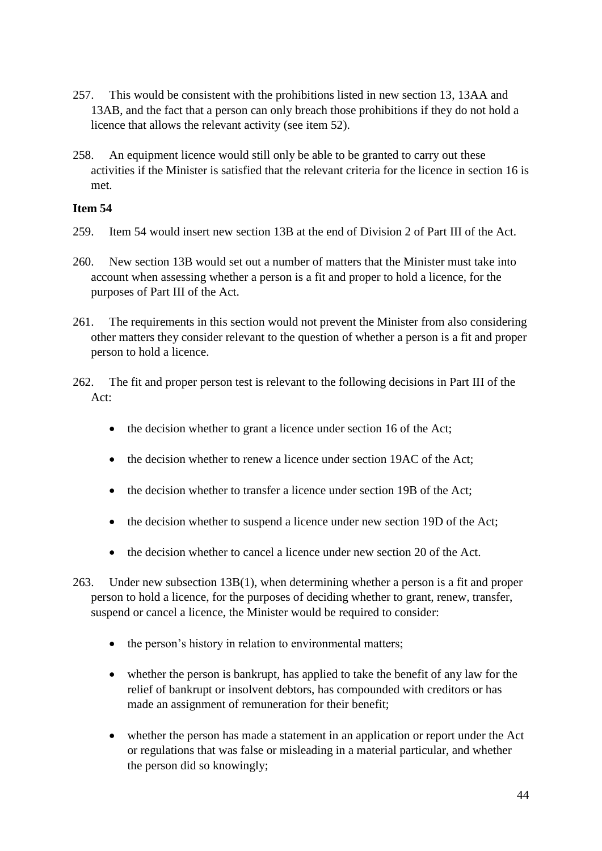- 257. This would be consistent with the prohibitions listed in new section 13, 13AA and 13AB, and the fact that a person can only breach those prohibitions if they do not hold a licence that allows the relevant activity (see item 52).
- 258. An equipment licence would still only be able to be granted to carry out these activities if the Minister is satisfied that the relevant criteria for the licence in section 16 is met.

- 259. Item 54 would insert new section 13B at the end of Division 2 of Part III of the Act.
- 260. New section 13B would set out a number of matters that the Minister must take into account when assessing whether a person is a fit and proper to hold a licence, for the purposes of Part III of the Act.
- 261. The requirements in this section would not prevent the Minister from also considering other matters they consider relevant to the question of whether a person is a fit and proper person to hold a licence.
- 262. The fit and proper person test is relevant to the following decisions in Part III of the Act:
	- the decision whether to grant a licence under section 16 of the Act;
	- the decision whether to renew a licence under section 19AC of the Act;
	- the decision whether to transfer a licence under section 19B of the Act;
	- the decision whether to suspend a licence under new section 19D of the Act;
	- the decision whether to cancel a licence under new section 20 of the Act.
- 263. Under new subsection 13B(1), when determining whether a person is a fit and proper person to hold a licence, for the purposes of deciding whether to grant, renew, transfer, suspend or cancel a licence, the Minister would be required to consider:
	- the person's history in relation to environmental matters;
	- whether the person is bankrupt, has applied to take the benefit of any law for the relief of bankrupt or insolvent debtors, has compounded with creditors or has made an assignment of remuneration for their benefit;
	- whether the person has made a statement in an application or report under the Act or regulations that was false or misleading in a material particular, and whether the person did so knowingly;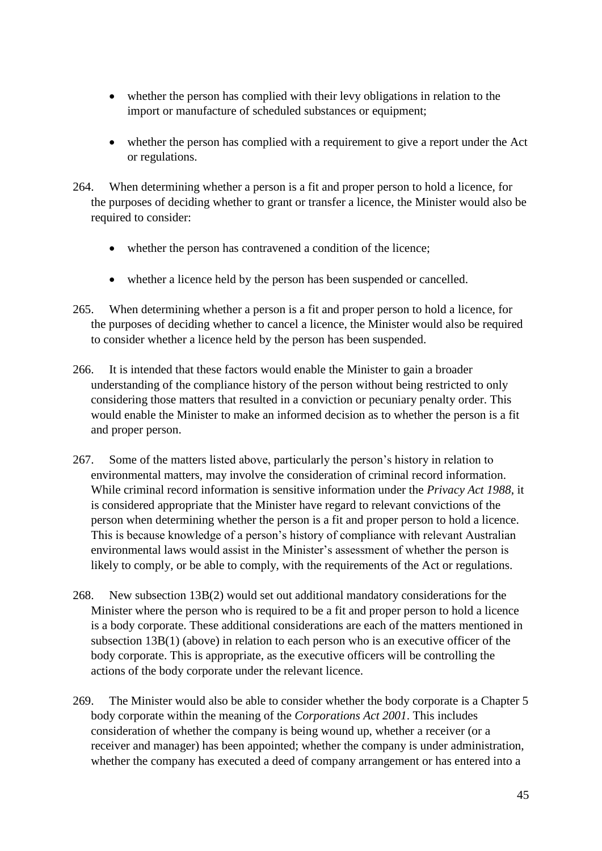- whether the person has complied with their levy obligations in relation to the import or manufacture of scheduled substances or equipment;
- whether the person has complied with a requirement to give a report under the Act or regulations.
- 264. When determining whether a person is a fit and proper person to hold a licence, for the purposes of deciding whether to grant or transfer a licence, the Minister would also be required to consider:
	- whether the person has contravened a condition of the licence;
	- whether a licence held by the person has been suspended or cancelled.
- 265. When determining whether a person is a fit and proper person to hold a licence, for the purposes of deciding whether to cancel a licence, the Minister would also be required to consider whether a licence held by the person has been suspended.
- 266. It is intended that these factors would enable the Minister to gain a broader understanding of the compliance history of the person without being restricted to only considering those matters that resulted in a conviction or pecuniary penalty order. This would enable the Minister to make an informed decision as to whether the person is a fit and proper person.
- 267. Some of the matters listed above, particularly the person's history in relation to environmental matters, may involve the consideration of criminal record information. While criminal record information is sensitive information under the *Privacy Act 1988*, it is considered appropriate that the Minister have regard to relevant convictions of the person when determining whether the person is a fit and proper person to hold a licence. This is because knowledge of a person's history of compliance with relevant Australian environmental laws would assist in the Minister's assessment of whether the person is likely to comply, or be able to comply, with the requirements of the Act or regulations.
- 268. New subsection 13B(2) would set out additional mandatory considerations for the Minister where the person who is required to be a fit and proper person to hold a licence is a body corporate. These additional considerations are each of the matters mentioned in subsection 13B(1) (above) in relation to each person who is an executive officer of the body corporate. This is appropriate, as the executive officers will be controlling the actions of the body corporate under the relevant licence.
- 269. The Minister would also be able to consider whether the body corporate is a Chapter 5 body corporate within the meaning of the *Corporations Act 2001*. This includes consideration of whether the company is being wound up, whether a receiver (or a receiver and manager) has been appointed; whether the company is under administration, whether the company has executed a deed of company arrangement or has entered into a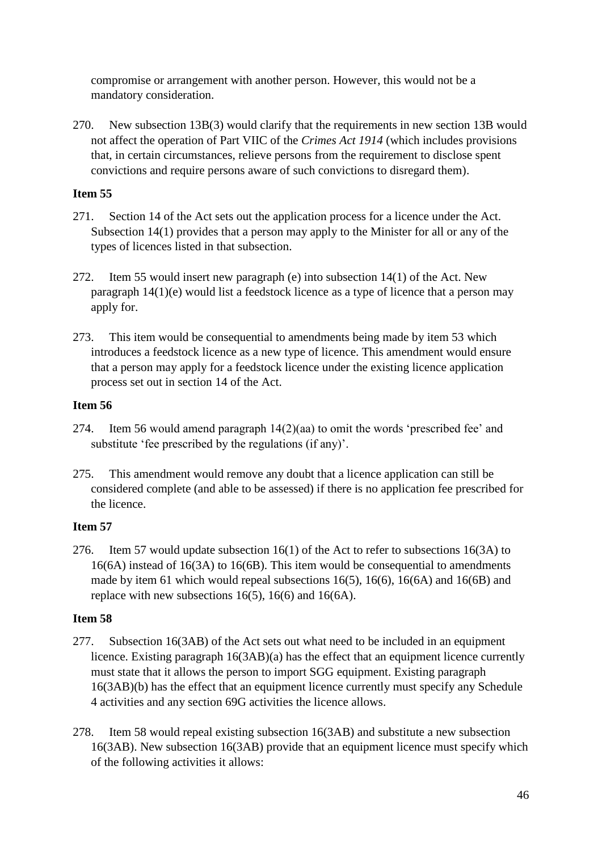compromise or arrangement with another person. However, this would not be a mandatory consideration.

270. New subsection 13B(3) would clarify that the requirements in new section 13B would not affect the operation of Part VIIC of the *Crimes Act 1914* (which includes provisions that, in certain circumstances, relieve persons from the requirement to disclose spent convictions and require persons aware of such convictions to disregard them).

# **Item 55**

- 271. Section 14 of the Act sets out the application process for a licence under the Act. Subsection 14(1) provides that a person may apply to the Minister for all or any of the types of licences listed in that subsection.
- 272. Item 55 would insert new paragraph (e) into subsection 14(1) of the Act. New paragraph 14(1)(e) would list a feedstock licence as a type of licence that a person may apply for.
- 273. This item would be consequential to amendments being made by item 53 which introduces a feedstock licence as a new type of licence. This amendment would ensure that a person may apply for a feedstock licence under the existing licence application process set out in section 14 of the Act.

# **Item 56**

- 274. Item 56 would amend paragraph 14(2)(aa) to omit the words 'prescribed fee' and substitute 'fee prescribed by the regulations (if any)'.
- 275. This amendment would remove any doubt that a licence application can still be considered complete (and able to be assessed) if there is no application fee prescribed for the licence.

# **Item 57**

276. Item 57 would update subsection 16(1) of the Act to refer to subsections 16(3A) to 16(6A) instead of 16(3A) to 16(6B). This item would be consequential to amendments made by item 61 which would repeal subsections 16(5), 16(6), 16(6A) and 16(6B) and replace with new subsections 16(5), 16(6) and 16(6A).

- 277. Subsection 16(3AB) of the Act sets out what need to be included in an equipment licence. Existing paragraph 16(3AB)(a) has the effect that an equipment licence currently must state that it allows the person to import SGG equipment. Existing paragraph 16(3AB)(b) has the effect that an equipment licence currently must specify any Schedule 4 activities and any section 69G activities the licence allows.
- 278. Item 58 would repeal existing subsection 16(3AB) and substitute a new subsection 16(3AB). New subsection 16(3AB) provide that an equipment licence must specify which of the following activities it allows: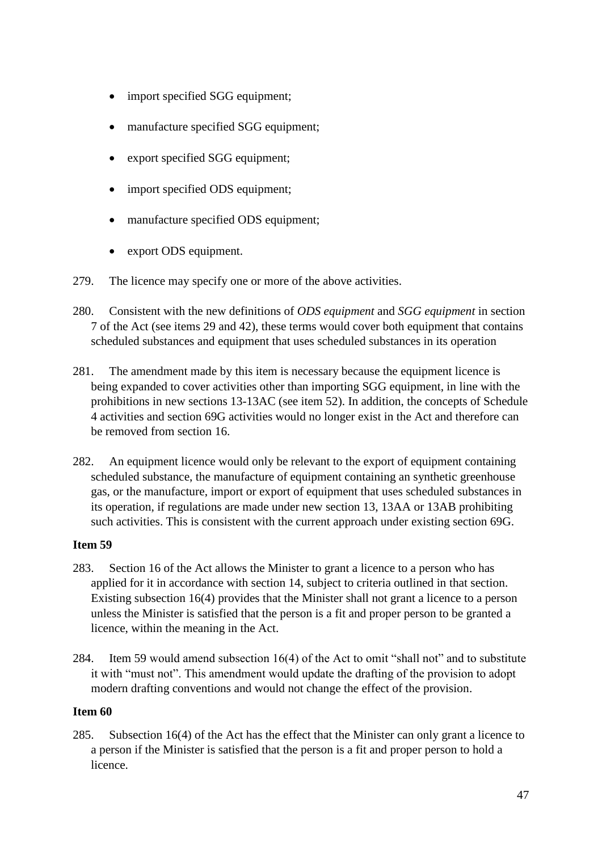- import specified SGG equipment;
- manufacture specified SGG equipment;
- export specified SGG equipment;
- import specified ODS equipment;
- manufacture specified ODS equipment;
- export ODS equipment.
- 279. The licence may specify one or more of the above activities.
- 280. Consistent with the new definitions of *ODS equipment* and *SGG equipment* in section 7 of the Act (see items 29 and 42), these terms would cover both equipment that contains scheduled substances and equipment that uses scheduled substances in its operation
- 281. The amendment made by this item is necessary because the equipment licence is being expanded to cover activities other than importing SGG equipment, in line with the prohibitions in new sections 13-13AC (see item 52). In addition, the concepts of Schedule 4 activities and section 69G activities would no longer exist in the Act and therefore can be removed from section 16.
- 282. An equipment licence would only be relevant to the export of equipment containing scheduled substance, the manufacture of equipment containing an synthetic greenhouse gas, or the manufacture, import or export of equipment that uses scheduled substances in its operation, if regulations are made under new section 13, 13AA or 13AB prohibiting such activities. This is consistent with the current approach under existing section 69G.

- 283. Section 16 of the Act allows the Minister to grant a licence to a person who has applied for it in accordance with section 14, subject to criteria outlined in that section. Existing subsection 16(4) provides that the Minister shall not grant a licence to a person unless the Minister is satisfied that the person is a fit and proper person to be granted a licence, within the meaning in the Act.
- 284. Item 59 would amend subsection 16(4) of the Act to omit "shall not" and to substitute it with "must not". This amendment would update the drafting of the provision to adopt modern drafting conventions and would not change the effect of the provision.

#### **Item 60**

285. Subsection 16(4) of the Act has the effect that the Minister can only grant a licence to a person if the Minister is satisfied that the person is a fit and proper person to hold a licence.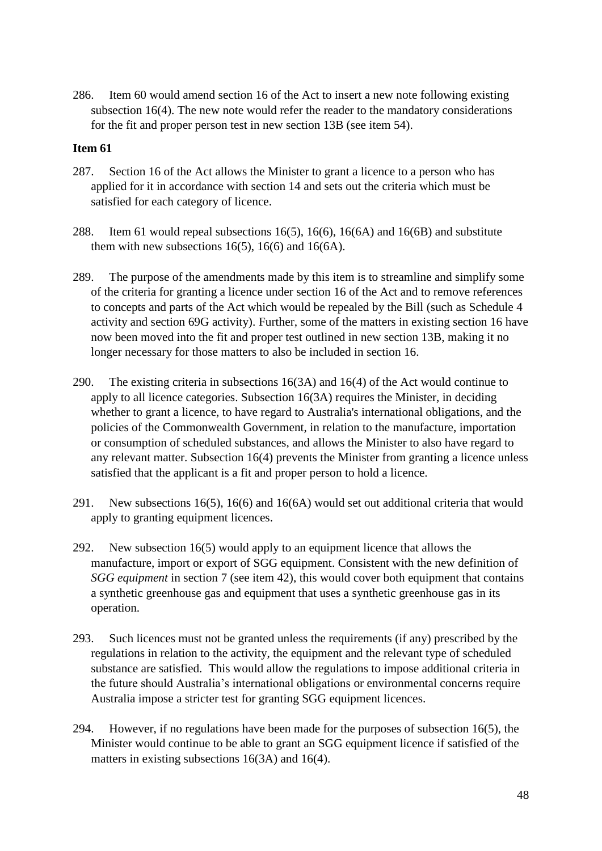286. Item 60 would amend section 16 of the Act to insert a new note following existing subsection 16(4). The new note would refer the reader to the mandatory considerations for the fit and proper person test in new section 13B (see item 54).

- 287. Section 16 of the Act allows the Minister to grant a licence to a person who has applied for it in accordance with section 14 and sets out the criteria which must be satisfied for each category of licence.
- 288. Item 61 would repeal subsections 16(5), 16(6), 16(6A) and 16(6B) and substitute them with new subsections 16(5), 16(6) and 16(6A).
- 289. The purpose of the amendments made by this item is to streamline and simplify some of the criteria for granting a licence under section 16 of the Act and to remove references to concepts and parts of the Act which would be repealed by the Bill (such as Schedule 4 activity and section 69G activity). Further, some of the matters in existing section 16 have now been moved into the fit and proper test outlined in new section 13B, making it no longer necessary for those matters to also be included in section 16.
- 290. The existing criteria in subsections 16(3A) and 16(4) of the Act would continue to apply to all licence categories. Subsection 16(3A) requires the Minister, in deciding whether to grant a licence, to have regard to Australia's international obligations, and the policies of the Commonwealth Government, in relation to the manufacture, importation or consumption of scheduled substances, and allows the Minister to also have regard to any relevant matter. Subsection 16(4) prevents the Minister from granting a licence unless satisfied that the applicant is a fit and proper person to hold a licence.
- 291. New subsections 16(5), 16(6) and 16(6A) would set out additional criteria that would apply to granting equipment licences.
- 292. New subsection 16(5) would apply to an equipment licence that allows the manufacture, import or export of SGG equipment. Consistent with the new definition of *SGG equipment* in section 7 (see item 42), this would cover both equipment that contains a synthetic greenhouse gas and equipment that uses a synthetic greenhouse gas in its operation.
- 293. Such licences must not be granted unless the requirements (if any) prescribed by the regulations in relation to the activity, the equipment and the relevant type of scheduled substance are satisfied. This would allow the regulations to impose additional criteria in the future should Australia's international obligations or environmental concerns require Australia impose a stricter test for granting SGG equipment licences.
- 294. However, if no regulations have been made for the purposes of subsection 16(5), the Minister would continue to be able to grant an SGG equipment licence if satisfied of the matters in existing subsections 16(3A) and 16(4).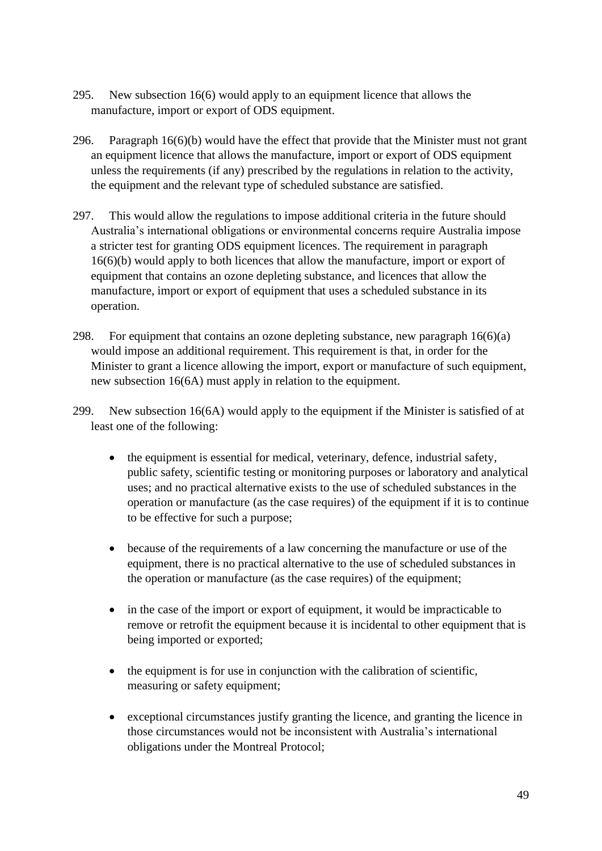- 295. New subsection 16(6) would apply to an equipment licence that allows the manufacture, import or export of ODS equipment.
- 296. Paragraph 16(6)(b) would have the effect that provide that the Minister must not grant an equipment licence that allows the manufacture, import or export of ODS equipment unless the requirements (if any) prescribed by the regulations in relation to the activity, the equipment and the relevant type of scheduled substance are satisfied.
- 297. This would allow the regulations to impose additional criteria in the future should Australia's international obligations or environmental concerns require Australia impose a stricter test for granting ODS equipment licences. The requirement in paragraph 16(6)(b) would apply to both licences that allow the manufacture, import or export of equipment that contains an ozone depleting substance, and licences that allow the manufacture, import or export of equipment that uses a scheduled substance in its operation.
- 298. For equipment that contains an ozone depleting substance, new paragraph 16(6)(a) would impose an additional requirement. This requirement is that, in order for the Minister to grant a licence allowing the import, export or manufacture of such equipment, new subsection 16(6A) must apply in relation to the equipment.
- 299. New subsection 16(6A) would apply to the equipment if the Minister is satisfied of at least one of the following:
	- the equipment is essential for medical, veterinary, defence, industrial safety, public safety, scientific testing or monitoring purposes or laboratory and analytical uses; and no practical alternative exists to the use of scheduled substances in the operation or manufacture (as the case requires) of the equipment if it is to continue to be effective for such a purpose;
	- because of the requirements of a law concerning the manufacture or use of the equipment, there is no practical alternative to the use of scheduled substances in the operation or manufacture (as the case requires) of the equipment;
	- in the case of the import or export of equipment, it would be impracticable to remove or retrofit the equipment because it is incidental to other equipment that is being imported or exported;
	- the equipment is for use in conjunction with the calibration of scientific, measuring or safety equipment;
	- exceptional circumstances justify granting the licence, and granting the licence in those circumstances would not be inconsistent with Australia's international obligations under the Montreal Protocol;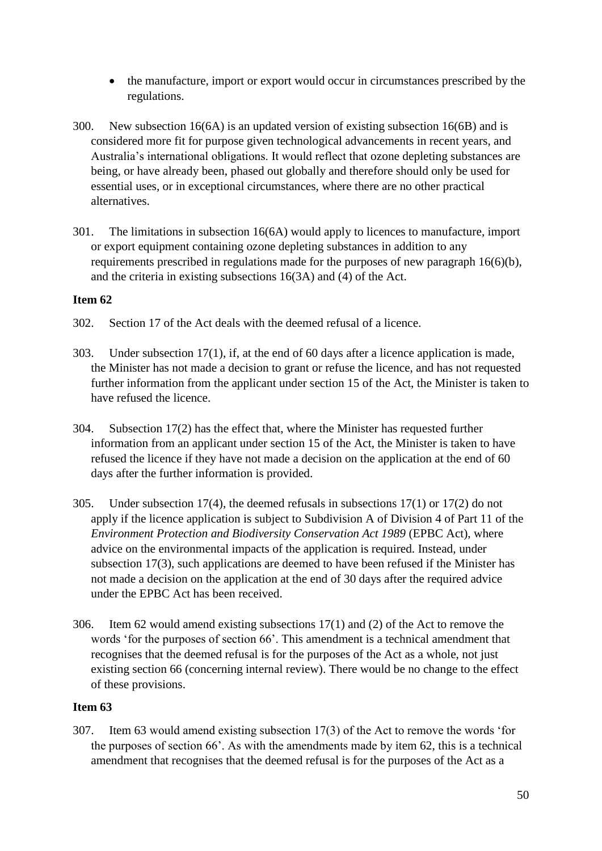- the manufacture, import or export would occur in circumstances prescribed by the regulations.
- 300. New subsection 16(6A) is an updated version of existing subsection 16(6B) and is considered more fit for purpose given technological advancements in recent years, and Australia's international obligations. It would reflect that ozone depleting substances are being, or have already been, phased out globally and therefore should only be used for essential uses, or in exceptional circumstances, where there are no other practical alternatives.
- 301. The limitations in subsection 16(6A) would apply to licences to manufacture, import or export equipment containing ozone depleting substances in addition to any requirements prescribed in regulations made for the purposes of new paragraph 16(6)(b), and the criteria in existing subsections 16(3A) and (4) of the Act.

- 302. Section 17 of the Act deals with the deemed refusal of a licence.
- 303. Under subsection 17(1), if, at the end of 60 days after a licence application is made, the Minister has not made a decision to grant or refuse the licence, and has not requested further information from the applicant under section 15 of the Act, the Minister is taken to have refused the licence.
- 304. Subsection 17(2) has the effect that, where the Minister has requested further information from an applicant under section 15 of the Act, the Minister is taken to have refused the licence if they have not made a decision on the application at the end of 60 days after the further information is provided.
- 305. Under subsection 17(4), the deemed refusals in subsections 17(1) or 17(2) do not apply if the licence application is subject to Subdivision A of Division 4 of Part 11 of the *Environment Protection and Biodiversity Conservation Act 1989* (EPBC Act), where advice on the environmental impacts of the application is required. Instead, under subsection 17(3), such applications are deemed to have been refused if the Minister has not made a decision on the application at the end of 30 days after the required advice under the EPBC Act has been received.
- 306. Item 62 would amend existing subsections 17(1) and (2) of the Act to remove the words 'for the purposes of section 66'. This amendment is a technical amendment that recognises that the deemed refusal is for the purposes of the Act as a whole, not just existing section 66 (concerning internal review). There would be no change to the effect of these provisions.

# **Item 63**

307. Item 63 would amend existing subsection 17(3) of the Act to remove the words 'for the purposes of section 66'. As with the amendments made by item 62, this is a technical amendment that recognises that the deemed refusal is for the purposes of the Act as a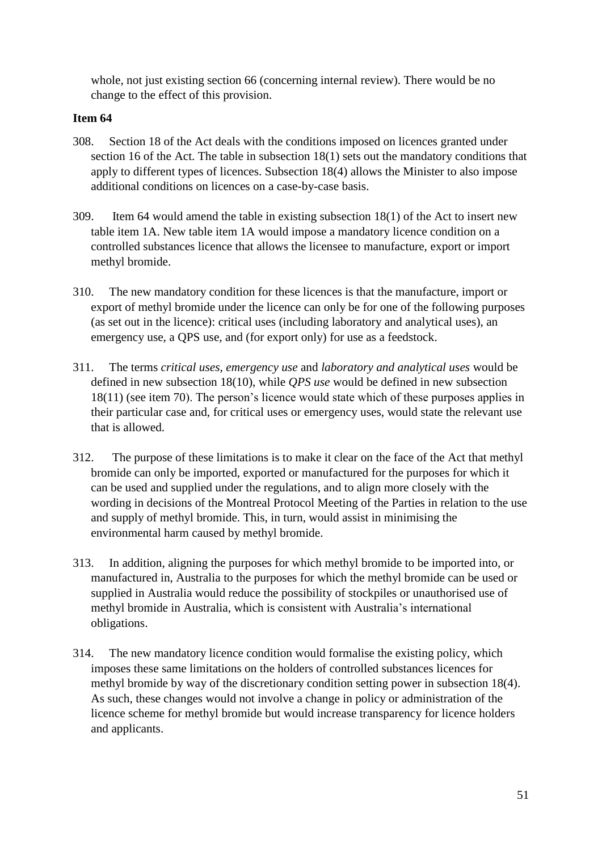whole, not just existing section 66 (concerning internal review). There would be no change to the effect of this provision.

- 308. Section 18 of the Act deals with the conditions imposed on licences granted under section 16 of the Act. The table in subsection 18(1) sets out the mandatory conditions that apply to different types of licences. Subsection 18(4) allows the Minister to also impose additional conditions on licences on a case-by-case basis.
- 309. Item 64 would amend the table in existing subsection 18(1) of the Act to insert new table item 1A. New table item 1A would impose a mandatory licence condition on a controlled substances licence that allows the licensee to manufacture, export or import methyl bromide.
- 310. The new mandatory condition for these licences is that the manufacture, import or export of methyl bromide under the licence can only be for one of the following purposes (as set out in the licence): critical uses (including laboratory and analytical uses), an emergency use, a QPS use, and (for export only) for use as a feedstock.
- 311. The terms *critical uses*, *emergency use* and *laboratory and analytical uses* would be defined in new subsection 18(10), while *QPS use* would be defined in new subsection 18(11) (see item 70). The person's licence would state which of these purposes applies in their particular case and, for critical uses or emergency uses, would state the relevant use that is allowed.
- 312. The purpose of these limitations is to make it clear on the face of the Act that methyl bromide can only be imported, exported or manufactured for the purposes for which it can be used and supplied under the regulations, and to align more closely with the wording in decisions of the Montreal Protocol Meeting of the Parties in relation to the use and supply of methyl bromide. This, in turn, would assist in minimising the environmental harm caused by methyl bromide.
- 313. In addition, aligning the purposes for which methyl bromide to be imported into, or manufactured in, Australia to the purposes for which the methyl bromide can be used or supplied in Australia would reduce the possibility of stockpiles or unauthorised use of methyl bromide in Australia, which is consistent with Australia's international obligations.
- 314. The new mandatory licence condition would formalise the existing policy, which imposes these same limitations on the holders of controlled substances licences for methyl bromide by way of the discretionary condition setting power in subsection 18(4). As such, these changes would not involve a change in policy or administration of the licence scheme for methyl bromide but would increase transparency for licence holders and applicants.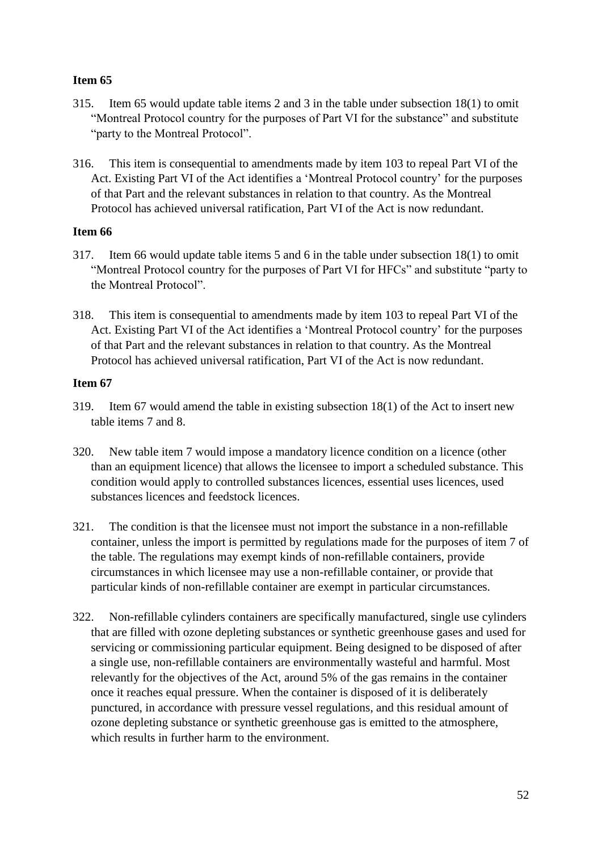- 315. Item 65 would update table items 2 and 3 in the table under subsection 18(1) to omit "Montreal Protocol country for the purposes of Part VI for the substance" and substitute "party to the Montreal Protocol".
- 316. This item is consequential to amendments made by item 103 to repeal Part VI of the Act. Existing Part VI of the Act identifies a 'Montreal Protocol country' for the purposes of that Part and the relevant substances in relation to that country. As the Montreal Protocol has achieved universal ratification, Part VI of the Act is now redundant.

# **Item 66**

- 317. Item 66 would update table items 5 and 6 in the table under subsection 18(1) to omit "Montreal Protocol country for the purposes of Part VI for HFCs" and substitute "party to the Montreal Protocol".
- 318. This item is consequential to amendments made by item 103 to repeal Part VI of the Act. Existing Part VI of the Act identifies a 'Montreal Protocol country' for the purposes of that Part and the relevant substances in relation to that country. As the Montreal Protocol has achieved universal ratification, Part VI of the Act is now redundant.

- 319. Item 67 would amend the table in existing subsection 18(1) of the Act to insert new table items 7 and 8.
- 320. New table item 7 would impose a mandatory licence condition on a licence (other than an equipment licence) that allows the licensee to import a scheduled substance. This condition would apply to controlled substances licences, essential uses licences, used substances licences and feedstock licences.
- 321. The condition is that the licensee must not import the substance in a non-refillable container, unless the import is permitted by regulations made for the purposes of item 7 of the table. The regulations may exempt kinds of non-refillable containers, provide circumstances in which licensee may use a non-refillable container, or provide that particular kinds of non-refillable container are exempt in particular circumstances.
- 322. Non-refillable cylinders containers are specifically manufactured, single use cylinders that are filled with ozone depleting substances or synthetic greenhouse gases and used for servicing or commissioning particular equipment. Being designed to be disposed of after a single use, non-refillable containers are environmentally wasteful and harmful. Most relevantly for the objectives of the Act, around 5% of the gas remains in the container once it reaches equal pressure. When the container is disposed of it is deliberately punctured, in accordance with pressure vessel regulations, and this residual amount of ozone depleting substance or synthetic greenhouse gas is emitted to the atmosphere, which results in further harm to the environment.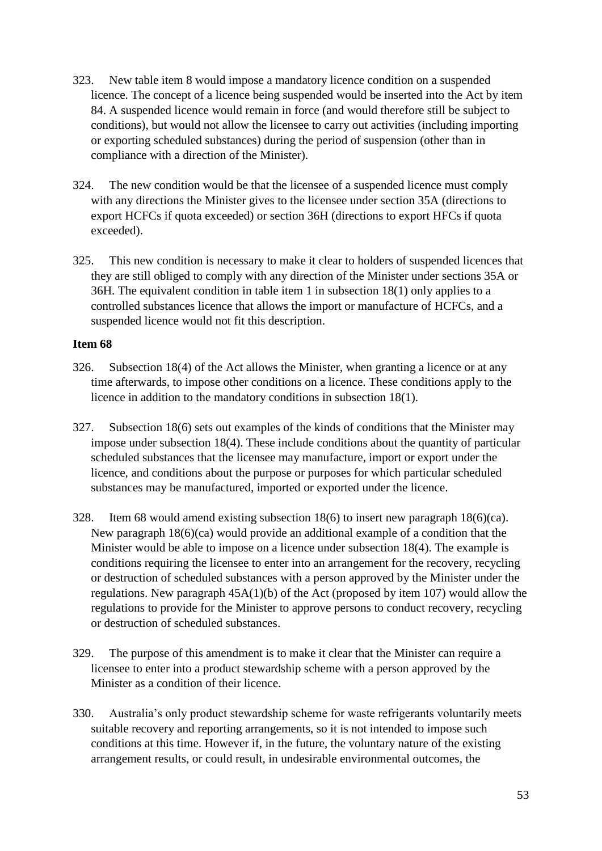- 323. New table item 8 would impose a mandatory licence condition on a suspended licence. The concept of a licence being suspended would be inserted into the Act by item 84. A suspended licence would remain in force (and would therefore still be subject to conditions), but would not allow the licensee to carry out activities (including importing or exporting scheduled substances) during the period of suspension (other than in compliance with a direction of the Minister).
- 324. The new condition would be that the licensee of a suspended licence must comply with any directions the Minister gives to the licensee under section 35A (directions to export HCFCs if quota exceeded) or section 36H (directions to export HFCs if quota exceeded).
- 325. This new condition is necessary to make it clear to holders of suspended licences that they are still obliged to comply with any direction of the Minister under sections 35A or 36H. The equivalent condition in table item 1 in subsection 18(1) only applies to a controlled substances licence that allows the import or manufacture of HCFCs, and a suspended licence would not fit this description.

- 326. Subsection 18(4) of the Act allows the Minister, when granting a licence or at any time afterwards, to impose other conditions on a licence. These conditions apply to the licence in addition to the mandatory conditions in subsection 18(1).
- 327. Subsection 18(6) sets out examples of the kinds of conditions that the Minister may impose under subsection 18(4). These include conditions about the quantity of particular scheduled substances that the licensee may manufacture, import or export under the licence, and conditions about the purpose or purposes for which particular scheduled substances may be manufactured, imported or exported under the licence.
- 328. Item 68 would amend existing subsection 18(6) to insert new paragraph 18(6)(ca). New paragraph 18(6)(ca) would provide an additional example of a condition that the Minister would be able to impose on a licence under subsection 18(4). The example is conditions requiring the licensee to enter into an arrangement for the recovery, recycling or destruction of scheduled substances with a person approved by the Minister under the regulations. New paragraph 45A(1)(b) of the Act (proposed by item 107) would allow the regulations to provide for the Minister to approve persons to conduct recovery, recycling or destruction of scheduled substances.
- 329. The purpose of this amendment is to make it clear that the Minister can require a licensee to enter into a product stewardship scheme with a person approved by the Minister as a condition of their licence.
- 330. Australia's only product stewardship scheme for waste refrigerants voluntarily meets suitable recovery and reporting arrangements, so it is not intended to impose such conditions at this time. However if, in the future, the voluntary nature of the existing arrangement results, or could result, in undesirable environmental outcomes, the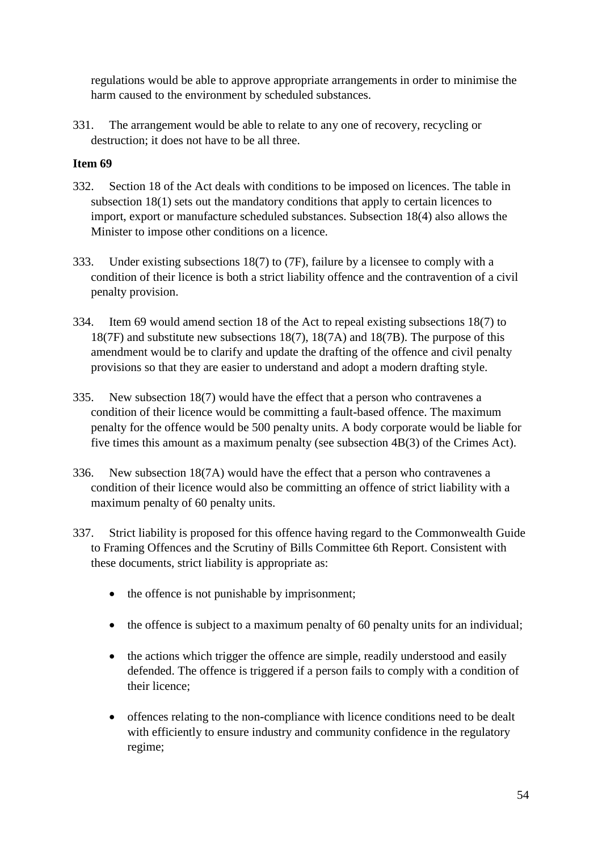regulations would be able to approve appropriate arrangements in order to minimise the harm caused to the environment by scheduled substances.

331. The arrangement would be able to relate to any one of recovery, recycling or destruction; it does not have to be all three.

- 332. Section 18 of the Act deals with conditions to be imposed on licences. The table in subsection 18(1) sets out the mandatory conditions that apply to certain licences to import, export or manufacture scheduled substances. Subsection 18(4) also allows the Minister to impose other conditions on a licence.
- 333. Under existing subsections 18(7) to (7F), failure by a licensee to comply with a condition of their licence is both a strict liability offence and the contravention of a civil penalty provision.
- 334. Item 69 would amend section 18 of the Act to repeal existing subsections 18(7) to 18(7F) and substitute new subsections 18(7), 18(7A) and 18(7B). The purpose of this amendment would be to clarify and update the drafting of the offence and civil penalty provisions so that they are easier to understand and adopt a modern drafting style.
- 335. New subsection 18(7) would have the effect that a person who contravenes a condition of their licence would be committing a fault-based offence. The maximum penalty for the offence would be 500 penalty units. A body corporate would be liable for five times this amount as a maximum penalty (see subsection 4B(3) of the Crimes Act).
- 336. New subsection 18(7A) would have the effect that a person who contravenes a condition of their licence would also be committing an offence of strict liability with a maximum penalty of 60 penalty units.
- 337. Strict liability is proposed for this offence having regard to the Commonwealth Guide to Framing Offences and the Scrutiny of Bills Committee 6th Report. Consistent with these documents, strict liability is appropriate as:
	- the offence is not punishable by imprisonment;
	- the offence is subject to a maximum penalty of 60 penalty units for an individual;
	- the actions which trigger the offence are simple, readily understood and easily defended. The offence is triggered if a person fails to comply with a condition of their licence;
	- offences relating to the non-compliance with licence conditions need to be dealt with efficiently to ensure industry and community confidence in the regulatory regime;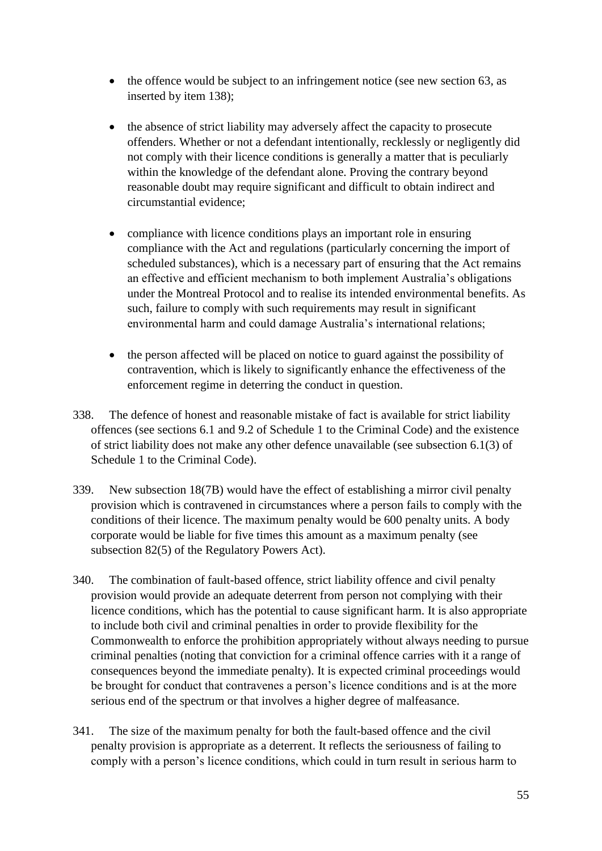- the offence would be subject to an infringement notice (see new section 63, as inserted by item 138);
- the absence of strict liability may adversely affect the capacity to prosecute offenders. Whether or not a defendant intentionally, recklessly or negligently did not comply with their licence conditions is generally a matter that is peculiarly within the knowledge of the defendant alone. Proving the contrary beyond reasonable doubt may require significant and difficult to obtain indirect and circumstantial evidence;
- compliance with licence conditions plays an important role in ensuring compliance with the Act and regulations (particularly concerning the import of scheduled substances), which is a necessary part of ensuring that the Act remains an effective and efficient mechanism to both implement Australia's obligations under the Montreal Protocol and to realise its intended environmental benefits. As such, failure to comply with such requirements may result in significant environmental harm and could damage Australia's international relations;
- the person affected will be placed on notice to guard against the possibility of contravention, which is likely to significantly enhance the effectiveness of the enforcement regime in deterring the conduct in question.
- 338. The defence of honest and reasonable mistake of fact is available for strict liability offences (see sections 6.1 and 9.2 of Schedule 1 to the Criminal Code) and the existence of strict liability does not make any other defence unavailable (see subsection 6.1(3) of Schedule 1 to the Criminal Code).
- 339. New subsection 18(7B) would have the effect of establishing a mirror civil penalty provision which is contravened in circumstances where a person fails to comply with the conditions of their licence. The maximum penalty would be 600 penalty units. A body corporate would be liable for five times this amount as a maximum penalty (see subsection 82(5) of the Regulatory Powers Act).
- 340. The combination of fault-based offence, strict liability offence and civil penalty provision would provide an adequate deterrent from person not complying with their licence conditions, which has the potential to cause significant harm. It is also appropriate to include both civil and criminal penalties in order to provide flexibility for the Commonwealth to enforce the prohibition appropriately without always needing to pursue criminal penalties (noting that conviction for a criminal offence carries with it a range of consequences beyond the immediate penalty). It is expected criminal proceedings would be brought for conduct that contravenes a person's licence conditions and is at the more serious end of the spectrum or that involves a higher degree of malfeasance.
- 341. The size of the maximum penalty for both the fault-based offence and the civil penalty provision is appropriate as a deterrent. It reflects the seriousness of failing to comply with a person's licence conditions, which could in turn result in serious harm to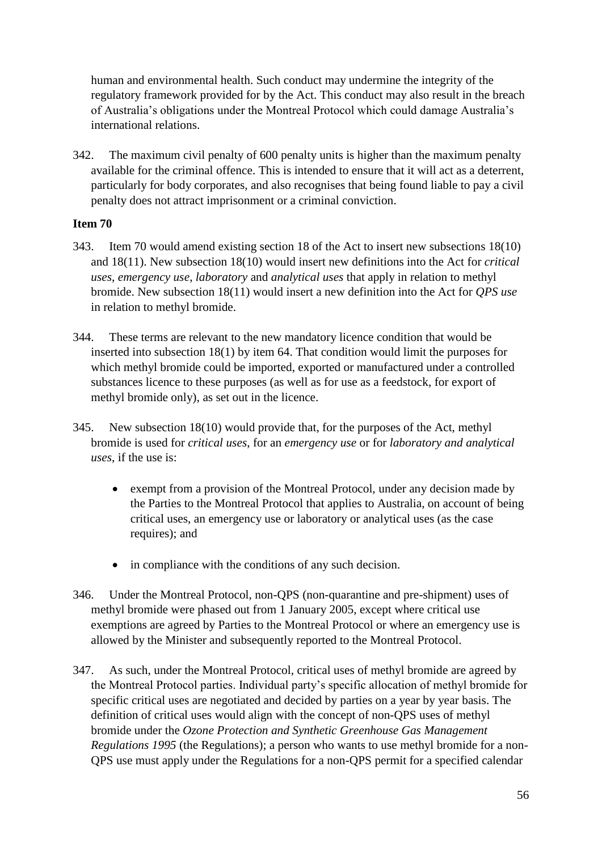human and environmental health. Such conduct may undermine the integrity of the regulatory framework provided for by the Act. This conduct may also result in the breach of Australia's obligations under the Montreal Protocol which could damage Australia's international relations.

342. The maximum civil penalty of 600 penalty units is higher than the maximum penalty available for the criminal offence. This is intended to ensure that it will act as a deterrent, particularly for body corporates, and also recognises that being found liable to pay a civil penalty does not attract imprisonment or a criminal conviction.

- 343. Item 70 would amend existing section 18 of the Act to insert new subsections 18(10) and 18(11). New subsection 18(10) would insert new definitions into the Act for *critical uses*, *emergency use*, *laboratory* and *analytical uses* that apply in relation to methyl bromide. New subsection 18(11) would insert a new definition into the Act for *QPS use* in relation to methyl bromide.
- 344. These terms are relevant to the new mandatory licence condition that would be inserted into subsection 18(1) by item 64. That condition would limit the purposes for which methyl bromide could be imported, exported or manufactured under a controlled substances licence to these purposes (as well as for use as a feedstock, for export of methyl bromide only), as set out in the licence.
- 345. New subsection 18(10) would provide that, for the purposes of the Act, methyl bromide is used for *critical uses*, for an *emergency use* or for *laboratory and analytical uses*, if the use is:
	- exempt from a provision of the Montreal Protocol, under any decision made by the Parties to the Montreal Protocol that applies to Australia, on account of being critical uses, an emergency use or laboratory or analytical uses (as the case requires); and
	- in compliance with the conditions of any such decision.
- 346. Under the Montreal Protocol, non-QPS (non-quarantine and pre-shipment) uses of methyl bromide were phased out from 1 January 2005, except where critical use exemptions are agreed by Parties to the Montreal Protocol or where an emergency use is allowed by the Minister and subsequently reported to the Montreal Protocol.
- 347. As such, under the Montreal Protocol, critical uses of methyl bromide are agreed by the Montreal Protocol parties. Individual party's specific allocation of methyl bromide for specific critical uses are negotiated and decided by parties on a year by year basis. The definition of critical uses would align with the concept of non-QPS uses of methyl bromide under the *Ozone Protection and Synthetic Greenhouse Gas Management Regulations 1995* (the Regulations); a person who wants to use methyl bromide for a non-QPS use must apply under the Regulations for a non-QPS permit for a specified calendar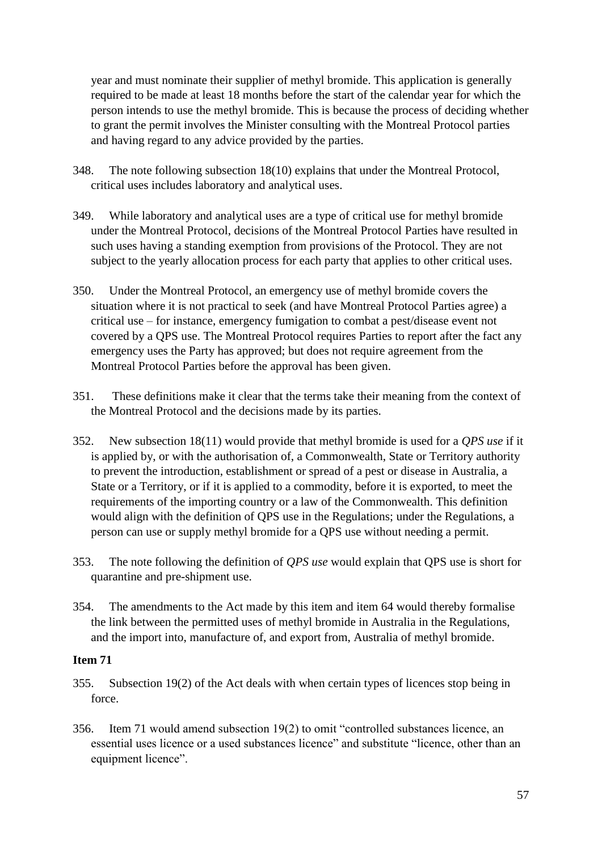year and must nominate their supplier of methyl bromide. This application is generally required to be made at least 18 months before the start of the calendar year for which the person intends to use the methyl bromide. This is because the process of deciding whether to grant the permit involves the Minister consulting with the Montreal Protocol parties and having regard to any advice provided by the parties.

- 348. The note following subsection 18(10) explains that under the Montreal Protocol, critical uses includes laboratory and analytical uses.
- 349. While laboratory and analytical uses are a type of critical use for methyl bromide under the Montreal Protocol, decisions of the Montreal Protocol Parties have resulted in such uses having a standing exemption from provisions of the Protocol. They are not subject to the yearly allocation process for each party that applies to other critical uses.
- 350. Under the Montreal Protocol, an emergency use of methyl bromide covers the situation where it is not practical to seek (and have Montreal Protocol Parties agree) a critical use – for instance, emergency fumigation to combat a pest/disease event not covered by a QPS use. The Montreal Protocol requires Parties to report after the fact any emergency uses the Party has approved; but does not require agreement from the Montreal Protocol Parties before the approval has been given.
- 351. These definitions make it clear that the terms take their meaning from the context of the Montreal Protocol and the decisions made by its parties.
- 352. New subsection 18(11) would provide that methyl bromide is used for a *QPS use* if it is applied by, or with the authorisation of, a Commonwealth, State or Territory authority to prevent the introduction, establishment or spread of a pest or disease in Australia, a State or a Territory, or if it is applied to a commodity, before it is exported, to meet the requirements of the importing country or a law of the Commonwealth. This definition would align with the definition of QPS use in the Regulations; under the Regulations, a person can use or supply methyl bromide for a QPS use without needing a permit.
- 353. The note following the definition of *QPS use* would explain that QPS use is short for quarantine and pre-shipment use.
- 354. The amendments to the Act made by this item and item 64 would thereby formalise the link between the permitted uses of methyl bromide in Australia in the Regulations, and the import into, manufacture of, and export from, Australia of methyl bromide.

- 355. Subsection 19(2) of the Act deals with when certain types of licences stop being in force.
- 356. Item 71 would amend subsection 19(2) to omit "controlled substances licence, an essential uses licence or a used substances licence" and substitute "licence, other than an equipment licence".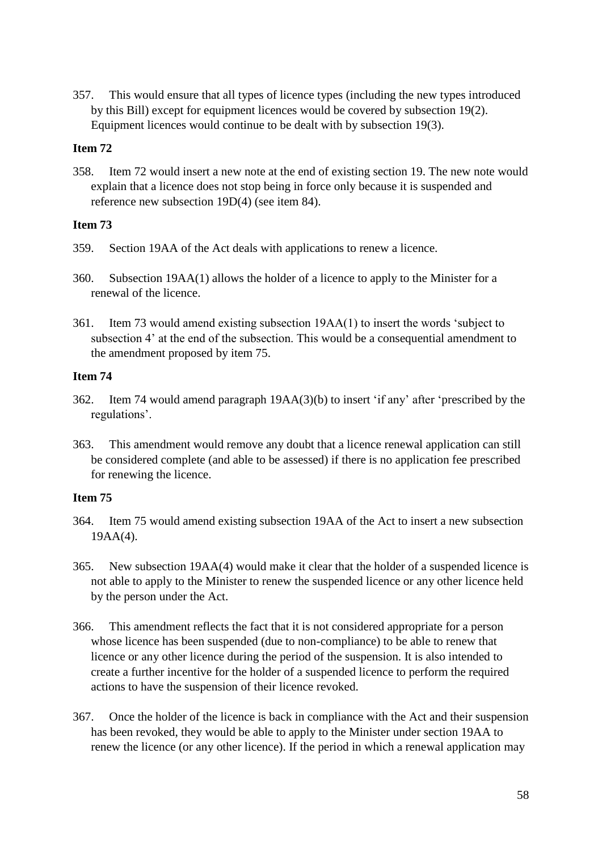357. This would ensure that all types of licence types (including the new types introduced by this Bill) except for equipment licences would be covered by subsection 19(2). Equipment licences would continue to be dealt with by subsection 19(3).

# **Item 72**

358. Item 72 would insert a new note at the end of existing section 19. The new note would explain that a licence does not stop being in force only because it is suspended and reference new subsection 19D(4) (see item 84).

### **Item 73**

- 359. Section 19AA of the Act deals with applications to renew a licence.
- 360. Subsection 19AA(1) allows the holder of a licence to apply to the Minister for a renewal of the licence.
- 361. Item 73 would amend existing subsection 19AA(1) to insert the words 'subject to subsection 4' at the end of the subsection. This would be a consequential amendment to the amendment proposed by item 75.

### **Item 74**

- 362. Item 74 would amend paragraph 19AA(3)(b) to insert 'if any' after 'prescribed by the regulations'.
- 363. This amendment would remove any doubt that a licence renewal application can still be considered complete (and able to be assessed) if there is no application fee prescribed for renewing the licence.

- 364. Item 75 would amend existing subsection 19AA of the Act to insert a new subsection 19AA(4).
- 365. New subsection 19AA(4) would make it clear that the holder of a suspended licence is not able to apply to the Minister to renew the suspended licence or any other licence held by the person under the Act.
- 366. This amendment reflects the fact that it is not considered appropriate for a person whose licence has been suspended (due to non-compliance) to be able to renew that licence or any other licence during the period of the suspension. It is also intended to create a further incentive for the holder of a suspended licence to perform the required actions to have the suspension of their licence revoked.
- 367. Once the holder of the licence is back in compliance with the Act and their suspension has been revoked, they would be able to apply to the Minister under section 19AA to renew the licence (or any other licence). If the period in which a renewal application may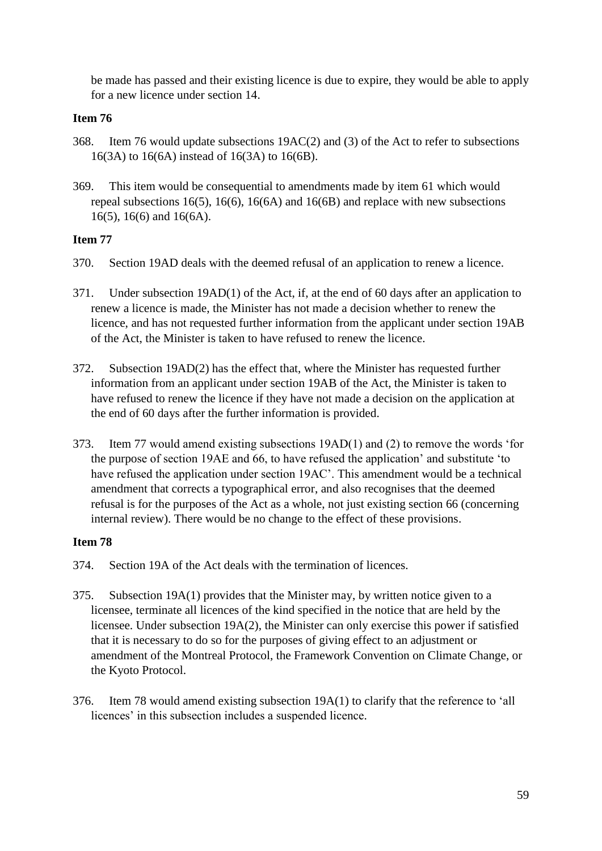be made has passed and their existing licence is due to expire, they would be able to apply for a new licence under section 14.

### **Item 76**

- 368. Item 76 would update subsections 19AC(2) and (3) of the Act to refer to subsections 16(3A) to 16(6A) instead of 16(3A) to 16(6B).
- 369. This item would be consequential to amendments made by item 61 which would repeal subsections 16(5), 16(6), 16(6A) and 16(6B) and replace with new subsections 16(5), 16(6) and 16(6A).

### **Item 77**

- 370. Section 19AD deals with the deemed refusal of an application to renew a licence.
- 371. Under subsection 19AD(1) of the Act, if, at the end of 60 days after an application to renew a licence is made, the Minister has not made a decision whether to renew the licence, and has not requested further information from the applicant under section 19AB of the Act, the Minister is taken to have refused to renew the licence.
- 372. Subsection 19AD(2) has the effect that, where the Minister has requested further information from an applicant under section 19AB of the Act, the Minister is taken to have refused to renew the licence if they have not made a decision on the application at the end of 60 days after the further information is provided.
- 373. Item 77 would amend existing subsections 19AD(1) and (2) to remove the words 'for the purpose of section 19AE and 66, to have refused the application' and substitute 'to have refused the application under section 19AC'. This amendment would be a technical amendment that corrects a typographical error, and also recognises that the deemed refusal is for the purposes of the Act as a whole, not just existing section 66 (concerning internal review). There would be no change to the effect of these provisions.

- 374. Section 19A of the Act deals with the termination of licences.
- 375. Subsection 19A(1) provides that the Minister may, by written notice given to a licensee, terminate all licences of the kind specified in the notice that are held by the licensee. Under subsection 19A(2), the Minister can only exercise this power if satisfied that it is necessary to do so for the purposes of giving effect to an adjustment or amendment of the Montreal Protocol, the Framework Convention on Climate Change, or the Kyoto Protocol.
- 376. Item 78 would amend existing subsection 19A(1) to clarify that the reference to 'all licences' in this subsection includes a suspended licence.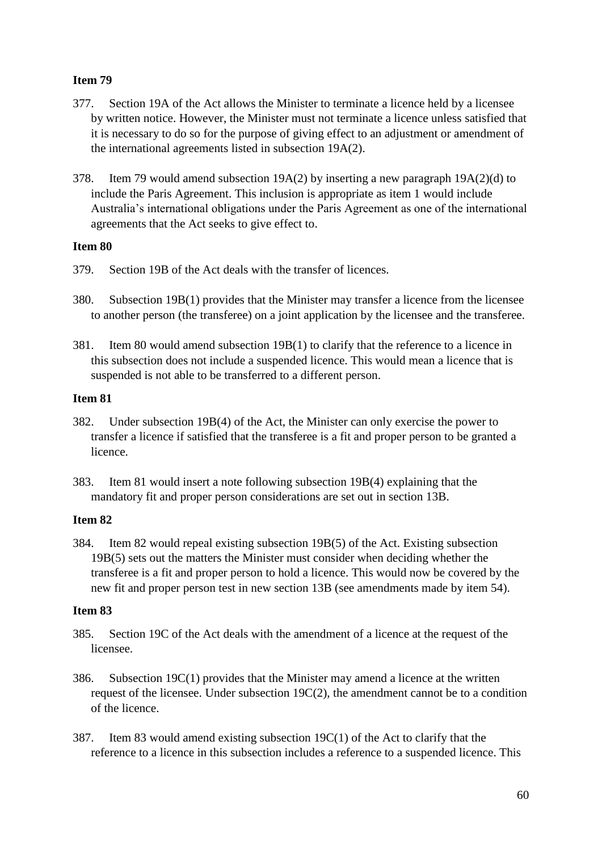- 377. Section 19A of the Act allows the Minister to terminate a licence held by a licensee by written notice. However, the Minister must not terminate a licence unless satisfied that it is necessary to do so for the purpose of giving effect to an adjustment or amendment of the international agreements listed in subsection 19A(2).
- 378. Item 79 would amend subsection 19A(2) by inserting a new paragraph 19A(2)(d) to include the Paris Agreement. This inclusion is appropriate as item 1 would include Australia's international obligations under the Paris Agreement as one of the international agreements that the Act seeks to give effect to.

### **Item 80**

- 379. Section 19B of the Act deals with the transfer of licences.
- 380. Subsection 19B(1) provides that the Minister may transfer a licence from the licensee to another person (the transferee) on a joint application by the licensee and the transferee.
- 381. Item 80 would amend subsection 19B(1) to clarify that the reference to a licence in this subsection does not include a suspended licence. This would mean a licence that is suspended is not able to be transferred to a different person.

### **Item 81**

- 382. Under subsection 19B(4) of the Act, the Minister can only exercise the power to transfer a licence if satisfied that the transferee is a fit and proper person to be granted a licence.
- 383. Item 81 would insert a note following subsection 19B(4) explaining that the mandatory fit and proper person considerations are set out in section 13B.

# **Item 82**

384. Item 82 would repeal existing subsection 19B(5) of the Act. Existing subsection 19B(5) sets out the matters the Minister must consider when deciding whether the transferee is a fit and proper person to hold a licence. This would now be covered by the new fit and proper person test in new section 13B (see amendments made by item 54).

- 385. Section 19C of the Act deals with the amendment of a licence at the request of the licensee.
- 386. Subsection 19C(1) provides that the Minister may amend a licence at the written request of the licensee. Under subsection 19C(2), the amendment cannot be to a condition of the licence.
- 387. Item 83 would amend existing subsection 19C(1) of the Act to clarify that the reference to a licence in this subsection includes a reference to a suspended licence. This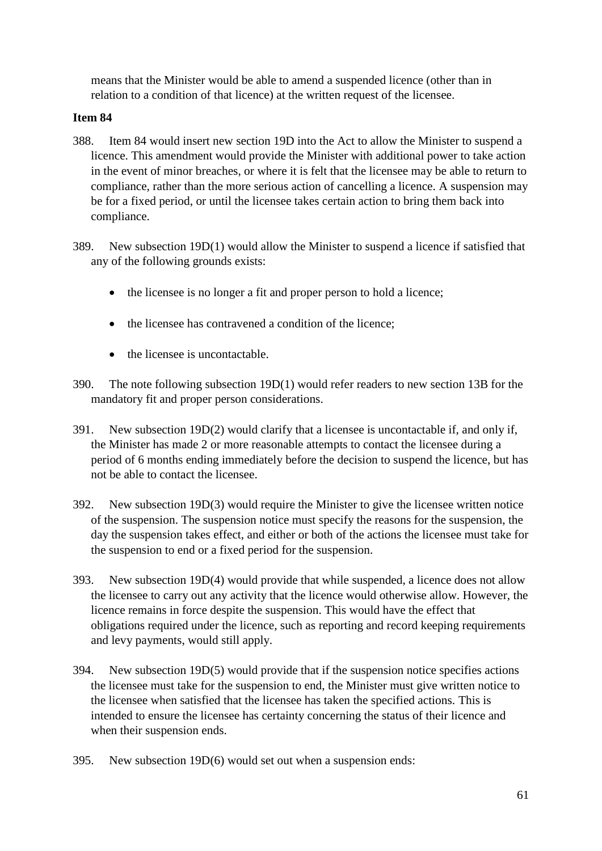means that the Minister would be able to amend a suspended licence (other than in relation to a condition of that licence) at the written request of the licensee.

- 388. Item 84 would insert new section 19D into the Act to allow the Minister to suspend a licence. This amendment would provide the Minister with additional power to take action in the event of minor breaches, or where it is felt that the licensee may be able to return to compliance, rather than the more serious action of cancelling a licence. A suspension may be for a fixed period, or until the licensee takes certain action to bring them back into compliance.
- 389. New subsection 19D(1) would allow the Minister to suspend a licence if satisfied that any of the following grounds exists:
	- the licensee is no longer a fit and proper person to hold a licence;
	- the licensee has contravened a condition of the licence:
	- the licensee is uncontactable.
- 390. The note following subsection 19D(1) would refer readers to new section 13B for the mandatory fit and proper person considerations.
- 391. New subsection 19D(2) would clarify that a licensee is uncontactable if, and only if, the Minister has made 2 or more reasonable attempts to contact the licensee during a period of 6 months ending immediately before the decision to suspend the licence, but has not be able to contact the licensee.
- 392. New subsection 19D(3) would require the Minister to give the licensee written notice of the suspension. The suspension notice must specify the reasons for the suspension, the day the suspension takes effect, and either or both of the actions the licensee must take for the suspension to end or a fixed period for the suspension.
- 393. New subsection 19D(4) would provide that while suspended, a licence does not allow the licensee to carry out any activity that the licence would otherwise allow. However, the licence remains in force despite the suspension. This would have the effect that obligations required under the licence, such as reporting and record keeping requirements and levy payments, would still apply.
- 394. New subsection 19D(5) would provide that if the suspension notice specifies actions the licensee must take for the suspension to end, the Minister must give written notice to the licensee when satisfied that the licensee has taken the specified actions. This is intended to ensure the licensee has certainty concerning the status of their licence and when their suspension ends.
- 395. New subsection 19D(6) would set out when a suspension ends: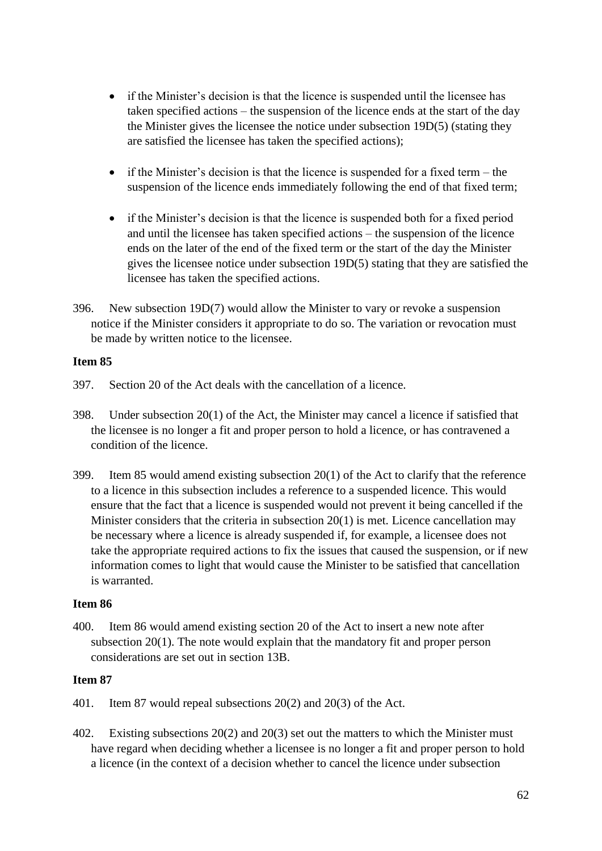- if the Minister's decision is that the licence is suspended until the licensee has taken specified actions – the suspension of the licence ends at the start of the day the Minister gives the licensee the notice under subsection 19D(5) (stating they are satisfied the licensee has taken the specified actions);
- if the Minister's decision is that the licence is suspended for a fixed term the suspension of the licence ends immediately following the end of that fixed term;
- if the Minister's decision is that the licence is suspended both for a fixed period and until the licensee has taken specified actions – the suspension of the licence ends on the later of the end of the fixed term or the start of the day the Minister gives the licensee notice under subsection 19D(5) stating that they are satisfied the licensee has taken the specified actions.
- 396. New subsection 19D(7) would allow the Minister to vary or revoke a suspension notice if the Minister considers it appropriate to do so. The variation or revocation must be made by written notice to the licensee.

- 397. Section 20 of the Act deals with the cancellation of a licence.
- 398. Under subsection 20(1) of the Act, the Minister may cancel a licence if satisfied that the licensee is no longer a fit and proper person to hold a licence, or has contravened a condition of the licence.
- 399. Item 85 would amend existing subsection 20(1) of the Act to clarify that the reference to a licence in this subsection includes a reference to a suspended licence. This would ensure that the fact that a licence is suspended would not prevent it being cancelled if the Minister considers that the criteria in subsection 20(1) is met. Licence cancellation may be necessary where a licence is already suspended if, for example, a licensee does not take the appropriate required actions to fix the issues that caused the suspension, or if new information comes to light that would cause the Minister to be satisfied that cancellation is warranted.

# **Item 86**

400. Item 86 would amend existing section 20 of the Act to insert a new note after subsection 20(1). The note would explain that the mandatory fit and proper person considerations are set out in section 13B.

- 401. Item 87 would repeal subsections 20(2) and 20(3) of the Act.
- 402. Existing subsections 20(2) and 20(3) set out the matters to which the Minister must have regard when deciding whether a licensee is no longer a fit and proper person to hold a licence (in the context of a decision whether to cancel the licence under subsection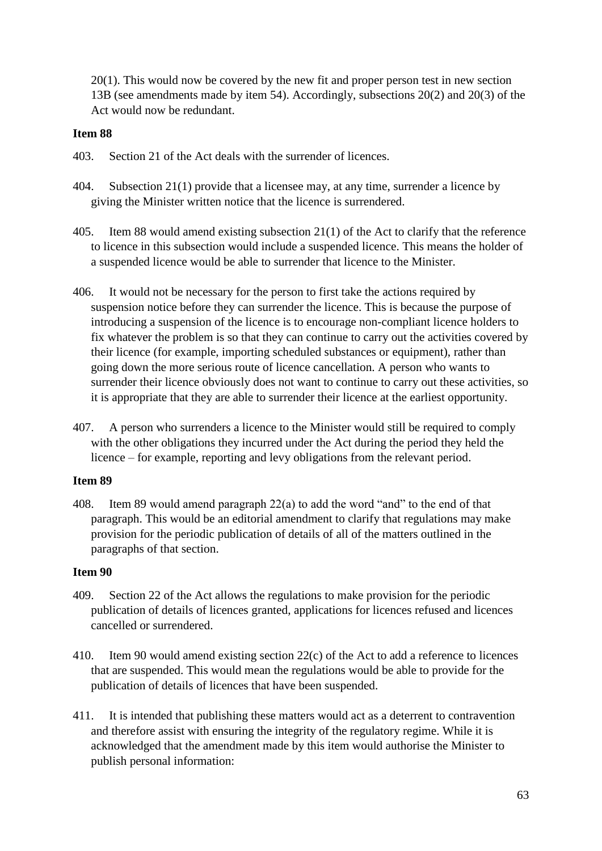20(1). This would now be covered by the new fit and proper person test in new section 13B (see amendments made by item 54). Accordingly, subsections 20(2) and 20(3) of the Act would now be redundant.

### **Item 88**

- 403. Section 21 of the Act deals with the surrender of licences.
- 404. Subsection 21(1) provide that a licensee may, at any time, surrender a licence by giving the Minister written notice that the licence is surrendered.
- 405. Item 88 would amend existing subsection 21(1) of the Act to clarify that the reference to licence in this subsection would include a suspended licence. This means the holder of a suspended licence would be able to surrender that licence to the Minister.
- 406. It would not be necessary for the person to first take the actions required by suspension notice before they can surrender the licence. This is because the purpose of introducing a suspension of the licence is to encourage non-compliant licence holders to fix whatever the problem is so that they can continue to carry out the activities covered by their licence (for example, importing scheduled substances or equipment), rather than going down the more serious route of licence cancellation. A person who wants to surrender their licence obviously does not want to continue to carry out these activities, so it is appropriate that they are able to surrender their licence at the earliest opportunity.
- 407. A person who surrenders a licence to the Minister would still be required to comply with the other obligations they incurred under the Act during the period they held the licence – for example, reporting and levy obligations from the relevant period.

# **Item 89**

408. Item 89 would amend paragraph 22(a) to add the word "and" to the end of that paragraph. This would be an editorial amendment to clarify that regulations may make provision for the periodic publication of details of all of the matters outlined in the paragraphs of that section.

- 409. Section 22 of the Act allows the regulations to make provision for the periodic publication of details of licences granted, applications for licences refused and licences cancelled or surrendered.
- 410. Item 90 would amend existing section 22(c) of the Act to add a reference to licences that are suspended. This would mean the regulations would be able to provide for the publication of details of licences that have been suspended.
- 411. It is intended that publishing these matters would act as a deterrent to contravention and therefore assist with ensuring the integrity of the regulatory regime. While it is acknowledged that the amendment made by this item would authorise the Minister to publish personal information: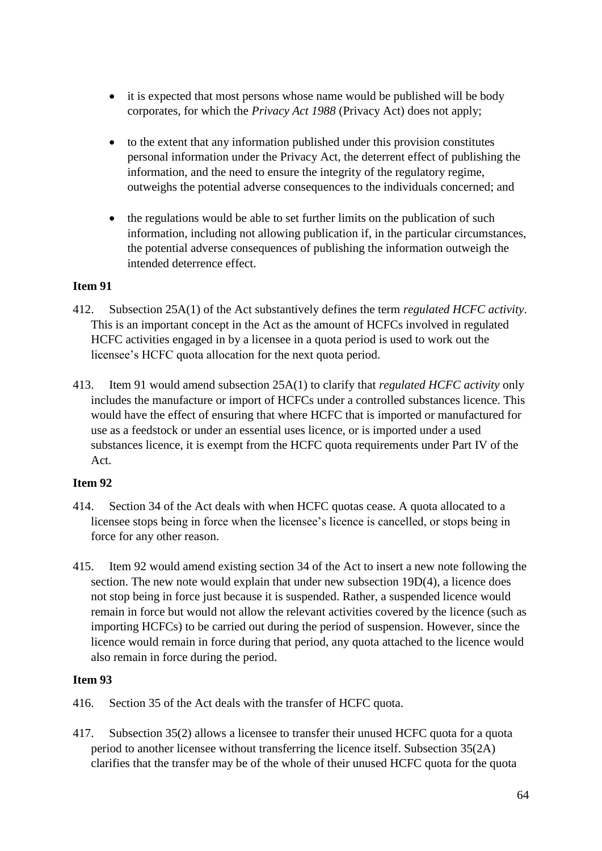- it is expected that most persons whose name would be published will be body corporates, for which the *Privacy Act 1988* (Privacy Act) does not apply;
- to the extent that any information published under this provision constitutes personal information under the Privacy Act, the deterrent effect of publishing the information, and the need to ensure the integrity of the regulatory regime, outweighs the potential adverse consequences to the individuals concerned; and
- the regulations would be able to set further limits on the publication of such information, including not allowing publication if, in the particular circumstances, the potential adverse consequences of publishing the information outweigh the intended deterrence effect.

- 412. Subsection 25A(1) of the Act substantively defines the term *regulated HCFC activity*. This is an important concept in the Act as the amount of HCFCs involved in regulated HCFC activities engaged in by a licensee in a quota period is used to work out the licensee's HCFC quota allocation for the next quota period.
- 413. Item 91 would amend subsection 25A(1) to clarify that *regulated HCFC activity* only includes the manufacture or import of HCFCs under a controlled substances licence. This would have the effect of ensuring that where HCFC that is imported or manufactured for use as a feedstock or under an essential uses licence, or is imported under a used substances licence, it is exempt from the HCFC quota requirements under Part IV of the Act.

# **Item 92**

- 414. Section 34 of the Act deals with when HCFC quotas cease. A quota allocated to a licensee stops being in force when the licensee's licence is cancelled, or stops being in force for any other reason.
- 415. Item 92 would amend existing section 34 of the Act to insert a new note following the section. The new note would explain that under new subsection 19D(4), a licence does not stop being in force just because it is suspended. Rather, a suspended licence would remain in force but would not allow the relevant activities covered by the licence (such as importing HCFCs) to be carried out during the period of suspension. However, since the licence would remain in force during that period, any quota attached to the licence would also remain in force during the period.

- 416. Section 35 of the Act deals with the transfer of HCFC quota.
- 417. Subsection 35(2) allows a licensee to transfer their unused HCFC quota for a quota period to another licensee without transferring the licence itself. Subsection 35(2A) clarifies that the transfer may be of the whole of their unused HCFC quota for the quota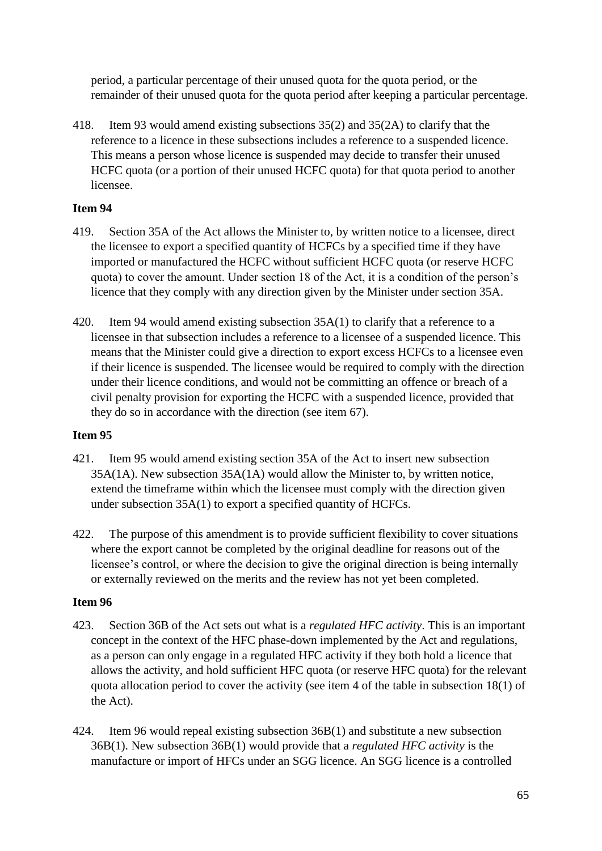period, a particular percentage of their unused quota for the quota period, or the remainder of their unused quota for the quota period after keeping a particular percentage.

418. Item 93 would amend existing subsections 35(2) and 35(2A) to clarify that the reference to a licence in these subsections includes a reference to a suspended licence. This means a person whose licence is suspended may decide to transfer their unused HCFC quota (or a portion of their unused HCFC quota) for that quota period to another licensee.

# **Item 94**

- 419. Section 35A of the Act allows the Minister to, by written notice to a licensee, direct the licensee to export a specified quantity of HCFCs by a specified time if they have imported or manufactured the HCFC without sufficient HCFC quota (or reserve HCFC quota) to cover the amount. Under section 18 of the Act, it is a condition of the person's licence that they comply with any direction given by the Minister under section 35A.
- 420. Item 94 would amend existing subsection 35A(1) to clarify that a reference to a licensee in that subsection includes a reference to a licensee of a suspended licence. This means that the Minister could give a direction to export excess HCFCs to a licensee even if their licence is suspended. The licensee would be required to comply with the direction under their licence conditions, and would not be committing an offence or breach of a civil penalty provision for exporting the HCFC with a suspended licence, provided that they do so in accordance with the direction (see item 67).

# **Item 95**

- 421. Item 95 would amend existing section 35A of the Act to insert new subsection 35A(1A). New subsection 35A(1A) would allow the Minister to, by written notice, extend the timeframe within which the licensee must comply with the direction given under subsection 35A(1) to export a specified quantity of HCFCs.
- 422. The purpose of this amendment is to provide sufficient flexibility to cover situations where the export cannot be completed by the original deadline for reasons out of the licensee's control, or where the decision to give the original direction is being internally or externally reviewed on the merits and the review has not yet been completed.

- 423. Section 36B of the Act sets out what is a *regulated HFC activity*. This is an important concept in the context of the HFC phase-down implemented by the Act and regulations, as a person can only engage in a regulated HFC activity if they both hold a licence that allows the activity, and hold sufficient HFC quota (or reserve HFC quota) for the relevant quota allocation period to cover the activity (see item 4 of the table in subsection 18(1) of the Act).
- 424. Item 96 would repeal existing subsection 36B(1) and substitute a new subsection 36B(1). New subsection 36B(1) would provide that a *regulated HFC activity* is the manufacture or import of HFCs under an SGG licence. An SGG licence is a controlled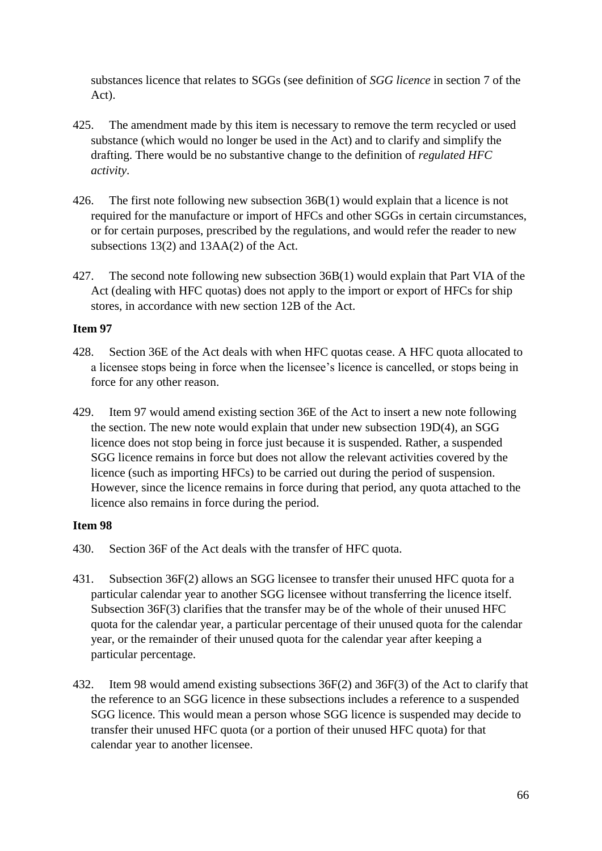substances licence that relates to SGGs (see definition of *SGG licence* in section 7 of the Act).

- 425. The amendment made by this item is necessary to remove the term recycled or used substance (which would no longer be used in the Act) and to clarify and simplify the drafting. There would be no substantive change to the definition of *regulated HFC activity*.
- 426. The first note following new subsection 36B(1) would explain that a licence is not required for the manufacture or import of HFCs and other SGGs in certain circumstances, or for certain purposes, prescribed by the regulations, and would refer the reader to new subsections 13(2) and 13AA(2) of the Act.
- 427. The second note following new subsection 36B(1) would explain that Part VIA of the Act (dealing with HFC quotas) does not apply to the import or export of HFCs for ship stores, in accordance with new section 12B of the Act.

# **Item 97**

- 428. Section 36E of the Act deals with when HFC quotas cease. A HFC quota allocated to a licensee stops being in force when the licensee's licence is cancelled, or stops being in force for any other reason.
- 429. Item 97 would amend existing section 36E of the Act to insert a new note following the section. The new note would explain that under new subsection 19D(4), an SGG licence does not stop being in force just because it is suspended. Rather, a suspended SGG licence remains in force but does not allow the relevant activities covered by the licence (such as importing HFCs) to be carried out during the period of suspension. However, since the licence remains in force during that period, any quota attached to the licence also remains in force during the period.

- 430. Section 36F of the Act deals with the transfer of HFC quota.
- 431. Subsection 36F(2) allows an SGG licensee to transfer their unused HFC quota for a particular calendar year to another SGG licensee without transferring the licence itself. Subsection 36F(3) clarifies that the transfer may be of the whole of their unused HFC quota for the calendar year, a particular percentage of their unused quota for the calendar year, or the remainder of their unused quota for the calendar year after keeping a particular percentage.
- 432. Item 98 would amend existing subsections 36F(2) and 36F(3) of the Act to clarify that the reference to an SGG licence in these subsections includes a reference to a suspended SGG licence. This would mean a person whose SGG licence is suspended may decide to transfer their unused HFC quota (or a portion of their unused HFC quota) for that calendar year to another licensee.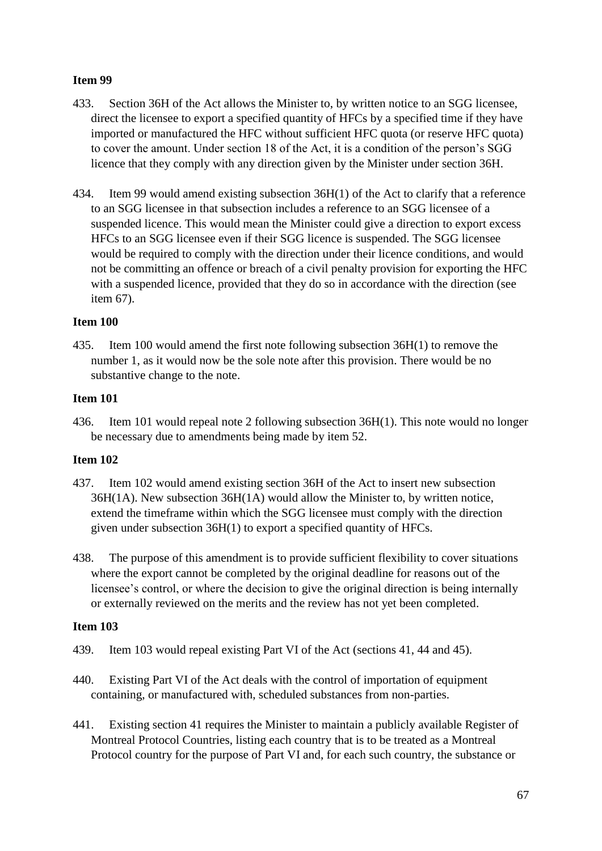- 433. Section 36H of the Act allows the Minister to, by written notice to an SGG licensee, direct the licensee to export a specified quantity of HFCs by a specified time if they have imported or manufactured the HFC without sufficient HFC quota (or reserve HFC quota) to cover the amount. Under section 18 of the Act, it is a condition of the person's SGG licence that they comply with any direction given by the Minister under section 36H.
- 434. Item 99 would amend existing subsection 36H(1) of the Act to clarify that a reference to an SGG licensee in that subsection includes a reference to an SGG licensee of a suspended licence. This would mean the Minister could give a direction to export excess HFCs to an SGG licensee even if their SGG licence is suspended. The SGG licensee would be required to comply with the direction under their licence conditions, and would not be committing an offence or breach of a civil penalty provision for exporting the HFC with a suspended licence, provided that they do so in accordance with the direction (see item 67).

### **Item 100**

435. Item 100 would amend the first note following subsection 36H(1) to remove the number 1, as it would now be the sole note after this provision. There would be no substantive change to the note.

#### **Item 101**

436. Item 101 would repeal note 2 following subsection 36H(1). This note would no longer be necessary due to amendments being made by item 52.

# **Item 102**

- 437. Item 102 would amend existing section 36H of the Act to insert new subsection 36H(1A). New subsection 36H(1A) would allow the Minister to, by written notice, extend the timeframe within which the SGG licensee must comply with the direction given under subsection 36H(1) to export a specified quantity of HFCs.
- 438. The purpose of this amendment is to provide sufficient flexibility to cover situations where the export cannot be completed by the original deadline for reasons out of the licensee's control, or where the decision to give the original direction is being internally or externally reviewed on the merits and the review has not yet been completed.

- 439. Item 103 would repeal existing Part VI of the Act (sections 41, 44 and 45).
- 440. Existing Part VI of the Act deals with the control of importation of equipment containing, or manufactured with, scheduled substances from non-parties.
- 441. Existing section 41 requires the Minister to maintain a publicly available Register of Montreal Protocol Countries, listing each country that is to be treated as a Montreal Protocol country for the purpose of Part VI and, for each such country, the substance or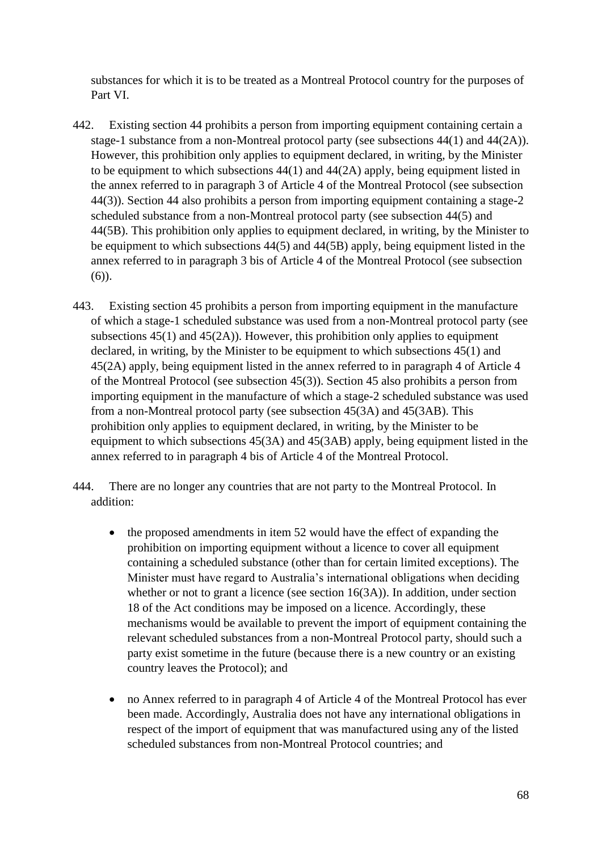substances for which it is to be treated as a Montreal Protocol country for the purposes of Part VI.

- 442. Existing section 44 prohibits a person from importing equipment containing certain a stage-1 substance from a non-Montreal protocol party (see subsections 44(1) and 44(2A)). However, this prohibition only applies to equipment declared, in writing, by the Minister to be equipment to which subsections 44(1) and 44(2A) apply, being equipment listed in the annex referred to in paragraph 3 of Article 4 of the Montreal Protocol (see subsection 44(3)). Section 44 also prohibits a person from importing equipment containing a stage-2 scheduled substance from a non-Montreal protocol party (see subsection 44(5) and 44(5B). This prohibition only applies to equipment declared, in writing, by the Minister to be equipment to which subsections 44(5) and 44(5B) apply, being equipment listed in the annex referred to in paragraph 3 bis of Article 4 of the Montreal Protocol (see subsection (6)).
- 443. Existing section 45 prohibits a person from importing equipment in the manufacture of which a stage-1 scheduled substance was used from a non-Montreal protocol party (see subsections 45(1) and 45(2A)). However, this prohibition only applies to equipment declared, in writing, by the Minister to be equipment to which subsections 45(1) and 45(2A) apply, being equipment listed in the annex referred to in paragraph 4 of Article 4 of the Montreal Protocol (see subsection 45(3)). Section 45 also prohibits a person from importing equipment in the manufacture of which a stage-2 scheduled substance was used from a non-Montreal protocol party (see subsection 45(3A) and 45(3AB). This prohibition only applies to equipment declared, in writing, by the Minister to be equipment to which subsections 45(3A) and 45(3AB) apply, being equipment listed in the annex referred to in paragraph 4 bis of Article 4 of the Montreal Protocol.
- 444. There are no longer any countries that are not party to the Montreal Protocol. In addition:
	- the proposed amendments in item 52 would have the effect of expanding the prohibition on importing equipment without a licence to cover all equipment containing a scheduled substance (other than for certain limited exceptions). The Minister must have regard to Australia's international obligations when deciding whether or not to grant a licence (see section 16(3A)). In addition, under section 18 of the Act conditions may be imposed on a licence. Accordingly, these mechanisms would be available to prevent the import of equipment containing the relevant scheduled substances from a non-Montreal Protocol party, should such a party exist sometime in the future (because there is a new country or an existing country leaves the Protocol); and
	- no Annex referred to in paragraph 4 of Article 4 of the Montreal Protocol has ever been made. Accordingly, Australia does not have any international obligations in respect of the import of equipment that was manufactured using any of the listed scheduled substances from non-Montreal Protocol countries; and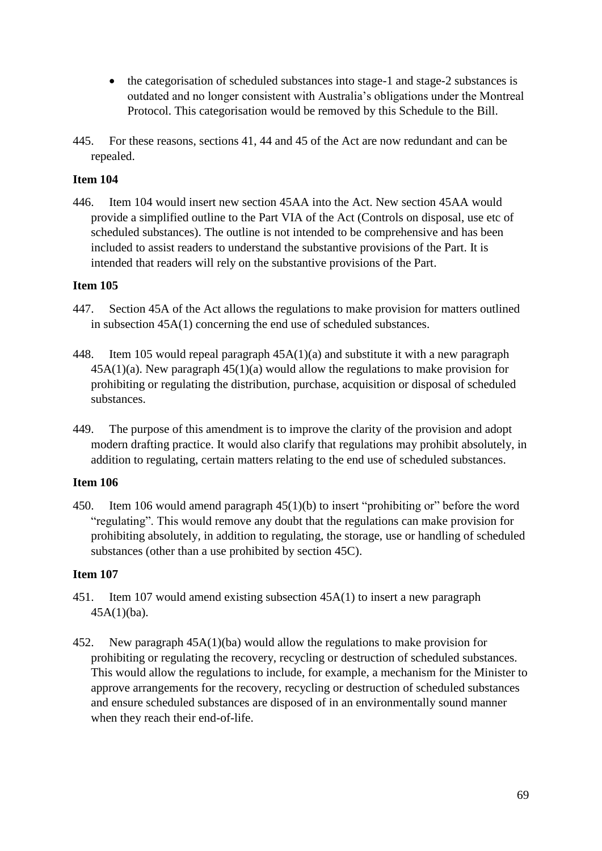- the categorisation of scheduled substances into stage-1 and stage-2 substances is outdated and no longer consistent with Australia's obligations under the Montreal Protocol. This categorisation would be removed by this Schedule to the Bill.
- 445. For these reasons, sections 41, 44 and 45 of the Act are now redundant and can be repealed.

446. Item 104 would insert new section 45AA into the Act. New section 45AA would provide a simplified outline to the Part VIA of the Act (Controls on disposal, use etc of scheduled substances). The outline is not intended to be comprehensive and has been included to assist readers to understand the substantive provisions of the Part. It is intended that readers will rely on the substantive provisions of the Part.

### **Item 105**

- 447. Section 45A of the Act allows the regulations to make provision for matters outlined in subsection 45A(1) concerning the end use of scheduled substances.
- 448. Item 105 would repeal paragraph 45A(1)(a) and substitute it with a new paragraph 45A(1)(a). New paragraph 45(1)(a) would allow the regulations to make provision for prohibiting or regulating the distribution, purchase, acquisition or disposal of scheduled substances.
- 449. The purpose of this amendment is to improve the clarity of the provision and adopt modern drafting practice. It would also clarify that regulations may prohibit absolutely, in addition to regulating, certain matters relating to the end use of scheduled substances.

# **Item 106**

450. Item 106 would amend paragraph 45(1)(b) to insert "prohibiting or" before the word "regulating". This would remove any doubt that the regulations can make provision for prohibiting absolutely, in addition to regulating, the storage, use or handling of scheduled substances (other than a use prohibited by section 45C).

- 451. Item 107 would amend existing subsection 45A(1) to insert a new paragraph 45A(1)(ba).
- 452. New paragraph 45A(1)(ba) would allow the regulations to make provision for prohibiting or regulating the recovery, recycling or destruction of scheduled substances. This would allow the regulations to include, for example, a mechanism for the Minister to approve arrangements for the recovery, recycling or destruction of scheduled substances and ensure scheduled substances are disposed of in an environmentally sound manner when they reach their end-of-life.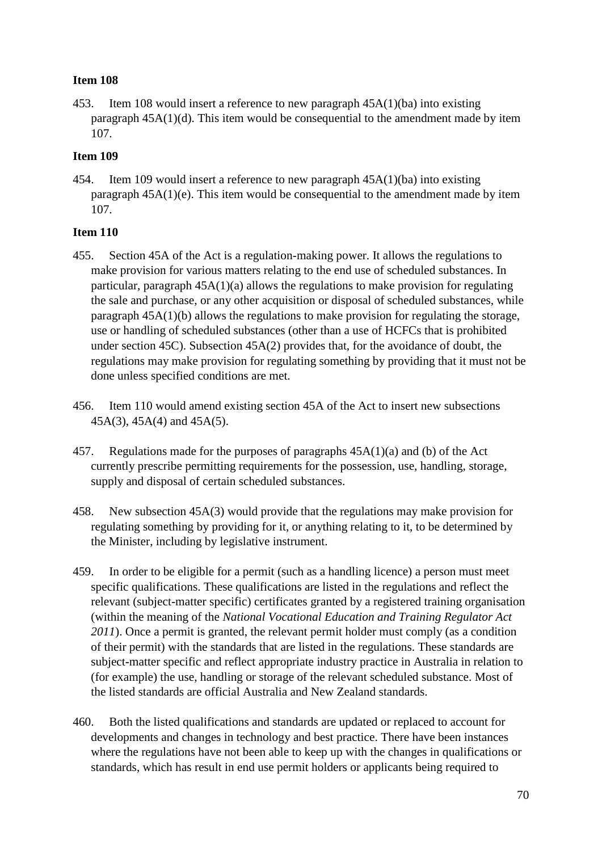453. Item 108 would insert a reference to new paragraph 45A(1)(ba) into existing paragraph 45A(1)(d). This item would be consequential to the amendment made by item 107.

# **Item 109**

454. Item 109 would insert a reference to new paragraph 45A(1)(ba) into existing paragraph 45A(1)(e). This item would be consequential to the amendment made by item 107.

- 455. Section 45A of the Act is a regulation-making power. It allows the regulations to make provision for various matters relating to the end use of scheduled substances. In particular, paragraph 45A(1)(a) allows the regulations to make provision for regulating the sale and purchase, or any other acquisition or disposal of scheduled substances, while paragraph 45A(1)(b) allows the regulations to make provision for regulating the storage, use or handling of scheduled substances (other than a use of HCFCs that is prohibited under section 45C). Subsection 45A(2) provides that, for the avoidance of doubt, the regulations may make provision for regulating something by providing that it must not be done unless specified conditions are met.
- 456. Item 110 would amend existing section 45A of the Act to insert new subsections 45A(3), 45A(4) and 45A(5).
- 457. Regulations made for the purposes of paragraphs 45A(1)(a) and (b) of the Act currently prescribe permitting requirements for the possession, use, handling, storage, supply and disposal of certain scheduled substances.
- 458. New subsection 45A(3) would provide that the regulations may make provision for regulating something by providing for it, or anything relating to it, to be determined by the Minister, including by legislative instrument.
- 459. In order to be eligible for a permit (such as a handling licence) a person must meet specific qualifications. These qualifications are listed in the regulations and reflect the relevant (subject-matter specific) certificates granted by a registered training organisation (within the meaning of the *National Vocational Education and Training Regulator Act 2011*). Once a permit is granted, the relevant permit holder must comply (as a condition of their permit) with the standards that are listed in the regulations. These standards are subject-matter specific and reflect appropriate industry practice in Australia in relation to (for example) the use, handling or storage of the relevant scheduled substance. Most of the listed standards are official Australia and New Zealand standards.
- 460. Both the listed qualifications and standards are updated or replaced to account for developments and changes in technology and best practice. There have been instances where the regulations have not been able to keep up with the changes in qualifications or standards, which has result in end use permit holders or applicants being required to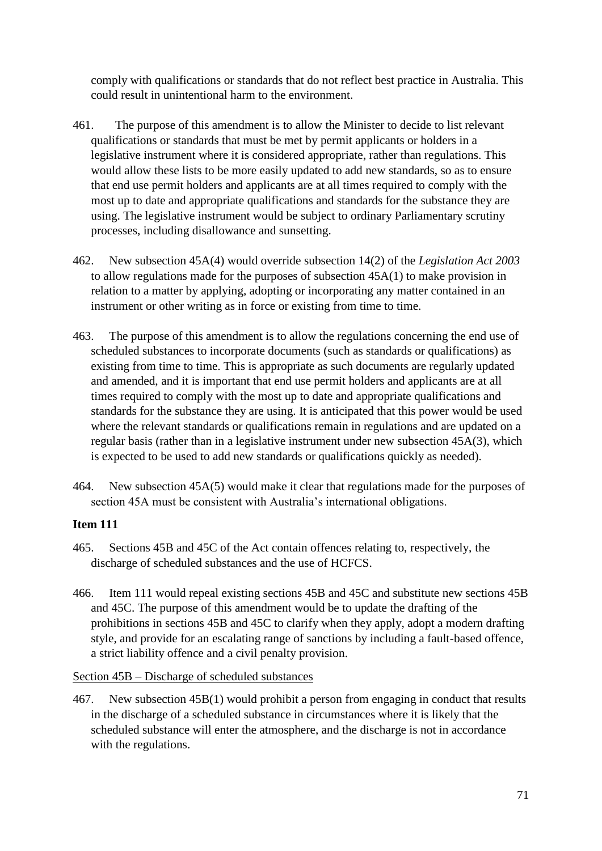comply with qualifications or standards that do not reflect best practice in Australia. This could result in unintentional harm to the environment.

- 461. The purpose of this amendment is to allow the Minister to decide to list relevant qualifications or standards that must be met by permit applicants or holders in a legislative instrument where it is considered appropriate, rather than regulations. This would allow these lists to be more easily updated to add new standards, so as to ensure that end use permit holders and applicants are at all times required to comply with the most up to date and appropriate qualifications and standards for the substance they are using. The legislative instrument would be subject to ordinary Parliamentary scrutiny processes, including disallowance and sunsetting.
- 462. New subsection 45A(4) would override subsection 14(2) of the *Legislation Act 2003* to allow regulations made for the purposes of subsection 45A(1) to make provision in relation to a matter by applying, adopting or incorporating any matter contained in an instrument or other writing as in force or existing from time to time.
- 463. The purpose of this amendment is to allow the regulations concerning the end use of scheduled substances to incorporate documents (such as standards or qualifications) as existing from time to time. This is appropriate as such documents are regularly updated and amended, and it is important that end use permit holders and applicants are at all times required to comply with the most up to date and appropriate qualifications and standards for the substance they are using. It is anticipated that this power would be used where the relevant standards or qualifications remain in regulations and are updated on a regular basis (rather than in a legislative instrument under new subsection 45A(3), which is expected to be used to add new standards or qualifications quickly as needed).
- 464. New subsection 45A(5) would make it clear that regulations made for the purposes of section 45A must be consistent with Australia's international obligations.

# **Item 111**

- 465. Sections 45B and 45C of the Act contain offences relating to, respectively, the discharge of scheduled substances and the use of HCFCS.
- 466. Item 111 would repeal existing sections 45B and 45C and substitute new sections 45B and 45C. The purpose of this amendment would be to update the drafting of the prohibitions in sections 45B and 45C to clarify when they apply, adopt a modern drafting style, and provide for an escalating range of sanctions by including a fault-based offence, a strict liability offence and a civil penalty provision.

Section 45B – Discharge of scheduled substances

467. New subsection 45B(1) would prohibit a person from engaging in conduct that results in the discharge of a scheduled substance in circumstances where it is likely that the scheduled substance will enter the atmosphere, and the discharge is not in accordance with the regulations.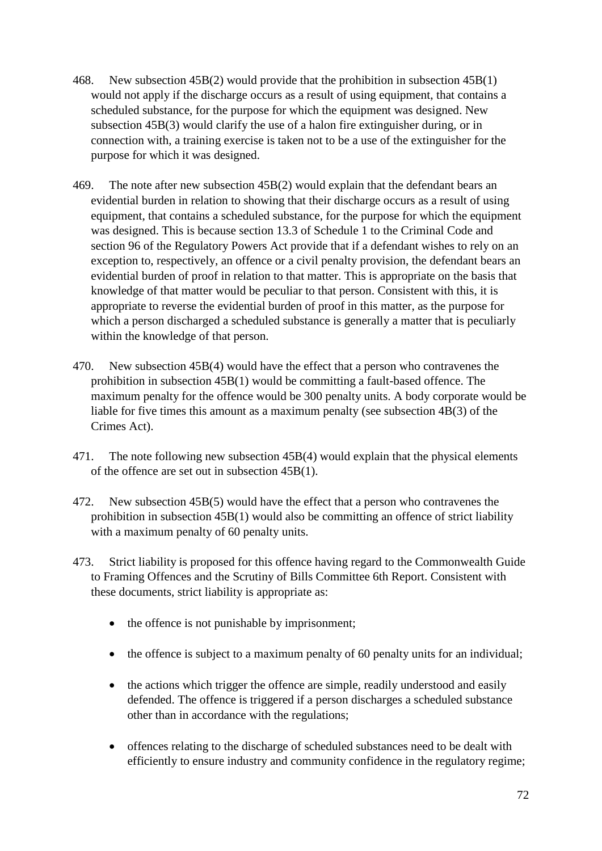- 468. New subsection 45B(2) would provide that the prohibition in subsection 45B(1) would not apply if the discharge occurs as a result of using equipment, that contains a scheduled substance, for the purpose for which the equipment was designed. New subsection 45B(3) would clarify the use of a halon fire extinguisher during, or in connection with, a training exercise is taken not to be a use of the extinguisher for the purpose for which it was designed.
- 469. The note after new subsection 45B(2) would explain that the defendant bears an evidential burden in relation to showing that their discharge occurs as a result of using equipment, that contains a scheduled substance, for the purpose for which the equipment was designed. This is because section 13.3 of Schedule 1 to the Criminal Code and section 96 of the Regulatory Powers Act provide that if a defendant wishes to rely on an exception to, respectively, an offence or a civil penalty provision, the defendant bears an evidential burden of proof in relation to that matter. This is appropriate on the basis that knowledge of that matter would be peculiar to that person. Consistent with this, it is appropriate to reverse the evidential burden of proof in this matter, as the purpose for which a person discharged a scheduled substance is generally a matter that is peculiarly within the knowledge of that person.
- 470. New subsection 45B(4) would have the effect that a person who contravenes the prohibition in subsection 45B(1) would be committing a fault-based offence. The maximum penalty for the offence would be 300 penalty units. A body corporate would be liable for five times this amount as a maximum penalty (see subsection 4B(3) of the Crimes Act).
- 471. The note following new subsection 45B(4) would explain that the physical elements of the offence are set out in subsection 45B(1).
- 472. New subsection 45B(5) would have the effect that a person who contravenes the prohibition in subsection 45B(1) would also be committing an offence of strict liability with a maximum penalty of 60 penalty units.
- 473. Strict liability is proposed for this offence having regard to the Commonwealth Guide to Framing Offences and the Scrutiny of Bills Committee 6th Report. Consistent with these documents, strict liability is appropriate as:
	- the offence is not punishable by imprisonment;
	- the offence is subject to a maximum penalty of 60 penalty units for an individual;
	- the actions which trigger the offence are simple, readily understood and easily defended. The offence is triggered if a person discharges a scheduled substance other than in accordance with the regulations;
	- offences relating to the discharge of scheduled substances need to be dealt with efficiently to ensure industry and community confidence in the regulatory regime;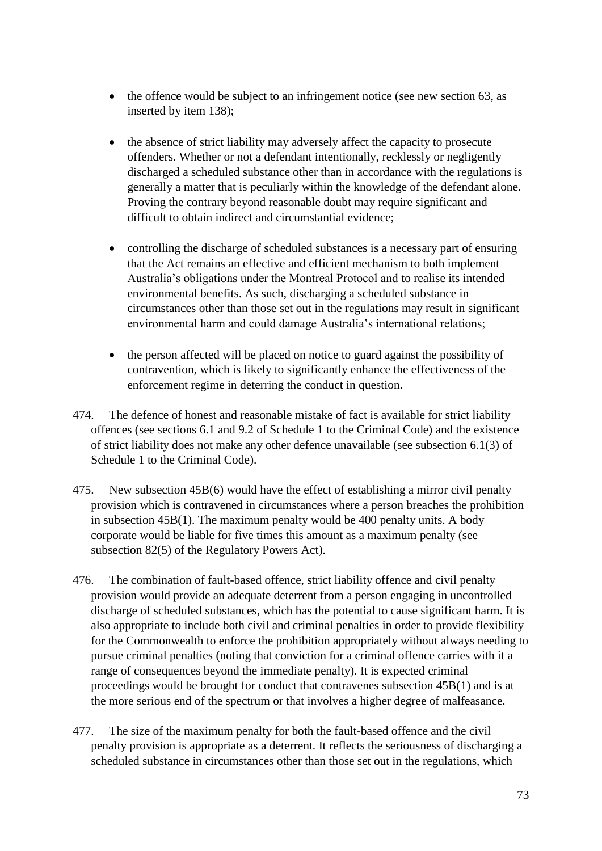- the offence would be subject to an infringement notice (see new section 63, as inserted by item 138);
- the absence of strict liability may adversely affect the capacity to prosecute offenders. Whether or not a defendant intentionally, recklessly or negligently discharged a scheduled substance other than in accordance with the regulations is generally a matter that is peculiarly within the knowledge of the defendant alone. Proving the contrary beyond reasonable doubt may require significant and difficult to obtain indirect and circumstantial evidence;
- controlling the discharge of scheduled substances is a necessary part of ensuring that the Act remains an effective and efficient mechanism to both implement Australia's obligations under the Montreal Protocol and to realise its intended environmental benefits. As such, discharging a scheduled substance in circumstances other than those set out in the regulations may result in significant environmental harm and could damage Australia's international relations;
- the person affected will be placed on notice to guard against the possibility of contravention, which is likely to significantly enhance the effectiveness of the enforcement regime in deterring the conduct in question.
- 474. The defence of honest and reasonable mistake of fact is available for strict liability offences (see sections 6.1 and 9.2 of Schedule 1 to the Criminal Code) and the existence of strict liability does not make any other defence unavailable (see subsection 6.1(3) of Schedule 1 to the Criminal Code).
- 475. New subsection 45B(6) would have the effect of establishing a mirror civil penalty provision which is contravened in circumstances where a person breaches the prohibition in subsection 45B(1). The maximum penalty would be 400 penalty units. A body corporate would be liable for five times this amount as a maximum penalty (see subsection 82(5) of the Regulatory Powers Act).
- 476. The combination of fault-based offence, strict liability offence and civil penalty provision would provide an adequate deterrent from a person engaging in uncontrolled discharge of scheduled substances, which has the potential to cause significant harm. It is also appropriate to include both civil and criminal penalties in order to provide flexibility for the Commonwealth to enforce the prohibition appropriately without always needing to pursue criminal penalties (noting that conviction for a criminal offence carries with it a range of consequences beyond the immediate penalty). It is expected criminal proceedings would be brought for conduct that contravenes subsection 45B(1) and is at the more serious end of the spectrum or that involves a higher degree of malfeasance.
- 477. The size of the maximum penalty for both the fault-based offence and the civil penalty provision is appropriate as a deterrent. It reflects the seriousness of discharging a scheduled substance in circumstances other than those set out in the regulations, which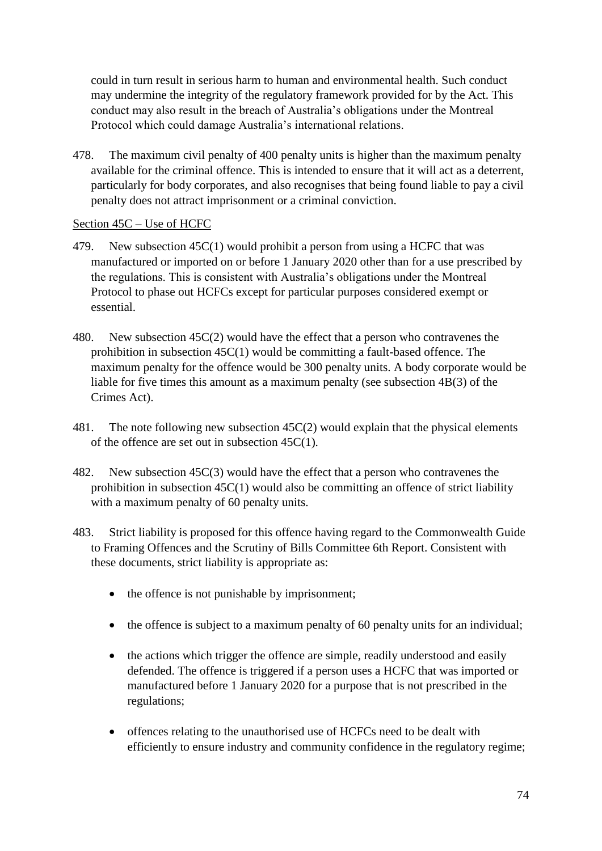could in turn result in serious harm to human and environmental health. Such conduct may undermine the integrity of the regulatory framework provided for by the Act. This conduct may also result in the breach of Australia's obligations under the Montreal Protocol which could damage Australia's international relations.

478. The maximum civil penalty of 400 penalty units is higher than the maximum penalty available for the criminal offence. This is intended to ensure that it will act as a deterrent, particularly for body corporates, and also recognises that being found liable to pay a civil penalty does not attract imprisonment or a criminal conviction.

## Section 45C – Use of HCFC

- 479. New subsection 45C(1) would prohibit a person from using a HCFC that was manufactured or imported on or before 1 January 2020 other than for a use prescribed by the regulations. This is consistent with Australia's obligations under the Montreal Protocol to phase out HCFCs except for particular purposes considered exempt or essential.
- 480. New subsection 45C(2) would have the effect that a person who contravenes the prohibition in subsection 45C(1) would be committing a fault-based offence. The maximum penalty for the offence would be 300 penalty units. A body corporate would be liable for five times this amount as a maximum penalty (see subsection 4B(3) of the Crimes Act).
- 481. The note following new subsection 45C(2) would explain that the physical elements of the offence are set out in subsection 45C(1).
- 482. New subsection 45C(3) would have the effect that a person who contravenes the prohibition in subsection 45C(1) would also be committing an offence of strict liability with a maximum penalty of 60 penalty units.
- 483. Strict liability is proposed for this offence having regard to the Commonwealth Guide to Framing Offences and the Scrutiny of Bills Committee 6th Report. Consistent with these documents, strict liability is appropriate as:
	- the offence is not punishable by imprisonment;
	- the offence is subject to a maximum penalty of 60 penalty units for an individual;
	- the actions which trigger the offence are simple, readily understood and easily defended. The offence is triggered if a person uses a HCFC that was imported or manufactured before 1 January 2020 for a purpose that is not prescribed in the regulations;
	- offences relating to the unauthorised use of HCFCs need to be dealt with efficiently to ensure industry and community confidence in the regulatory regime;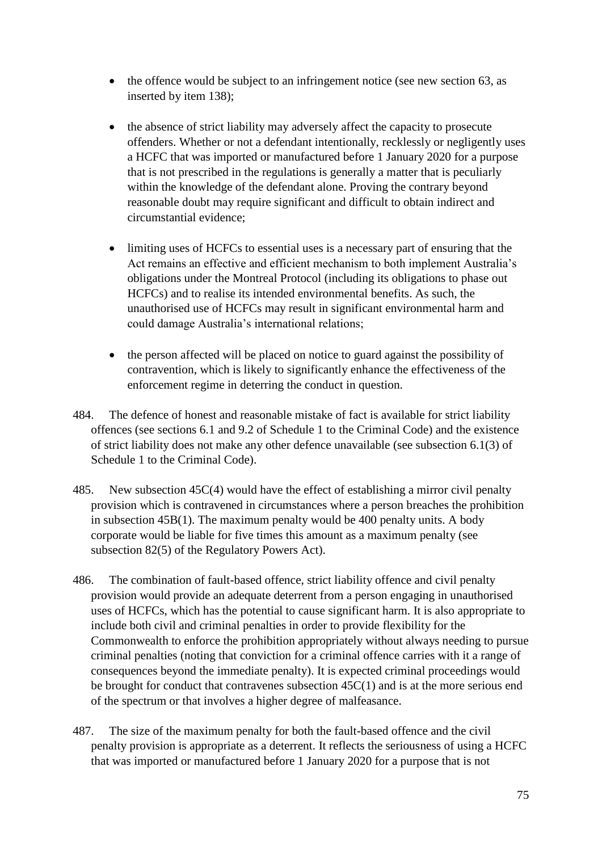- the offence would be subject to an infringement notice (see new section 63, as inserted by item 138);
- the absence of strict liability may adversely affect the capacity to prosecute offenders. Whether or not a defendant intentionally, recklessly or negligently uses a HCFC that was imported or manufactured before 1 January 2020 for a purpose that is not prescribed in the regulations is generally a matter that is peculiarly within the knowledge of the defendant alone. Proving the contrary beyond reasonable doubt may require significant and difficult to obtain indirect and circumstantial evidence;
- limiting uses of HCFCs to essential uses is a necessary part of ensuring that the Act remains an effective and efficient mechanism to both implement Australia's obligations under the Montreal Protocol (including its obligations to phase out HCFCs) and to realise its intended environmental benefits. As such, the unauthorised use of HCFCs may result in significant environmental harm and could damage Australia's international relations;
- the person affected will be placed on notice to guard against the possibility of contravention, which is likely to significantly enhance the effectiveness of the enforcement regime in deterring the conduct in question.
- 484. The defence of honest and reasonable mistake of fact is available for strict liability offences (see sections 6.1 and 9.2 of Schedule 1 to the Criminal Code) and the existence of strict liability does not make any other defence unavailable (see subsection 6.1(3) of Schedule 1 to the Criminal Code).
- 485. New subsection 45C(4) would have the effect of establishing a mirror civil penalty provision which is contravened in circumstances where a person breaches the prohibition in subsection 45B(1). The maximum penalty would be 400 penalty units. A body corporate would be liable for five times this amount as a maximum penalty (see subsection 82(5) of the Regulatory Powers Act).
- 486. The combination of fault-based offence, strict liability offence and civil penalty provision would provide an adequate deterrent from a person engaging in unauthorised uses of HCFCs, which has the potential to cause significant harm. It is also appropriate to include both civil and criminal penalties in order to provide flexibility for the Commonwealth to enforce the prohibition appropriately without always needing to pursue criminal penalties (noting that conviction for a criminal offence carries with it a range of consequences beyond the immediate penalty). It is expected criminal proceedings would be brought for conduct that contravenes subsection 45C(1) and is at the more serious end of the spectrum or that involves a higher degree of malfeasance.
- 487. The size of the maximum penalty for both the fault-based offence and the civil penalty provision is appropriate as a deterrent. It reflects the seriousness of using a HCFC that was imported or manufactured before 1 January 2020 for a purpose that is not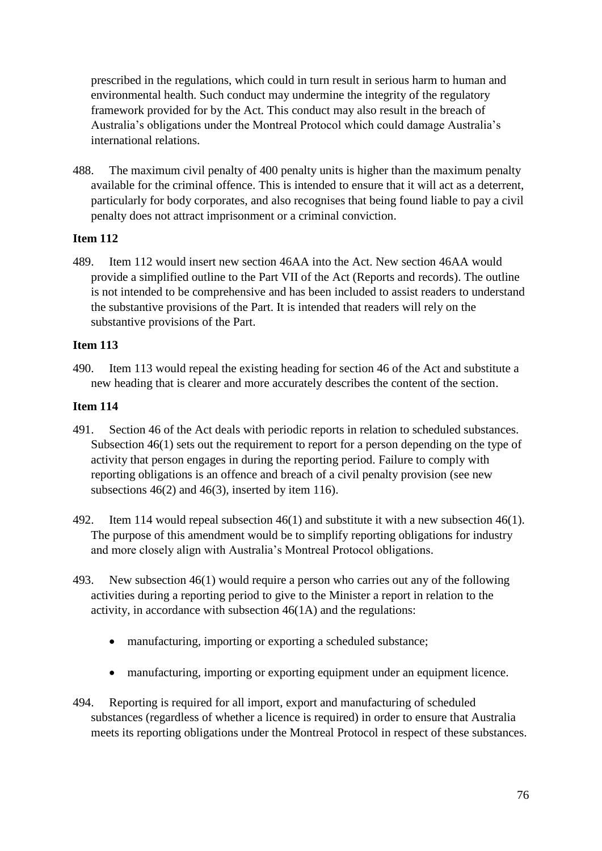prescribed in the regulations, which could in turn result in serious harm to human and environmental health. Such conduct may undermine the integrity of the regulatory framework provided for by the Act. This conduct may also result in the breach of Australia's obligations under the Montreal Protocol which could damage Australia's international relations.

488. The maximum civil penalty of 400 penalty units is higher than the maximum penalty available for the criminal offence. This is intended to ensure that it will act as a deterrent, particularly for body corporates, and also recognises that being found liable to pay a civil penalty does not attract imprisonment or a criminal conviction.

# **Item 112**

489. Item 112 would insert new section 46AA into the Act. New section 46AA would provide a simplified outline to the Part VII of the Act (Reports and records). The outline is not intended to be comprehensive and has been included to assist readers to understand the substantive provisions of the Part. It is intended that readers will rely on the substantive provisions of the Part.

# **Item 113**

490. Item 113 would repeal the existing heading for section 46 of the Act and substitute a new heading that is clearer and more accurately describes the content of the section.

- 491. Section 46 of the Act deals with periodic reports in relation to scheduled substances. Subsection 46(1) sets out the requirement to report for a person depending on the type of activity that person engages in during the reporting period. Failure to comply with reporting obligations is an offence and breach of a civil penalty provision (see new subsections 46(2) and 46(3), inserted by item 116).
- 492. Item 114 would repeal subsection 46(1) and substitute it with a new subsection 46(1). The purpose of this amendment would be to simplify reporting obligations for industry and more closely align with Australia's Montreal Protocol obligations.
- 493. New subsection 46(1) would require a person who carries out any of the following activities during a reporting period to give to the Minister a report in relation to the activity, in accordance with subsection 46(1A) and the regulations:
	- manufacturing, importing or exporting a scheduled substance;
	- manufacturing, importing or exporting equipment under an equipment licence.
- 494. Reporting is required for all import, export and manufacturing of scheduled substances (regardless of whether a licence is required) in order to ensure that Australia meets its reporting obligations under the Montreal Protocol in respect of these substances.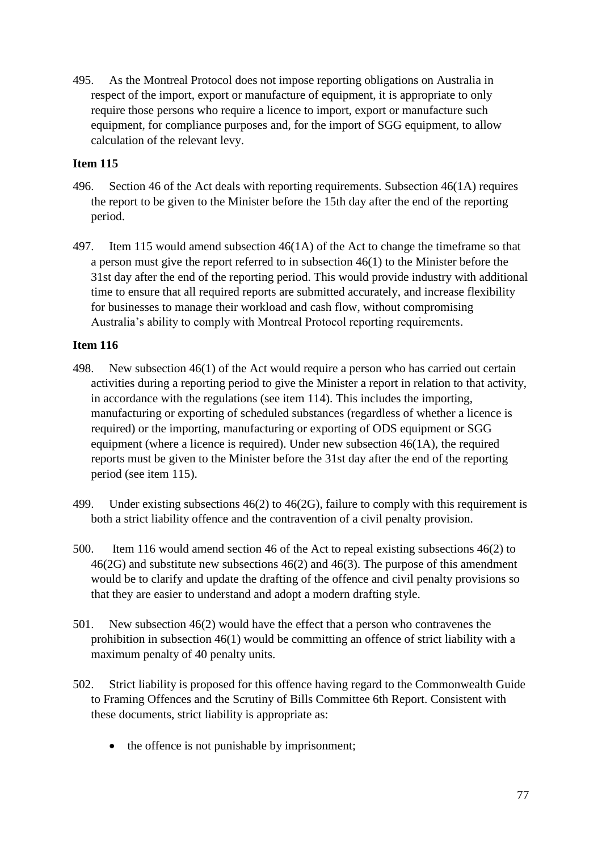495. As the Montreal Protocol does not impose reporting obligations on Australia in respect of the import, export or manufacture of equipment, it is appropriate to only require those persons who require a licence to import, export or manufacture such equipment, for compliance purposes and, for the import of SGG equipment, to allow calculation of the relevant levy.

## **Item 115**

- 496. Section 46 of the Act deals with reporting requirements. Subsection 46(1A) requires the report to be given to the Minister before the 15th day after the end of the reporting period.
- 497. Item 115 would amend subsection 46(1A) of the Act to change the timeframe so that a person must give the report referred to in subsection 46(1) to the Minister before the 31st day after the end of the reporting period. This would provide industry with additional time to ensure that all required reports are submitted accurately, and increase flexibility for businesses to manage their workload and cash flow, without compromising Australia's ability to comply with Montreal Protocol reporting requirements.

- 498. New subsection 46(1) of the Act would require a person who has carried out certain activities during a reporting period to give the Minister a report in relation to that activity, in accordance with the regulations (see item 114). This includes the importing, manufacturing or exporting of scheduled substances (regardless of whether a licence is required) or the importing, manufacturing or exporting of ODS equipment or SGG equipment (where a licence is required). Under new subsection 46(1A), the required reports must be given to the Minister before the 31st day after the end of the reporting period (see item 115).
- 499. Under existing subsections 46(2) to 46(2G), failure to comply with this requirement is both a strict liability offence and the contravention of a civil penalty provision.
- 500. Item 116 would amend section 46 of the Act to repeal existing subsections 46(2) to 46(2G) and substitute new subsections 46(2) and 46(3). The purpose of this amendment would be to clarify and update the drafting of the offence and civil penalty provisions so that they are easier to understand and adopt a modern drafting style.
- 501. New subsection 46(2) would have the effect that a person who contravenes the prohibition in subsection 46(1) would be committing an offence of strict liability with a maximum penalty of 40 penalty units.
- 502. Strict liability is proposed for this offence having regard to the Commonwealth Guide to Framing Offences and the Scrutiny of Bills Committee 6th Report. Consistent with these documents, strict liability is appropriate as:
	- the offence is not punishable by imprisonment;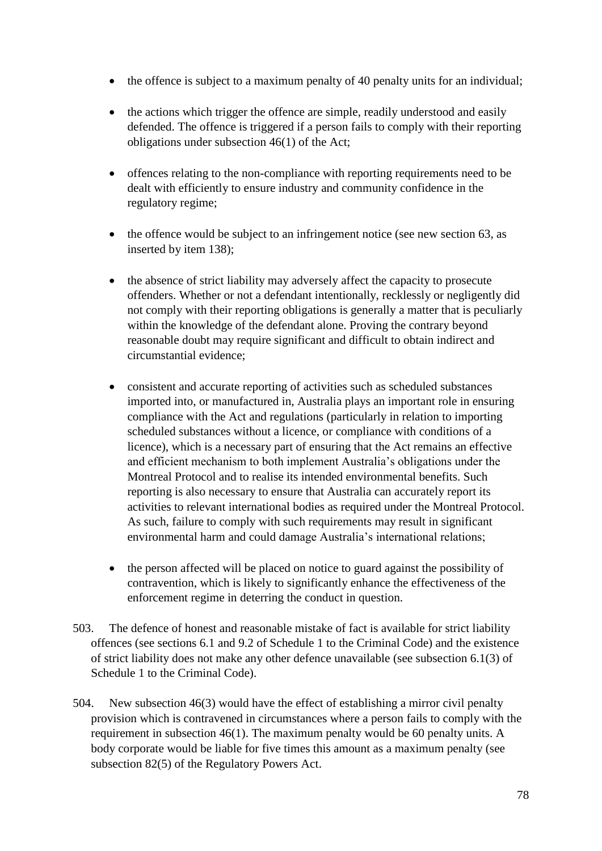- the offence is subject to a maximum penalty of 40 penalty units for an individual;
- the actions which trigger the offence are simple, readily understood and easily defended. The offence is triggered if a person fails to comply with their reporting obligations under subsection 46(1) of the Act;
- offences relating to the non-compliance with reporting requirements need to be dealt with efficiently to ensure industry and community confidence in the regulatory regime;
- the offence would be subject to an infringement notice (see new section 63, as inserted by item 138);
- the absence of strict liability may adversely affect the capacity to prosecute offenders. Whether or not a defendant intentionally, recklessly or negligently did not comply with their reporting obligations is generally a matter that is peculiarly within the knowledge of the defendant alone. Proving the contrary beyond reasonable doubt may require significant and difficult to obtain indirect and circumstantial evidence;
- consistent and accurate reporting of activities such as scheduled substances imported into, or manufactured in, Australia plays an important role in ensuring compliance with the Act and regulations (particularly in relation to importing scheduled substances without a licence, or compliance with conditions of a licence), which is a necessary part of ensuring that the Act remains an effective and efficient mechanism to both implement Australia's obligations under the Montreal Protocol and to realise its intended environmental benefits. Such reporting is also necessary to ensure that Australia can accurately report its activities to relevant international bodies as required under the Montreal Protocol. As such, failure to comply with such requirements may result in significant environmental harm and could damage Australia's international relations;
- the person affected will be placed on notice to guard against the possibility of contravention, which is likely to significantly enhance the effectiveness of the enforcement regime in deterring the conduct in question.
- 503. The defence of honest and reasonable mistake of fact is available for strict liability offences (see sections 6.1 and 9.2 of Schedule 1 to the Criminal Code) and the existence of strict liability does not make any other defence unavailable (see subsection 6.1(3) of Schedule 1 to the Criminal Code).
- 504. New subsection 46(3) would have the effect of establishing a mirror civil penalty provision which is contravened in circumstances where a person fails to comply with the requirement in subsection 46(1). The maximum penalty would be 60 penalty units. A body corporate would be liable for five times this amount as a maximum penalty (see subsection 82(5) of the Regulatory Powers Act.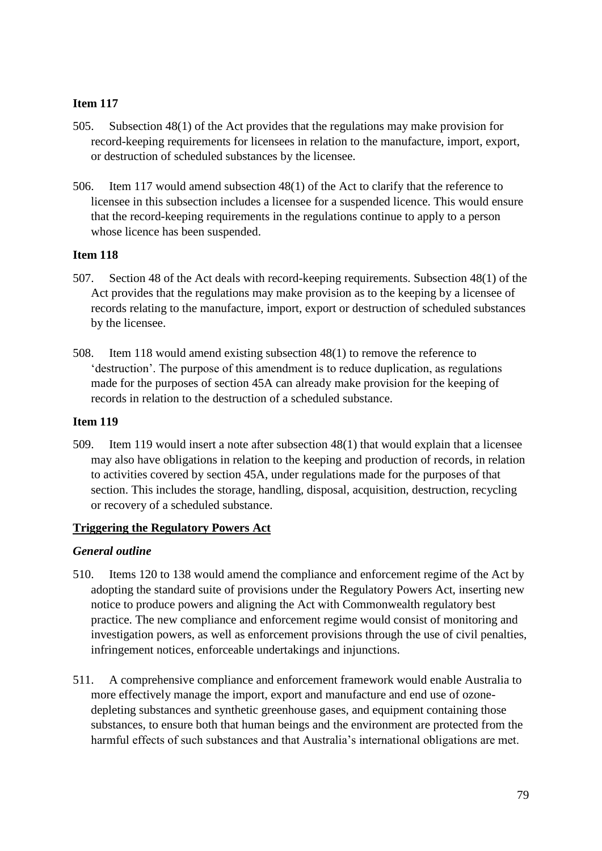- 505. Subsection 48(1) of the Act provides that the regulations may make provision for record-keeping requirements for licensees in relation to the manufacture, import, export, or destruction of scheduled substances by the licensee.
- 506. Item 117 would amend subsection 48(1) of the Act to clarify that the reference to licensee in this subsection includes a licensee for a suspended licence. This would ensure that the record-keeping requirements in the regulations continue to apply to a person whose licence has been suspended.

### **Item 118**

- 507. Section 48 of the Act deals with record-keeping requirements. Subsection 48(1) of the Act provides that the regulations may make provision as to the keeping by a licensee of records relating to the manufacture, import, export or destruction of scheduled substances by the licensee.
- 508. Item 118 would amend existing subsection 48(1) to remove the reference to 'destruction'. The purpose of this amendment is to reduce duplication, as regulations made for the purposes of section 45A can already make provision for the keeping of records in relation to the destruction of a scheduled substance.

#### **Item 119**

509. Item 119 would insert a note after subsection 48(1) that would explain that a licensee may also have obligations in relation to the keeping and production of records, in relation to activities covered by section 45A, under regulations made for the purposes of that section. This includes the storage, handling, disposal, acquisition, destruction, recycling or recovery of a scheduled substance.

#### **Triggering the Regulatory Powers Act**

#### *General outline*

- 510. Items 120 to 138 would amend the compliance and enforcement regime of the Act by adopting the standard suite of provisions under the Regulatory Powers Act, inserting new notice to produce powers and aligning the Act with Commonwealth regulatory best practice. The new compliance and enforcement regime would consist of monitoring and investigation powers, as well as enforcement provisions through the use of civil penalties, infringement notices, enforceable undertakings and injunctions.
- 511. A comprehensive compliance and enforcement framework would enable Australia to more effectively manage the import, export and manufacture and end use of ozonedepleting substances and synthetic greenhouse gases, and equipment containing those substances, to ensure both that human beings and the environment are protected from the harmful effects of such substances and that Australia's international obligations are met.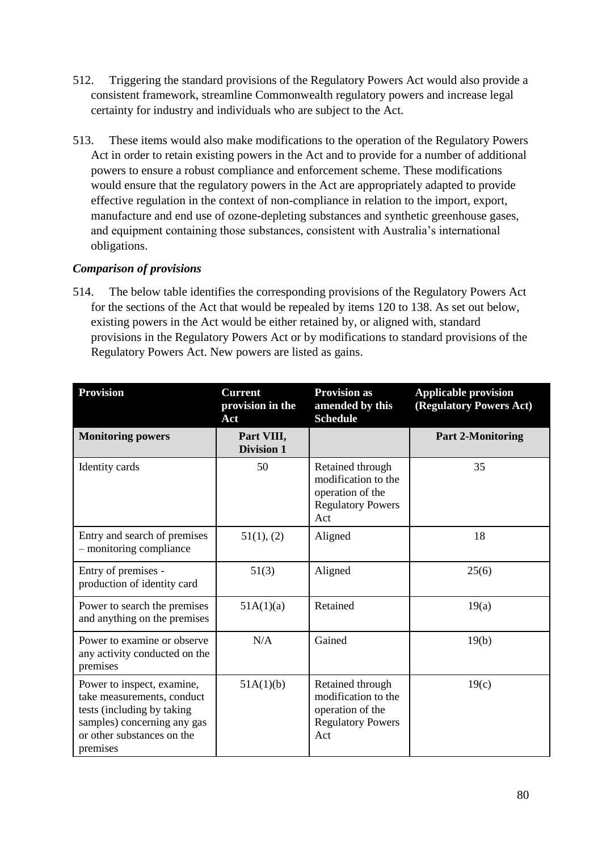- 512. Triggering the standard provisions of the Regulatory Powers Act would also provide a consistent framework, streamline Commonwealth regulatory powers and increase legal certainty for industry and individuals who are subject to the Act.
- 513. These items would also make modifications to the operation of the Regulatory Powers Act in order to retain existing powers in the Act and to provide for a number of additional powers to ensure a robust compliance and enforcement scheme. These modifications would ensure that the regulatory powers in the Act are appropriately adapted to provide effective regulation in the context of non-compliance in relation to the import, export, manufacture and end use of ozone-depleting substances and synthetic greenhouse gases, and equipment containing those substances, consistent with Australia's international obligations.

## *Comparison of provisions*

514. The below table identifies the corresponding provisions of the Regulatory Powers Act for the sections of the Act that would be repealed by items 120 to 138. As set out below, existing powers in the Act would be either retained by, or aligned with, standard provisions in the Regulatory Powers Act or by modifications to standard provisions of the Regulatory Powers Act. New powers are listed as gains.

| <b>Provision</b>                                                                                                                                                | <b>Current</b><br>provision in the<br>Act | <b>Provision as</b><br>amended by this<br><b>Schedule</b>                                      | <b>Applicable provision</b><br>(Regulatory Powers Act) |
|-----------------------------------------------------------------------------------------------------------------------------------------------------------------|-------------------------------------------|------------------------------------------------------------------------------------------------|--------------------------------------------------------|
| <b>Monitoring powers</b>                                                                                                                                        | Part VIII,<br><b>Division 1</b>           |                                                                                                | <b>Part 2-Monitoring</b>                               |
| Identity cards                                                                                                                                                  | 50                                        | Retained through<br>modification to the<br>operation of the<br><b>Regulatory Powers</b><br>Act | 35                                                     |
| Entry and search of premises<br>- monitoring compliance                                                                                                         | 51(1), (2)                                | Aligned                                                                                        | 18                                                     |
| Entry of premises -<br>production of identity card                                                                                                              | 51(3)                                     | Aligned                                                                                        | 25(6)                                                  |
| Power to search the premises<br>and anything on the premises                                                                                                    | 51A(1)(a)                                 | Retained                                                                                       | 19(a)                                                  |
| Power to examine or observe<br>any activity conducted on the<br>premises                                                                                        | N/A                                       | Gained                                                                                         | 19(b)                                                  |
| Power to inspect, examine,<br>take measurements, conduct<br>tests (including by taking<br>samples) concerning any gas<br>or other substances on the<br>premises | 51A(1)(b)                                 | Retained through<br>modification to the<br>operation of the<br><b>Regulatory Powers</b><br>Act | 19(c)                                                  |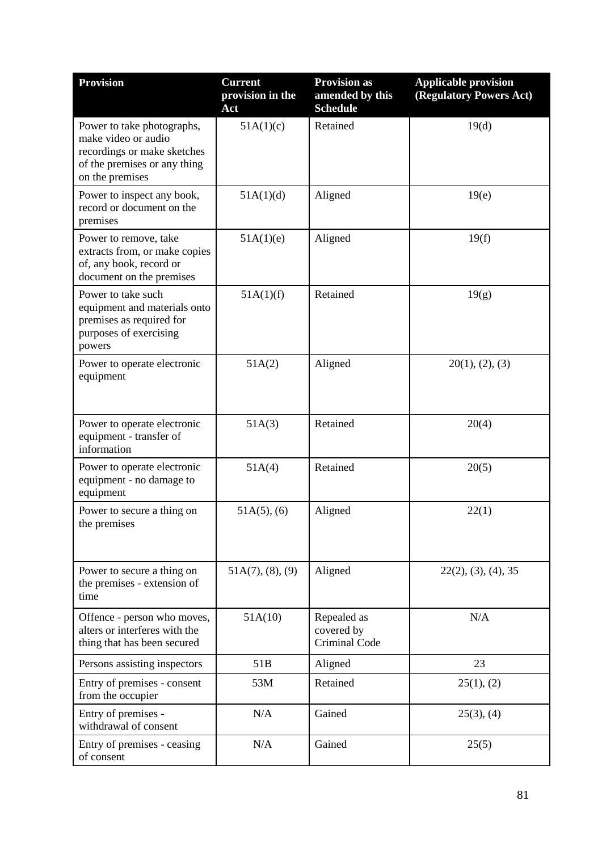| <b>Provision</b>                                                                                                                    | <b>Current</b><br>provision in the<br>Act | <b>Provision as</b><br>amended by this<br><b>Schedule</b> | <b>Applicable provision</b><br>(Regulatory Powers Act) |
|-------------------------------------------------------------------------------------------------------------------------------------|-------------------------------------------|-----------------------------------------------------------|--------------------------------------------------------|
| Power to take photographs,<br>make video or audio<br>recordings or make sketches<br>of the premises or any thing<br>on the premises | 51A(1)(c)                                 | Retained                                                  | 19(d)                                                  |
| Power to inspect any book,<br>record or document on the<br>premises                                                                 | 51A(1)(d)                                 | Aligned                                                   | 19(e)                                                  |
| Power to remove, take<br>extracts from, or make copies<br>of, any book, record or<br>document on the premises                       | 51A(1)(e)                                 | Aligned                                                   | 19(f)                                                  |
| Power to take such<br>equipment and materials onto<br>premises as required for<br>purposes of exercising<br>powers                  | 51A(1)(f)                                 | Retained                                                  | 19(g)                                                  |
| Power to operate electronic<br>equipment                                                                                            | 51A(2)                                    | Aligned                                                   | 20(1), (2), (3)                                        |
| Power to operate electronic<br>equipment - transfer of<br>information                                                               | 51A(3)                                    | Retained                                                  | 20(4)                                                  |
| Power to operate electronic<br>equipment - no damage to<br>equipment                                                                | 51A(4)                                    | Retained                                                  | 20(5)                                                  |
| Power to secure a thing on<br>the premises                                                                                          | $51A(5)$ , (6)                            | Aligned                                                   | 22(1)                                                  |
| Power to secure a thing on<br>the premises - extension of<br>time                                                                   | 51A(7), (8), (9)                          | Aligned                                                   | 22(2), (3), (4), 35                                    |
| Offence - person who moves,<br>alters or interferes with the<br>thing that has been secured                                         | 51A(10)                                   | Repealed as<br>covered by<br>Criminal Code                | N/A                                                    |
| Persons assisting inspectors                                                                                                        | 51B                                       | Aligned                                                   | 23                                                     |
| Entry of premises - consent<br>from the occupier                                                                                    | 53M                                       | Retained                                                  | 25(1), (2)                                             |
| Entry of premises -<br>withdrawal of consent                                                                                        | N/A                                       | Gained                                                    | $25(3)$ , (4)                                          |
| Entry of premises - ceasing<br>of consent                                                                                           | N/A                                       | Gained                                                    | 25(5)                                                  |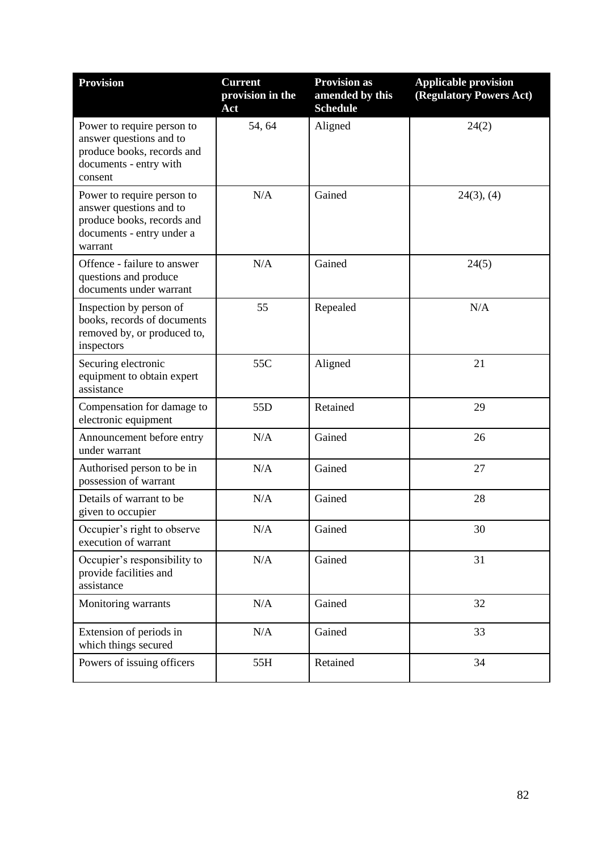| <b>Provision</b>                                                                                                            | <b>Current</b><br>provision in the<br>Act | <b>Provision as</b><br>amended by this<br><b>Schedule</b> | <b>Applicable provision</b><br>(Regulatory Powers Act) |
|-----------------------------------------------------------------------------------------------------------------------------|-------------------------------------------|-----------------------------------------------------------|--------------------------------------------------------|
| Power to require person to<br>answer questions and to<br>produce books, records and<br>documents - entry with<br>consent    | 54, 64                                    | Aligned                                                   | 24(2)                                                  |
| Power to require person to<br>answer questions and to<br>produce books, records and<br>documents - entry under a<br>warrant | N/A                                       | Gained                                                    | $24(3)$ , (4)                                          |
| Offence - failure to answer<br>questions and produce<br>documents under warrant                                             | N/A                                       | Gained                                                    | 24(5)                                                  |
| Inspection by person of<br>books, records of documents<br>removed by, or produced to,<br>inspectors                         | 55                                        | Repealed                                                  | N/A                                                    |
| Securing electronic<br>equipment to obtain expert<br>assistance                                                             | 55C                                       | Aligned                                                   | 21                                                     |
| Compensation for damage to<br>electronic equipment                                                                          | 55D                                       | Retained                                                  | 29                                                     |
| Announcement before entry<br>under warrant                                                                                  | N/A                                       | Gained                                                    | 26                                                     |
| Authorised person to be in<br>possession of warrant                                                                         | N/A                                       | Gained                                                    | 27                                                     |
| Details of warrant to be<br>given to occupier                                                                               | N/A                                       | Gained                                                    | 28                                                     |
| Occupier's right to observe<br>execution of warrant                                                                         | N/A                                       | Gained                                                    | 30                                                     |
| Occupier's responsibility to<br>provide facilities and<br>assistance                                                        | N/A                                       | Gained                                                    | 31                                                     |
| Monitoring warrants                                                                                                         | N/A                                       | Gained                                                    | 32                                                     |
| Extension of periods in<br>which things secured                                                                             | N/A                                       | Gained                                                    | 33                                                     |
| Powers of issuing officers                                                                                                  | 55H                                       | Retained                                                  | 34                                                     |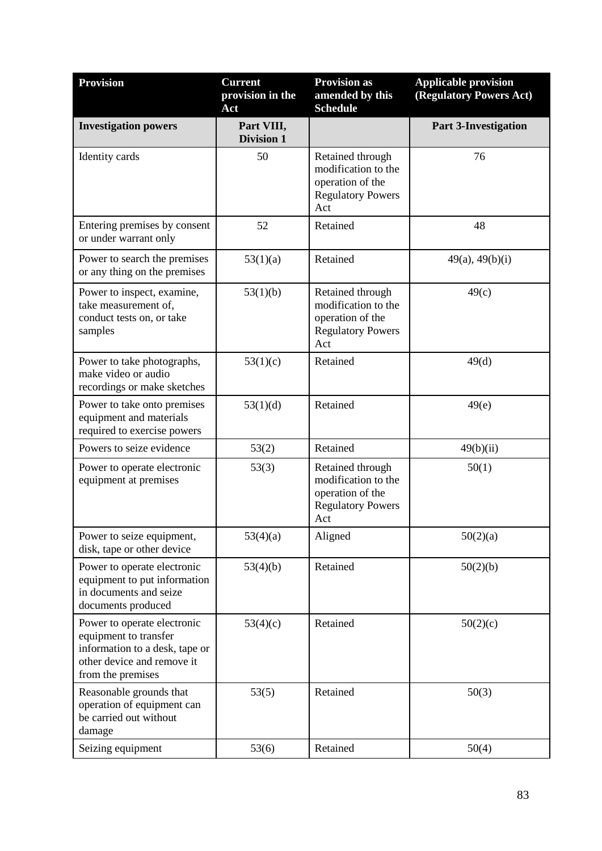| <b>Provision</b>                                                                                                                          | <b>Current</b><br>provision in the<br>Act | <b>Provision as</b><br>amended by this<br><b>Schedule</b>                                      | <b>Applicable provision</b><br>(Regulatory Powers Act) |
|-------------------------------------------------------------------------------------------------------------------------------------------|-------------------------------------------|------------------------------------------------------------------------------------------------|--------------------------------------------------------|
| <b>Investigation powers</b>                                                                                                               | Part VIII,<br><b>Division 1</b>           |                                                                                                | <b>Part 3-Investigation</b>                            |
| Identity cards                                                                                                                            | 50                                        | Retained through<br>modification to the<br>operation of the<br><b>Regulatory Powers</b><br>Act | 76                                                     |
| Entering premises by consent<br>or under warrant only                                                                                     | 52                                        | Retained                                                                                       | 48                                                     |
| Power to search the premises<br>or any thing on the premises                                                                              | 53(1)(a)                                  | Retained                                                                                       | 49(a), 49(b)(i)                                        |
| Power to inspect, examine,<br>take measurement of,<br>conduct tests on, or take<br>samples                                                | 53(1)(b)                                  | Retained through<br>modification to the<br>operation of the<br><b>Regulatory Powers</b><br>Act | 49(c)                                                  |
| Power to take photographs,<br>make video or audio<br>recordings or make sketches                                                          | 53(1)(c)                                  | Retained                                                                                       | 49(d)                                                  |
| Power to take onto premises<br>equipment and materials<br>required to exercise powers                                                     | 53(1)(d)                                  | Retained                                                                                       | 49(e)                                                  |
| Powers to seize evidence                                                                                                                  | 53(2)                                     | Retained                                                                                       | 49(b)(ii)                                              |
| Power to operate electronic<br>equipment at premises                                                                                      | 53(3)                                     | Retained through<br>modification to the<br>operation of the<br><b>Regulatory Powers</b><br>Act | 50(1)                                                  |
| Power to seize equipment,<br>disk, tape or other device                                                                                   | 53(4)(a)                                  | Aligned                                                                                        | 50(2)(a)                                               |
| Power to operate electronic<br>equipment to put information<br>in documents and seize<br>documents produced                               | 53(4)(b)                                  | Retained                                                                                       | 50(2)(b)                                               |
| Power to operate electronic<br>equipment to transfer<br>information to a desk, tape or<br>other device and remove it<br>from the premises | 53(4)(c)                                  | Retained                                                                                       | 50(2)(c)                                               |
| Reasonable grounds that<br>operation of equipment can<br>be carried out without<br>damage                                                 | 53(5)                                     | Retained                                                                                       | 50(3)                                                  |
| Seizing equipment                                                                                                                         | 53(6)                                     | Retained                                                                                       | 50(4)                                                  |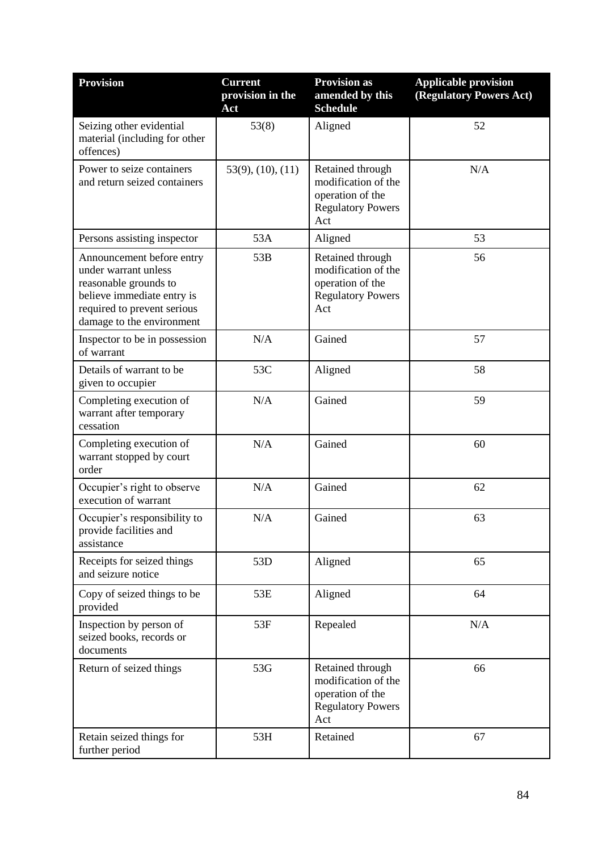| <b>Provision</b>                                                                                                                                                     | <b>Current</b><br>provision in the<br>Act | <b>Provision as</b><br>amended by this<br><b>Schedule</b>                                      | <b>Applicable provision</b><br>(Regulatory Powers Act) |
|----------------------------------------------------------------------------------------------------------------------------------------------------------------------|-------------------------------------------|------------------------------------------------------------------------------------------------|--------------------------------------------------------|
| Seizing other evidential<br>material (including for other<br>offences)                                                                                               | 53(8)                                     | Aligned                                                                                        | 52                                                     |
| Power to seize containers<br>and return seized containers                                                                                                            | $53(9)$ , $(10)$ , $(11)$                 | Retained through<br>modification of the<br>operation of the<br><b>Regulatory Powers</b><br>Act | N/A                                                    |
| Persons assisting inspector                                                                                                                                          | 53A                                       | Aligned                                                                                        | 53                                                     |
| Announcement before entry<br>under warrant unless<br>reasonable grounds to<br>believe immediate entry is<br>required to prevent serious<br>damage to the environment | 53B                                       | Retained through<br>modification of the<br>operation of the<br><b>Regulatory Powers</b><br>Act | 56                                                     |
| Inspector to be in possession<br>of warrant                                                                                                                          | N/A                                       | Gained                                                                                         | 57                                                     |
| Details of warrant to be<br>given to occupier                                                                                                                        | 53C                                       | Aligned                                                                                        | 58                                                     |
| Completing execution of<br>warrant after temporary<br>cessation                                                                                                      | N/A                                       | Gained                                                                                         | 59                                                     |
| Completing execution of<br>warrant stopped by court<br>order                                                                                                         | N/A                                       | Gained                                                                                         | 60                                                     |
| Occupier's right to observe<br>execution of warrant                                                                                                                  | N/A                                       | Gained                                                                                         | 62                                                     |
| Occupier's responsibility to<br>provide facilities and<br>assistance                                                                                                 | N/A                                       | Gained                                                                                         | 63                                                     |
| Receipts for seized things<br>and seizure notice                                                                                                                     | 53D                                       | Aligned                                                                                        | 65                                                     |
| Copy of seized things to be<br>provided                                                                                                                              | 53E                                       | Aligned                                                                                        | 64                                                     |
| Inspection by person of<br>seized books, records or<br>documents                                                                                                     | 53F                                       | Repealed                                                                                       | N/A                                                    |
| Return of seized things                                                                                                                                              | 53G                                       | Retained through<br>modification of the<br>operation of the<br><b>Regulatory Powers</b><br>Act | 66                                                     |
| Retain seized things for<br>further period                                                                                                                           | 53H                                       | Retained                                                                                       | 67                                                     |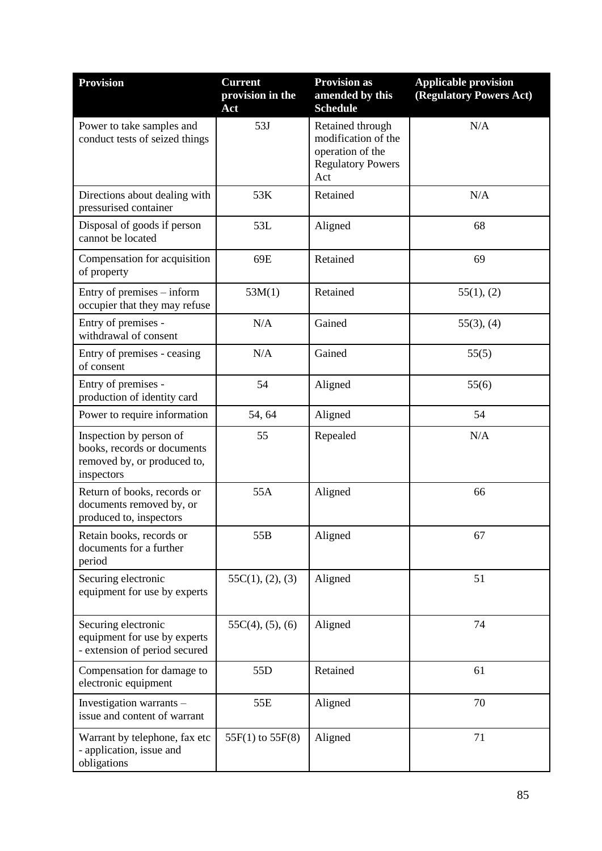| <b>Provision</b>                                                                                    | <b>Current</b><br>provision in the<br>Act | <b>Provision as</b><br>amended by this<br><b>Schedule</b>                                      | <b>Applicable provision</b><br>(Regulatory Powers Act) |
|-----------------------------------------------------------------------------------------------------|-------------------------------------------|------------------------------------------------------------------------------------------------|--------------------------------------------------------|
| Power to take samples and<br>conduct tests of seized things                                         | 53J                                       | Retained through<br>modification of the<br>operation of the<br><b>Regulatory Powers</b><br>Act | N/A                                                    |
| Directions about dealing with<br>pressurised container                                              | 53K                                       | Retained                                                                                       | N/A                                                    |
| Disposal of goods if person<br>cannot be located                                                    | 53L                                       | Aligned                                                                                        | 68                                                     |
| Compensation for acquisition<br>of property                                                         | 69E                                       | Retained                                                                                       | 69                                                     |
| Entry of premises – inform<br>occupier that they may refuse                                         | 53M(1)                                    | Retained                                                                                       | 55(1), (2)                                             |
| Entry of premises -<br>withdrawal of consent                                                        | N/A                                       | Gained                                                                                         | $55(3)$ , (4)                                          |
| Entry of premises - ceasing<br>of consent                                                           | N/A                                       | Gained                                                                                         | 55(5)                                                  |
| Entry of premises -<br>production of identity card                                                  | 54                                        | Aligned                                                                                        | 55(6)                                                  |
| Power to require information                                                                        | 54, 64                                    | Aligned                                                                                        | 54                                                     |
| Inspection by person of<br>books, records or documents<br>removed by, or produced to,<br>inspectors | 55                                        | Repealed                                                                                       | N/A                                                    |
| Return of books, records or<br>documents removed by, or<br>produced to, inspectors                  | 55A                                       | Aligned                                                                                        | 66                                                     |
| Retain books, records or<br>documents for a further<br>period                                       | 55B                                       | Aligned                                                                                        | 67                                                     |
| Securing electronic<br>equipment for use by experts                                                 | 55C(1), (2), (3)                          | Aligned                                                                                        | 51                                                     |
| Securing electronic<br>equipment for use by experts<br>- extension of period secured                | $55C(4)$ , $(5)$ , $(6)$                  | Aligned                                                                                        | 74                                                     |
| Compensation for damage to<br>electronic equipment                                                  | 55D                                       | Retained                                                                                       | 61                                                     |
| Investigation warrants -<br>issue and content of warrant                                            | 55E                                       | Aligned                                                                                        | 70                                                     |
| Warrant by telephone, fax etc<br>- application, issue and<br>obligations                            | 55F(1) to 55F(8)                          | Aligned                                                                                        | 71                                                     |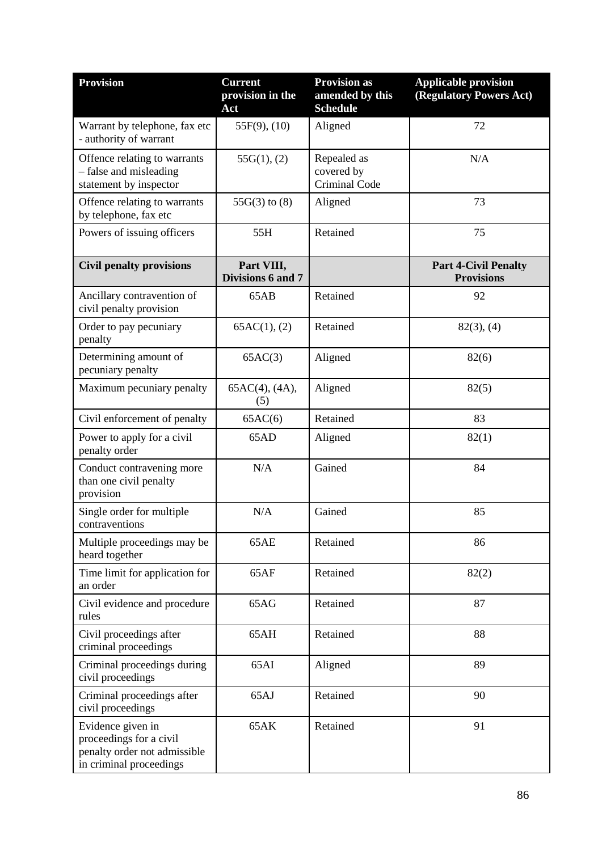| <b>Provision</b>                                                                                        | <b>Current</b><br>provision in the<br>Act | <b>Provision as</b><br>amended by this<br><b>Schedule</b> | <b>Applicable provision</b><br>(Regulatory Powers Act) |
|---------------------------------------------------------------------------------------------------------|-------------------------------------------|-----------------------------------------------------------|--------------------------------------------------------|
| Warrant by telephone, fax etc<br>- authority of warrant                                                 | $55F(9)$ , $(10)$                         | Aligned                                                   | 72                                                     |
| Offence relating to warrants<br>- false and misleading<br>statement by inspector                        | 55G(1), (2)                               | Repealed as<br>covered by<br>Criminal Code                | N/A                                                    |
| Offence relating to warrants<br>by telephone, fax etc                                                   | $55G(3)$ to $(8)$                         | Aligned                                                   | 73                                                     |
| Powers of issuing officers                                                                              | 55H                                       | Retained                                                  | 75                                                     |
| <b>Civil penalty provisions</b>                                                                         | Part VIII,<br>Divisions 6 and 7           |                                                           | <b>Part 4-Civil Penalty</b><br><b>Provisions</b>       |
| Ancillary contravention of<br>civil penalty provision                                                   | 65AB                                      | Retained                                                  | 92                                                     |
| Order to pay pecuniary<br>penalty                                                                       | 65AC(1), (2)                              | Retained                                                  | $82(3)$ , (4)                                          |
| Determining amount of<br>pecuniary penalty                                                              | 65AC(3)                                   | Aligned                                                   | 82(6)                                                  |
| Maximum pecuniary penalty                                                                               | $65AC(4)$ , $(4A)$ ,<br>(5)               | Aligned                                                   | 82(5)                                                  |
| Civil enforcement of penalty                                                                            | 65AC(6)                                   | Retained                                                  | 83                                                     |
| Power to apply for a civil<br>penalty order                                                             | 65AD                                      | Aligned                                                   | 82(1)                                                  |
| Conduct contravening more<br>than one civil penalty<br>provision                                        | N/A                                       | Gained                                                    | 84                                                     |
| Single order for multiple<br>contraventions                                                             | N/A                                       | Gained                                                    | 85                                                     |
| Multiple proceedings may be<br>heard together                                                           | 65AE                                      | Retained                                                  | 86                                                     |
| Time limit for application for<br>an order                                                              | 65AF                                      | Retained                                                  | 82(2)                                                  |
| Civil evidence and procedure<br>rules                                                                   | 65AG                                      | Retained                                                  | 87                                                     |
| Civil proceedings after<br>criminal proceedings                                                         | 65AH                                      | Retained                                                  | 88                                                     |
| Criminal proceedings during<br>civil proceedings                                                        | 65AI                                      | Aligned                                                   | 89                                                     |
| Criminal proceedings after<br>civil proceedings                                                         | 65AJ                                      | Retained                                                  | 90                                                     |
| Evidence given in<br>proceedings for a civil<br>penalty order not admissible<br>in criminal proceedings | 65AK                                      | Retained                                                  | 91                                                     |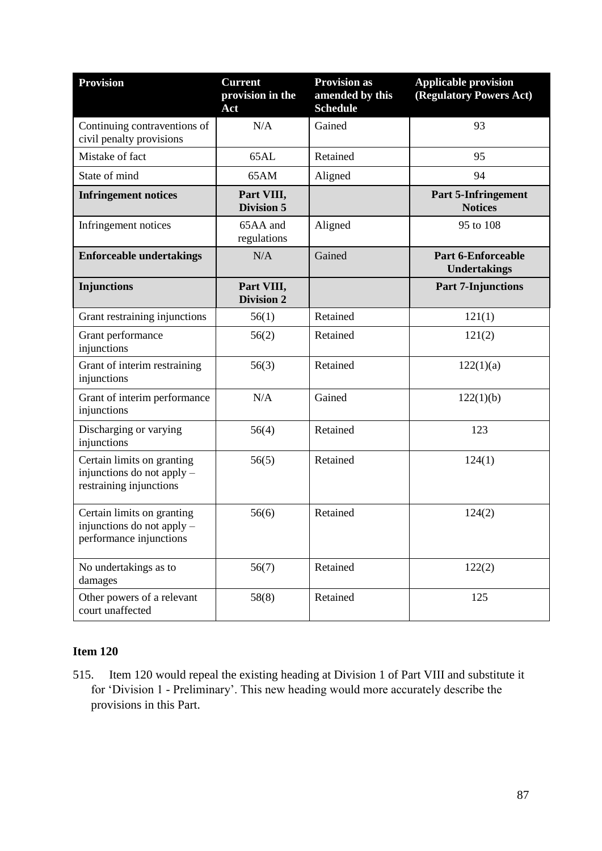| <b>Provision</b>                                                                    | <b>Current</b><br>provision in the<br>Act | <b>Provision as</b><br>amended by this<br><b>Schedule</b> | <b>Applicable provision</b><br>(Regulatory Powers Act) |
|-------------------------------------------------------------------------------------|-------------------------------------------|-----------------------------------------------------------|--------------------------------------------------------|
| Continuing contraventions of<br>civil penalty provisions                            | N/A                                       | Gained                                                    | 93                                                     |
| Mistake of fact                                                                     | 65AL                                      | Retained                                                  | 95                                                     |
| State of mind                                                                       | 65AM                                      | Aligned                                                   | 94                                                     |
| <b>Infringement notices</b>                                                         | Part VIII,<br><b>Division 5</b>           |                                                           | <b>Part 5-Infringement</b><br><b>Notices</b>           |
| Infringement notices                                                                | 65AA and<br>regulations                   | Aligned                                                   | 95 to 108                                              |
| <b>Enforceable undertakings</b>                                                     | N/A                                       | Gained                                                    | <b>Part 6-Enforceable</b><br><b>Undertakings</b>       |
| <b>Injunctions</b>                                                                  | Part VIII,<br><b>Division 2</b>           |                                                           | <b>Part 7-Injunctions</b>                              |
| Grant restraining injunctions                                                       | 56(1)                                     | Retained                                                  | 121(1)                                                 |
| Grant performance<br>injunctions                                                    | 56(2)                                     | Retained                                                  | 121(2)                                                 |
| Grant of interim restraining<br>injunctions                                         | 56(3)                                     | Retained                                                  | 122(1)(a)                                              |
| Grant of interim performance<br>injunctions                                         | N/A                                       | Gained                                                    | 122(1)(b)                                              |
| Discharging or varying<br>injunctions                                               | 56(4)                                     | Retained                                                  | 123                                                    |
| Certain limits on granting<br>injunctions do not apply -<br>restraining injunctions | 56(5)                                     | Retained                                                  | 124(1)                                                 |
| Certain limits on granting<br>injunctions do not apply -<br>performance injunctions | 56(6)                                     | Retained                                                  | 124(2)                                                 |
| No undertakings as to<br>damages                                                    | 56(7)                                     | Retained                                                  | 122(2)                                                 |
| Other powers of a relevant<br>court unaffected                                      | 58(8)                                     | Retained                                                  | 125                                                    |

515. Item 120 would repeal the existing heading at Division 1 of Part VIII and substitute it for 'Division 1 - Preliminary'. This new heading would more accurately describe the provisions in this Part.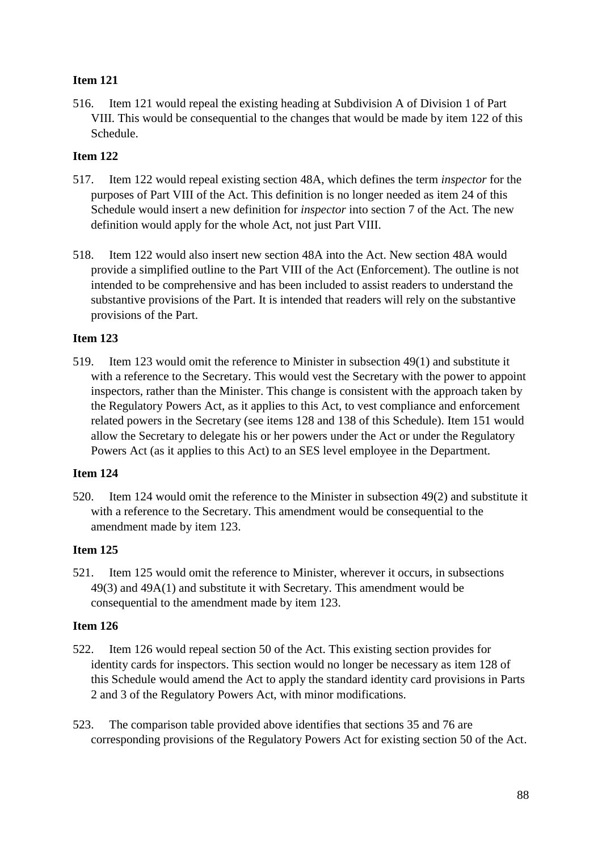516. Item 121 would repeal the existing heading at Subdivision A of Division 1 of Part VIII. This would be consequential to the changes that would be made by item 122 of this Schedule.

## **Item 122**

- 517. Item 122 would repeal existing section 48A, which defines the term *inspector* for the purposes of Part VIII of the Act. This definition is no longer needed as item 24 of this Schedule would insert a new definition for *inspector* into section 7 of the Act. The new definition would apply for the whole Act, not just Part VIII.
- 518. Item 122 would also insert new section 48A into the Act. New section 48A would provide a simplified outline to the Part VIII of the Act (Enforcement). The outline is not intended to be comprehensive and has been included to assist readers to understand the substantive provisions of the Part. It is intended that readers will rely on the substantive provisions of the Part.

## **Item 123**

519. Item 123 would omit the reference to Minister in subsection 49(1) and substitute it with a reference to the Secretary. This would vest the Secretary with the power to appoint inspectors, rather than the Minister. This change is consistent with the approach taken by the Regulatory Powers Act, as it applies to this Act, to vest compliance and enforcement related powers in the Secretary (see items 128 and 138 of this Schedule). Item 151 would allow the Secretary to delegate his or her powers under the Act or under the Regulatory Powers Act (as it applies to this Act) to an SES level employee in the Department.

## **Item 124**

520. Item 124 would omit the reference to the Minister in subsection 49(2) and substitute it with a reference to the Secretary. This amendment would be consequential to the amendment made by item 123.

#### **Item 125**

521. Item 125 would omit the reference to Minister, wherever it occurs, in subsections 49(3) and 49A(1) and substitute it with Secretary. This amendment would be consequential to the amendment made by item 123.

- 522. Item 126 would repeal section 50 of the Act. This existing section provides for identity cards for inspectors. This section would no longer be necessary as item 128 of this Schedule would amend the Act to apply the standard identity card provisions in Parts 2 and 3 of the Regulatory Powers Act, with minor modifications.
- 523. The comparison table provided above identifies that sections 35 and 76 are corresponding provisions of the Regulatory Powers Act for existing section 50 of the Act.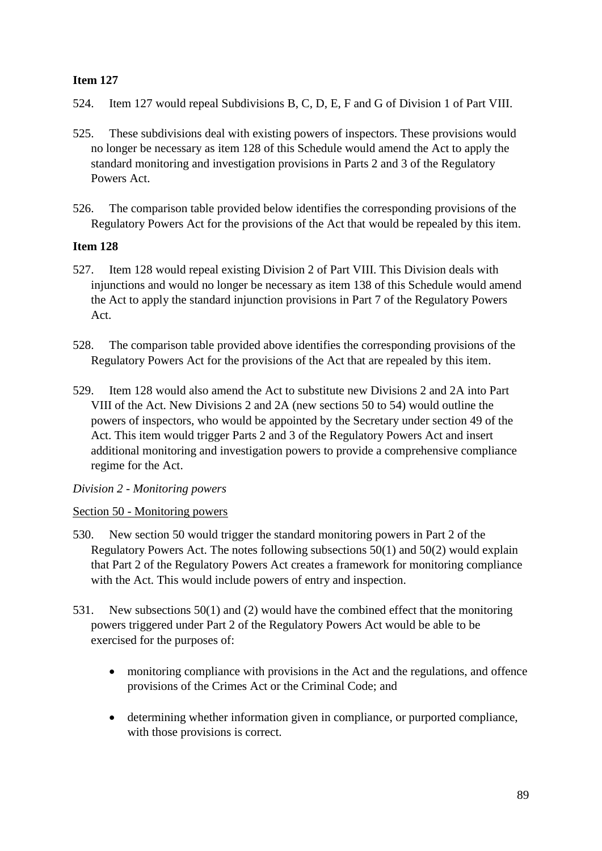- 524. Item 127 would repeal Subdivisions B, C, D, E, F and G of Division 1 of Part VIII.
- 525. These subdivisions deal with existing powers of inspectors. These provisions would no longer be necessary as item 128 of this Schedule would amend the Act to apply the standard monitoring and investigation provisions in Parts 2 and 3 of the Regulatory Powers Act.
- 526. The comparison table provided below identifies the corresponding provisions of the Regulatory Powers Act for the provisions of the Act that would be repealed by this item.

## **Item 128**

- 527. Item 128 would repeal existing Division 2 of Part VIII. This Division deals with injunctions and would no longer be necessary as item 138 of this Schedule would amend the Act to apply the standard injunction provisions in Part 7 of the Regulatory Powers Act.
- 528. The comparison table provided above identifies the corresponding provisions of the Regulatory Powers Act for the provisions of the Act that are repealed by this item.
- 529. Item 128 would also amend the Act to substitute new Divisions 2 and 2A into Part VIII of the Act. New Divisions 2 and 2A (new sections 50 to 54) would outline the powers of inspectors, who would be appointed by the Secretary under section 49 of the Act. This item would trigger Parts 2 and 3 of the Regulatory Powers Act and insert additional monitoring and investigation powers to provide a comprehensive compliance regime for the Act.

## *Division 2 - Monitoring powers*

## Section 50 - Monitoring powers

- 530. New section 50 would trigger the standard monitoring powers in Part 2 of the Regulatory Powers Act. The notes following subsections 50(1) and 50(2) would explain that Part 2 of the Regulatory Powers Act creates a framework for monitoring compliance with the Act. This would include powers of entry and inspection.
- 531. New subsections 50(1) and (2) would have the combined effect that the monitoring powers triggered under Part 2 of the Regulatory Powers Act would be able to be exercised for the purposes of:
	- monitoring compliance with provisions in the Act and the regulations, and offence provisions of the Crimes Act or the Criminal Code; and
	- determining whether information given in compliance, or purported compliance, with those provisions is correct.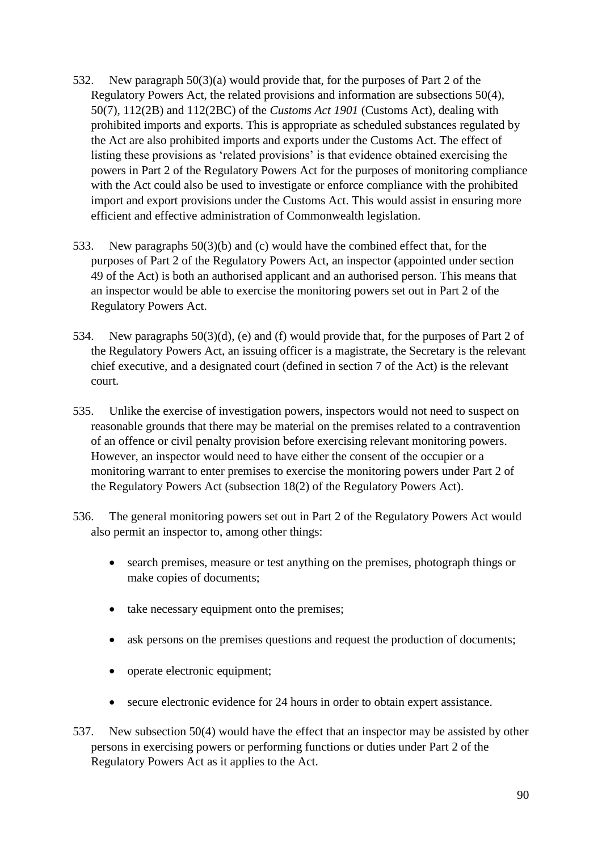- 532. New paragraph 50(3)(a) would provide that, for the purposes of Part 2 of the Regulatory Powers Act, the related provisions and information are subsections 50(4), 50(7), 112(2B) and 112(2BC) of the *Customs Act 1901* (Customs Act), dealing with prohibited imports and exports. This is appropriate as scheduled substances regulated by the Act are also prohibited imports and exports under the Customs Act. The effect of listing these provisions as 'related provisions' is that evidence obtained exercising the powers in Part 2 of the Regulatory Powers Act for the purposes of monitoring compliance with the Act could also be used to investigate or enforce compliance with the prohibited import and export provisions under the Customs Act. This would assist in ensuring more efficient and effective administration of Commonwealth legislation.
- 533. New paragraphs 50(3)(b) and (c) would have the combined effect that, for the purposes of Part 2 of the Regulatory Powers Act, an inspector (appointed under section 49 of the Act) is both an authorised applicant and an authorised person. This means that an inspector would be able to exercise the monitoring powers set out in Part 2 of the Regulatory Powers Act.
- 534. New paragraphs 50(3)(d), (e) and (f) would provide that, for the purposes of Part 2 of the Regulatory Powers Act, an issuing officer is a magistrate, the Secretary is the relevant chief executive, and a designated court (defined in section 7 of the Act) is the relevant court.
- 535. Unlike the exercise of investigation powers, inspectors would not need to suspect on reasonable grounds that there may be material on the premises related to a contravention of an offence or civil penalty provision before exercising relevant monitoring powers. However, an inspector would need to have either the consent of the occupier or a monitoring warrant to enter premises to exercise the monitoring powers under Part 2 of the Regulatory Powers Act (subsection 18(2) of the Regulatory Powers Act).
- 536. The general monitoring powers set out in Part 2 of the Regulatory Powers Act would also permit an inspector to, among other things:
	- search premises, measure or test anything on the premises, photograph things or make copies of documents;
	- take necessary equipment onto the premises;
	- ask persons on the premises questions and request the production of documents;
	- operate electronic equipment;
	- secure electronic evidence for 24 hours in order to obtain expert assistance.
- 537. New subsection 50(4) would have the effect that an inspector may be assisted by other persons in exercising powers or performing functions or duties under Part 2 of the Regulatory Powers Act as it applies to the Act.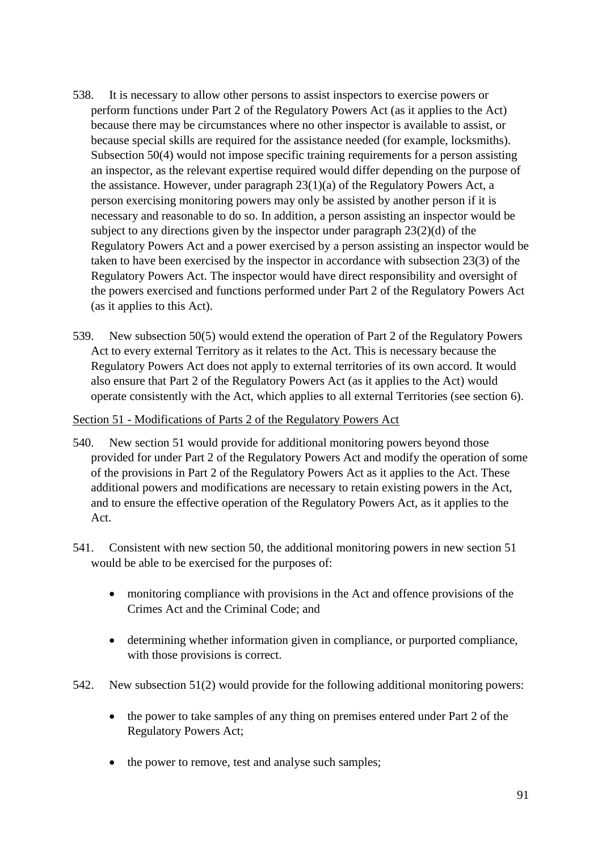- 538. It is necessary to allow other persons to assist inspectors to exercise powers or perform functions under Part 2 of the Regulatory Powers Act (as it applies to the Act) because there may be circumstances where no other inspector is available to assist, or because special skills are required for the assistance needed (for example, locksmiths). Subsection 50(4) would not impose specific training requirements for a person assisting an inspector, as the relevant expertise required would differ depending on the purpose of the assistance. However, under paragraph 23(1)(a) of the Regulatory Powers Act, a person exercising monitoring powers may only be assisted by another person if it is necessary and reasonable to do so. In addition, a person assisting an inspector would be subject to any directions given by the inspector under paragraph 23(2)(d) of the Regulatory Powers Act and a power exercised by a person assisting an inspector would be taken to have been exercised by the inspector in accordance with subsection 23(3) of the Regulatory Powers Act. The inspector would have direct responsibility and oversight of the powers exercised and functions performed under Part 2 of the Regulatory Powers Act (as it applies to this Act).
- 539. New subsection 50(5) would extend the operation of Part 2 of the Regulatory Powers Act to every external Territory as it relates to the Act. This is necessary because the Regulatory Powers Act does not apply to external territories of its own accord. It would also ensure that Part 2 of the Regulatory Powers Act (as it applies to the Act) would operate consistently with the Act, which applies to all external Territories (see section 6).

### Section 51 - Modifications of Parts 2 of the Regulatory Powers Act

- 540. New section 51 would provide for additional monitoring powers beyond those provided for under Part 2 of the Regulatory Powers Act and modify the operation of some of the provisions in Part 2 of the Regulatory Powers Act as it applies to the Act. These additional powers and modifications are necessary to retain existing powers in the Act, and to ensure the effective operation of the Regulatory Powers Act, as it applies to the Act.
- 541. Consistent with new section 50, the additional monitoring powers in new section 51 would be able to be exercised for the purposes of:
	- monitoring compliance with provisions in the Act and offence provisions of the Crimes Act and the Criminal Code; and
	- determining whether information given in compliance, or purported compliance, with those provisions is correct.
- 542. New subsection 51(2) would provide for the following additional monitoring powers:
	- the power to take samples of any thing on premises entered under Part 2 of the Regulatory Powers Act;
	- the power to remove, test and analyse such samples;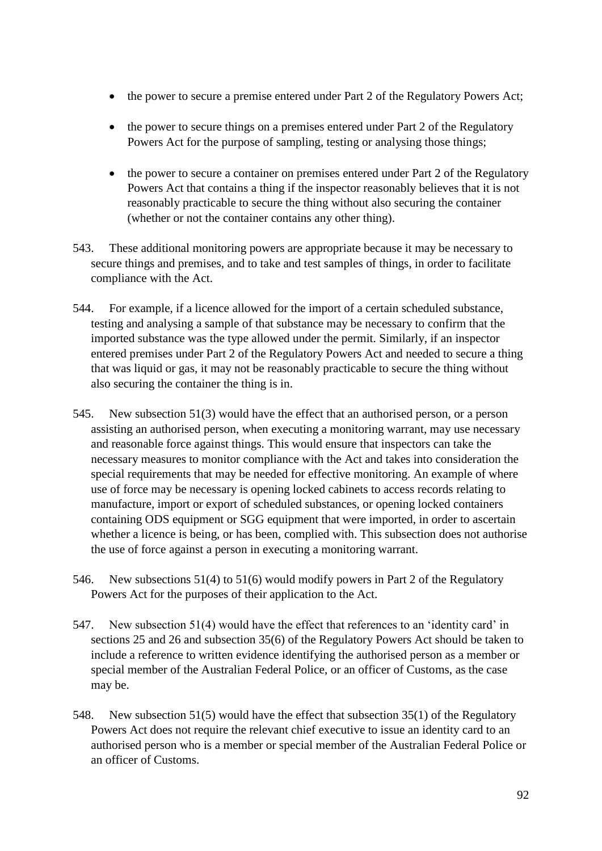- the power to secure a premise entered under Part 2 of the Regulatory Powers Act;
- the power to secure things on a premises entered under Part 2 of the Regulatory Powers Act for the purpose of sampling, testing or analysing those things;
- the power to secure a container on premises entered under Part 2 of the Regulatory Powers Act that contains a thing if the inspector reasonably believes that it is not reasonably practicable to secure the thing without also securing the container (whether or not the container contains any other thing).
- 543. These additional monitoring powers are appropriate because it may be necessary to secure things and premises, and to take and test samples of things, in order to facilitate compliance with the Act.
- 544. For example, if a licence allowed for the import of a certain scheduled substance, testing and analysing a sample of that substance may be necessary to confirm that the imported substance was the type allowed under the permit. Similarly, if an inspector entered premises under Part 2 of the Regulatory Powers Act and needed to secure a thing that was liquid or gas, it may not be reasonably practicable to secure the thing without also securing the container the thing is in.
- 545. New subsection 51(3) would have the effect that an authorised person, or a person assisting an authorised person, when executing a monitoring warrant, may use necessary and reasonable force against things. This would ensure that inspectors can take the necessary measures to monitor compliance with the Act and takes into consideration the special requirements that may be needed for effective monitoring. An example of where use of force may be necessary is opening locked cabinets to access records relating to manufacture, import or export of scheduled substances, or opening locked containers containing ODS equipment or SGG equipment that were imported, in order to ascertain whether a licence is being, or has been, complied with. This subsection does not authorise the use of force against a person in executing a monitoring warrant.
- 546. New subsections 51(4) to 51(6) would modify powers in Part 2 of the Regulatory Powers Act for the purposes of their application to the Act.
- 547. New subsection 51(4) would have the effect that references to an 'identity card' in sections 25 and 26 and subsection 35(6) of the Regulatory Powers Act should be taken to include a reference to written evidence identifying the authorised person as a member or special member of the Australian Federal Police, or an officer of Customs, as the case may be.
- 548. New subsection 51(5) would have the effect that subsection 35(1) of the Regulatory Powers Act does not require the relevant chief executive to issue an identity card to an authorised person who is a member or special member of the Australian Federal Police or an officer of Customs.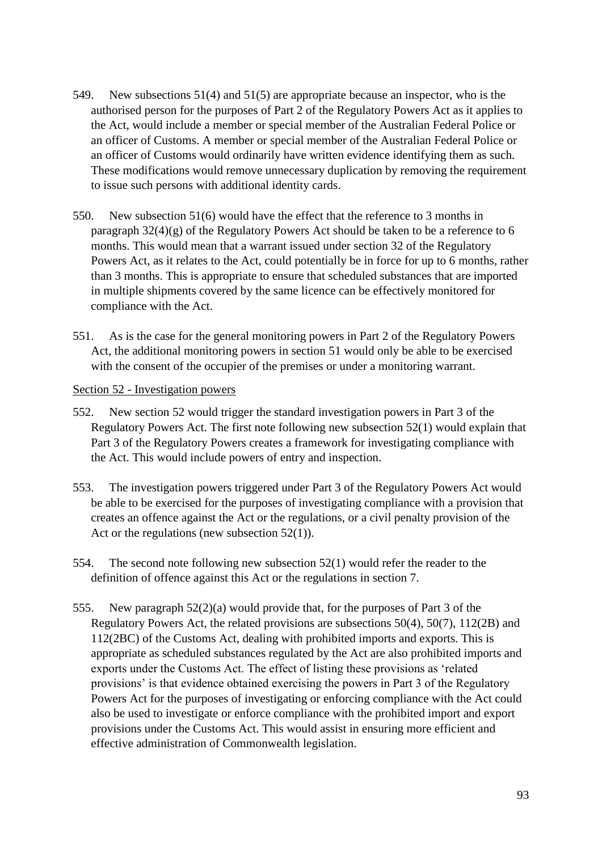- 549. New subsections 51(4) and 51(5) are appropriate because an inspector, who is the authorised person for the purposes of Part 2 of the Regulatory Powers Act as it applies to the Act, would include a member or special member of the Australian Federal Police or an officer of Customs. A member or special member of the Australian Federal Police or an officer of Customs would ordinarily have written evidence identifying them as such. These modifications would remove unnecessary duplication by removing the requirement to issue such persons with additional identity cards.
- 550. New subsection 51(6) would have the effect that the reference to 3 months in paragraph 32(4)(g) of the Regulatory Powers Act should be taken to be a reference to 6 months. This would mean that a warrant issued under section 32 of the Regulatory Powers Act, as it relates to the Act, could potentially be in force for up to 6 months, rather than 3 months. This is appropriate to ensure that scheduled substances that are imported in multiple shipments covered by the same licence can be effectively monitored for compliance with the Act.
- 551. As is the case for the general monitoring powers in Part 2 of the Regulatory Powers Act, the additional monitoring powers in section 51 would only be able to be exercised with the consent of the occupier of the premises or under a monitoring warrant.

#### Section 52 - Investigation powers

- 552. New section 52 would trigger the standard investigation powers in Part 3 of the Regulatory Powers Act. The first note following new subsection 52(1) would explain that Part 3 of the Regulatory Powers creates a framework for investigating compliance with the Act. This would include powers of entry and inspection.
- 553. The investigation powers triggered under Part 3 of the Regulatory Powers Act would be able to be exercised for the purposes of investigating compliance with a provision that creates an offence against the Act or the regulations, or a civil penalty provision of the Act or the regulations (new subsection 52(1)).
- 554. The second note following new subsection 52(1) would refer the reader to the definition of offence against this Act or the regulations in section 7.
- 555. New paragraph 52(2)(a) would provide that, for the purposes of Part 3 of the Regulatory Powers Act, the related provisions are subsections 50(4), 50(7), 112(2B) and 112(2BC) of the Customs Act, dealing with prohibited imports and exports. This is appropriate as scheduled substances regulated by the Act are also prohibited imports and exports under the Customs Act. The effect of listing these provisions as 'related provisions' is that evidence obtained exercising the powers in Part 3 of the Regulatory Powers Act for the purposes of investigating or enforcing compliance with the Act could also be used to investigate or enforce compliance with the prohibited import and export provisions under the Customs Act. This would assist in ensuring more efficient and effective administration of Commonwealth legislation.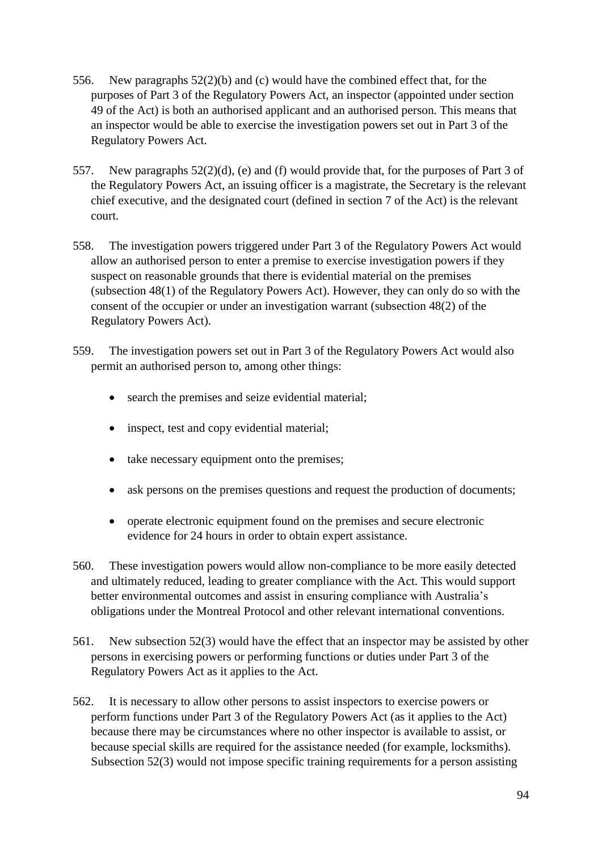- 556. New paragraphs 52(2)(b) and (c) would have the combined effect that, for the purposes of Part 3 of the Regulatory Powers Act, an inspector (appointed under section 49 of the Act) is both an authorised applicant and an authorised person. This means that an inspector would be able to exercise the investigation powers set out in Part 3 of the Regulatory Powers Act.
- 557. New paragraphs 52(2)(d), (e) and (f) would provide that, for the purposes of Part 3 of the Regulatory Powers Act, an issuing officer is a magistrate, the Secretary is the relevant chief executive, and the designated court (defined in section 7 of the Act) is the relevant court.
- 558. The investigation powers triggered under Part 3 of the Regulatory Powers Act would allow an authorised person to enter a premise to exercise investigation powers if they suspect on reasonable grounds that there is evidential material on the premises (subsection 48(1) of the Regulatory Powers Act). However, they can only do so with the consent of the occupier or under an investigation warrant (subsection 48(2) of the Regulatory Powers Act).
- 559. The investigation powers set out in Part 3 of the Regulatory Powers Act would also permit an authorised person to, among other things:
	- search the premises and seize evidential material;
	- inspect, test and copy evidential material;
	- take necessary equipment onto the premises;
	- ask persons on the premises questions and request the production of documents;
	- operate electronic equipment found on the premises and secure electronic evidence for 24 hours in order to obtain expert assistance.
- 560. These investigation powers would allow non-compliance to be more easily detected and ultimately reduced, leading to greater compliance with the Act. This would support better environmental outcomes and assist in ensuring compliance with Australia's obligations under the Montreal Protocol and other relevant international conventions.
- 561. New subsection 52(3) would have the effect that an inspector may be assisted by other persons in exercising powers or performing functions or duties under Part 3 of the Regulatory Powers Act as it applies to the Act.
- 562. It is necessary to allow other persons to assist inspectors to exercise powers or perform functions under Part 3 of the Regulatory Powers Act (as it applies to the Act) because there may be circumstances where no other inspector is available to assist, or because special skills are required for the assistance needed (for example, locksmiths). Subsection 52(3) would not impose specific training requirements for a person assisting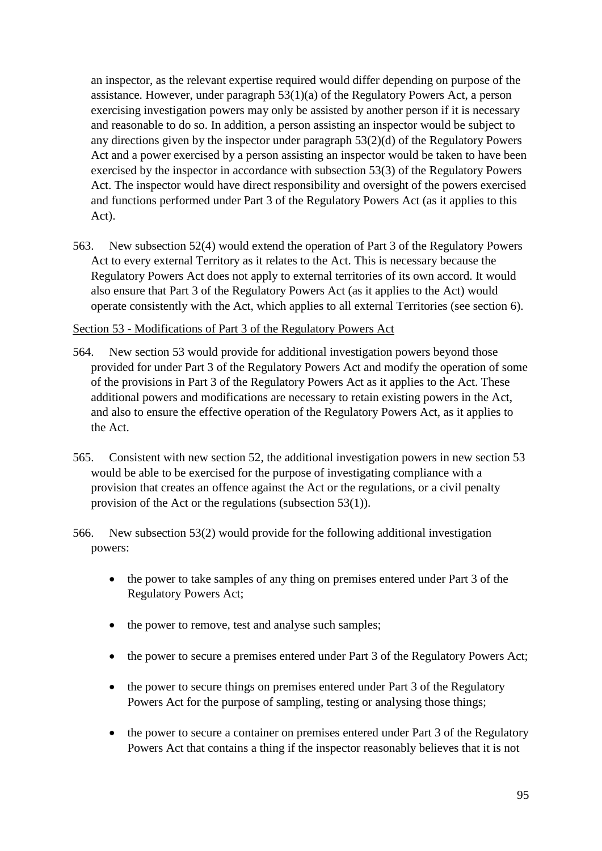an inspector, as the relevant expertise required would differ depending on purpose of the assistance. However, under paragraph 53(1)(a) of the Regulatory Powers Act, a person exercising investigation powers may only be assisted by another person if it is necessary and reasonable to do so. In addition, a person assisting an inspector would be subject to any directions given by the inspector under paragraph 53(2)(d) of the Regulatory Powers Act and a power exercised by a person assisting an inspector would be taken to have been exercised by the inspector in accordance with subsection 53(3) of the Regulatory Powers Act. The inspector would have direct responsibility and oversight of the powers exercised and functions performed under Part 3 of the Regulatory Powers Act (as it applies to this Act).

563. New subsection 52(4) would extend the operation of Part 3 of the Regulatory Powers Act to every external Territory as it relates to the Act. This is necessary because the Regulatory Powers Act does not apply to external territories of its own accord. It would also ensure that Part 3 of the Regulatory Powers Act (as it applies to the Act) would operate consistently with the Act, which applies to all external Territories (see section 6).

#### Section 53 - Modifications of Part 3 of the Regulatory Powers Act

- 564. New section 53 would provide for additional investigation powers beyond those provided for under Part 3 of the Regulatory Powers Act and modify the operation of some of the provisions in Part 3 of the Regulatory Powers Act as it applies to the Act. These additional powers and modifications are necessary to retain existing powers in the Act, and also to ensure the effective operation of the Regulatory Powers Act, as it applies to the Act.
- 565. Consistent with new section 52, the additional investigation powers in new section 53 would be able to be exercised for the purpose of investigating compliance with a provision that creates an offence against the Act or the regulations, or a civil penalty provision of the Act or the regulations (subsection 53(1)).
- 566. New subsection 53(2) would provide for the following additional investigation powers:
	- the power to take samples of any thing on premises entered under Part 3 of the Regulatory Powers Act;
	- the power to remove, test and analyse such samples;
	- the power to secure a premises entered under Part 3 of the Regulatory Powers Act;
	- the power to secure things on premises entered under Part 3 of the Regulatory Powers Act for the purpose of sampling, testing or analysing those things;
	- the power to secure a container on premises entered under Part 3 of the Regulatory Powers Act that contains a thing if the inspector reasonably believes that it is not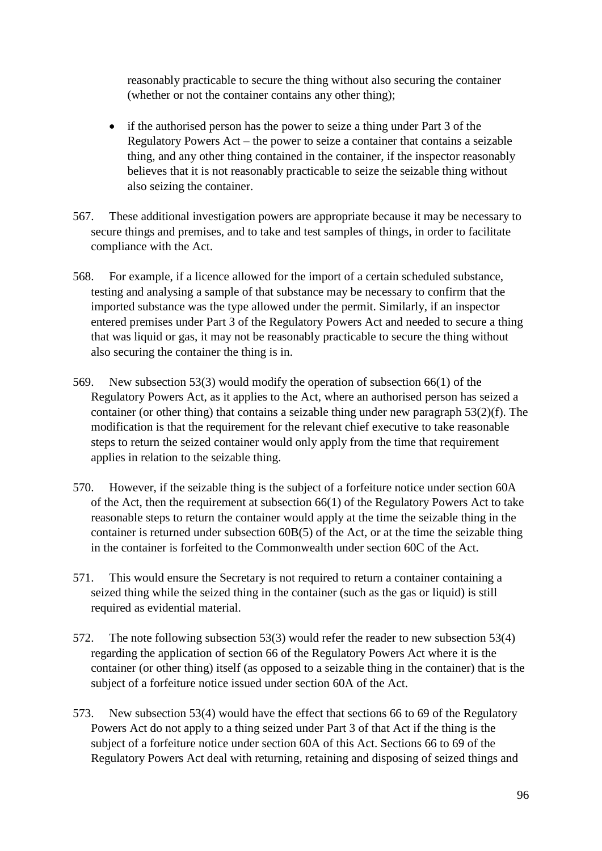reasonably practicable to secure the thing without also securing the container (whether or not the container contains any other thing);

- if the authorised person has the power to seize a thing under Part 3 of the Regulatory Powers Act – the power to seize a container that contains a seizable thing, and any other thing contained in the container, if the inspector reasonably believes that it is not reasonably practicable to seize the seizable thing without also seizing the container.
- 567. These additional investigation powers are appropriate because it may be necessary to secure things and premises, and to take and test samples of things, in order to facilitate compliance with the Act.
- 568. For example, if a licence allowed for the import of a certain scheduled substance, testing and analysing a sample of that substance may be necessary to confirm that the imported substance was the type allowed under the permit. Similarly, if an inspector entered premises under Part 3 of the Regulatory Powers Act and needed to secure a thing that was liquid or gas, it may not be reasonably practicable to secure the thing without also securing the container the thing is in.
- 569. New subsection 53(3) would modify the operation of subsection 66(1) of the Regulatory Powers Act, as it applies to the Act, where an authorised person has seized a container (or other thing) that contains a seizable thing under new paragraph 53(2)(f). The modification is that the requirement for the relevant chief executive to take reasonable steps to return the seized container would only apply from the time that requirement applies in relation to the seizable thing.
- 570. However, if the seizable thing is the subject of a forfeiture notice under section 60A of the Act, then the requirement at subsection 66(1) of the Regulatory Powers Act to take reasonable steps to return the container would apply at the time the seizable thing in the container is returned under subsection 60B(5) of the Act, or at the time the seizable thing in the container is forfeited to the Commonwealth under section 60C of the Act.
- 571. This would ensure the Secretary is not required to return a container containing a seized thing while the seized thing in the container (such as the gas or liquid) is still required as evidential material.
- 572. The note following subsection 53(3) would refer the reader to new subsection 53(4) regarding the application of section 66 of the Regulatory Powers Act where it is the container (or other thing) itself (as opposed to a seizable thing in the container) that is the subject of a forfeiture notice issued under section 60A of the Act.
- 573. New subsection 53(4) would have the effect that sections 66 to 69 of the Regulatory Powers Act do not apply to a thing seized under Part 3 of that Act if the thing is the subject of a forfeiture notice under section 60A of this Act. Sections 66 to 69 of the Regulatory Powers Act deal with returning, retaining and disposing of seized things and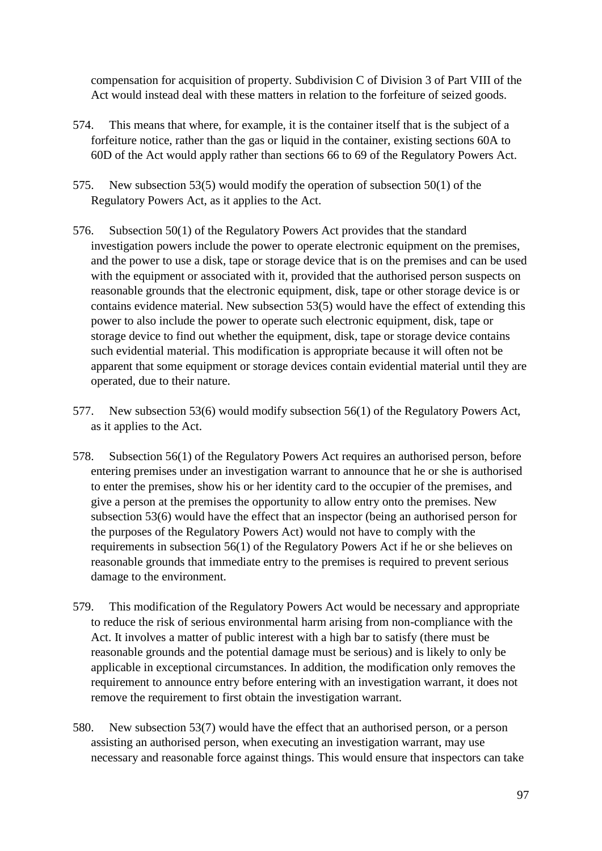compensation for acquisition of property. Subdivision C of Division 3 of Part VIII of the Act would instead deal with these matters in relation to the forfeiture of seized goods.

- 574. This means that where, for example, it is the container itself that is the subject of a forfeiture notice, rather than the gas or liquid in the container, existing sections 60A to 60D of the Act would apply rather than sections 66 to 69 of the Regulatory Powers Act.
- 575. New subsection 53(5) would modify the operation of subsection 50(1) of the Regulatory Powers Act, as it applies to the Act.
- 576. Subsection 50(1) of the Regulatory Powers Act provides that the standard investigation powers include the power to operate electronic equipment on the premises, and the power to use a disk, tape or storage device that is on the premises and can be used with the equipment or associated with it, provided that the authorised person suspects on reasonable grounds that the electronic equipment, disk, tape or other storage device is or contains evidence material. New subsection 53(5) would have the effect of extending this power to also include the power to operate such electronic equipment, disk, tape or storage device to find out whether the equipment, disk, tape or storage device contains such evidential material. This modification is appropriate because it will often not be apparent that some equipment or storage devices contain evidential material until they are operated, due to their nature.
- 577. New subsection 53(6) would modify subsection 56(1) of the Regulatory Powers Act, as it applies to the Act.
- 578. Subsection 56(1) of the Regulatory Powers Act requires an authorised person, before entering premises under an investigation warrant to announce that he or she is authorised to enter the premises, show his or her identity card to the occupier of the premises, and give a person at the premises the opportunity to allow entry onto the premises. New subsection 53(6) would have the effect that an inspector (being an authorised person for the purposes of the Regulatory Powers Act) would not have to comply with the requirements in subsection 56(1) of the Regulatory Powers Act if he or she believes on reasonable grounds that immediate entry to the premises is required to prevent serious damage to the environment.
- 579. This modification of the Regulatory Powers Act would be necessary and appropriate to reduce the risk of serious environmental harm arising from non-compliance with the Act. It involves a matter of public interest with a high bar to satisfy (there must be reasonable grounds and the potential damage must be serious) and is likely to only be applicable in exceptional circumstances. In addition, the modification only removes the requirement to announce entry before entering with an investigation warrant, it does not remove the requirement to first obtain the investigation warrant.
- 580. New subsection 53(7) would have the effect that an authorised person, or a person assisting an authorised person, when executing an investigation warrant, may use necessary and reasonable force against things. This would ensure that inspectors can take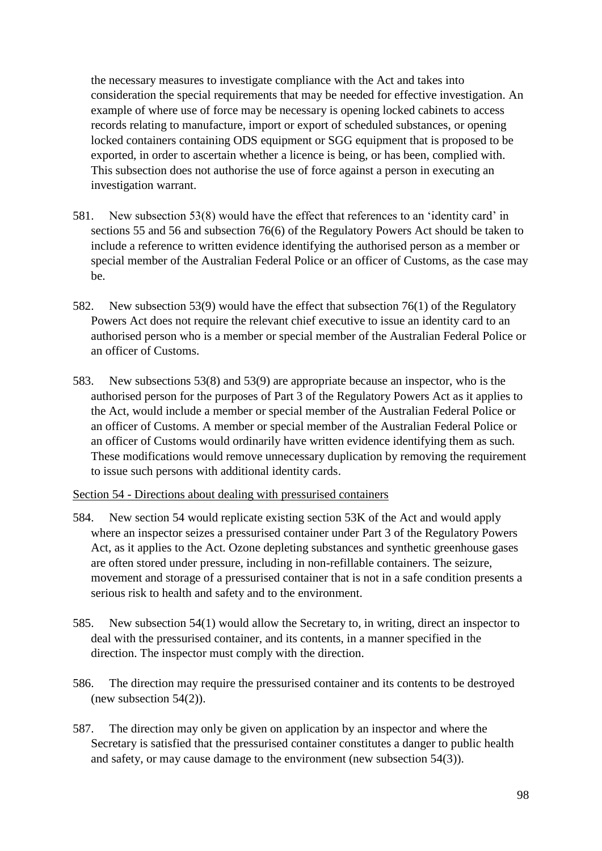the necessary measures to investigate compliance with the Act and takes into consideration the special requirements that may be needed for effective investigation. An example of where use of force may be necessary is opening locked cabinets to access records relating to manufacture, import or export of scheduled substances, or opening locked containers containing ODS equipment or SGG equipment that is proposed to be exported, in order to ascertain whether a licence is being, or has been, complied with. This subsection does not authorise the use of force against a person in executing an investigation warrant.

- 581. New subsection 53(8) would have the effect that references to an 'identity card' in sections 55 and 56 and subsection 76(6) of the Regulatory Powers Act should be taken to include a reference to written evidence identifying the authorised person as a member or special member of the Australian Federal Police or an officer of Customs, as the case may be.
- 582. New subsection 53(9) would have the effect that subsection 76(1) of the Regulatory Powers Act does not require the relevant chief executive to issue an identity card to an authorised person who is a member or special member of the Australian Federal Police or an officer of Customs.
- 583. New subsections 53(8) and 53(9) are appropriate because an inspector, who is the authorised person for the purposes of Part 3 of the Regulatory Powers Act as it applies to the Act, would include a member or special member of the Australian Federal Police or an officer of Customs. A member or special member of the Australian Federal Police or an officer of Customs would ordinarily have written evidence identifying them as such. These modifications would remove unnecessary duplication by removing the requirement to issue such persons with additional identity cards.

Section 54 - Directions about dealing with pressurised containers

- 584. New section 54 would replicate existing section 53K of the Act and would apply where an inspector seizes a pressurised container under Part 3 of the Regulatory Powers Act, as it applies to the Act. Ozone depleting substances and synthetic greenhouse gases are often stored under pressure, including in non-refillable containers. The seizure, movement and storage of a pressurised container that is not in a safe condition presents a serious risk to health and safety and to the environment.
- 585. New subsection 54(1) would allow the Secretary to, in writing, direct an inspector to deal with the pressurised container, and its contents, in a manner specified in the direction. The inspector must comply with the direction.
- 586. The direction may require the pressurised container and its contents to be destroyed (new subsection 54(2)).
- 587. The direction may only be given on application by an inspector and where the Secretary is satisfied that the pressurised container constitutes a danger to public health and safety, or may cause damage to the environment (new subsection 54(3)).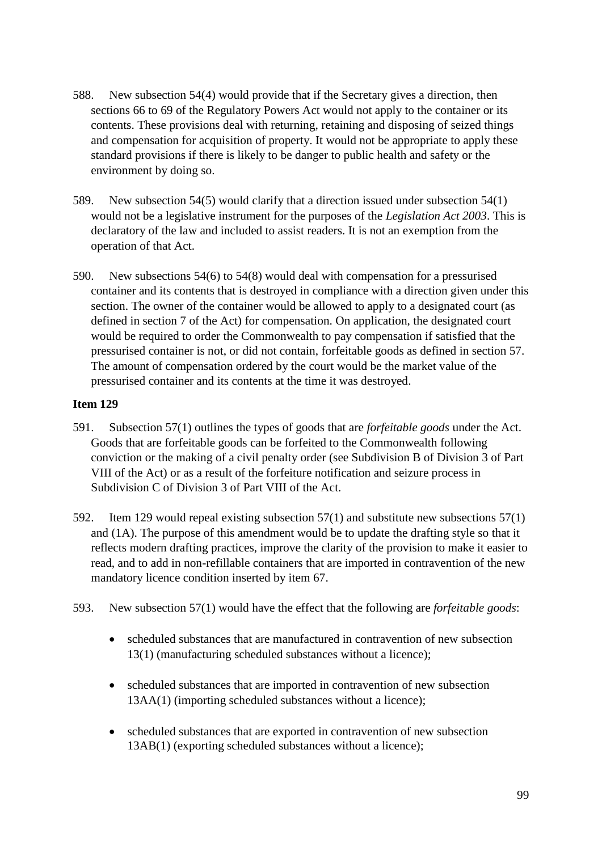- 588. New subsection 54(4) would provide that if the Secretary gives a direction, then sections 66 to 69 of the Regulatory Powers Act would not apply to the container or its contents. These provisions deal with returning, retaining and disposing of seized things and compensation for acquisition of property. It would not be appropriate to apply these standard provisions if there is likely to be danger to public health and safety or the environment by doing so.
- 589. New subsection 54(5) would clarify that a direction issued under subsection 54(1) would not be a legislative instrument for the purposes of the *Legislation Act 2003*. This is declaratory of the law and included to assist readers. It is not an exemption from the operation of that Act.
- 590. New subsections 54(6) to 54(8) would deal with compensation for a pressurised container and its contents that is destroyed in compliance with a direction given under this section. The owner of the container would be allowed to apply to a designated court (as defined in section 7 of the Act) for compensation. On application, the designated court would be required to order the Commonwealth to pay compensation if satisfied that the pressurised container is not, or did not contain, forfeitable goods as defined in section 57. The amount of compensation ordered by the court would be the market value of the pressurised container and its contents at the time it was destroyed.

- 591. Subsection 57(1) outlines the types of goods that are *forfeitable goods* under the Act. Goods that are forfeitable goods can be forfeited to the Commonwealth following conviction or the making of a civil penalty order (see Subdivision B of Division 3 of Part VIII of the Act) or as a result of the forfeiture notification and seizure process in Subdivision C of Division 3 of Part VIII of the Act.
- 592. Item 129 would repeal existing subsection 57(1) and substitute new subsections 57(1) and (1A). The purpose of this amendment would be to update the drafting style so that it reflects modern drafting practices, improve the clarity of the provision to make it easier to read, and to add in non-refillable containers that are imported in contravention of the new mandatory licence condition inserted by item 67.
- 593. New subsection 57(1) would have the effect that the following are *forfeitable goods*:
	- scheduled substances that are manufactured in contravention of new subsection 13(1) (manufacturing scheduled substances without a licence);
	- scheduled substances that are imported in contravention of new subsection 13AA(1) (importing scheduled substances without a licence);
	- scheduled substances that are exported in contravention of new subsection 13AB(1) (exporting scheduled substances without a licence);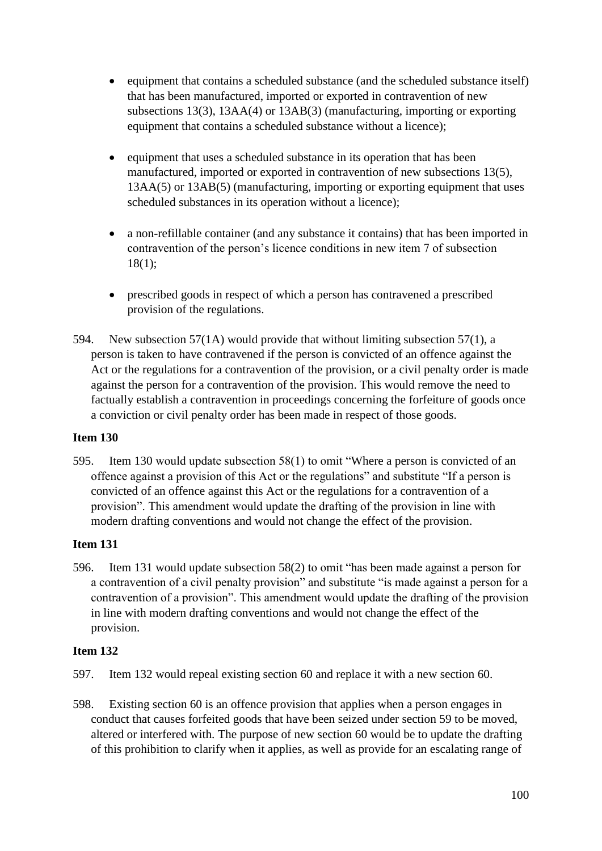- equipment that contains a scheduled substance (and the scheduled substance itself) that has been manufactured, imported or exported in contravention of new subsections 13(3), 13AA(4) or 13AB(3) (manufacturing, importing or exporting equipment that contains a scheduled substance without a licence);
- equipment that uses a scheduled substance in its operation that has been manufactured, imported or exported in contravention of new subsections 13(5), 13AA(5) or 13AB(5) (manufacturing, importing or exporting equipment that uses scheduled substances in its operation without a licence);
- a non-refillable container (and any substance it contains) that has been imported in contravention of the person's licence conditions in new item 7 of subsection 18(1);
- prescribed goods in respect of which a person has contravened a prescribed provision of the regulations.
- 594. New subsection 57(1A) would provide that without limiting subsection 57(1), a person is taken to have contravened if the person is convicted of an offence against the Act or the regulations for a contravention of the provision, or a civil penalty order is made against the person for a contravention of the provision. This would remove the need to factually establish a contravention in proceedings concerning the forfeiture of goods once a conviction or civil penalty order has been made in respect of those goods.

595. Item 130 would update subsection 58(1) to omit "Where a person is convicted of an offence against a provision of this Act or the regulations" and substitute "If a person is convicted of an offence against this Act or the regulations for a contravention of a provision". This amendment would update the drafting of the provision in line with modern drafting conventions and would not change the effect of the provision.

## **Item 131**

596. Item 131 would update subsection 58(2) to omit "has been made against a person for a contravention of a civil penalty provision" and substitute "is made against a person for a contravention of a provision". This amendment would update the drafting of the provision in line with modern drafting conventions and would not change the effect of the provision.

- 597. Item 132 would repeal existing section 60 and replace it with a new section 60.
- 598. Existing section 60 is an offence provision that applies when a person engages in conduct that causes forfeited goods that have been seized under section 59 to be moved, altered or interfered with. The purpose of new section 60 would be to update the drafting of this prohibition to clarify when it applies, as well as provide for an escalating range of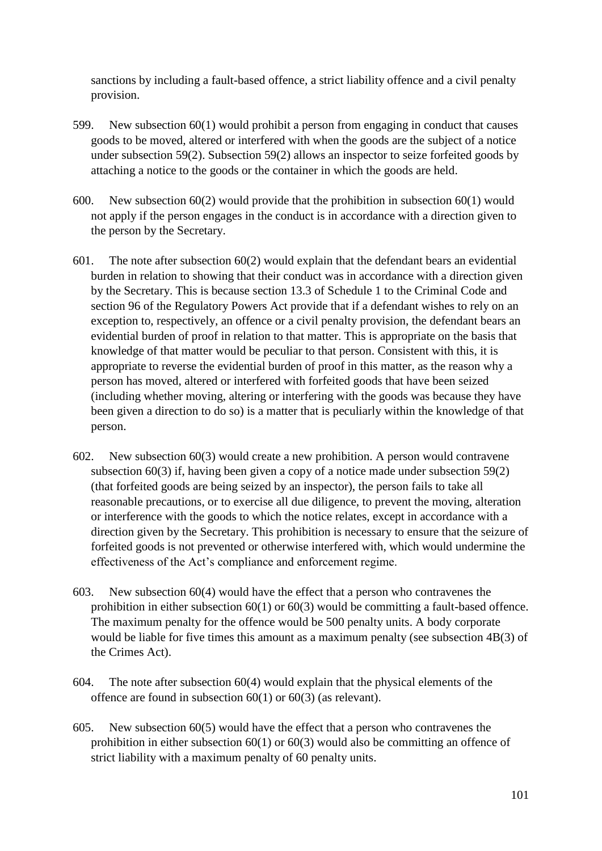sanctions by including a fault-based offence, a strict liability offence and a civil penalty provision.

- 599. New subsection 60(1) would prohibit a person from engaging in conduct that causes goods to be moved, altered or interfered with when the goods are the subject of a notice under subsection 59(2). Subsection 59(2) allows an inspector to seize forfeited goods by attaching a notice to the goods or the container in which the goods are held.
- 600. New subsection 60(2) would provide that the prohibition in subsection 60(1) would not apply if the person engages in the conduct is in accordance with a direction given to the person by the Secretary.
- 601. The note after subsection 60(2) would explain that the defendant bears an evidential burden in relation to showing that their conduct was in accordance with a direction given by the Secretary. This is because section 13.3 of Schedule 1 to the Criminal Code and section 96 of the Regulatory Powers Act provide that if a defendant wishes to rely on an exception to, respectively, an offence or a civil penalty provision, the defendant bears an evidential burden of proof in relation to that matter. This is appropriate on the basis that knowledge of that matter would be peculiar to that person. Consistent with this, it is appropriate to reverse the evidential burden of proof in this matter, as the reason why a person has moved, altered or interfered with forfeited goods that have been seized (including whether moving, altering or interfering with the goods was because they have been given a direction to do so) is a matter that is peculiarly within the knowledge of that person.
- 602. New subsection 60(3) would create a new prohibition. A person would contravene subsection 60(3) if, having been given a copy of a notice made under subsection 59(2) (that forfeited goods are being seized by an inspector), the person fails to take all reasonable precautions, or to exercise all due diligence, to prevent the moving, alteration or interference with the goods to which the notice relates, except in accordance with a direction given by the Secretary. This prohibition is necessary to ensure that the seizure of forfeited goods is not prevented or otherwise interfered with, which would undermine the effectiveness of the Act's compliance and enforcement regime.
- 603. New subsection 60(4) would have the effect that a person who contravenes the prohibition in either subsection 60(1) or 60(3) would be committing a fault-based offence. The maximum penalty for the offence would be 500 penalty units. A body corporate would be liable for five times this amount as a maximum penalty (see subsection 4B(3) of the Crimes Act).
- 604. The note after subsection 60(4) would explain that the physical elements of the offence are found in subsection 60(1) or 60(3) (as relevant).
- 605. New subsection 60(5) would have the effect that a person who contravenes the prohibition in either subsection 60(1) or 60(3) would also be committing an offence of strict liability with a maximum penalty of 60 penalty units.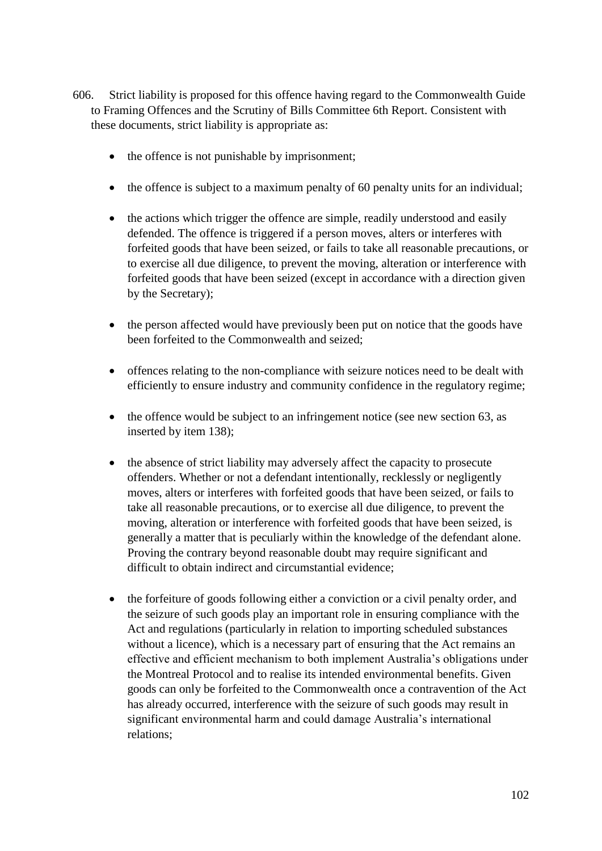- 606. Strict liability is proposed for this offence having regard to the Commonwealth Guide to Framing Offences and the Scrutiny of Bills Committee 6th Report. Consistent with these documents, strict liability is appropriate as:
	- the offence is not punishable by imprisonment;
	- the offence is subject to a maximum penalty of 60 penalty units for an individual;
	- the actions which trigger the offence are simple, readily understood and easily defended. The offence is triggered if a person moves, alters or interferes with forfeited goods that have been seized, or fails to take all reasonable precautions, or to exercise all due diligence, to prevent the moving, alteration or interference with forfeited goods that have been seized (except in accordance with a direction given by the Secretary);
	- the person affected would have previously been put on notice that the goods have been forfeited to the Commonwealth and seized;
	- offences relating to the non-compliance with seizure notices need to be dealt with efficiently to ensure industry and community confidence in the regulatory regime;
	- the offence would be subject to an infringement notice (see new section 63, as inserted by item 138);
	- the absence of strict liability may adversely affect the capacity to prosecute offenders. Whether or not a defendant intentionally, recklessly or negligently moves, alters or interferes with forfeited goods that have been seized, or fails to take all reasonable precautions, or to exercise all due diligence, to prevent the moving, alteration or interference with forfeited goods that have been seized, is generally a matter that is peculiarly within the knowledge of the defendant alone. Proving the contrary beyond reasonable doubt may require significant and difficult to obtain indirect and circumstantial evidence;
	- the forfeiture of goods following either a conviction or a civil penalty order, and the seizure of such goods play an important role in ensuring compliance with the Act and regulations (particularly in relation to importing scheduled substances without a licence), which is a necessary part of ensuring that the Act remains an effective and efficient mechanism to both implement Australia's obligations under the Montreal Protocol and to realise its intended environmental benefits. Given goods can only be forfeited to the Commonwealth once a contravention of the Act has already occurred, interference with the seizure of such goods may result in significant environmental harm and could damage Australia's international relations;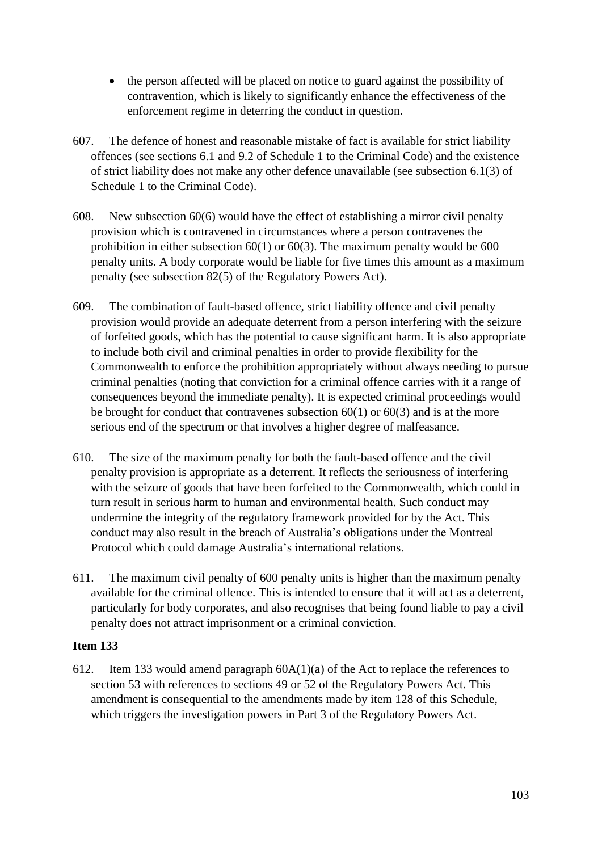- the person affected will be placed on notice to guard against the possibility of contravention, which is likely to significantly enhance the effectiveness of the enforcement regime in deterring the conduct in question.
- 607. The defence of honest and reasonable mistake of fact is available for strict liability offences (see sections 6.1 and 9.2 of Schedule 1 to the Criminal Code) and the existence of strict liability does not make any other defence unavailable (see subsection 6.1(3) of Schedule 1 to the Criminal Code).
- 608. New subsection 60(6) would have the effect of establishing a mirror civil penalty provision which is contravened in circumstances where a person contravenes the prohibition in either subsection 60(1) or 60(3). The maximum penalty would be 600 penalty units. A body corporate would be liable for five times this amount as a maximum penalty (see subsection 82(5) of the Regulatory Powers Act).
- 609. The combination of fault-based offence, strict liability offence and civil penalty provision would provide an adequate deterrent from a person interfering with the seizure of forfeited goods, which has the potential to cause significant harm. It is also appropriate to include both civil and criminal penalties in order to provide flexibility for the Commonwealth to enforce the prohibition appropriately without always needing to pursue criminal penalties (noting that conviction for a criminal offence carries with it a range of consequences beyond the immediate penalty). It is expected criminal proceedings would be brought for conduct that contravenes subsection 60(1) or 60(3) and is at the more serious end of the spectrum or that involves a higher degree of malfeasance.
- 610. The size of the maximum penalty for both the fault-based offence and the civil penalty provision is appropriate as a deterrent. It reflects the seriousness of interfering with the seizure of goods that have been forfeited to the Commonwealth, which could in turn result in serious harm to human and environmental health. Such conduct may undermine the integrity of the regulatory framework provided for by the Act. This conduct may also result in the breach of Australia's obligations under the Montreal Protocol which could damage Australia's international relations.
- 611. The maximum civil penalty of 600 penalty units is higher than the maximum penalty available for the criminal offence. This is intended to ensure that it will act as a deterrent, particularly for body corporates, and also recognises that being found liable to pay a civil penalty does not attract imprisonment or a criminal conviction.

612. Item 133 would amend paragraph 60A(1)(a) of the Act to replace the references to section 53 with references to sections 49 or 52 of the Regulatory Powers Act. This amendment is consequential to the amendments made by item 128 of this Schedule, which triggers the investigation powers in Part 3 of the Regulatory Powers Act.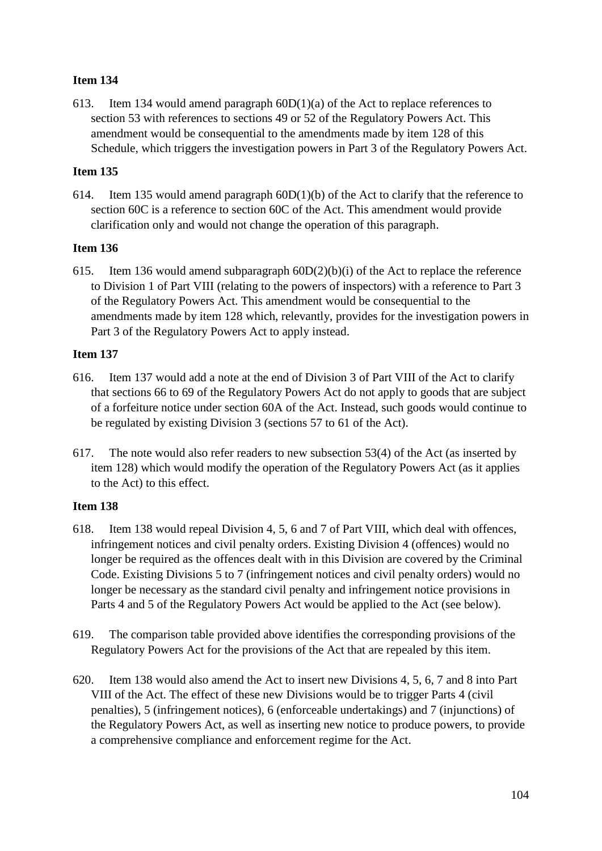613. Item 134 would amend paragraph 60D(1)(a) of the Act to replace references to section 53 with references to sections 49 or 52 of the Regulatory Powers Act. This amendment would be consequential to the amendments made by item 128 of this Schedule, which triggers the investigation powers in Part 3 of the Regulatory Powers Act.

# **Item 135**

614. Item 135 would amend paragraph 60D(1)(b) of the Act to clarify that the reference to section 60C is a reference to section 60C of the Act. This amendment would provide clarification only and would not change the operation of this paragraph.

## **Item 136**

615. Item 136 would amend subparagraph 60D(2)(b)(i) of the Act to replace the reference to Division 1 of Part VIII (relating to the powers of inspectors) with a reference to Part 3 of the Regulatory Powers Act. This amendment would be consequential to the amendments made by item 128 which, relevantly, provides for the investigation powers in Part 3 of the Regulatory Powers Act to apply instead.

### **Item 137**

- 616. Item 137 would add a note at the end of Division 3 of Part VIII of the Act to clarify that sections 66 to 69 of the Regulatory Powers Act do not apply to goods that are subject of a forfeiture notice under section 60A of the Act. Instead, such goods would continue to be regulated by existing Division 3 (sections 57 to 61 of the Act).
- 617. The note would also refer readers to new subsection 53(4) of the Act (as inserted by item 128) which would modify the operation of the Regulatory Powers Act (as it applies to the Act) to this effect.

- 618. Item 138 would repeal Division 4, 5, 6 and 7 of Part VIII, which deal with offences, infringement notices and civil penalty orders. Existing Division 4 (offences) would no longer be required as the offences dealt with in this Division are covered by the Criminal Code. Existing Divisions 5 to 7 (infringement notices and civil penalty orders) would no longer be necessary as the standard civil penalty and infringement notice provisions in Parts 4 and 5 of the Regulatory Powers Act would be applied to the Act (see below).
- 619. The comparison table provided above identifies the corresponding provisions of the Regulatory Powers Act for the provisions of the Act that are repealed by this item.
- 620. Item 138 would also amend the Act to insert new Divisions 4, 5, 6, 7 and 8 into Part VIII of the Act. The effect of these new Divisions would be to trigger Parts 4 (civil penalties), 5 (infringement notices), 6 (enforceable undertakings) and 7 (injunctions) of the Regulatory Powers Act, as well as inserting new notice to produce powers, to provide a comprehensive compliance and enforcement regime for the Act.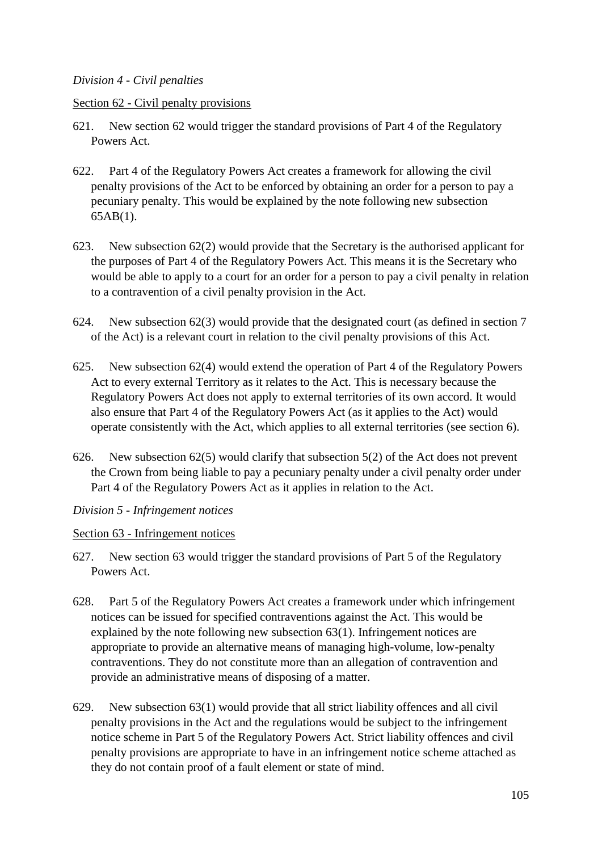### *Division 4 - Civil penalties*

#### Section 62 - Civil penalty provisions

- 621. New section 62 would trigger the standard provisions of Part 4 of the Regulatory Powers Act.
- 622. Part 4 of the Regulatory Powers Act creates a framework for allowing the civil penalty provisions of the Act to be enforced by obtaining an order for a person to pay a pecuniary penalty. This would be explained by the note following new subsection 65AB(1).
- 623. New subsection 62(2) would provide that the Secretary is the authorised applicant for the purposes of Part 4 of the Regulatory Powers Act. This means it is the Secretary who would be able to apply to a court for an order for a person to pay a civil penalty in relation to a contravention of a civil penalty provision in the Act.
- 624. New subsection 62(3) would provide that the designated court (as defined in section 7 of the Act) is a relevant court in relation to the civil penalty provisions of this Act.
- 625. New subsection 62(4) would extend the operation of Part 4 of the Regulatory Powers Act to every external Territory as it relates to the Act. This is necessary because the Regulatory Powers Act does not apply to external territories of its own accord. It would also ensure that Part 4 of the Regulatory Powers Act (as it applies to the Act) would operate consistently with the Act, which applies to all external territories (see section 6).
- 626. New subsection 62(5) would clarify that subsection 5(2) of the Act does not prevent the Crown from being liable to pay a pecuniary penalty under a civil penalty order under Part 4 of the Regulatory Powers Act as it applies in relation to the Act.

#### *Division 5 - Infringement notices*

#### Section 63 - Infringement notices

- 627. New section 63 would trigger the standard provisions of Part 5 of the Regulatory Powers Act.
- 628. Part 5 of the Regulatory Powers Act creates a framework under which infringement notices can be issued for specified contraventions against the Act. This would be explained by the note following new subsection 63(1). Infringement notices are appropriate to provide an alternative means of managing high-volume, low-penalty contraventions. They do not constitute more than an allegation of contravention and provide an administrative means of disposing of a matter.
- 629. New subsection 63(1) would provide that all strict liability offences and all civil penalty provisions in the Act and the regulations would be subject to the infringement notice scheme in Part 5 of the Regulatory Powers Act. Strict liability offences and civil penalty provisions are appropriate to have in an infringement notice scheme attached as they do not contain proof of a fault element or state of mind.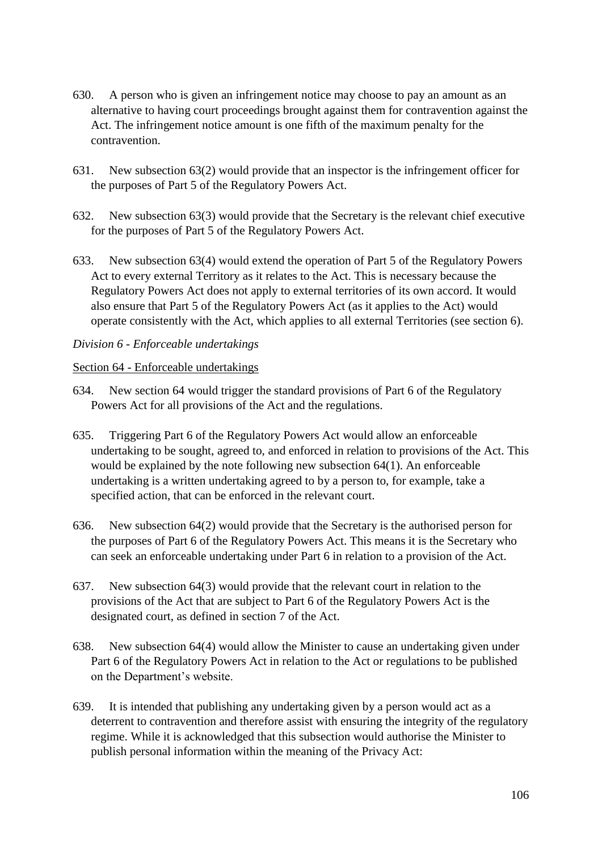- 630. A person who is given an infringement notice may choose to pay an amount as an alternative to having court proceedings brought against them for contravention against the Act. The infringement notice amount is one fifth of the maximum penalty for the contravention.
- 631. New subsection 63(2) would provide that an inspector is the infringement officer for the purposes of Part 5 of the Regulatory Powers Act.
- 632. New subsection 63(3) would provide that the Secretary is the relevant chief executive for the purposes of Part 5 of the Regulatory Powers Act.
- 633. New subsection 63(4) would extend the operation of Part 5 of the Regulatory Powers Act to every external Territory as it relates to the Act. This is necessary because the Regulatory Powers Act does not apply to external territories of its own accord. It would also ensure that Part 5 of the Regulatory Powers Act (as it applies to the Act) would operate consistently with the Act, which applies to all external Territories (see section 6).

## *Division 6 - Enforceable undertakings*

#### Section 64 - Enforceable undertakings

- 634. New section 64 would trigger the standard provisions of Part 6 of the Regulatory Powers Act for all provisions of the Act and the regulations.
- 635. Triggering Part 6 of the Regulatory Powers Act would allow an enforceable undertaking to be sought, agreed to, and enforced in relation to provisions of the Act. This would be explained by the note following new subsection 64(1). An enforceable undertaking is a written undertaking agreed to by a person to, for example, take a specified action, that can be enforced in the relevant court.
- 636. New subsection 64(2) would provide that the Secretary is the authorised person for the purposes of Part 6 of the Regulatory Powers Act. This means it is the Secretary who can seek an enforceable undertaking under Part 6 in relation to a provision of the Act.
- 637. New subsection 64(3) would provide that the relevant court in relation to the provisions of the Act that are subject to Part 6 of the Regulatory Powers Act is the designated court, as defined in section 7 of the Act.
- 638. New subsection 64(4) would allow the Minister to cause an undertaking given under Part 6 of the Regulatory Powers Act in relation to the Act or regulations to be published on the Department's website.
- 639. It is intended that publishing any undertaking given by a person would act as a deterrent to contravention and therefore assist with ensuring the integrity of the regulatory regime. While it is acknowledged that this subsection would authorise the Minister to publish personal information within the meaning of the Privacy Act: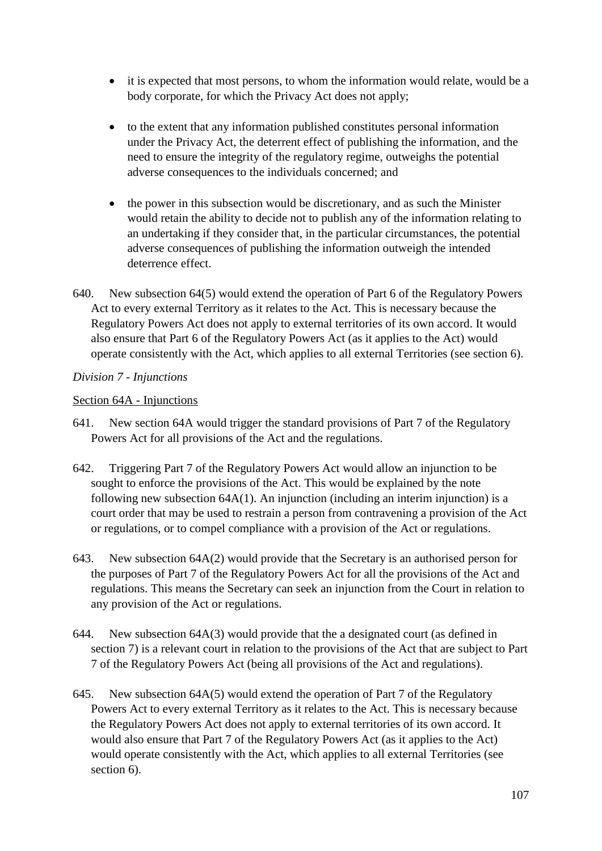- it is expected that most persons, to whom the information would relate, would be a body corporate, for which the Privacy Act does not apply;
- to the extent that any information published constitutes personal information under the Privacy Act, the deterrent effect of publishing the information, and the need to ensure the integrity of the regulatory regime, outweighs the potential adverse consequences to the individuals concerned; and
- the power in this subsection would be discretionary, and as such the Minister would retain the ability to decide not to publish any of the information relating to an undertaking if they consider that, in the particular circumstances, the potential adverse consequences of publishing the information outweigh the intended deterrence effect.
- 640. New subsection 64(5) would extend the operation of Part 6 of the Regulatory Powers Act to every external Territory as it relates to the Act. This is necessary because the Regulatory Powers Act does not apply to external territories of its own accord. It would also ensure that Part 6 of the Regulatory Powers Act (as it applies to the Act) would operate consistently with the Act, which applies to all external Territories (see section 6).

## *Division 7 - Injunctions*

### Section 64A - Injunctions

- 641. New section 64A would trigger the standard provisions of Part 7 of the Regulatory Powers Act for all provisions of the Act and the regulations.
- 642. Triggering Part 7 of the Regulatory Powers Act would allow an injunction to be sought to enforce the provisions of the Act. This would be explained by the note following new subsection 64A(1). An injunction (including an interim injunction) is a court order that may be used to restrain a person from contravening a provision of the Act or regulations, or to compel compliance with a provision of the Act or regulations.
- 643. New subsection 64A(2) would provide that the Secretary is an authorised person for the purposes of Part 7 of the Regulatory Powers Act for all the provisions of the Act and regulations. This means the Secretary can seek an injunction from the Court in relation to any provision of the Act or regulations.
- 644. New subsection 64A(3) would provide that the a designated court (as defined in section 7) is a relevant court in relation to the provisions of the Act that are subject to Part 7 of the Regulatory Powers Act (being all provisions of the Act and regulations).
- 645. New subsection 64A(5) would extend the operation of Part 7 of the Regulatory Powers Act to every external Territory as it relates to the Act. This is necessary because the Regulatory Powers Act does not apply to external territories of its own accord. It would also ensure that Part 7 of the Regulatory Powers Act (as it applies to the Act) would operate consistently with the Act, which applies to all external Territories (see section 6).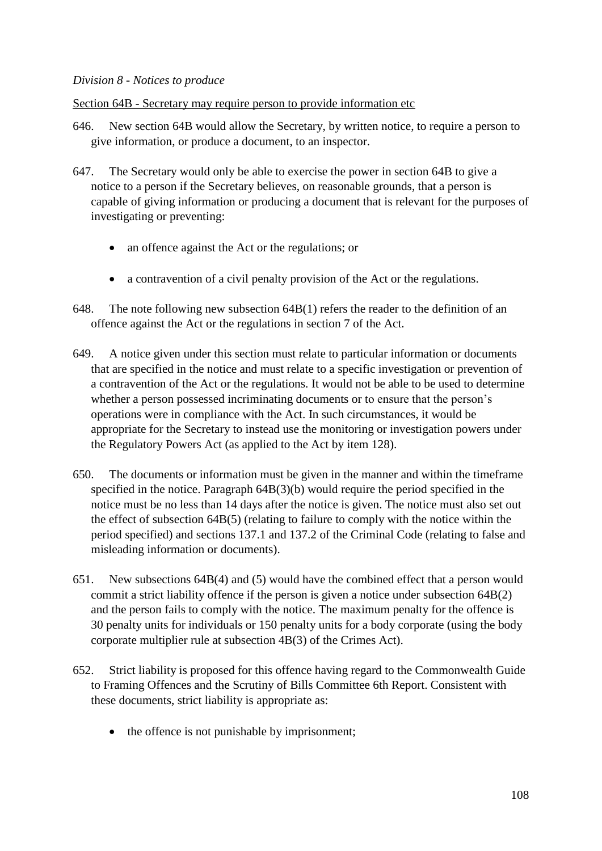#### *Division 8 - Notices to produce*

Section 64B - Secretary may require person to provide information etc

- 646. New section 64B would allow the Secretary, by written notice, to require a person to give information, or produce a document, to an inspector.
- 647. The Secretary would only be able to exercise the power in section 64B to give a notice to a person if the Secretary believes, on reasonable grounds, that a person is capable of giving information or producing a document that is relevant for the purposes of investigating or preventing:
	- an offence against the Act or the regulations; or
	- a contravention of a civil penalty provision of the Act or the regulations.
- 648. The note following new subsection 64B(1) refers the reader to the definition of an offence against the Act or the regulations in section 7 of the Act.
- 649. A notice given under this section must relate to particular information or documents that are specified in the notice and must relate to a specific investigation or prevention of a contravention of the Act or the regulations. It would not be able to be used to determine whether a person possessed incriminating documents or to ensure that the person's operations were in compliance with the Act. In such circumstances, it would be appropriate for the Secretary to instead use the monitoring or investigation powers under the Regulatory Powers Act (as applied to the Act by item 128).
- 650. The documents or information must be given in the manner and within the timeframe specified in the notice. Paragraph 64B(3)(b) would require the period specified in the notice must be no less than 14 days after the notice is given. The notice must also set out the effect of subsection 64B(5) (relating to failure to comply with the notice within the period specified) and sections 137.1 and 137.2 of the Criminal Code (relating to false and misleading information or documents).
- 651. New subsections 64B(4) and (5) would have the combined effect that a person would commit a strict liability offence if the person is given a notice under subsection 64B(2) and the person fails to comply with the notice. The maximum penalty for the offence is 30 penalty units for individuals or 150 penalty units for a body corporate (using the body corporate multiplier rule at subsection 4B(3) of the Crimes Act).
- 652. Strict liability is proposed for this offence having regard to the Commonwealth Guide to Framing Offences and the Scrutiny of Bills Committee 6th Report. Consistent with these documents, strict liability is appropriate as:
	- the offence is not punishable by imprisonment;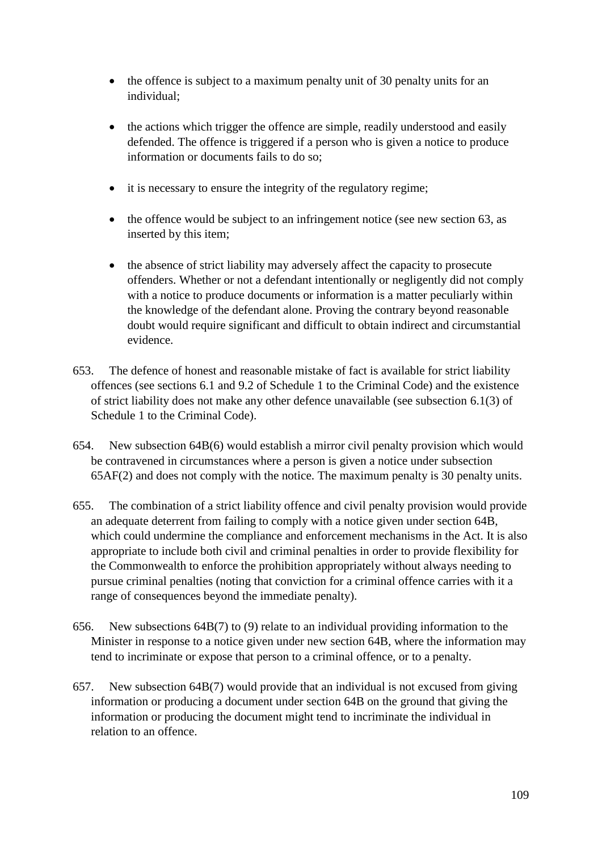- the offence is subject to a maximum penalty unit of 30 penalty units for an individual;
- the actions which trigger the offence are simple, readily understood and easily defended. The offence is triggered if a person who is given a notice to produce information or documents fails to do so;
- it is necessary to ensure the integrity of the regulatory regime;
- the offence would be subject to an infringement notice (see new section 63, as inserted by this item;
- the absence of strict liability may adversely affect the capacity to prosecute offenders. Whether or not a defendant intentionally or negligently did not comply with a notice to produce documents or information is a matter peculiarly within the knowledge of the defendant alone. Proving the contrary beyond reasonable doubt would require significant and difficult to obtain indirect and circumstantial evidence.
- 653. The defence of honest and reasonable mistake of fact is available for strict liability offences (see sections 6.1 and 9.2 of Schedule 1 to the Criminal Code) and the existence of strict liability does not make any other defence unavailable (see subsection 6.1(3) of Schedule 1 to the Criminal Code).
- 654. New subsection 64B(6) would establish a mirror civil penalty provision which would be contravened in circumstances where a person is given a notice under subsection 65AF(2) and does not comply with the notice. The maximum penalty is 30 penalty units.
- 655. The combination of a strict liability offence and civil penalty provision would provide an adequate deterrent from failing to comply with a notice given under section 64B, which could undermine the compliance and enforcement mechanisms in the Act. It is also appropriate to include both civil and criminal penalties in order to provide flexibility for the Commonwealth to enforce the prohibition appropriately without always needing to pursue criminal penalties (noting that conviction for a criminal offence carries with it a range of consequences beyond the immediate penalty).
- 656. New subsections 64B(7) to (9) relate to an individual providing information to the Minister in response to a notice given under new section 64B, where the information may tend to incriminate or expose that person to a criminal offence, or to a penalty.
- 657. New subsection 64B(7) would provide that an individual is not excused from giving information or producing a document under section 64B on the ground that giving the information or producing the document might tend to incriminate the individual in relation to an offence.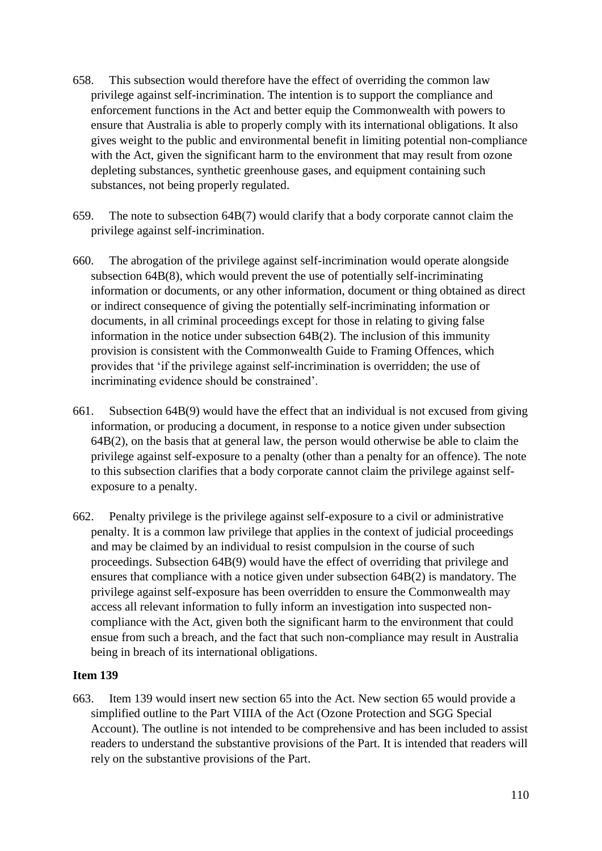- 658. This subsection would therefore have the effect of overriding the common law privilege against self-incrimination. The intention is to support the compliance and enforcement functions in the Act and better equip the Commonwealth with powers to ensure that Australia is able to properly comply with its international obligations. It also gives weight to the public and environmental benefit in limiting potential non-compliance with the Act, given the significant harm to the environment that may result from ozone depleting substances, synthetic greenhouse gases, and equipment containing such substances, not being properly regulated.
- 659. The note to subsection 64B(7) would clarify that a body corporate cannot claim the privilege against self-incrimination.
- 660. The abrogation of the privilege against self-incrimination would operate alongside subsection 64B(8), which would prevent the use of potentially self-incriminating information or documents, or any other information, document or thing obtained as direct or indirect consequence of giving the potentially self-incriminating information or documents, in all criminal proceedings except for those in relating to giving false information in the notice under subsection 64B(2). The inclusion of this immunity provision is consistent with the Commonwealth Guide to Framing Offences, which provides that 'if the privilege against self-incrimination is overridden; the use of incriminating evidence should be constrained'.
- 661. Subsection 64B(9) would have the effect that an individual is not excused from giving information, or producing a document, in response to a notice given under subsection 64B(2), on the basis that at general law, the person would otherwise be able to claim the privilege against self-exposure to a penalty (other than a penalty for an offence). The note to this subsection clarifies that a body corporate cannot claim the privilege against selfexposure to a penalty.
- 662. Penalty privilege is the privilege against self-exposure to a civil or administrative penalty. It is a common law privilege that applies in the context of judicial proceedings and may be claimed by an individual to resist compulsion in the course of such proceedings. Subsection 64B(9) would have the effect of overriding that privilege and ensures that compliance with a notice given under subsection 64B(2) is mandatory. The privilege against self-exposure has been overridden to ensure the Commonwealth may access all relevant information to fully inform an investigation into suspected noncompliance with the Act, given both the significant harm to the environment that could ensue from such a breach, and the fact that such non-compliance may result in Australia being in breach of its international obligations.

663. Item 139 would insert new section 65 into the Act. New section 65 would provide a simplified outline to the Part VIIIA of the Act (Ozone Protection and SGG Special Account). The outline is not intended to be comprehensive and has been included to assist readers to understand the substantive provisions of the Part. It is intended that readers will rely on the substantive provisions of the Part.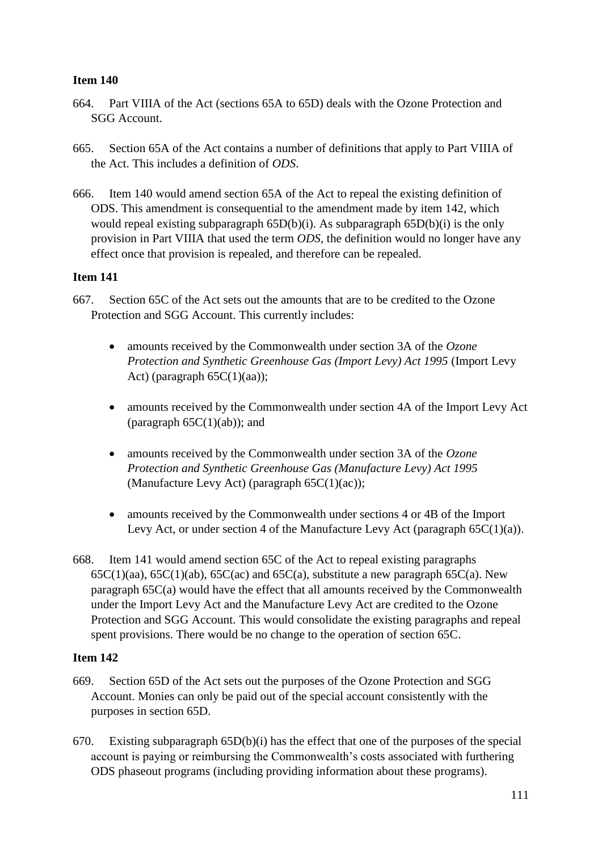- 664. Part VIIIA of the Act (sections 65A to 65D) deals with the Ozone Protection and SGG Account.
- 665. Section 65A of the Act contains a number of definitions that apply to Part VIIIA of the Act. This includes a definition of *ODS*.
- 666. Item 140 would amend section 65A of the Act to repeal the existing definition of ODS. This amendment is consequential to the amendment made by item 142, which would repeal existing subparagraph 65D(b)(i). As subparagraph 65D(b)(i) is the only provision in Part VIIIA that used the term *ODS*, the definition would no longer have any effect once that provision is repealed, and therefore can be repealed.

# **Item 141**

- 667. Section 65C of the Act sets out the amounts that are to be credited to the Ozone Protection and SGG Account. This currently includes:
	- amounts received by the Commonwealth under section 3A of the *Ozone Protection and Synthetic Greenhouse Gas (Import Levy) Act 1995* (Import Levy Act) (paragraph  $65C(1)(aa)$ );
	- amounts received by the Commonwealth under section 4A of the Import Levy Act (paragraph  $65C(1)(ab)$ ); and
	- amounts received by the Commonwealth under section 3A of the *Ozone Protection and Synthetic Greenhouse Gas (Manufacture Levy) Act 1995* (Manufacture Levy Act) (paragraph 65C(1)(ac));
	- amounts received by the Commonwealth under sections 4 or 4B of the Import Levy Act, or under section 4 of the Manufacture Levy Act (paragraph  $65C(1)(a)$ ).
- 668. Item 141 would amend section 65C of the Act to repeal existing paragraphs  $65C(1)(aa)$ ,  $65C(1)(ab)$ ,  $65C(ac)$  and  $65C(a)$ , substitute a new paragraph  $65C(a)$ . New paragraph 65C(a) would have the effect that all amounts received by the Commonwealth under the Import Levy Act and the Manufacture Levy Act are credited to the Ozone Protection and SGG Account. This would consolidate the existing paragraphs and repeal spent provisions. There would be no change to the operation of section 65C.

- 669. Section 65D of the Act sets out the purposes of the Ozone Protection and SGG Account. Monies can only be paid out of the special account consistently with the purposes in section 65D.
- 670. Existing subparagraph 65D(b)(i) has the effect that one of the purposes of the special account is paying or reimbursing the Commonwealth's costs associated with furthering ODS phaseout programs (including providing information about these programs).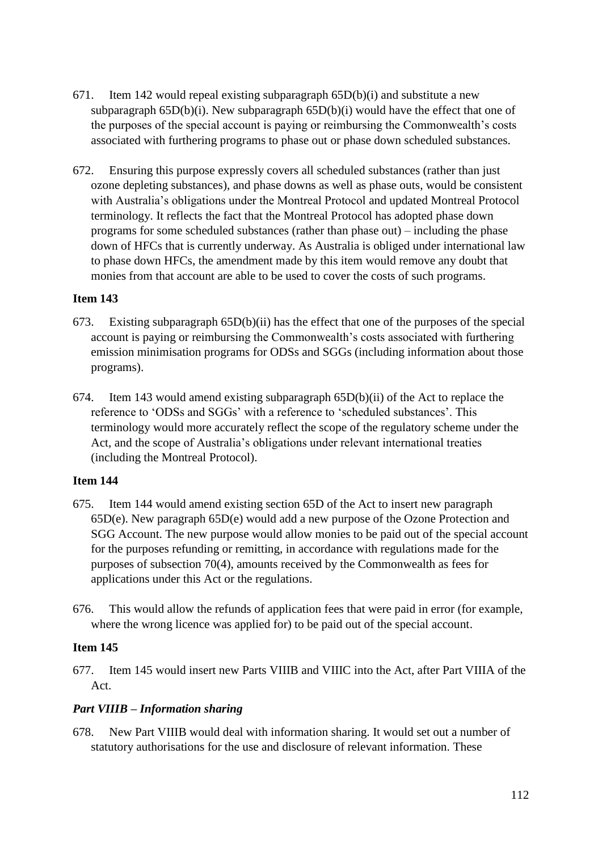- 671. Item 142 would repeal existing subparagraph  $65D(b)(i)$  and substitute a new subparagraph 65D(b)(i). New subparagraph 65D(b)(i) would have the effect that one of the purposes of the special account is paying or reimbursing the Commonwealth's costs associated with furthering programs to phase out or phase down scheduled substances.
- 672. Ensuring this purpose expressly covers all scheduled substances (rather than just ozone depleting substances), and phase downs as well as phase outs, would be consistent with Australia's obligations under the Montreal Protocol and updated Montreal Protocol terminology. It reflects the fact that the Montreal Protocol has adopted phase down programs for some scheduled substances (rather than phase out) – including the phase down of HFCs that is currently underway. As Australia is obliged under international law to phase down HFCs, the amendment made by this item would remove any doubt that monies from that account are able to be used to cover the costs of such programs.

- 673. Existing subparagraph 65D(b)(ii) has the effect that one of the purposes of the special account is paying or reimbursing the Commonwealth's costs associated with furthering emission minimisation programs for ODSs and SGGs (including information about those programs).
- 674. Item 143 would amend existing subparagraph 65D(b)(ii) of the Act to replace the reference to 'ODSs and SGGs' with a reference to 'scheduled substances'. This terminology would more accurately reflect the scope of the regulatory scheme under the Act, and the scope of Australia's obligations under relevant international treaties (including the Montreal Protocol).

# **Item 144**

- 675. Item 144 would amend existing section 65D of the Act to insert new paragraph 65D(e). New paragraph 65D(e) would add a new purpose of the Ozone Protection and SGG Account. The new purpose would allow monies to be paid out of the special account for the purposes refunding or remitting, in accordance with regulations made for the purposes of subsection 70(4), amounts received by the Commonwealth as fees for applications under this Act or the regulations.
- 676. This would allow the refunds of application fees that were paid in error (for example, where the wrong licence was applied for) to be paid out of the special account.

# **Item 145**

677. Item 145 would insert new Parts VIIIB and VIIIC into the Act, after Part VIIIA of the Act.

# *Part VIIIB – Information sharing*

678. New Part VIIIB would deal with information sharing. It would set out a number of statutory authorisations for the use and disclosure of relevant information. These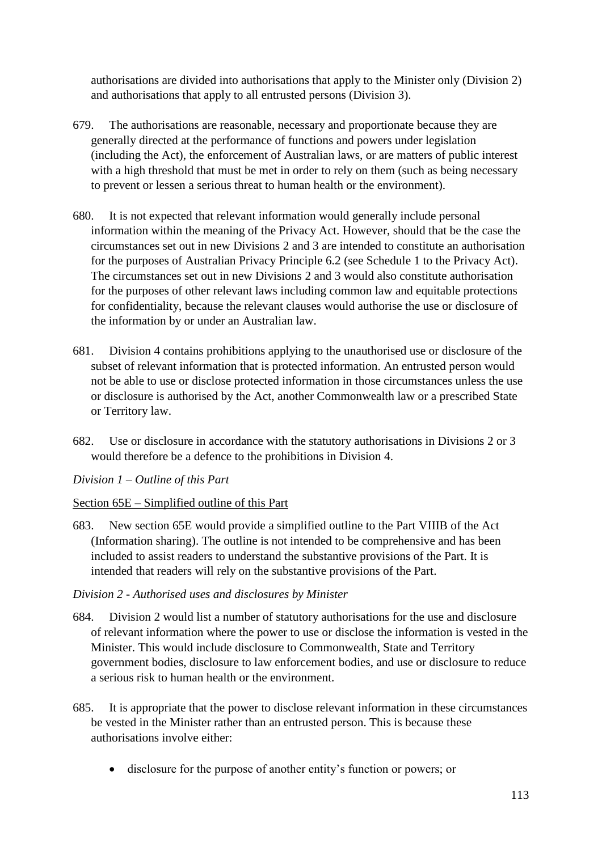authorisations are divided into authorisations that apply to the Minister only (Division 2) and authorisations that apply to all entrusted persons (Division 3).

- 679. The authorisations are reasonable, necessary and proportionate because they are generally directed at the performance of functions and powers under legislation (including the Act), the enforcement of Australian laws, or are matters of public interest with a high threshold that must be met in order to rely on them (such as being necessary to prevent or lessen a serious threat to human health or the environment).
- 680. It is not expected that relevant information would generally include personal information within the meaning of the Privacy Act. However, should that be the case the circumstances set out in new Divisions 2 and 3 are intended to constitute an authorisation for the purposes of Australian Privacy Principle 6.2 (see Schedule 1 to the Privacy Act). The circumstances set out in new Divisions 2 and 3 would also constitute authorisation for the purposes of other relevant laws including common law and equitable protections for confidentiality, because the relevant clauses would authorise the use or disclosure of the information by or under an Australian law.
- 681. Division 4 contains prohibitions applying to the unauthorised use or disclosure of the subset of relevant information that is protected information. An entrusted person would not be able to use or disclose protected information in those circumstances unless the use or disclosure is authorised by the Act, another Commonwealth law or a prescribed State or Territory law.
- 682. Use or disclosure in accordance with the statutory authorisations in Divisions 2 or 3 would therefore be a defence to the prohibitions in Division 4.

# *Division 1 – Outline of this Part*

# Section 65E – Simplified outline of this Part

683. New section 65E would provide a simplified outline to the Part VIIIB of the Act (Information sharing). The outline is not intended to be comprehensive and has been included to assist readers to understand the substantive provisions of the Part. It is intended that readers will rely on the substantive provisions of the Part.

# *Division 2 - Authorised uses and disclosures by Minister*

- 684. Division 2 would list a number of statutory authorisations for the use and disclosure of relevant information where the power to use or disclose the information is vested in the Minister. This would include disclosure to Commonwealth, State and Territory government bodies, disclosure to law enforcement bodies, and use or disclosure to reduce a serious risk to human health or the environment.
- 685. It is appropriate that the power to disclose relevant information in these circumstances be vested in the Minister rather than an entrusted person. This is because these authorisations involve either:
	- disclosure for the purpose of another entity's function or powers; or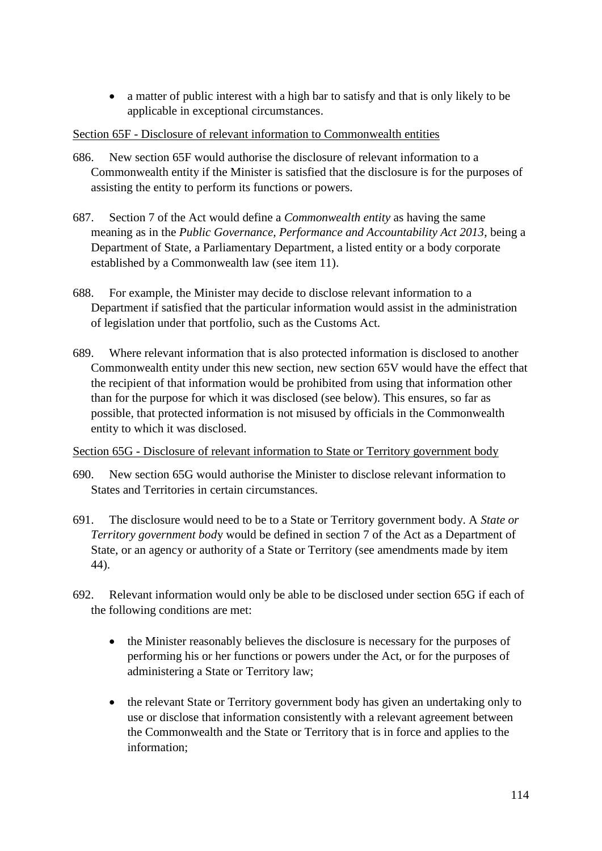• a matter of public interest with a high bar to satisfy and that is only likely to be applicable in exceptional circumstances.

# Section 65F - Disclosure of relevant information to Commonwealth entities

- 686. New section 65F would authorise the disclosure of relevant information to a Commonwealth entity if the Minister is satisfied that the disclosure is for the purposes of assisting the entity to perform its functions or powers.
- 687. Section 7 of the Act would define a *Commonwealth entity* as having the same meaning as in the *Public Governance, Performance and Accountability Act 2013*, being a Department of State, a Parliamentary Department, a listed entity or a body corporate established by a Commonwealth law (see item 11).
- 688. For example, the Minister may decide to disclose relevant information to a Department if satisfied that the particular information would assist in the administration of legislation under that portfolio, such as the Customs Act.
- 689. Where relevant information that is also protected information is disclosed to another Commonwealth entity under this new section, new section 65V would have the effect that the recipient of that information would be prohibited from using that information other than for the purpose for which it was disclosed (see below). This ensures, so far as possible, that protected information is not misused by officials in the Commonwealth entity to which it was disclosed.

#### Section 65G - Disclosure of relevant information to State or Territory government body

- 690. New section 65G would authorise the Minister to disclose relevant information to States and Territories in certain circumstances.
- 691. The disclosure would need to be to a State or Territory government body. A *State or Territory government bod*y would be defined in section 7 of the Act as a Department of State, or an agency or authority of a State or Territory (see amendments made by item 44).
- 692. Relevant information would only be able to be disclosed under section 65G if each of the following conditions are met:
	- the Minister reasonably believes the disclosure is necessary for the purposes of performing his or her functions or powers under the Act, or for the purposes of administering a State or Territory law;
	- the relevant State or Territory government body has given an undertaking only to use or disclose that information consistently with a relevant agreement between the Commonwealth and the State or Territory that is in force and applies to the information;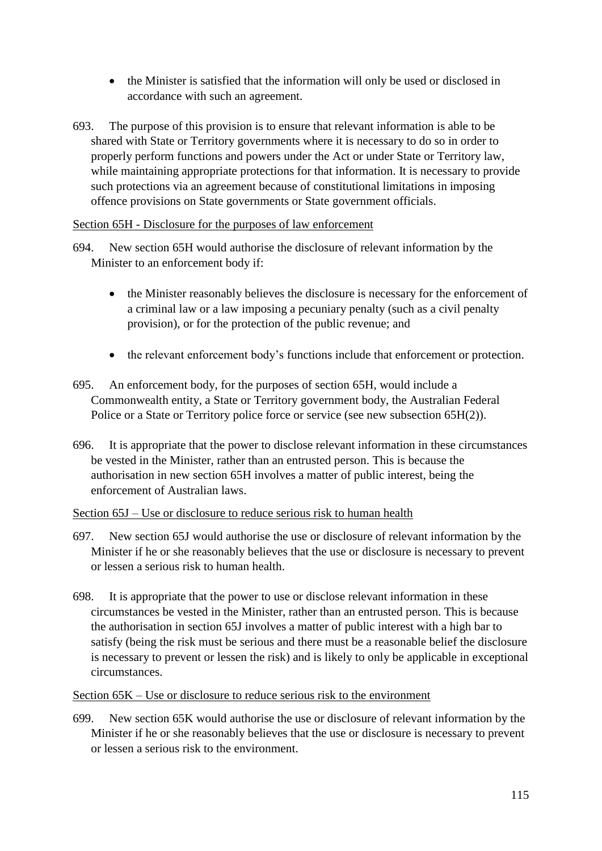- the Minister is satisfied that the information will only be used or disclosed in accordance with such an agreement.
- 693. The purpose of this provision is to ensure that relevant information is able to be shared with State or Territory governments where it is necessary to do so in order to properly perform functions and powers under the Act or under State or Territory law, while maintaining appropriate protections for that information. It is necessary to provide such protections via an agreement because of constitutional limitations in imposing offence provisions on State governments or State government officials.

### Section 65H - Disclosure for the purposes of law enforcement

- 694. New section 65H would authorise the disclosure of relevant information by the Minister to an enforcement body if:
	- the Minister reasonably believes the disclosure is necessary for the enforcement of a criminal law or a law imposing a pecuniary penalty (such as a civil penalty provision), or for the protection of the public revenue; and
	- the relevant enforcement body's functions include that enforcement or protection.
- 695. An enforcement body, for the purposes of section 65H, would include a Commonwealth entity, a State or Territory government body, the Australian Federal Police or a State or Territory police force or service (see new subsection 65H(2)).
- 696. It is appropriate that the power to disclose relevant information in these circumstances be vested in the Minister, rather than an entrusted person. This is because the authorisation in new section 65H involves a matter of public interest, being the enforcement of Australian laws.

# Section 65J – Use or disclosure to reduce serious risk to human health

- 697. New section 65J would authorise the use or disclosure of relevant information by the Minister if he or she reasonably believes that the use or disclosure is necessary to prevent or lessen a serious risk to human health.
- 698. It is appropriate that the power to use or disclose relevant information in these circumstances be vested in the Minister, rather than an entrusted person. This is because the authorisation in section 65J involves a matter of public interest with a high bar to satisfy (being the risk must be serious and there must be a reasonable belief the disclosure is necessary to prevent or lessen the risk) and is likely to only be applicable in exceptional circumstances.

# Section 65K – Use or disclosure to reduce serious risk to the environment

699. New section 65K would authorise the use or disclosure of relevant information by the Minister if he or she reasonably believes that the use or disclosure is necessary to prevent or lessen a serious risk to the environment.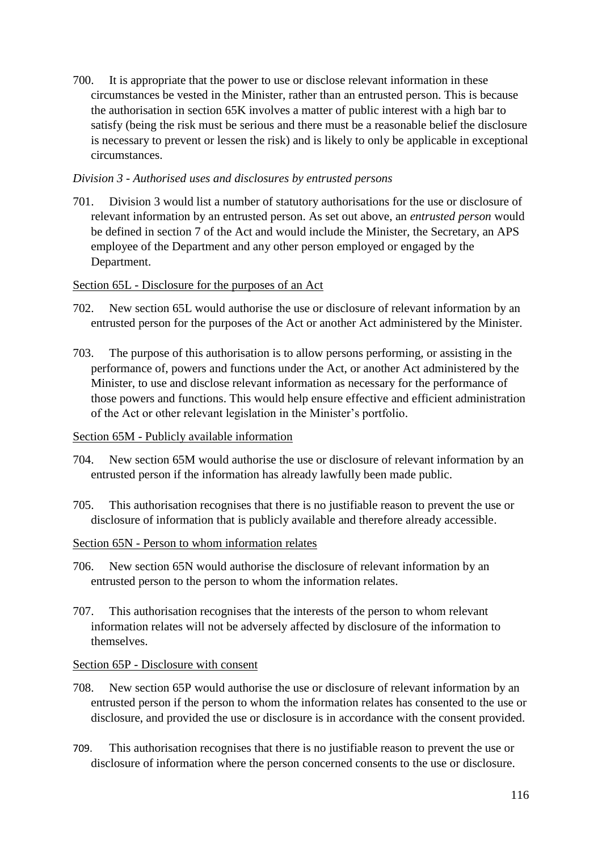700. It is appropriate that the power to use or disclose relevant information in these circumstances be vested in the Minister, rather than an entrusted person. This is because the authorisation in section 65K involves a matter of public interest with a high bar to satisfy (being the risk must be serious and there must be a reasonable belief the disclosure is necessary to prevent or lessen the risk) and is likely to only be applicable in exceptional circumstances.

# *Division 3 - Authorised uses and disclosures by entrusted persons*

701. Division 3 would list a number of statutory authorisations for the use or disclosure of relevant information by an entrusted person. As set out above, an *entrusted person* would be defined in section 7 of the Act and would include the Minister, the Secretary, an APS employee of the Department and any other person employed or engaged by the Department.

# Section 65L - Disclosure for the purposes of an Act

- 702. New section 65L would authorise the use or disclosure of relevant information by an entrusted person for the purposes of the Act or another Act administered by the Minister.
- 703. The purpose of this authorisation is to allow persons performing, or assisting in the performance of, powers and functions under the Act, or another Act administered by the Minister, to use and disclose relevant information as necessary for the performance of those powers and functions. This would help ensure effective and efficient administration of the Act or other relevant legislation in the Minister's portfolio.

# Section 65M - Publicly available information

- 704. New section 65M would authorise the use or disclosure of relevant information by an entrusted person if the information has already lawfully been made public.
- 705. This authorisation recognises that there is no justifiable reason to prevent the use or disclosure of information that is publicly available and therefore already accessible.

# Section 65N - Person to whom information relates

- 706. New section 65N would authorise the disclosure of relevant information by an entrusted person to the person to whom the information relates.
- 707. This authorisation recognises that the interests of the person to whom relevant information relates will not be adversely affected by disclosure of the information to themselves.

#### Section 65P - Disclosure with consent

- 708. New section 65P would authorise the use or disclosure of relevant information by an entrusted person if the person to whom the information relates has consented to the use or disclosure, and provided the use or disclosure is in accordance with the consent provided.
- 709. This authorisation recognises that there is no justifiable reason to prevent the use or disclosure of information where the person concerned consents to the use or disclosure.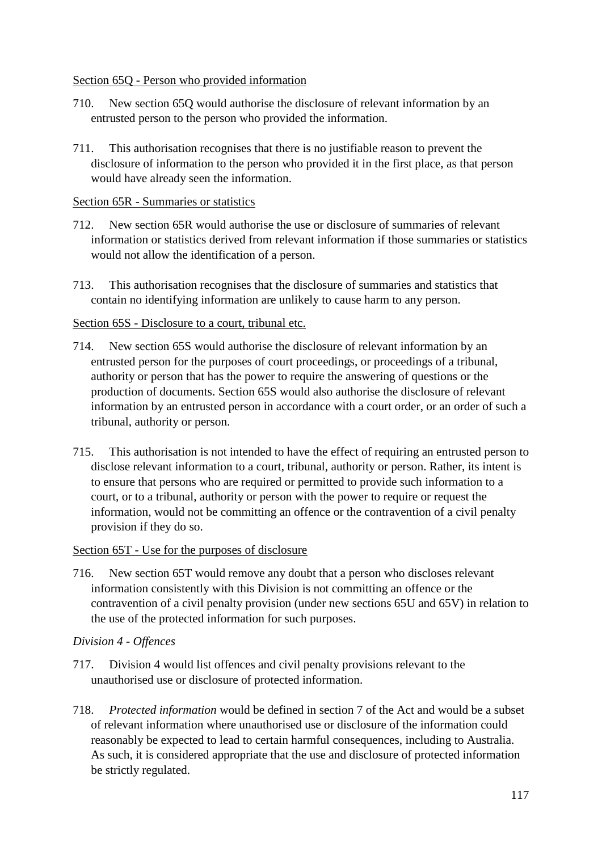### Section 65Q - Person who provided information

- 710. New section 65Q would authorise the disclosure of relevant information by an entrusted person to the person who provided the information.
- 711. This authorisation recognises that there is no justifiable reason to prevent the disclosure of information to the person who provided it in the first place, as that person would have already seen the information.

### Section 65R - Summaries or statistics

- 712. New section 65R would authorise the use or disclosure of summaries of relevant information or statistics derived from relevant information if those summaries or statistics would not allow the identification of a person.
- 713. This authorisation recognises that the disclosure of summaries and statistics that contain no identifying information are unlikely to cause harm to any person.

### Section 65S - Disclosure to a court, tribunal etc.

- 714. New section 65S would authorise the disclosure of relevant information by an entrusted person for the purposes of court proceedings, or proceedings of a tribunal, authority or person that has the power to require the answering of questions or the production of documents. Section 65S would also authorise the disclosure of relevant information by an entrusted person in accordance with a court order, or an order of such a tribunal, authority or person.
- 715. This authorisation is not intended to have the effect of requiring an entrusted person to disclose relevant information to a court, tribunal, authority or person. Rather, its intent is to ensure that persons who are required or permitted to provide such information to a court, or to a tribunal, authority or person with the power to require or request the information, would not be committing an offence or the contravention of a civil penalty provision if they do so.

#### Section 65T - Use for the purposes of disclosure

716. New section 65T would remove any doubt that a person who discloses relevant information consistently with this Division is not committing an offence or the contravention of a civil penalty provision (under new sections 65U and 65V) in relation to the use of the protected information for such purposes.

#### *Division 4 - Offences*

- 717. Division 4 would list offences and civil penalty provisions relevant to the unauthorised use or disclosure of protected information.
- 718. *Protected information* would be defined in section 7 of the Act and would be a subset of relevant information where unauthorised use or disclosure of the information could reasonably be expected to lead to certain harmful consequences, including to Australia. As such, it is considered appropriate that the use and disclosure of protected information be strictly regulated.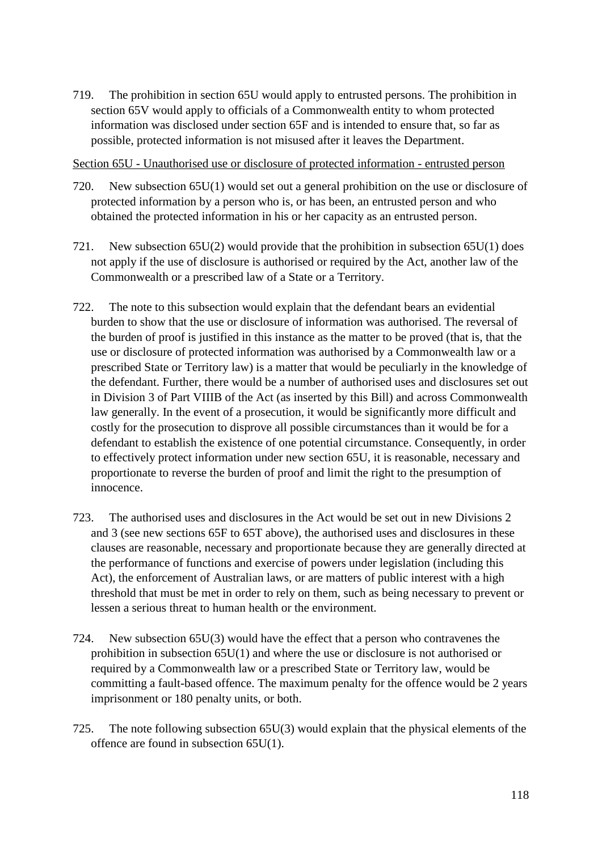719. The prohibition in section 65U would apply to entrusted persons. The prohibition in section 65V would apply to officials of a Commonwealth entity to whom protected information was disclosed under section 65F and is intended to ensure that, so far as possible, protected information is not misused after it leaves the Department.

Section 65U - Unauthorised use or disclosure of protected information - entrusted person

- 720. New subsection 65U(1) would set out a general prohibition on the use or disclosure of protected information by a person who is, or has been, an entrusted person and who obtained the protected information in his or her capacity as an entrusted person.
- 721. New subsection  $65U(2)$  would provide that the prohibition in subsection  $65U(1)$  does not apply if the use of disclosure is authorised or required by the Act, another law of the Commonwealth or a prescribed law of a State or a Territory.
- 722. The note to this subsection would explain that the defendant bears an evidential burden to show that the use or disclosure of information was authorised. The reversal of the burden of proof is justified in this instance as the matter to be proved (that is, that the use or disclosure of protected information was authorised by a Commonwealth law or a prescribed State or Territory law) is a matter that would be peculiarly in the knowledge of the defendant. Further, there would be a number of authorised uses and disclosures set out in Division 3 of Part VIIIB of the Act (as inserted by this Bill) and across Commonwealth law generally. In the event of a prosecution, it would be significantly more difficult and costly for the prosecution to disprove all possible circumstances than it would be for a defendant to establish the existence of one potential circumstance. Consequently, in order to effectively protect information under new section 65U, it is reasonable, necessary and proportionate to reverse the burden of proof and limit the right to the presumption of innocence.
- 723. The authorised uses and disclosures in the Act would be set out in new Divisions 2 and 3 (see new sections 65F to 65T above), the authorised uses and disclosures in these clauses are reasonable, necessary and proportionate because they are generally directed at the performance of functions and exercise of powers under legislation (including this Act), the enforcement of Australian laws, or are matters of public interest with a high threshold that must be met in order to rely on them, such as being necessary to prevent or lessen a serious threat to human health or the environment.
- 724. New subsection 65U(3) would have the effect that a person who contravenes the prohibition in subsection 65U(1) and where the use or disclosure is not authorised or required by a Commonwealth law or a prescribed State or Territory law, would be committing a fault-based offence. The maximum penalty for the offence would be 2 years imprisonment or 180 penalty units, or both.
- 725. The note following subsection 65U(3) would explain that the physical elements of the offence are found in subsection 65U(1).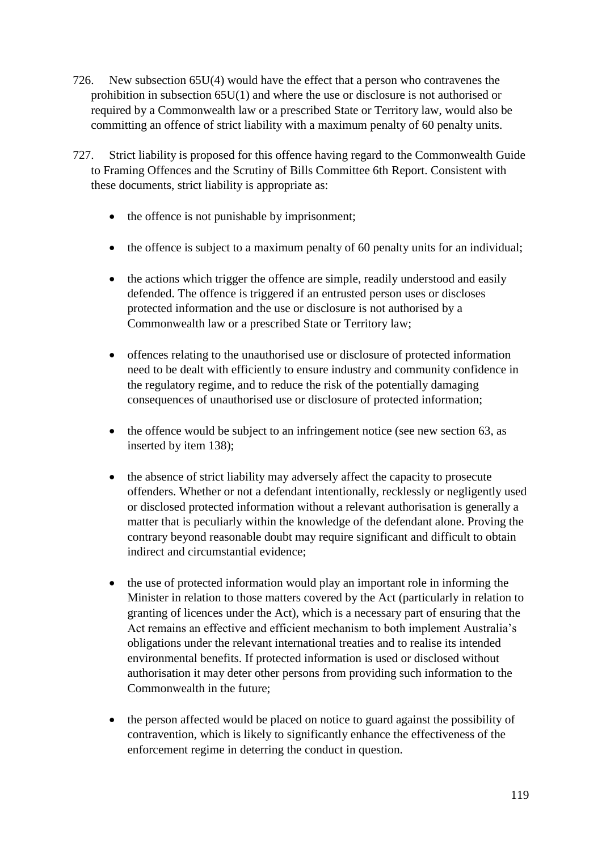- 726. New subsection 65U(4) would have the effect that a person who contravenes the prohibition in subsection 65U(1) and where the use or disclosure is not authorised or required by a Commonwealth law or a prescribed State or Territory law, would also be committing an offence of strict liability with a maximum penalty of 60 penalty units.
- 727. Strict liability is proposed for this offence having regard to the Commonwealth Guide to Framing Offences and the Scrutiny of Bills Committee 6th Report. Consistent with these documents, strict liability is appropriate as:
	- the offence is not punishable by imprisonment;
	- the offence is subject to a maximum penalty of 60 penalty units for an individual;
	- the actions which trigger the offence are simple, readily understood and easily defended. The offence is triggered if an entrusted person uses or discloses protected information and the use or disclosure is not authorised by a Commonwealth law or a prescribed State or Territory law;
	- offences relating to the unauthorised use or disclosure of protected information need to be dealt with efficiently to ensure industry and community confidence in the regulatory regime, and to reduce the risk of the potentially damaging consequences of unauthorised use or disclosure of protected information;
	- the offence would be subject to an infringement notice (see new section 63, as inserted by item 138);
	- the absence of strict liability may adversely affect the capacity to prosecute offenders. Whether or not a defendant intentionally, recklessly or negligently used or disclosed protected information without a relevant authorisation is generally a matter that is peculiarly within the knowledge of the defendant alone. Proving the contrary beyond reasonable doubt may require significant and difficult to obtain indirect and circumstantial evidence;
	- the use of protected information would play an important role in informing the Minister in relation to those matters covered by the Act (particularly in relation to granting of licences under the Act), which is a necessary part of ensuring that the Act remains an effective and efficient mechanism to both implement Australia's obligations under the relevant international treaties and to realise its intended environmental benefits. If protected information is used or disclosed without authorisation it may deter other persons from providing such information to the Commonwealth in the future;
	- the person affected would be placed on notice to guard against the possibility of contravention, which is likely to significantly enhance the effectiveness of the enforcement regime in deterring the conduct in question.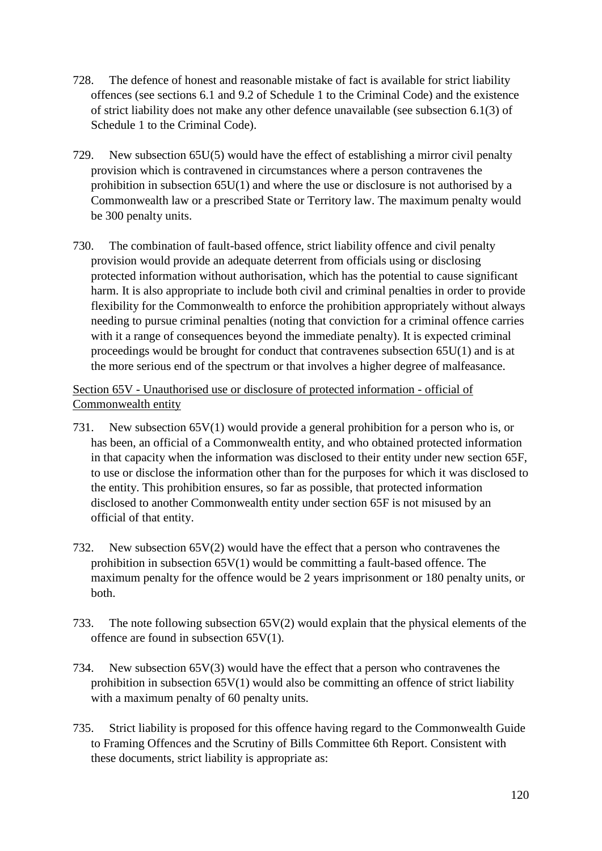- 728. The defence of honest and reasonable mistake of fact is available for strict liability offences (see sections 6.1 and 9.2 of Schedule 1 to the Criminal Code) and the existence of strict liability does not make any other defence unavailable (see subsection 6.1(3) of Schedule 1 to the Criminal Code).
- 729. New subsection 65U(5) would have the effect of establishing a mirror civil penalty provision which is contravened in circumstances where a person contravenes the prohibition in subsection 65U(1) and where the use or disclosure is not authorised by a Commonwealth law or a prescribed State or Territory law. The maximum penalty would be 300 penalty units.
- 730. The combination of fault-based offence, strict liability offence and civil penalty provision would provide an adequate deterrent from officials using or disclosing protected information without authorisation, which has the potential to cause significant harm. It is also appropriate to include both civil and criminal penalties in order to provide flexibility for the Commonwealth to enforce the prohibition appropriately without always needing to pursue criminal penalties (noting that conviction for a criminal offence carries with it a range of consequences beyond the immediate penalty). It is expected criminal proceedings would be brought for conduct that contravenes subsection 65U(1) and is at the more serious end of the spectrum or that involves a higher degree of malfeasance.

# Section 65V - Unauthorised use or disclosure of protected information - official of Commonwealth entity

- 731. New subsection 65V(1) would provide a general prohibition for a person who is, or has been, an official of a Commonwealth entity, and who obtained protected information in that capacity when the information was disclosed to their entity under new section 65F, to use or disclose the information other than for the purposes for which it was disclosed to the entity. This prohibition ensures, so far as possible, that protected information disclosed to another Commonwealth entity under section 65F is not misused by an official of that entity.
- 732. New subsection 65V(2) would have the effect that a person who contravenes the prohibition in subsection  $65V(1)$  would be committing a fault-based offence. The maximum penalty for the offence would be 2 years imprisonment or 180 penalty units, or both.
- 733. The note following subsection 65V(2) would explain that the physical elements of the offence are found in subsection 65V(1).
- 734. New subsection 65V(3) would have the effect that a person who contravenes the prohibition in subsection 65V(1) would also be committing an offence of strict liability with a maximum penalty of 60 penalty units.
- 735. Strict liability is proposed for this offence having regard to the Commonwealth Guide to Framing Offences and the Scrutiny of Bills Committee 6th Report. Consistent with these documents, strict liability is appropriate as: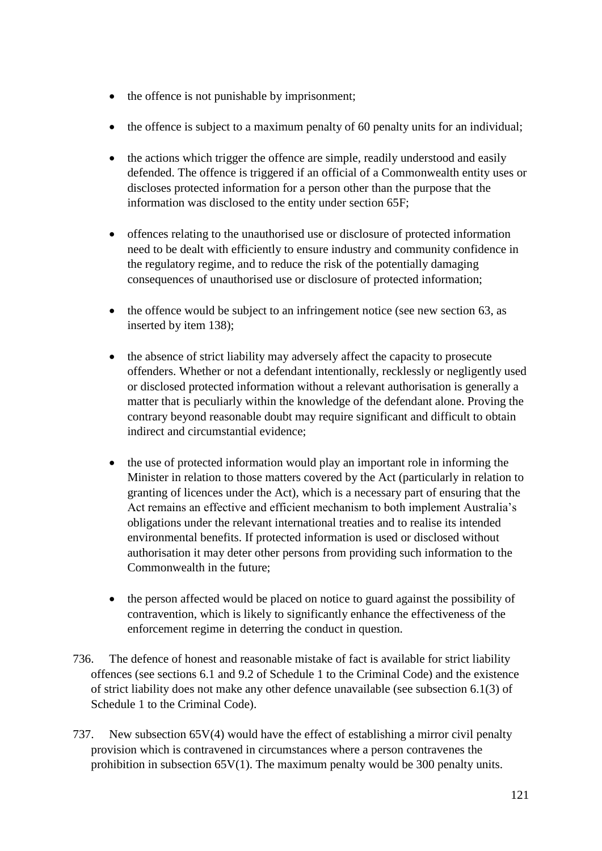- the offence is not punishable by imprisonment;
- the offence is subject to a maximum penalty of 60 penalty units for an individual;
- the actions which trigger the offence are simple, readily understood and easily defended. The offence is triggered if an official of a Commonwealth entity uses or discloses protected information for a person other than the purpose that the information was disclosed to the entity under section 65F;
- offences relating to the unauthorised use or disclosure of protected information need to be dealt with efficiently to ensure industry and community confidence in the regulatory regime, and to reduce the risk of the potentially damaging consequences of unauthorised use or disclosure of protected information;
- the offence would be subject to an infringement notice (see new section 63, as inserted by item 138);
- the absence of strict liability may adversely affect the capacity to prosecute offenders. Whether or not a defendant intentionally, recklessly or negligently used or disclosed protected information without a relevant authorisation is generally a matter that is peculiarly within the knowledge of the defendant alone. Proving the contrary beyond reasonable doubt may require significant and difficult to obtain indirect and circumstantial evidence;
- the use of protected information would play an important role in informing the Minister in relation to those matters covered by the Act (particularly in relation to granting of licences under the Act), which is a necessary part of ensuring that the Act remains an effective and efficient mechanism to both implement Australia's obligations under the relevant international treaties and to realise its intended environmental benefits. If protected information is used or disclosed without authorisation it may deter other persons from providing such information to the Commonwealth in the future;
- the person affected would be placed on notice to guard against the possibility of contravention, which is likely to significantly enhance the effectiveness of the enforcement regime in deterring the conduct in question.
- 736. The defence of honest and reasonable mistake of fact is available for strict liability offences (see sections 6.1 and 9.2 of Schedule 1 to the Criminal Code) and the existence of strict liability does not make any other defence unavailable (see subsection 6.1(3) of Schedule 1 to the Criminal Code).
- 737. New subsection 65V(4) would have the effect of establishing a mirror civil penalty provision which is contravened in circumstances where a person contravenes the prohibition in subsection 65V(1). The maximum penalty would be 300 penalty units.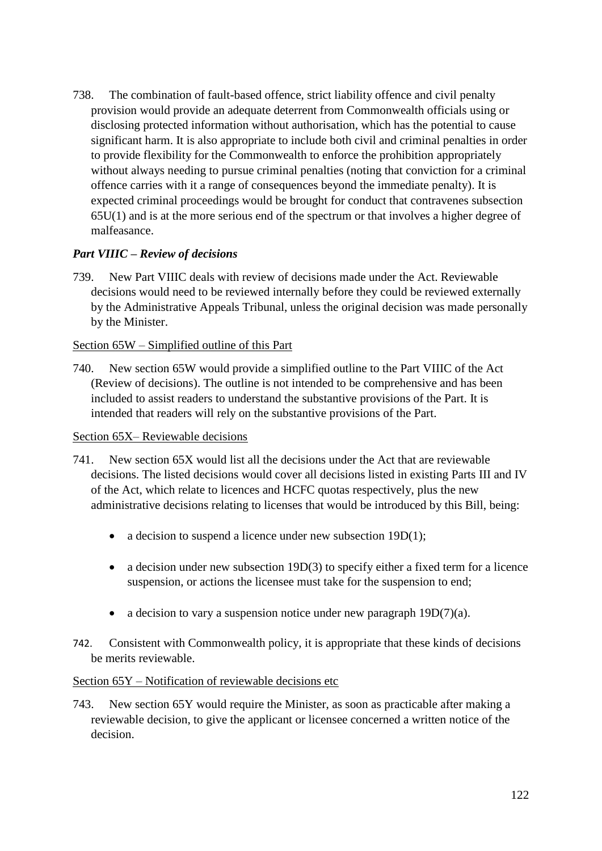738. The combination of fault-based offence, strict liability offence and civil penalty provision would provide an adequate deterrent from Commonwealth officials using or disclosing protected information without authorisation, which has the potential to cause significant harm. It is also appropriate to include both civil and criminal penalties in order to provide flexibility for the Commonwealth to enforce the prohibition appropriately without always needing to pursue criminal penalties (noting that conviction for a criminal offence carries with it a range of consequences beyond the immediate penalty). It is expected criminal proceedings would be brought for conduct that contravenes subsection 65U(1) and is at the more serious end of the spectrum or that involves a higher degree of malfeasance.

# *Part VIIIC – Review of decisions*

739. New Part VIIIC deals with review of decisions made under the Act. Reviewable decisions would need to be reviewed internally before they could be reviewed externally by the Administrative Appeals Tribunal, unless the original decision was made personally by the Minister.

# Section 65W – Simplified outline of this Part

740. New section 65W would provide a simplified outline to the Part VIIIC of the Act (Review of decisions). The outline is not intended to be comprehensive and has been included to assist readers to understand the substantive provisions of the Part. It is intended that readers will rely on the substantive provisions of the Part.

#### Section 65X– Reviewable decisions

- 741. New section 65X would list all the decisions under the Act that are reviewable decisions. The listed decisions would cover all decisions listed in existing Parts III and IV of the Act, which relate to licences and HCFC quotas respectively, plus the new administrative decisions relating to licenses that would be introduced by this Bill, being:
	- a decision to suspend a licence under new subsection 19D(1);
	- a decision under new subsection 19D(3) to specify either a fixed term for a licence suspension, or actions the licensee must take for the suspension to end;
	- a decision to vary a suspension notice under new paragraph  $19D(7)(a)$ .
- 742. Consistent with Commonwealth policy, it is appropriate that these kinds of decisions be merits reviewable.

### Section 65Y – Notification of reviewable decisions etc

743. New section 65Y would require the Minister, as soon as practicable after making a reviewable decision, to give the applicant or licensee concerned a written notice of the decision.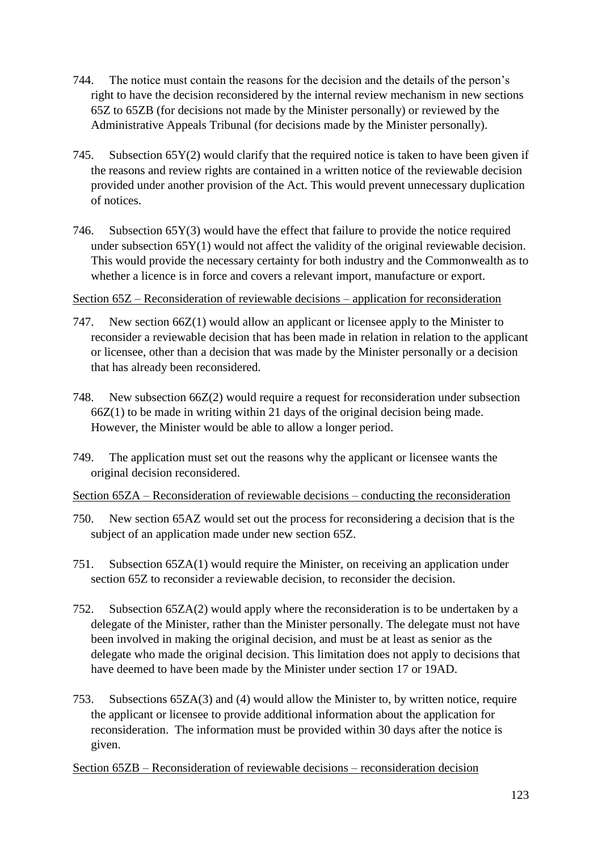- 744. The notice must contain the reasons for the decision and the details of the person's right to have the decision reconsidered by the internal review mechanism in new sections 65Z to 65ZB (for decisions not made by the Minister personally) or reviewed by the Administrative Appeals Tribunal (for decisions made by the Minister personally).
- 745. Subsection  $65Y(2)$  would clarify that the required notice is taken to have been given if the reasons and review rights are contained in a written notice of the reviewable decision provided under another provision of the Act. This would prevent unnecessary duplication of notices.
- 746. Subsection 65Y(3) would have the effect that failure to provide the notice required under subsection 65Y(1) would not affect the validity of the original reviewable decision. This would provide the necessary certainty for both industry and the Commonwealth as to whether a licence is in force and covers a relevant import, manufacture or export.

# Section 65Z – Reconsideration of reviewable decisions – application for reconsideration

- 747. New section 66Z(1) would allow an applicant or licensee apply to the Minister to reconsider a reviewable decision that has been made in relation in relation to the applicant or licensee, other than a decision that was made by the Minister personally or a decision that has already been reconsidered.
- 748. New subsection 66Z(2) would require a request for reconsideration under subsection 66Z(1) to be made in writing within 21 days of the original decision being made. However, the Minister would be able to allow a longer period.
- 749. The application must set out the reasons why the applicant or licensee wants the original decision reconsidered.

Section 65ZA – Reconsideration of reviewable decisions – conducting the reconsideration

- 750. New section 65AZ would set out the process for reconsidering a decision that is the subject of an application made under new section 65Z.
- 751. Subsection 65ZA(1) would require the Minister, on receiving an application under section 65Z to reconsider a reviewable decision, to reconsider the decision.
- 752. Subsection 65ZA(2) would apply where the reconsideration is to be undertaken by a delegate of the Minister, rather than the Minister personally. The delegate must not have been involved in making the original decision, and must be at least as senior as the delegate who made the original decision. This limitation does not apply to decisions that have deemed to have been made by the Minister under section 17 or 19AD.
- 753. Subsections 65ZA(3) and (4) would allow the Minister to, by written notice, require the applicant or licensee to provide additional information about the application for reconsideration. The information must be provided within 30 days after the notice is given.
- Section 65ZB Reconsideration of reviewable decisions reconsideration decision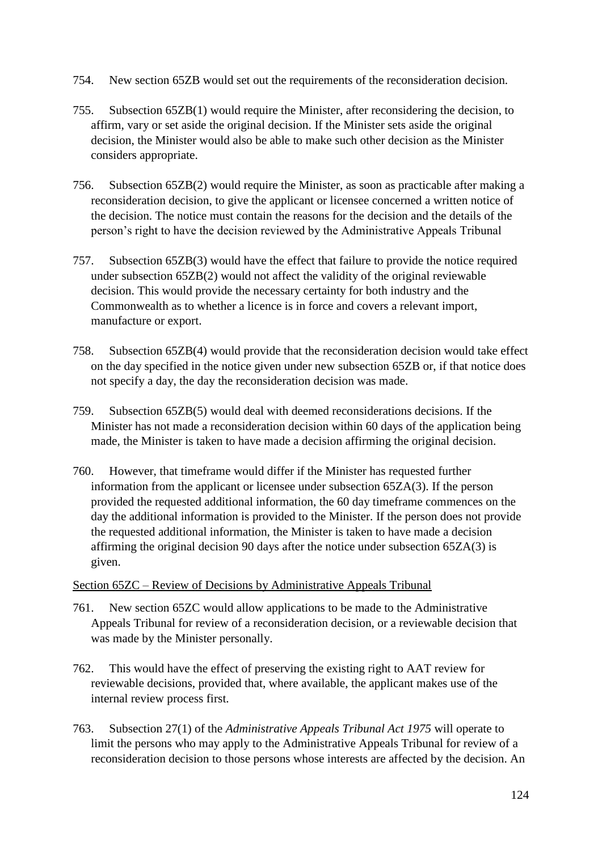- 754. New section 65ZB would set out the requirements of the reconsideration decision.
- 755. Subsection 65ZB(1) would require the Minister, after reconsidering the decision, to affirm, vary or set aside the original decision. If the Minister sets aside the original decision, the Minister would also be able to make such other decision as the Minister considers appropriate.
- 756. Subsection 65ZB(2) would require the Minister, as soon as practicable after making a reconsideration decision, to give the applicant or licensee concerned a written notice of the decision. The notice must contain the reasons for the decision and the details of the person's right to have the decision reviewed by the Administrative Appeals Tribunal
- 757. Subsection 65ZB(3) would have the effect that failure to provide the notice required under subsection 65ZB(2) would not affect the validity of the original reviewable decision. This would provide the necessary certainty for both industry and the Commonwealth as to whether a licence is in force and covers a relevant import, manufacture or export.
- 758. Subsection 65ZB(4) would provide that the reconsideration decision would take effect on the day specified in the notice given under new subsection 65ZB or, if that notice does not specify a day, the day the reconsideration decision was made.
- 759. Subsection 65ZB(5) would deal with deemed reconsiderations decisions. If the Minister has not made a reconsideration decision within 60 days of the application being made, the Minister is taken to have made a decision affirming the original decision.
- 760. However, that timeframe would differ if the Minister has requested further information from the applicant or licensee under subsection 65ZA(3). If the person provided the requested additional information, the 60 day timeframe commences on the day the additional information is provided to the Minister. If the person does not provide the requested additional information, the Minister is taken to have made a decision affirming the original decision 90 days after the notice under subsection 65ZA(3) is given.

# Section 65ZC – Review of Decisions by Administrative Appeals Tribunal

- 761. New section 65ZC would allow applications to be made to the Administrative Appeals Tribunal for review of a reconsideration decision, or a reviewable decision that was made by the Minister personally.
- 762. This would have the effect of preserving the existing right to AAT review for reviewable decisions, provided that, where available, the applicant makes use of the internal review process first.
- 763. Subsection 27(1) of the *Administrative Appeals Tribunal Act 1975* will operate to limit the persons who may apply to the Administrative Appeals Tribunal for review of a reconsideration decision to those persons whose interests are affected by the decision. An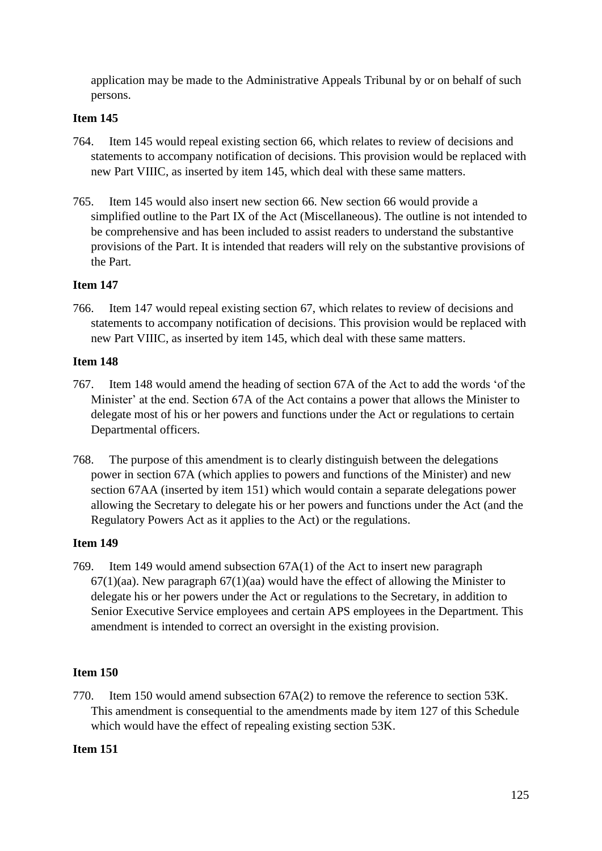application may be made to the Administrative Appeals Tribunal by or on behalf of such persons.

# **Item 145**

- 764. Item 145 would repeal existing section 66, which relates to review of decisions and statements to accompany notification of decisions. This provision would be replaced with new Part VIIIC, as inserted by item 145, which deal with these same matters.
- 765. Item 145 would also insert new section 66. New section 66 would provide a simplified outline to the Part IX of the Act (Miscellaneous). The outline is not intended to be comprehensive and has been included to assist readers to understand the substantive provisions of the Part. It is intended that readers will rely on the substantive provisions of the Part.

# **Item 147**

766. Item 147 would repeal existing section 67, which relates to review of decisions and statements to accompany notification of decisions. This provision would be replaced with new Part VIIIC, as inserted by item 145, which deal with these same matters.

# **Item 148**

- 767. Item 148 would amend the heading of section 67A of the Act to add the words 'of the Minister' at the end. Section 67A of the Act contains a power that allows the Minister to delegate most of his or her powers and functions under the Act or regulations to certain Departmental officers.
- 768. The purpose of this amendment is to clearly distinguish between the delegations power in section 67A (which applies to powers and functions of the Minister) and new section 67AA (inserted by item 151) which would contain a separate delegations power allowing the Secretary to delegate his or her powers and functions under the Act (and the Regulatory Powers Act as it applies to the Act) or the regulations.

# **Item 149**

769. Item 149 would amend subsection 67A(1) of the Act to insert new paragraph  $67(1)(aa)$ . New paragraph  $67(1)(aa)$  would have the effect of allowing the Minister to delegate his or her powers under the Act or regulations to the Secretary, in addition to Senior Executive Service employees and certain APS employees in the Department. This amendment is intended to correct an oversight in the existing provision.

# **Item 150**

770. Item 150 would amend subsection 67A(2) to remove the reference to section 53K. This amendment is consequential to the amendments made by item 127 of this Schedule which would have the effect of repealing existing section 53K.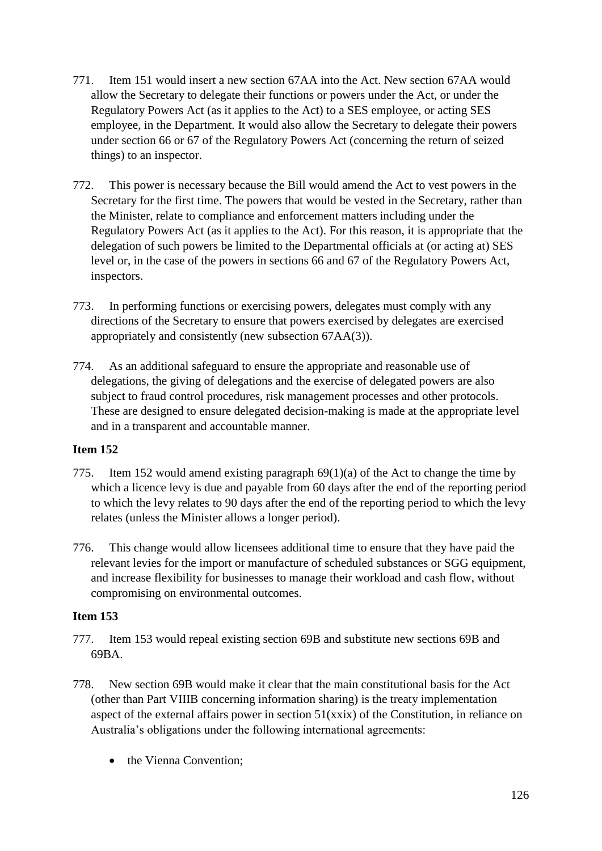- 771. Item 151 would insert a new section 67AA into the Act. New section 67AA would allow the Secretary to delegate their functions or powers under the Act, or under the Regulatory Powers Act (as it applies to the Act) to a SES employee, or acting SES employee, in the Department. It would also allow the Secretary to delegate their powers under section 66 or 67 of the Regulatory Powers Act (concerning the return of seized things) to an inspector.
- 772. This power is necessary because the Bill would amend the Act to vest powers in the Secretary for the first time. The powers that would be vested in the Secretary, rather than the Minister, relate to compliance and enforcement matters including under the Regulatory Powers Act (as it applies to the Act). For this reason, it is appropriate that the delegation of such powers be limited to the Departmental officials at (or acting at) SES level or, in the case of the powers in sections 66 and 67 of the Regulatory Powers Act, inspectors.
- 773. In performing functions or exercising powers, delegates must comply with any directions of the Secretary to ensure that powers exercised by delegates are exercised appropriately and consistently (new subsection 67AA(3)).
- 774. As an additional safeguard to ensure the appropriate and reasonable use of delegations, the giving of delegations and the exercise of delegated powers are also subject to fraud control procedures, risk management processes and other protocols. These are designed to ensure delegated decision-making is made at the appropriate level and in a transparent and accountable manner.

- 775. Item 152 would amend existing paragraph 69(1)(a) of the Act to change the time by which a licence levy is due and payable from 60 days after the end of the reporting period to which the levy relates to 90 days after the end of the reporting period to which the levy relates (unless the Minister allows a longer period).
- 776. This change would allow licensees additional time to ensure that they have paid the relevant levies for the import or manufacture of scheduled substances or SGG equipment, and increase flexibility for businesses to manage their workload and cash flow, without compromising on environmental outcomes.

- 777. Item 153 would repeal existing section 69B and substitute new sections 69B and 69BA.
- 778. New section 69B would make it clear that the main constitutional basis for the Act (other than Part VIIIB concerning information sharing) is the treaty implementation aspect of the external affairs power in section 51(xxix) of the Constitution, in reliance on Australia's obligations under the following international agreements:
	- the Vienna Convention: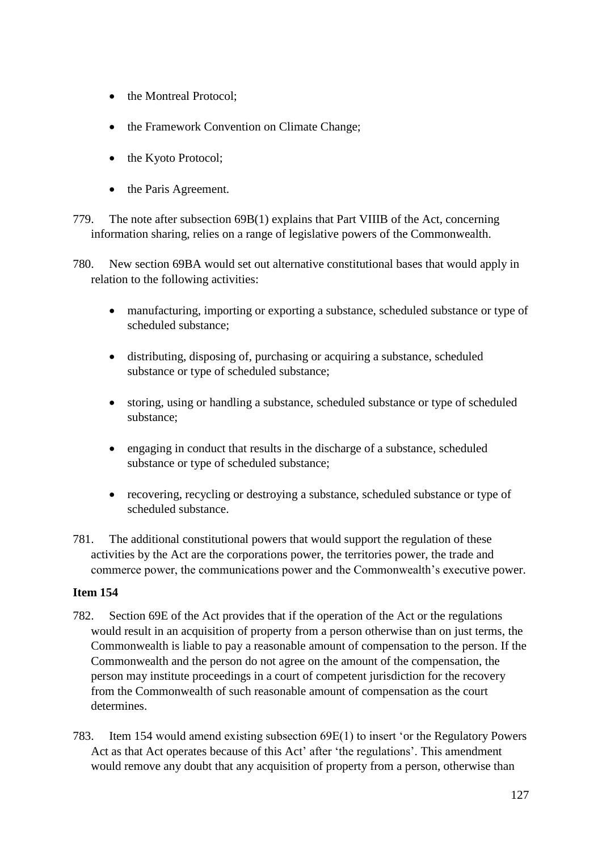- the Montreal Protocol:
- the Framework Convention on Climate Change;
- the Kyoto Protocol;
- the Paris Agreement.
- 779. The note after subsection 69B(1) explains that Part VIIIB of the Act, concerning information sharing, relies on a range of legislative powers of the Commonwealth.
- 780. New section 69BA would set out alternative constitutional bases that would apply in relation to the following activities:
	- manufacturing, importing or exporting a substance, scheduled substance or type of scheduled substance;
	- distributing, disposing of, purchasing or acquiring a substance, scheduled substance or type of scheduled substance;
	- storing, using or handling a substance, scheduled substance or type of scheduled substance;
	- engaging in conduct that results in the discharge of a substance, scheduled substance or type of scheduled substance;
	- recovering, recycling or destroying a substance, scheduled substance or type of scheduled substance.
- 781. The additional constitutional powers that would support the regulation of these activities by the Act are the corporations power, the territories power, the trade and commerce power, the communications power and the Commonwealth's executive power.

- 782. Section 69E of the Act provides that if the operation of the Act or the regulations would result in an acquisition of property from a person otherwise than on just terms, the Commonwealth is liable to pay a reasonable amount of compensation to the person. If the Commonwealth and the person do not agree on the amount of the compensation, the person may institute proceedings in a court of competent jurisdiction for the recovery from the Commonwealth of such reasonable amount of compensation as the court determines.
- 783. Item 154 would amend existing subsection 69E(1) to insert 'or the Regulatory Powers Act as that Act operates because of this Act' after 'the regulations'. This amendment would remove any doubt that any acquisition of property from a person, otherwise than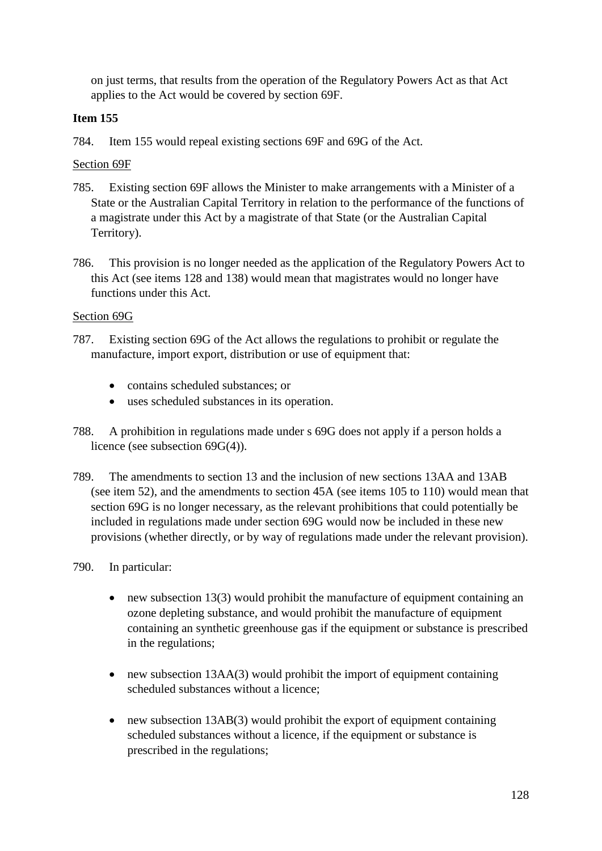on just terms, that results from the operation of the Regulatory Powers Act as that Act applies to the Act would be covered by section 69F.

# **Item 155**

784. Item 155 would repeal existing sections 69F and 69G of the Act.

# Section 69F

- 785. Existing section 69F allows the Minister to make arrangements with a Minister of a State or the Australian Capital Territory in relation to the performance of the functions of a magistrate under this Act by a magistrate of that State (or the Australian Capital Territory).
- 786. This provision is no longer needed as the application of the Regulatory Powers Act to this Act (see items 128 and 138) would mean that magistrates would no longer have functions under this Act.

# Section 69G

- 787. Existing section 69G of the Act allows the regulations to prohibit or regulate the manufacture, import export, distribution or use of equipment that:
	- contains scheduled substances: or
	- uses scheduled substances in its operation.
- 788. A prohibition in regulations made under s 69G does not apply if a person holds a licence (see subsection 69G(4)).
- 789. The amendments to section 13 and the inclusion of new sections 13AA and 13AB (see item 52), and the amendments to section 45A (see items 105 to 110) would mean that section 69G is no longer necessary, as the relevant prohibitions that could potentially be included in regulations made under section 69G would now be included in these new provisions (whether directly, or by way of regulations made under the relevant provision).
- 790. In particular:
	- new subsection 13(3) would prohibit the manufacture of equipment containing an ozone depleting substance, and would prohibit the manufacture of equipment containing an synthetic greenhouse gas if the equipment or substance is prescribed in the regulations;
	- new subsection 13AA(3) would prohibit the import of equipment containing scheduled substances without a licence;
	- new subsection 13AB(3) would prohibit the export of equipment containing scheduled substances without a licence, if the equipment or substance is prescribed in the regulations;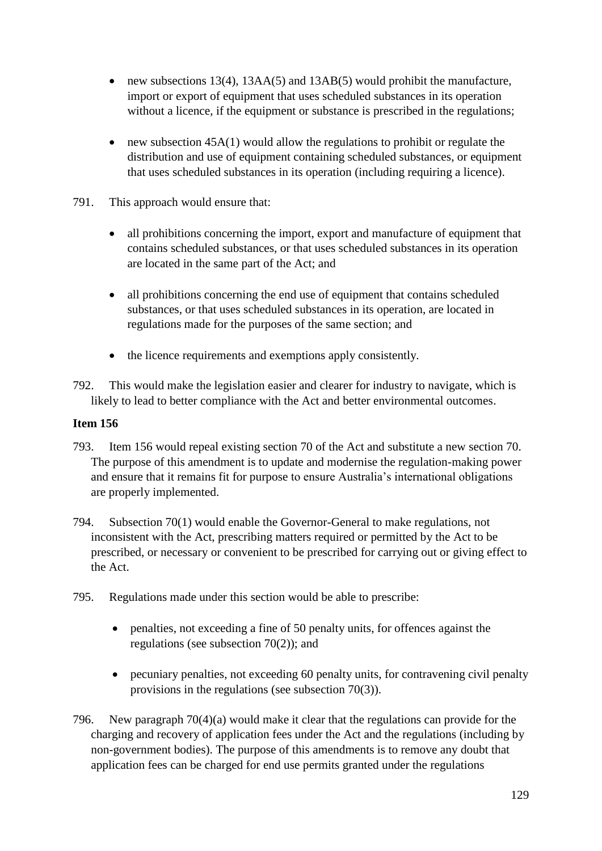- new subsections 13(4), 13AA(5) and 13AB(5) would prohibit the manufacture, import or export of equipment that uses scheduled substances in its operation without a licence, if the equipment or substance is prescribed in the regulations;
- new subsection  $45A(1)$  would allow the regulations to prohibit or regulate the distribution and use of equipment containing scheduled substances, or equipment that uses scheduled substances in its operation (including requiring a licence).
- 791. This approach would ensure that:
	- all prohibitions concerning the import, export and manufacture of equipment that contains scheduled substances, or that uses scheduled substances in its operation are located in the same part of the Act; and
	- all prohibitions concerning the end use of equipment that contains scheduled substances, or that uses scheduled substances in its operation, are located in regulations made for the purposes of the same section; and
	- the licence requirements and exemptions apply consistently.
- 792. This would make the legislation easier and clearer for industry to navigate, which is likely to lead to better compliance with the Act and better environmental outcomes.

- 793. Item 156 would repeal existing section 70 of the Act and substitute a new section 70. The purpose of this amendment is to update and modernise the regulation-making power and ensure that it remains fit for purpose to ensure Australia's international obligations are properly implemented.
- 794. Subsection 70(1) would enable the Governor-General to make regulations, not inconsistent with the Act, prescribing matters required or permitted by the Act to be prescribed, or necessary or convenient to be prescribed for carrying out or giving effect to the Act.
- 795. Regulations made under this section would be able to prescribe:
	- penalties, not exceeding a fine of 50 penalty units, for offences against the regulations (see subsection 70(2)); and
	- pecuniary penalties, not exceeding 60 penalty units, for contravening civil penalty provisions in the regulations (see subsection 70(3)).
- 796. New paragraph 70(4)(a) would make it clear that the regulations can provide for the charging and recovery of application fees under the Act and the regulations (including by non-government bodies). The purpose of this amendments is to remove any doubt that application fees can be charged for end use permits granted under the regulations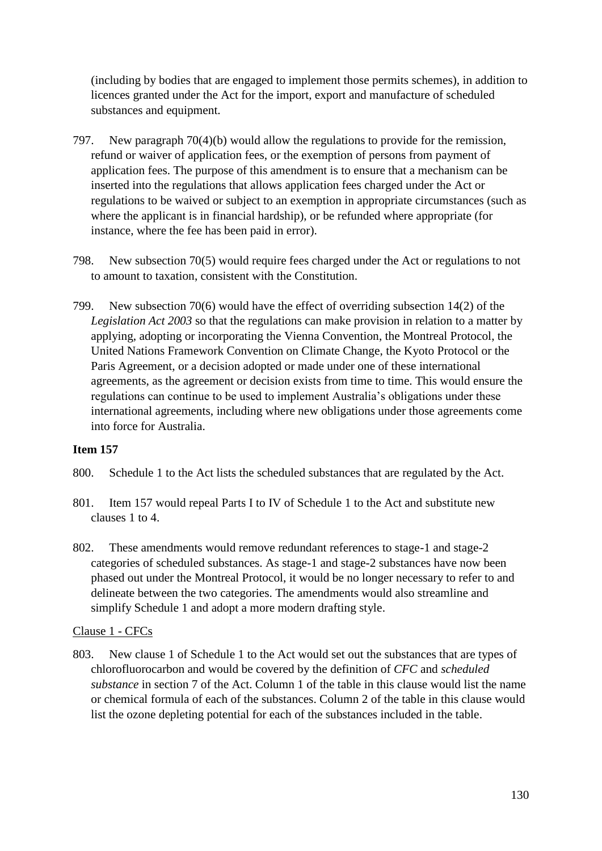(including by bodies that are engaged to implement those permits schemes), in addition to licences granted under the Act for the import, export and manufacture of scheduled substances and equipment.

- 797. New paragraph 70(4)(b) would allow the regulations to provide for the remission, refund or waiver of application fees, or the exemption of persons from payment of application fees. The purpose of this amendment is to ensure that a mechanism can be inserted into the regulations that allows application fees charged under the Act or regulations to be waived or subject to an exemption in appropriate circumstances (such as where the applicant is in financial hardship), or be refunded where appropriate (for instance, where the fee has been paid in error).
- 798. New subsection 70(5) would require fees charged under the Act or regulations to not to amount to taxation, consistent with the Constitution.
- 799. New subsection 70(6) would have the effect of overriding subsection 14(2) of the *Legislation Act 2003* so that the regulations can make provision in relation to a matter by applying, adopting or incorporating the Vienna Convention, the Montreal Protocol, the United Nations Framework Convention on Climate Change, the Kyoto Protocol or the Paris Agreement, or a decision adopted or made under one of these international agreements, as the agreement or decision exists from time to time. This would ensure the regulations can continue to be used to implement Australia's obligations under these international agreements, including where new obligations under those agreements come into force for Australia.

# **Item 157**

- 800. Schedule 1 to the Act lists the scheduled substances that are regulated by the Act.
- 801. Item 157 would repeal Parts I to IV of Schedule 1 to the Act and substitute new clauses 1 to 4.
- 802. These amendments would remove redundant references to stage-1 and stage-2 categories of scheduled substances. As stage-1 and stage-2 substances have now been phased out under the Montreal Protocol, it would be no longer necessary to refer to and delineate between the two categories. The amendments would also streamline and simplify Schedule 1 and adopt a more modern drafting style.

#### Clause 1 - CFCs

803. New clause 1 of Schedule 1 to the Act would set out the substances that are types of chlorofluorocarbon and would be covered by the definition of *CFC* and *scheduled substance* in section 7 of the Act. Column 1 of the table in this clause would list the name or chemical formula of each of the substances. Column 2 of the table in this clause would list the ozone depleting potential for each of the substances included in the table.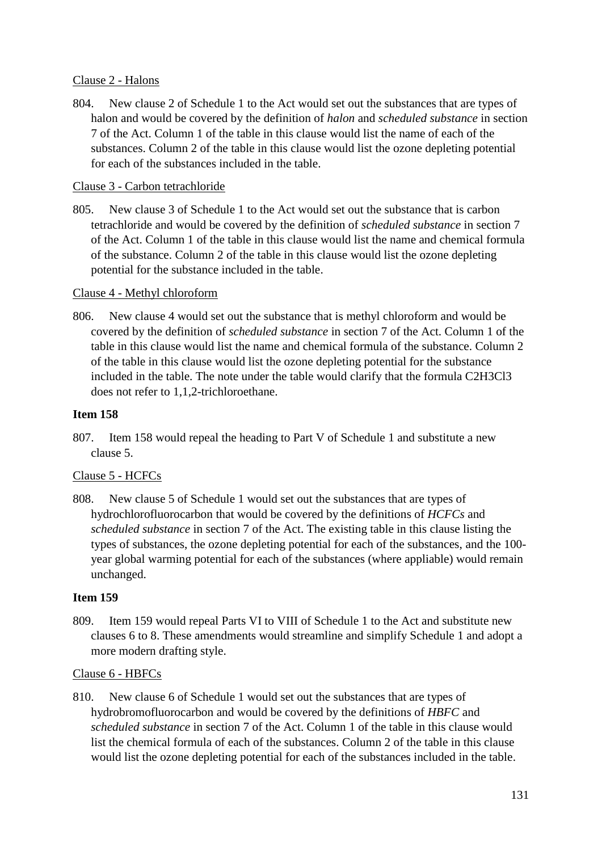### Clause 2 - Halons

804. New clause 2 of Schedule 1 to the Act would set out the substances that are types of halon and would be covered by the definition of *halon* and *scheduled substance* in section 7 of the Act. Column 1 of the table in this clause would list the name of each of the substances. Column 2 of the table in this clause would list the ozone depleting potential for each of the substances included in the table.

### Clause 3 - Carbon tetrachloride

805. New clause 3 of Schedule 1 to the Act would set out the substance that is carbon tetrachloride and would be covered by the definition of *scheduled substance* in section 7 of the Act. Column 1 of the table in this clause would list the name and chemical formula of the substance. Column 2 of the table in this clause would list the ozone depleting potential for the substance included in the table.

#### Clause 4 - Methyl chloroform

806. New clause 4 would set out the substance that is methyl chloroform and would be covered by the definition of *scheduled substance* in section 7 of the Act. Column 1 of the table in this clause would list the name and chemical formula of the substance. Column 2 of the table in this clause would list the ozone depleting potential for the substance included in the table. The note under the table would clarify that the formula C2H3Cl3 does not refer to 1,1,2-trichloroethane.

### **Item 158**

807. Item 158 would repeal the heading to Part V of Schedule 1 and substitute a new clause 5.

# Clause 5 - HCFCs

808. New clause 5 of Schedule 1 would set out the substances that are types of hydrochlorofluorocarbon that would be covered by the definitions of *HCFCs* and *scheduled substance* in section 7 of the Act. The existing table in this clause listing the types of substances, the ozone depleting potential for each of the substances, and the 100 year global warming potential for each of the substances (where appliable) would remain unchanged.

### **Item 159**

809. Item 159 would repeal Parts VI to VIII of Schedule 1 to the Act and substitute new clauses 6 to 8. These amendments would streamline and simplify Schedule 1 and adopt a more modern drafting style.

#### Clause 6 - HBFCs

810. New clause 6 of Schedule 1 would set out the substances that are types of hydrobromofluorocarbon and would be covered by the definitions of *HBFC* and *scheduled substance* in section 7 of the Act. Column 1 of the table in this clause would list the chemical formula of each of the substances. Column 2 of the table in this clause would list the ozone depleting potential for each of the substances included in the table.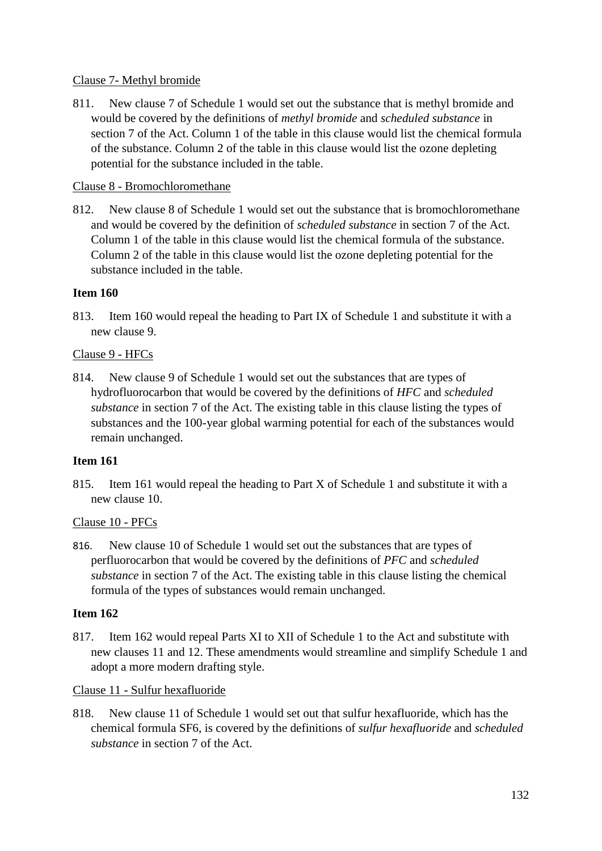### Clause 7- Methyl bromide

811. New clause 7 of Schedule 1 would set out the substance that is methyl bromide and would be covered by the definitions of *methyl bromide* and *scheduled substance* in section 7 of the Act. Column 1 of the table in this clause would list the chemical formula of the substance. Column 2 of the table in this clause would list the ozone depleting potential for the substance included in the table.

# Clause 8 - Bromochloromethane

812. New clause 8 of Schedule 1 would set out the substance that is bromochloromethane and would be covered by the definition of *scheduled substance* in section 7 of the Act. Column 1 of the table in this clause would list the chemical formula of the substance. Column 2 of the table in this clause would list the ozone depleting potential for the substance included in the table.

### **Item 160**

813. Item 160 would repeal the heading to Part IX of Schedule 1 and substitute it with a new clause 9.

### Clause 9 - HFCs

814. New clause 9 of Schedule 1 would set out the substances that are types of hydrofluorocarbon that would be covered by the definitions of *HFC* and *scheduled substance* in section 7 of the Act. The existing table in this clause listing the types of substances and the 100-year global warming potential for each of the substances would remain unchanged.

### **Item 161**

815. Item 161 would repeal the heading to Part X of Schedule 1 and substitute it with a new clause 10.

#### Clause 10 - PFCs

816. New clause 10 of Schedule 1 would set out the substances that are types of perfluorocarbon that would be covered by the definitions of *PFC* and *scheduled substance* in section 7 of the Act. The existing table in this clause listing the chemical formula of the types of substances would remain unchanged.

#### **Item 162**

817. Item 162 would repeal Parts XI to XII of Schedule 1 to the Act and substitute with new clauses 11 and 12. These amendments would streamline and simplify Schedule 1 and adopt a more modern drafting style.

#### Clause 11 - Sulfur hexafluoride

818. New clause 11 of Schedule 1 would set out that sulfur hexafluoride, which has the chemical formula SF6, is covered by the definitions of *sulfur hexafluoride* and *scheduled substance* in section 7 of the Act.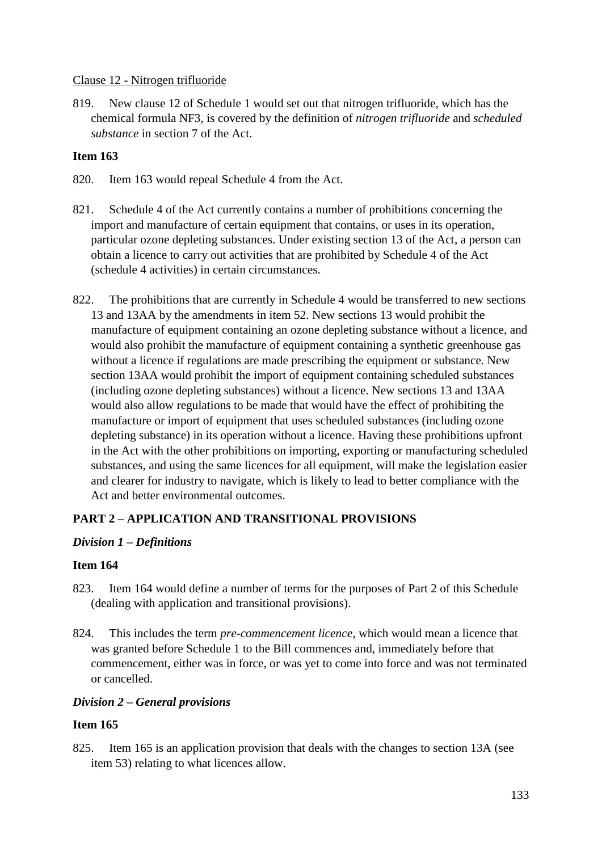### Clause 12 - Nitrogen trifluoride

819. New clause 12 of Schedule 1 would set out that nitrogen trifluoride, which has the chemical formula NF3, is covered by the definition of *nitrogen trifluoride* and *scheduled substance* in section 7 of the Act.

# **Item 163**

- 820. Item 163 would repeal Schedule 4 from the Act.
- 821. Schedule 4 of the Act currently contains a number of prohibitions concerning the import and manufacture of certain equipment that contains, or uses in its operation, particular ozone depleting substances. Under existing section 13 of the Act, a person can obtain a licence to carry out activities that are prohibited by Schedule 4 of the Act (schedule 4 activities) in certain circumstances.
- 822. The prohibitions that are currently in Schedule 4 would be transferred to new sections 13 and 13AA by the amendments in item 52. New sections 13 would prohibit the manufacture of equipment containing an ozone depleting substance without a licence, and would also prohibit the manufacture of equipment containing a synthetic greenhouse gas without a licence if regulations are made prescribing the equipment or substance. New section 13AA would prohibit the import of equipment containing scheduled substances (including ozone depleting substances) without a licence. New sections 13 and 13AA would also allow regulations to be made that would have the effect of prohibiting the manufacture or import of equipment that uses scheduled substances (including ozone depleting substance) in its operation without a licence. Having these prohibitions upfront in the Act with the other prohibitions on importing, exporting or manufacturing scheduled substances, and using the same licences for all equipment, will make the legislation easier and clearer for industry to navigate, which is likely to lead to better compliance with the Act and better environmental outcomes.

# **PART 2 – APPLICATION AND TRANSITIONAL PROVISIONS**

# *Division 1 – Definitions*

#### **Item 164**

- 823. Item 164 would define a number of terms for the purposes of Part 2 of this Schedule (dealing with application and transitional provisions).
- 824. This includes the term *pre-commencement licence*, which would mean a licence that was granted before Schedule 1 to the Bill commences and, immediately before that commencement, either was in force, or was yet to come into force and was not terminated or cancelled.

#### *Division 2 – General provisions*

# **Item 165**

825. Item 165 is an application provision that deals with the changes to section 13A (see item 53) relating to what licences allow.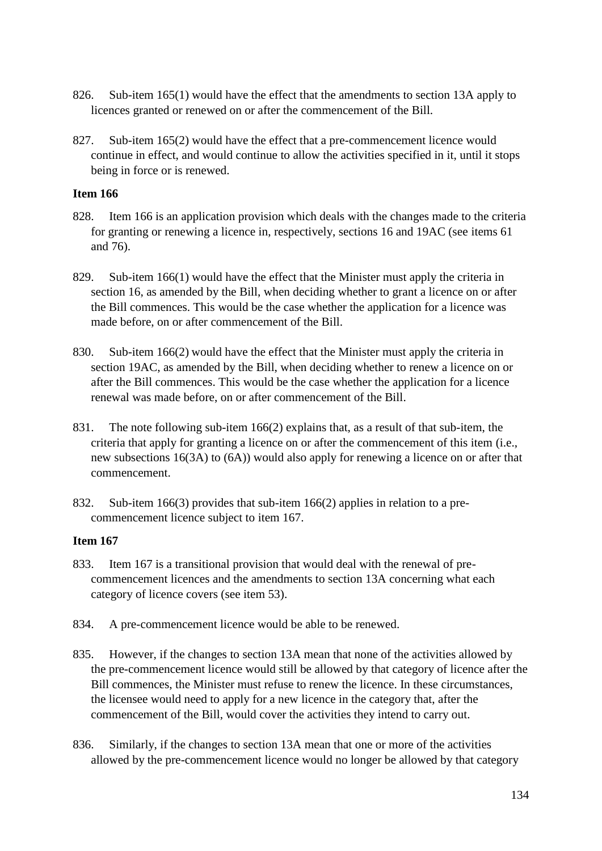- 826. Sub-item 165(1) would have the effect that the amendments to section 13A apply to licences granted or renewed on or after the commencement of the Bill.
- 827. Sub-item 165(2) would have the effect that a pre-commencement licence would continue in effect, and would continue to allow the activities specified in it, until it stops being in force or is renewed.

- 828. Item 166 is an application provision which deals with the changes made to the criteria for granting or renewing a licence in, respectively, sections 16 and 19AC (see items 61 and 76).
- 829. Sub-item 166(1) would have the effect that the Minister must apply the criteria in section 16, as amended by the Bill, when deciding whether to grant a licence on or after the Bill commences. This would be the case whether the application for a licence was made before, on or after commencement of the Bill.
- 830. Sub-item 166(2) would have the effect that the Minister must apply the criteria in section 19AC, as amended by the Bill, when deciding whether to renew a licence on or after the Bill commences. This would be the case whether the application for a licence renewal was made before, on or after commencement of the Bill.
- 831. The note following sub-item 166(2) explains that, as a result of that sub-item, the criteria that apply for granting a licence on or after the commencement of this item (i.e., new subsections 16(3A) to (6A)) would also apply for renewing a licence on or after that commencement.
- 832. Sub-item 166(3) provides that sub-item 166(2) applies in relation to a precommencement licence subject to item 167.

- 833. Item 167 is a transitional provision that would deal with the renewal of precommencement licences and the amendments to section 13A concerning what each category of licence covers (see item 53).
- 834. A pre-commencement licence would be able to be renewed.
- 835. However, if the changes to section 13A mean that none of the activities allowed by the pre-commencement licence would still be allowed by that category of licence after the Bill commences, the Minister must refuse to renew the licence. In these circumstances, the licensee would need to apply for a new licence in the category that, after the commencement of the Bill, would cover the activities they intend to carry out.
- 836. Similarly, if the changes to section 13A mean that one or more of the activities allowed by the pre-commencement licence would no longer be allowed by that category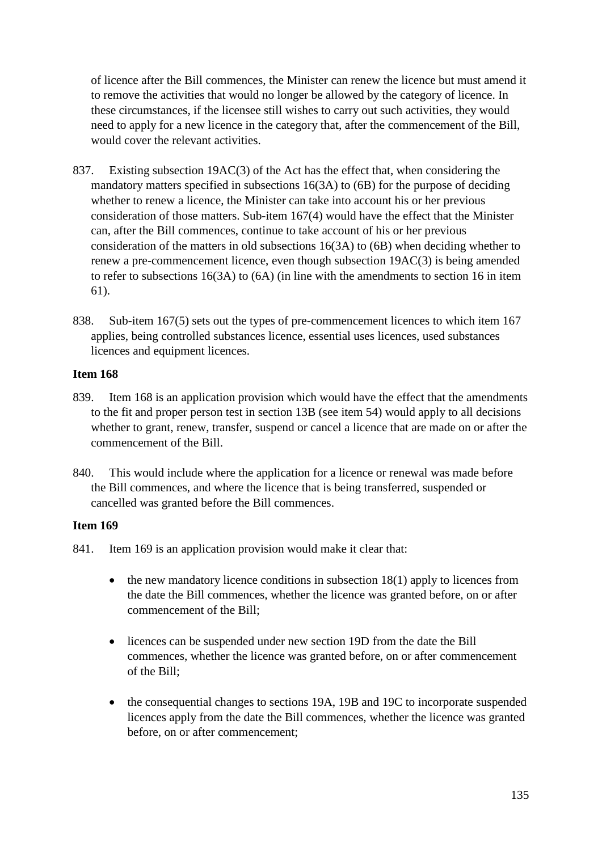of licence after the Bill commences, the Minister can renew the licence but must amend it to remove the activities that would no longer be allowed by the category of licence. In these circumstances, if the licensee still wishes to carry out such activities, they would need to apply for a new licence in the category that, after the commencement of the Bill, would cover the relevant activities.

- 837. Existing subsection 19AC(3) of the Act has the effect that, when considering the mandatory matters specified in subsections 16(3A) to (6B) for the purpose of deciding whether to renew a licence, the Minister can take into account his or her previous consideration of those matters. Sub-item 167(4) would have the effect that the Minister can, after the Bill commences, continue to take account of his or her previous consideration of the matters in old subsections 16(3A) to (6B) when deciding whether to renew a pre-commencement licence, even though subsection 19AC(3) is being amended to refer to subsections 16(3A) to (6A) (in line with the amendments to section 16 in item 61).
- 838. Sub-item 167(5) sets out the types of pre-commencement licences to which item 167 applies, being controlled substances licence, essential uses licences, used substances licences and equipment licences.

### **Item 168**

- 839. Item 168 is an application provision which would have the effect that the amendments to the fit and proper person test in section 13B (see item 54) would apply to all decisions whether to grant, renew, transfer, suspend or cancel a licence that are made on or after the commencement of the Bill.
- 840. This would include where the application for a licence or renewal was made before the Bill commences, and where the licence that is being transferred, suspended or cancelled was granted before the Bill commences.

- 841. Item 169 is an application provision would make it clear that:
	- $\bullet$  the new mandatory licence conditions in subsection 18(1) apply to licences from the date the Bill commences, whether the licence was granted before, on or after commencement of the Bill;
	- licences can be suspended under new section 19D from the date the Bill commences, whether the licence was granted before, on or after commencement of the Bill;
	- the consequential changes to sections 19A, 19B and 19C to incorporate suspended licences apply from the date the Bill commences, whether the licence was granted before, on or after commencement;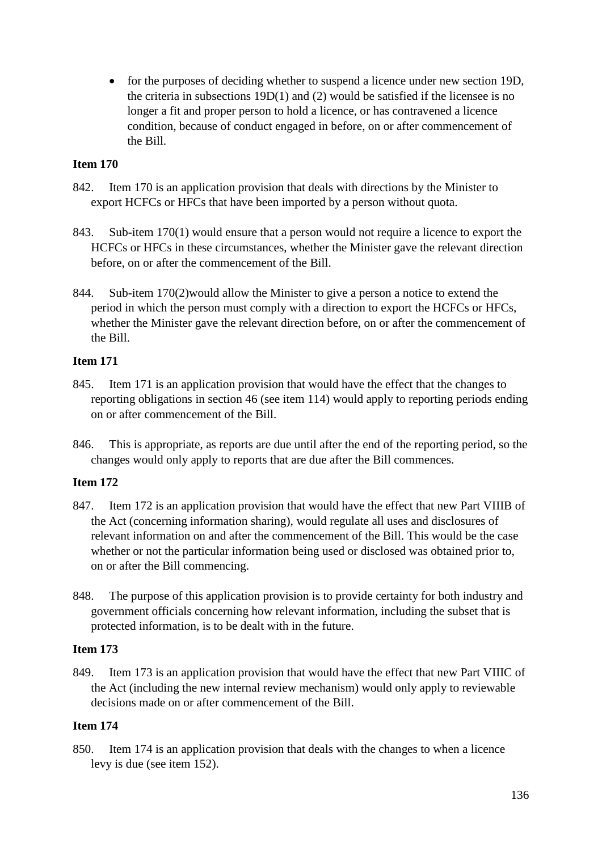• for the purposes of deciding whether to suspend a licence under new section 19D, the criteria in subsections 19D(1) and (2) would be satisfied if the licensee is no longer a fit and proper person to hold a licence, or has contravened a licence condition, because of conduct engaged in before, on or after commencement of the Bill.

# **Item 170**

- 842. Item 170 is an application provision that deals with directions by the Minister to export HCFCs or HFCs that have been imported by a person without quota.
- 843. Sub-item 170(1) would ensure that a person would not require a licence to export the HCFCs or HFCs in these circumstances, whether the Minister gave the relevant direction before, on or after the commencement of the Bill.
- 844. Sub-item 170(2)would allow the Minister to give a person a notice to extend the period in which the person must comply with a direction to export the HCFCs or HFCs, whether the Minister gave the relevant direction before, on or after the commencement of the Bill.

# **Item 171**

- 845. Item 171 is an application provision that would have the effect that the changes to reporting obligations in section 46 (see item 114) would apply to reporting periods ending on or after commencement of the Bill.
- 846. This is appropriate, as reports are due until after the end of the reporting period, so the changes would only apply to reports that are due after the Bill commences.

# **Item 172**

- 847. Item 172 is an application provision that would have the effect that new Part VIIIB of the Act (concerning information sharing), would regulate all uses and disclosures of relevant information on and after the commencement of the Bill. This would be the case whether or not the particular information being used or disclosed was obtained prior to, on or after the Bill commencing.
- 848. The purpose of this application provision is to provide certainty for both industry and government officials concerning how relevant information, including the subset that is protected information, is to be dealt with in the future.

# **Item 173**

849. Item 173 is an application provision that would have the effect that new Part VIIIC of the Act (including the new internal review mechanism) would only apply to reviewable decisions made on or after commencement of the Bill.

# **Item 174**

850. Item 174 is an application provision that deals with the changes to when a licence levy is due (see item 152).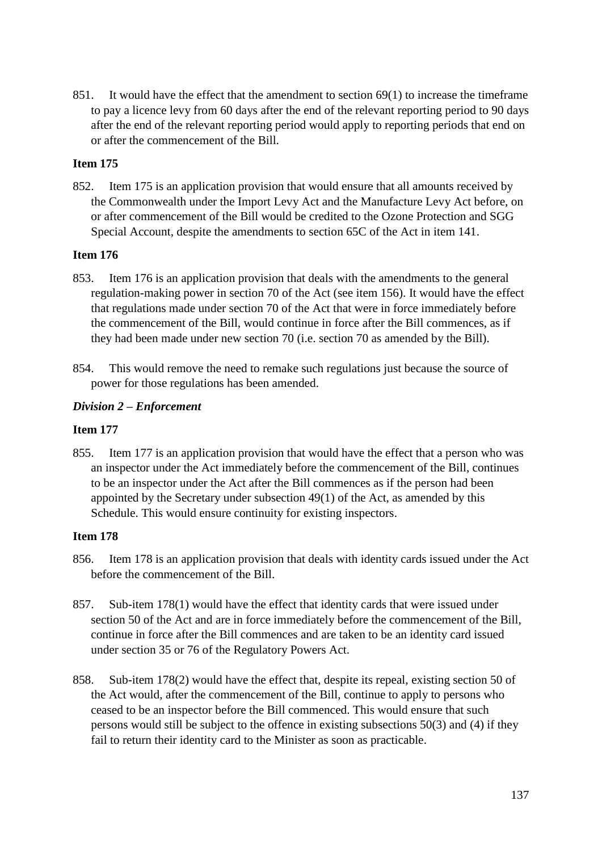851. It would have the effect that the amendment to section 69(1) to increase the timeframe to pay a licence levy from 60 days after the end of the relevant reporting period to 90 days after the end of the relevant reporting period would apply to reporting periods that end on or after the commencement of the Bill.

# **Item 175**

852. Item 175 is an application provision that would ensure that all amounts received by the Commonwealth under the Import Levy Act and the Manufacture Levy Act before, on or after commencement of the Bill would be credited to the Ozone Protection and SGG Special Account, despite the amendments to section 65C of the Act in item 141.

### **Item 176**

- 853. Item 176 is an application provision that deals with the amendments to the general regulation-making power in section 70 of the Act (see item 156). It would have the effect that regulations made under section 70 of the Act that were in force immediately before the commencement of the Bill, would continue in force after the Bill commences, as if they had been made under new section 70 (i.e. section 70 as amended by the Bill).
- 854. This would remove the need to remake such regulations just because the source of power for those regulations has been amended.

### *Division 2 – Enforcement*

### **Item 177**

855. Item 177 is an application provision that would have the effect that a person who was an inspector under the Act immediately before the commencement of the Bill, continues to be an inspector under the Act after the Bill commences as if the person had been appointed by the Secretary under subsection 49(1) of the Act, as amended by this Schedule. This would ensure continuity for existing inspectors.

- 856. Item 178 is an application provision that deals with identity cards issued under the Act before the commencement of the Bill.
- 857. Sub-item 178(1) would have the effect that identity cards that were issued under section 50 of the Act and are in force immediately before the commencement of the Bill, continue in force after the Bill commences and are taken to be an identity card issued under section 35 or 76 of the Regulatory Powers Act.
- 858. Sub-item 178(2) would have the effect that, despite its repeal, existing section 50 of the Act would, after the commencement of the Bill, continue to apply to persons who ceased to be an inspector before the Bill commenced. This would ensure that such persons would still be subject to the offence in existing subsections 50(3) and (4) if they fail to return their identity card to the Minister as soon as practicable.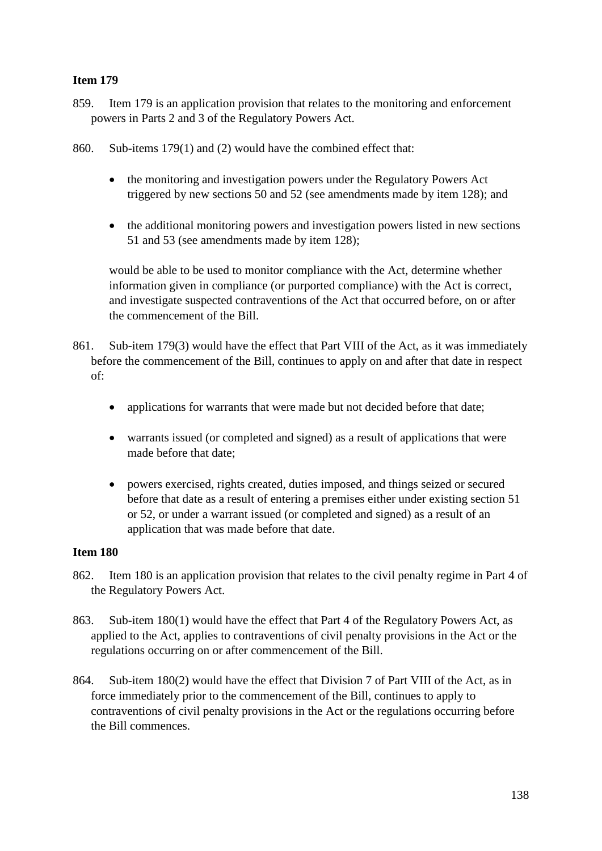- 859. Item 179 is an application provision that relates to the monitoring and enforcement powers in Parts 2 and 3 of the Regulatory Powers Act.
- 860. Sub-items 179(1) and (2) would have the combined effect that:
	- the monitoring and investigation powers under the Regulatory Powers Act triggered by new sections 50 and 52 (see amendments made by item 128); and
	- the additional monitoring powers and investigation powers listed in new sections 51 and 53 (see amendments made by item 128);

would be able to be used to monitor compliance with the Act, determine whether information given in compliance (or purported compliance) with the Act is correct, and investigate suspected contraventions of the Act that occurred before, on or after the commencement of the Bill.

- 861. Sub-item 179(3) would have the effect that Part VIII of the Act, as it was immediately before the commencement of the Bill, continues to apply on and after that date in respect of:
	- applications for warrants that were made but not decided before that date;
	- warrants issued (or completed and signed) as a result of applications that were made before that date;
	- powers exercised, rights created, duties imposed, and things seized or secured before that date as a result of entering a premises either under existing section 51 or 52, or under a warrant issued (or completed and signed) as a result of an application that was made before that date.

- 862. Item 180 is an application provision that relates to the civil penalty regime in Part 4 of the Regulatory Powers Act.
- 863. Sub-item 180(1) would have the effect that Part 4 of the Regulatory Powers Act, as applied to the Act, applies to contraventions of civil penalty provisions in the Act or the regulations occurring on or after commencement of the Bill.
- 864. Sub-item 180(2) would have the effect that Division 7 of Part VIII of the Act, as in force immediately prior to the commencement of the Bill, continues to apply to contraventions of civil penalty provisions in the Act or the regulations occurring before the Bill commences.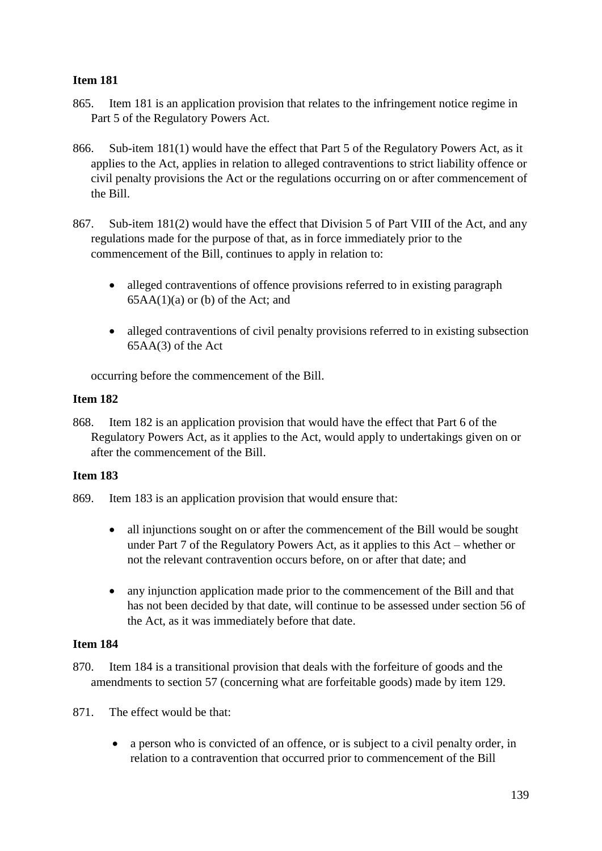- 865. Item 181 is an application provision that relates to the infringement notice regime in Part 5 of the Regulatory Powers Act.
- 866. Sub-item 181(1) would have the effect that Part 5 of the Regulatory Powers Act, as it applies to the Act, applies in relation to alleged contraventions to strict liability offence or civil penalty provisions the Act or the regulations occurring on or after commencement of the Bill.
- 867. Sub-item 181(2) would have the effect that Division 5 of Part VIII of the Act, and any regulations made for the purpose of that, as in force immediately prior to the commencement of the Bill, continues to apply in relation to:
	- alleged contraventions of offence provisions referred to in existing paragraph  $65AA(1)(a)$  or (b) of the Act; and
	- alleged contraventions of civil penalty provisions referred to in existing subsection 65AA(3) of the Act

occurring before the commencement of the Bill.

# **Item 182**

868. Item 182 is an application provision that would have the effect that Part 6 of the Regulatory Powers Act, as it applies to the Act, would apply to undertakings given on or after the commencement of the Bill.

# **Item 183**

- 869. Item 183 is an application provision that would ensure that:
	- all injunctions sought on or after the commencement of the Bill would be sought under Part 7 of the Regulatory Powers Act, as it applies to this Act – whether or not the relevant contravention occurs before, on or after that date; and
	- any injunction application made prior to the commencement of the Bill and that has not been decided by that date, will continue to be assessed under section 56 of the Act, as it was immediately before that date.

- 870. Item 184 is a transitional provision that deals with the forfeiture of goods and the amendments to section 57 (concerning what are forfeitable goods) made by item 129.
- 871. The effect would be that:
	- a person who is convicted of an offence, or is subject to a civil penalty order, in relation to a contravention that occurred prior to commencement of the Bill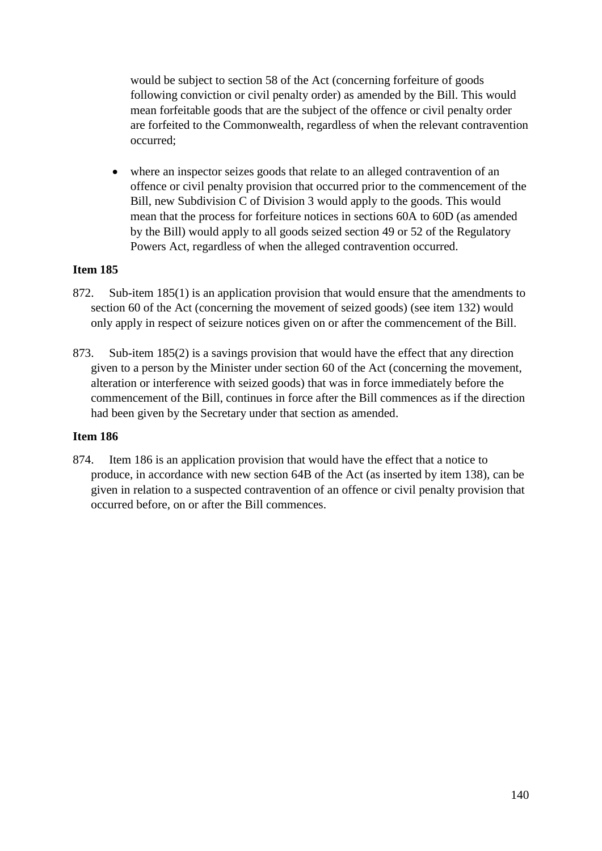would be subject to section 58 of the Act (concerning forfeiture of goods following conviction or civil penalty order) as amended by the Bill. This would mean forfeitable goods that are the subject of the offence or civil penalty order are forfeited to the Commonwealth, regardless of when the relevant contravention occurred;

where an inspector seizes goods that relate to an alleged contravention of an offence or civil penalty provision that occurred prior to the commencement of the Bill, new Subdivision C of Division 3 would apply to the goods. This would mean that the process for forfeiture notices in sections 60A to 60D (as amended by the Bill) would apply to all goods seized section 49 or 52 of the Regulatory Powers Act, regardless of when the alleged contravention occurred.

# **Item 185**

- 872. Sub-item 185(1) is an application provision that would ensure that the amendments to section 60 of the Act (concerning the movement of seized goods) (see item 132) would only apply in respect of seizure notices given on or after the commencement of the Bill.
- 873. Sub-item 185(2) is a savings provision that would have the effect that any direction given to a person by the Minister under section 60 of the Act (concerning the movement, alteration or interference with seized goods) that was in force immediately before the commencement of the Bill, continues in force after the Bill commences as if the direction had been given by the Secretary under that section as amended.

# **Item 186**

874. Item 186 is an application provision that would have the effect that a notice to produce, in accordance with new section 64B of the Act (as inserted by item 138), can be given in relation to a suspected contravention of an offence or civil penalty provision that occurred before, on or after the Bill commences.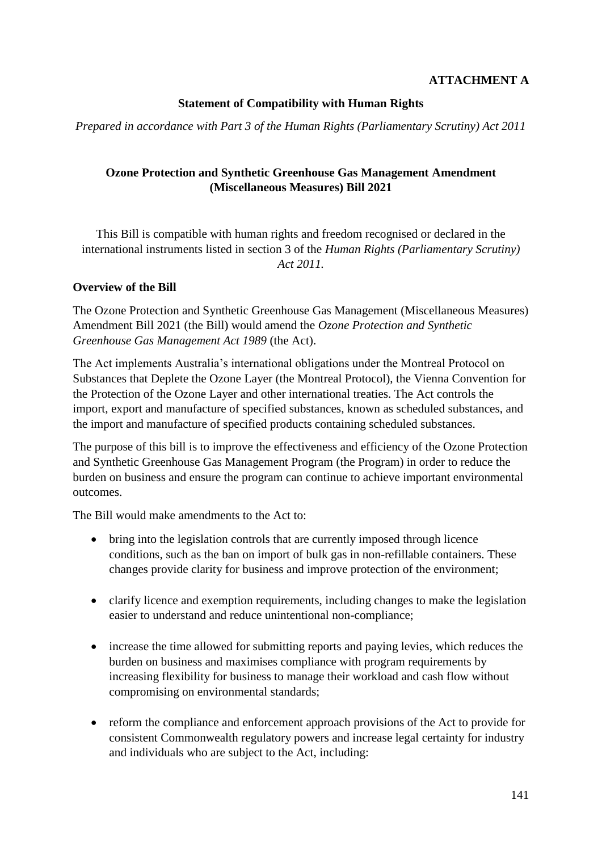# **ATTACHMENT A**

# **Statement of Compatibility with Human Rights**

*Prepared in accordance with Part 3 of the Human Rights (Parliamentary Scrutiny) Act 2011*

# **Ozone Protection and Synthetic Greenhouse Gas Management Amendment (Miscellaneous Measures) Bill 2021**

This Bill is compatible with human rights and freedom recognised or declared in the international instruments listed in section 3 of the *Human Rights (Parliamentary Scrutiny) Act 2011.*

### **Overview of the Bill**

The Ozone Protection and Synthetic Greenhouse Gas Management (Miscellaneous Measures) Amendment Bill 2021 (the Bill) would amend the *Ozone Protection and Synthetic Greenhouse Gas Management Act 1989* (the Act).

The Act implements Australia's international obligations under the Montreal Protocol on Substances that Deplete the Ozone Layer (the Montreal Protocol), the Vienna Convention for the Protection of the Ozone Layer and other international treaties. The Act controls the import, export and manufacture of specified substances, known as scheduled substances, and the import and manufacture of specified products containing scheduled substances.

The purpose of this bill is to improve the effectiveness and efficiency of the Ozone Protection and Synthetic Greenhouse Gas Management Program (the Program) in order to reduce the burden on business and ensure the program can continue to achieve important environmental outcomes.

The Bill would make amendments to the Act to:

- bring into the legislation controls that are currently imposed through licence conditions, such as the ban on import of bulk gas in non-refillable containers. These changes provide clarity for business and improve protection of the environment;
- clarify licence and exemption requirements, including changes to make the legislation easier to understand and reduce unintentional non-compliance;
- increase the time allowed for submitting reports and paying levies, which reduces the burden on business and maximises compliance with program requirements by increasing flexibility for business to manage their workload and cash flow without compromising on environmental standards;
- reform the compliance and enforcement approach provisions of the Act to provide for consistent Commonwealth regulatory powers and increase legal certainty for industry and individuals who are subject to the Act, including: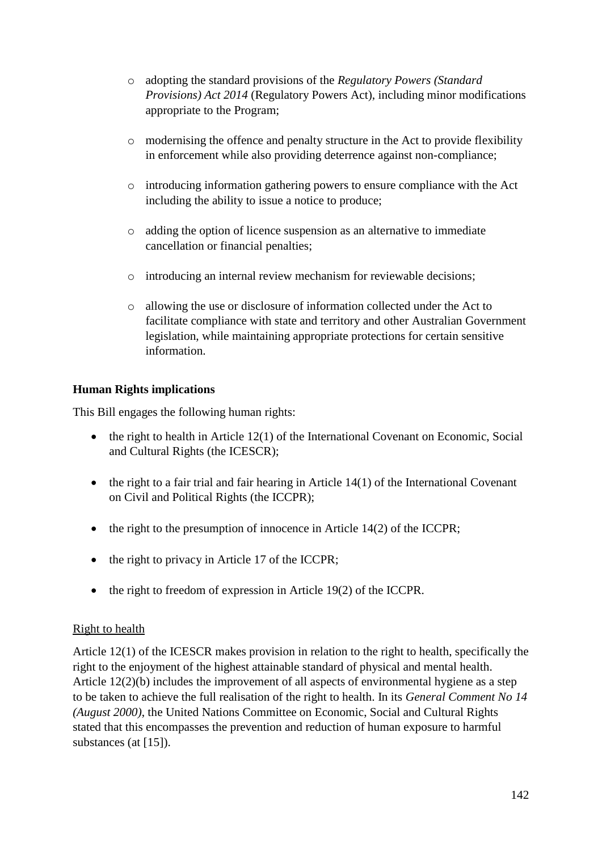- o adopting the standard provisions of the *Regulatory Powers (Standard Provisions) Act 2014* (Regulatory Powers Act), including minor modifications appropriate to the Program;
- o modernising the offence and penalty structure in the Act to provide flexibility in enforcement while also providing deterrence against non-compliance;
- o introducing information gathering powers to ensure compliance with the Act including the ability to issue a notice to produce;
- o adding the option of licence suspension as an alternative to immediate cancellation or financial penalties;
- o introducing an internal review mechanism for reviewable decisions;
- o allowing the use or disclosure of information collected under the Act to facilitate compliance with state and territory and other Australian Government legislation, while maintaining appropriate protections for certain sensitive information.

# **Human Rights implications**

This Bill engages the following human rights:

- the right to health in Article 12(1) of the International Covenant on Economic, Social and Cultural Rights (the ICESCR);
- $\bullet$  the right to a fair trial and fair hearing in Article 14(1) of the International Covenant on Civil and Political Rights (the ICCPR);
- the right to the presumption of innocence in Article 14(2) of the ICCPR;
- the right to privacy in Article 17 of the ICCPR;
- the right to freedom of expression in Article 19(2) of the ICCPR.

# Right to health

Article 12(1) of the ICESCR makes provision in relation to the right to health, specifically the right to the enjoyment of the highest attainable standard of physical and mental health. Article 12(2)(b) includes the improvement of all aspects of environmental hygiene as a step to be taken to achieve the full realisation of the right to health. In its *General Comment No 14 (August 2000)*, the United Nations Committee on Economic, Social and Cultural Rights stated that this encompasses the prevention and reduction of human exposure to harmful substances (at [15]).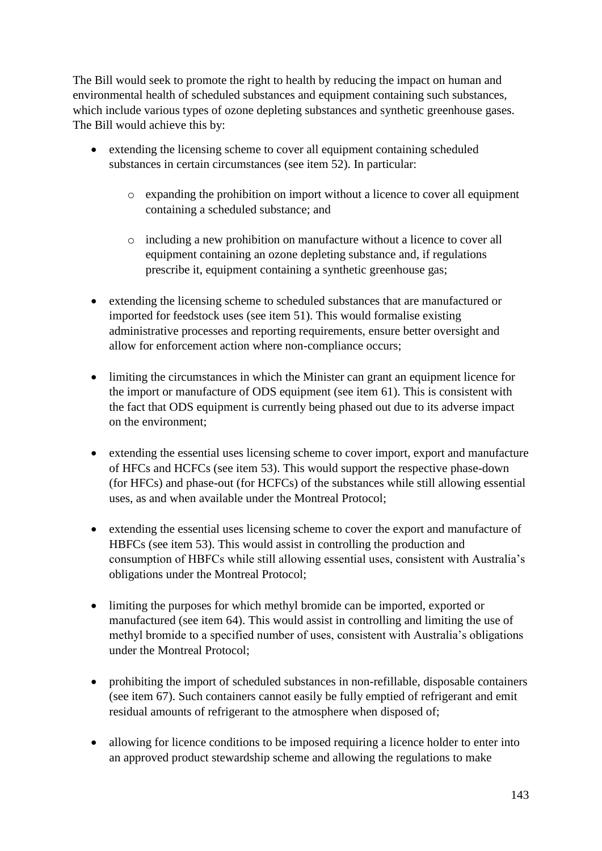The Bill would seek to promote the right to health by reducing the impact on human and environmental health of scheduled substances and equipment containing such substances, which include various types of ozone depleting substances and synthetic greenhouse gases. The Bill would achieve this by:

- extending the licensing scheme to cover all equipment containing scheduled substances in certain circumstances (see item 52). In particular:
	- o expanding the prohibition on import without a licence to cover all equipment containing a scheduled substance; and
	- o including a new prohibition on manufacture without a licence to cover all equipment containing an ozone depleting substance and, if regulations prescribe it, equipment containing a synthetic greenhouse gas;
- extending the licensing scheme to scheduled substances that are manufactured or imported for feedstock uses (see item 51). This would formalise existing administrative processes and reporting requirements, ensure better oversight and allow for enforcement action where non-compliance occurs;
- limiting the circumstances in which the Minister can grant an equipment licence for the import or manufacture of ODS equipment (see item 61). This is consistent with the fact that ODS equipment is currently being phased out due to its adverse impact on the environment;
- extending the essential uses licensing scheme to cover import, export and manufacture of HFCs and HCFCs (see item 53). This would support the respective phase-down (for HFCs) and phase-out (for HCFCs) of the substances while still allowing essential uses, as and when available under the Montreal Protocol;
- extending the essential uses licensing scheme to cover the export and manufacture of HBFCs (see item 53). This would assist in controlling the production and consumption of HBFCs while still allowing essential uses, consistent with Australia's obligations under the Montreal Protocol;
- limiting the purposes for which methyl bromide can be imported, exported or manufactured (see item 64). This would assist in controlling and limiting the use of methyl bromide to a specified number of uses, consistent with Australia's obligations under the Montreal Protocol;
- prohibiting the import of scheduled substances in non-refillable, disposable containers (see item 67). Such containers cannot easily be fully emptied of refrigerant and emit residual amounts of refrigerant to the atmosphere when disposed of;
- allowing for licence conditions to be imposed requiring a licence holder to enter into an approved product stewardship scheme and allowing the regulations to make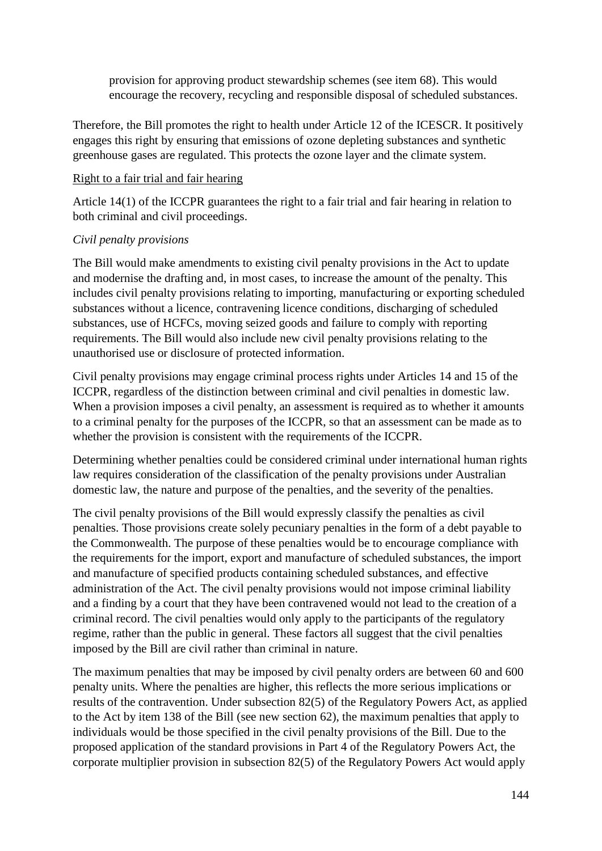provision for approving product stewardship schemes (see item 68). This would encourage the recovery, recycling and responsible disposal of scheduled substances.

Therefore, the Bill promotes the right to health under Article 12 of the ICESCR. It positively engages this right by ensuring that emissions of ozone depleting substances and synthetic greenhouse gases are regulated. This protects the ozone layer and the climate system.

### Right to a fair trial and fair hearing

Article 14(1) of the ICCPR guarantees the right to a fair trial and fair hearing in relation to both criminal and civil proceedings.

### *Civil penalty provisions*

The Bill would make amendments to existing civil penalty provisions in the Act to update and modernise the drafting and, in most cases, to increase the amount of the penalty. This includes civil penalty provisions relating to importing, manufacturing or exporting scheduled substances without a licence, contravening licence conditions, discharging of scheduled substances, use of HCFCs, moving seized goods and failure to comply with reporting requirements. The Bill would also include new civil penalty provisions relating to the unauthorised use or disclosure of protected information.

Civil penalty provisions may engage criminal process rights under Articles 14 and 15 of the ICCPR, regardless of the distinction between criminal and civil penalties in domestic law. When a provision imposes a civil penalty, an assessment is required as to whether it amounts to a criminal penalty for the purposes of the ICCPR, so that an assessment can be made as to whether the provision is consistent with the requirements of the ICCPR.

Determining whether penalties could be considered criminal under international human rights law requires consideration of the classification of the penalty provisions under Australian domestic law, the nature and purpose of the penalties, and the severity of the penalties.

The civil penalty provisions of the Bill would expressly classify the penalties as civil penalties. Those provisions create solely pecuniary penalties in the form of a debt payable to the Commonwealth. The purpose of these penalties would be to encourage compliance with the requirements for the import, export and manufacture of scheduled substances, the import and manufacture of specified products containing scheduled substances, and effective administration of the Act. The civil penalty provisions would not impose criminal liability and a finding by a court that they have been contravened would not lead to the creation of a criminal record. The civil penalties would only apply to the participants of the regulatory regime, rather than the public in general. These factors all suggest that the civil penalties imposed by the Bill are civil rather than criminal in nature.

The maximum penalties that may be imposed by civil penalty orders are between 60 and 600 penalty units. Where the penalties are higher, this reflects the more serious implications or results of the contravention. Under subsection 82(5) of the Regulatory Powers Act, as applied to the Act by item 138 of the Bill (see new section 62), the maximum penalties that apply to individuals would be those specified in the civil penalty provisions of the Bill. Due to the proposed application of the standard provisions in Part 4 of the Regulatory Powers Act, the corporate multiplier provision in subsection 82(5) of the Regulatory Powers Act would apply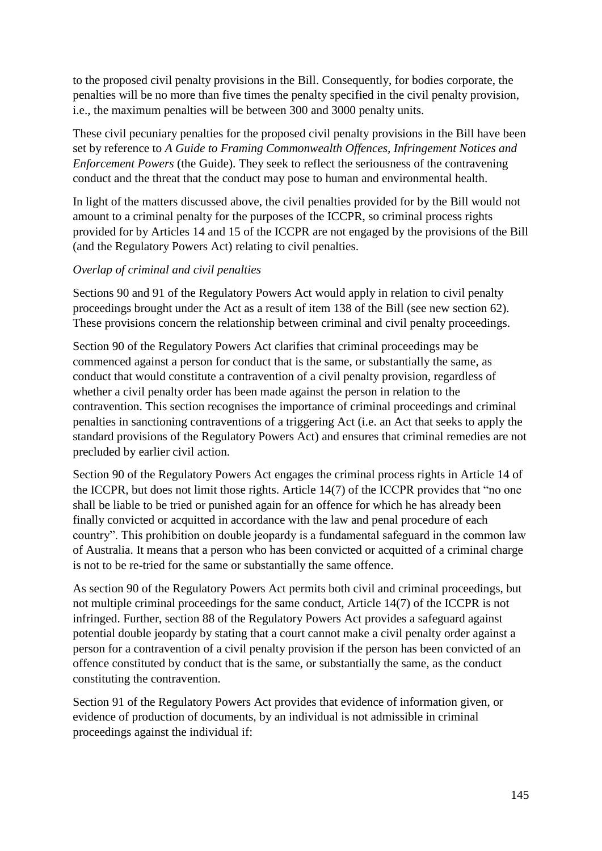to the proposed civil penalty provisions in the Bill. Consequently, for bodies corporate, the penalties will be no more than five times the penalty specified in the civil penalty provision, i.e., the maximum penalties will be between 300 and 3000 penalty units.

These civil pecuniary penalties for the proposed civil penalty provisions in the Bill have been set by reference to *A Guide to Framing Commonwealth Offences, Infringement Notices and Enforcement Powers* (the Guide). They seek to reflect the seriousness of the contravening conduct and the threat that the conduct may pose to human and environmental health.

In light of the matters discussed above, the civil penalties provided for by the Bill would not amount to a criminal penalty for the purposes of the ICCPR, so criminal process rights provided for by Articles 14 and 15 of the ICCPR are not engaged by the provisions of the Bill (and the Regulatory Powers Act) relating to civil penalties.

# *Overlap of criminal and civil penalties*

Sections 90 and 91 of the Regulatory Powers Act would apply in relation to civil penalty proceedings brought under the Act as a result of item 138 of the Bill (see new section 62). These provisions concern the relationship between criminal and civil penalty proceedings.

Section 90 of the Regulatory Powers Act clarifies that criminal proceedings may be commenced against a person for conduct that is the same, or substantially the same, as conduct that would constitute a contravention of a civil penalty provision, regardless of whether a civil penalty order has been made against the person in relation to the contravention. This section recognises the importance of criminal proceedings and criminal penalties in sanctioning contraventions of a triggering Act (i.e. an Act that seeks to apply the standard provisions of the Regulatory Powers Act) and ensures that criminal remedies are not precluded by earlier civil action.

Section 90 of the Regulatory Powers Act engages the criminal process rights in Article 14 of the ICCPR, but does not limit those rights. Article 14(7) of the ICCPR provides that "no one shall be liable to be tried or punished again for an offence for which he has already been finally convicted or acquitted in accordance with the law and penal procedure of each country". This prohibition on double jeopardy is a fundamental safeguard in the common law of Australia. It means that a person who has been convicted or acquitted of a criminal charge is not to be re-tried for the same or substantially the same offence.

As section 90 of the Regulatory Powers Act permits both civil and criminal proceedings, but not multiple criminal proceedings for the same conduct, Article 14(7) of the ICCPR is not infringed. Further, section 88 of the Regulatory Powers Act provides a safeguard against potential double jeopardy by stating that a court cannot make a civil penalty order against a person for a contravention of a civil penalty provision if the person has been convicted of an offence constituted by conduct that is the same, or substantially the same, as the conduct constituting the contravention.

Section 91 of the Regulatory Powers Act provides that evidence of information given, or evidence of production of documents, by an individual is not admissible in criminal proceedings against the individual if: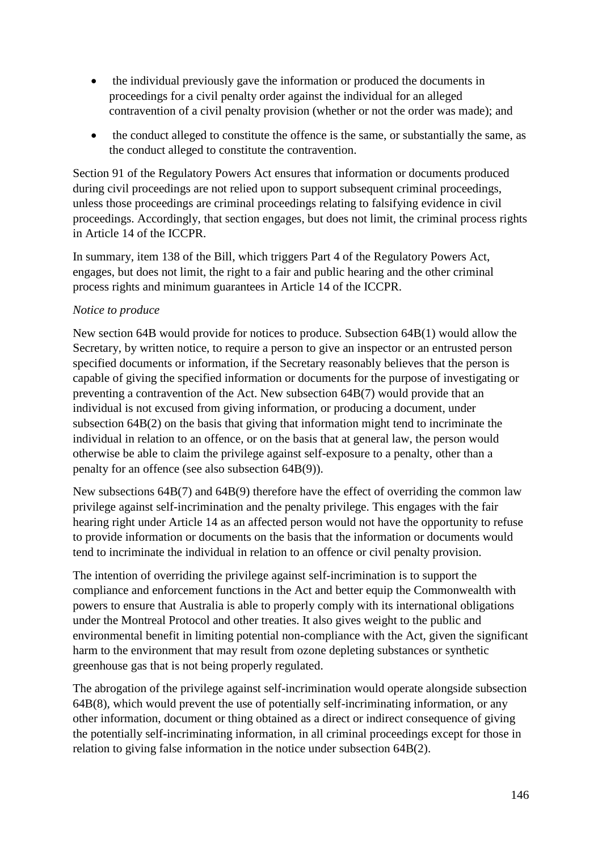- the individual previously gave the information or produced the documents in proceedings for a civil penalty order against the individual for an alleged contravention of a civil penalty provision (whether or not the order was made); and
- the conduct alleged to constitute the offence is the same, or substantially the same, as the conduct alleged to constitute the contravention.

Section 91 of the Regulatory Powers Act ensures that information or documents produced during civil proceedings are not relied upon to support subsequent criminal proceedings, unless those proceedings are criminal proceedings relating to falsifying evidence in civil proceedings. Accordingly, that section engages, but does not limit, the criminal process rights in Article 14 of the ICCPR.

In summary, item 138 of the Bill, which triggers Part 4 of the Regulatory Powers Act, engages, but does not limit, the right to a fair and public hearing and the other criminal process rights and minimum guarantees in Article 14 of the ICCPR.

# *Notice to produce*

New section 64B would provide for notices to produce. Subsection 64B(1) would allow the Secretary, by written notice, to require a person to give an inspector or an entrusted person specified documents or information, if the Secretary reasonably believes that the person is capable of giving the specified information or documents for the purpose of investigating or preventing a contravention of the Act. New subsection 64B(7) would provide that an individual is not excused from giving information, or producing a document, under subsection 64B(2) on the basis that giving that information might tend to incriminate the individual in relation to an offence, or on the basis that at general law, the person would otherwise be able to claim the privilege against self-exposure to a penalty, other than a penalty for an offence (see also subsection 64B(9)).

New subsections 64B(7) and 64B(9) therefore have the effect of overriding the common law privilege against self-incrimination and the penalty privilege. This engages with the fair hearing right under Article 14 as an affected person would not have the opportunity to refuse to provide information or documents on the basis that the information or documents would tend to incriminate the individual in relation to an offence or civil penalty provision.

The intention of overriding the privilege against self-incrimination is to support the compliance and enforcement functions in the Act and better equip the Commonwealth with powers to ensure that Australia is able to properly comply with its international obligations under the Montreal Protocol and other treaties. It also gives weight to the public and environmental benefit in limiting potential non-compliance with the Act, given the significant harm to the environment that may result from ozone depleting substances or synthetic greenhouse gas that is not being properly regulated.

The abrogation of the privilege against self-incrimination would operate alongside subsection 64B(8), which would prevent the use of potentially self-incriminating information, or any other information, document or thing obtained as a direct or indirect consequence of giving the potentially self-incriminating information, in all criminal proceedings except for those in relation to giving false information in the notice under subsection 64B(2).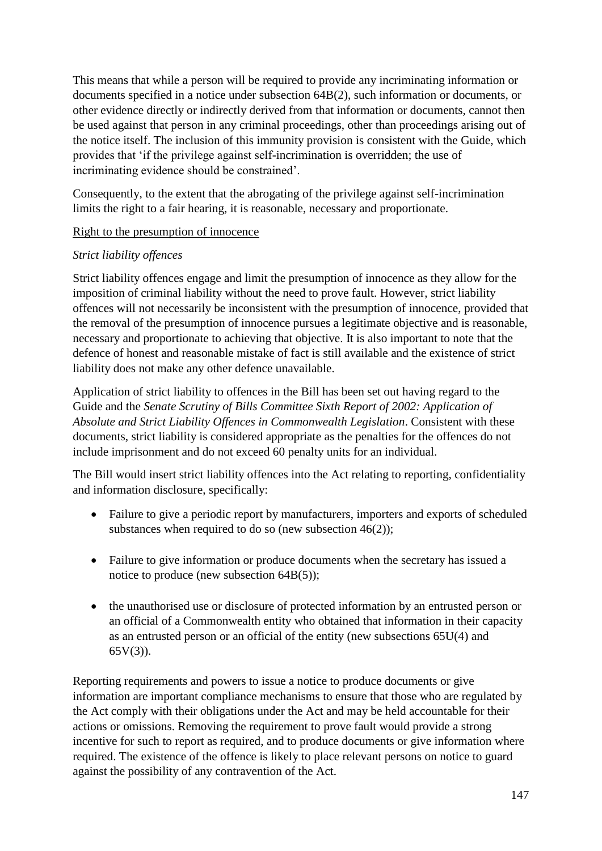This means that while a person will be required to provide any incriminating information or documents specified in a notice under subsection 64B(2), such information or documents, or other evidence directly or indirectly derived from that information or documents, cannot then be used against that person in any criminal proceedings, other than proceedings arising out of the notice itself. The inclusion of this immunity provision is consistent with the Guide, which provides that 'if the privilege against self-incrimination is overridden; the use of incriminating evidence should be constrained'.

Consequently, to the extent that the abrogating of the privilege against self-incrimination limits the right to a fair hearing, it is reasonable, necessary and proportionate.

# Right to the presumption of innocence

# *Strict liability offences*

Strict liability offences engage and limit the presumption of innocence as they allow for the imposition of criminal liability without the need to prove fault. However, strict liability offences will not necessarily be inconsistent with the presumption of innocence, provided that the removal of the presumption of innocence pursues a legitimate objective and is reasonable, necessary and proportionate to achieving that objective. It is also important to note that the defence of honest and reasonable mistake of fact is still available and the existence of strict liability does not make any other defence unavailable.

Application of strict liability to offences in the Bill has been set out having regard to the Guide and the *Senate Scrutiny of Bills Committee Sixth Report of 2002: Application of Absolute and Strict Liability Offences in Commonwealth Legislation*. Consistent with these documents, strict liability is considered appropriate as the penalties for the offences do not include imprisonment and do not exceed 60 penalty units for an individual.

The Bill would insert strict liability offences into the Act relating to reporting, confidentiality and information disclosure, specifically:

- Failure to give a periodic report by manufacturers, importers and exports of scheduled substances when required to do so (new subsection 46(2));
- Failure to give information or produce documents when the secretary has issued a notice to produce (new subsection 64B(5));
- the unauthorised use or disclosure of protected information by an entrusted person or an official of a Commonwealth entity who obtained that information in their capacity as an entrusted person or an official of the entity (new subsections 65U(4) and 65V(3)).

Reporting requirements and powers to issue a notice to produce documents or give information are important compliance mechanisms to ensure that those who are regulated by the Act comply with their obligations under the Act and may be held accountable for their actions or omissions. Removing the requirement to prove fault would provide a strong incentive for such to report as required, and to produce documents or give information where required. The existence of the offence is likely to place relevant persons on notice to guard against the possibility of any contravention of the Act.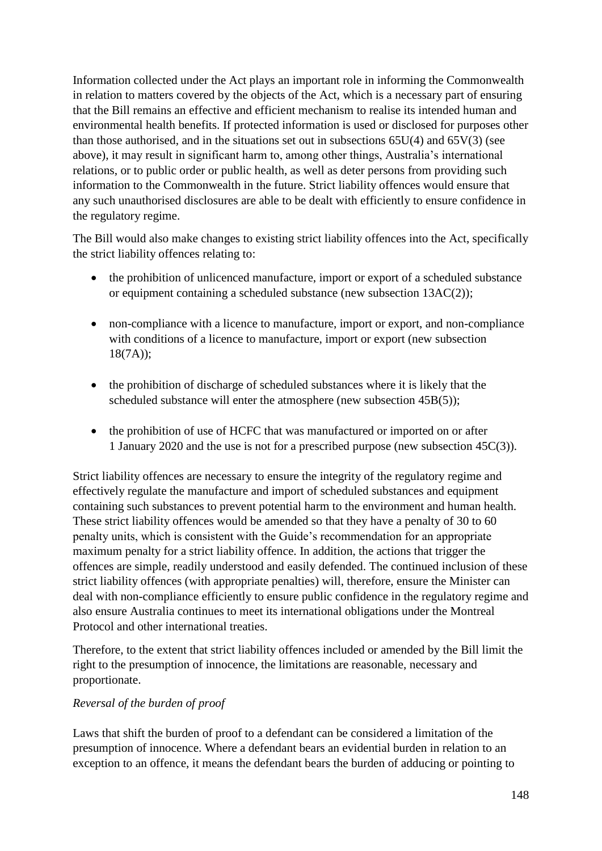Information collected under the Act plays an important role in informing the Commonwealth in relation to matters covered by the objects of the Act, which is a necessary part of ensuring that the Bill remains an effective and efficient mechanism to realise its intended human and environmental health benefits. If protected information is used or disclosed for purposes other than those authorised, and in the situations set out in subsections 65U(4) and 65V(3) (see above), it may result in significant harm to, among other things, Australia's international relations, or to public order or public health, as well as deter persons from providing such information to the Commonwealth in the future. Strict liability offences would ensure that any such unauthorised disclosures are able to be dealt with efficiently to ensure confidence in the regulatory regime.

The Bill would also make changes to existing strict liability offences into the Act, specifically the strict liability offences relating to:

- the prohibition of unlicenced manufacture, import or export of a scheduled substance or equipment containing a scheduled substance (new subsection 13AC(2));
- non-compliance with a licence to manufacture, import or export, and non-compliance with conditions of a licence to manufacture, import or export (new subsection 18(7A));
- the prohibition of discharge of scheduled substances where it is likely that the scheduled substance will enter the atmosphere (new subsection 45B(5));
- the prohibition of use of HCFC that was manufactured or imported on or after 1 January 2020 and the use is not for a prescribed purpose (new subsection 45C(3)).

Strict liability offences are necessary to ensure the integrity of the regulatory regime and effectively regulate the manufacture and import of scheduled substances and equipment containing such substances to prevent potential harm to the environment and human health. These strict liability offences would be amended so that they have a penalty of 30 to 60 penalty units, which is consistent with the Guide's recommendation for an appropriate maximum penalty for a strict liability offence. In addition, the actions that trigger the offences are simple, readily understood and easily defended. The continued inclusion of these strict liability offences (with appropriate penalties) will, therefore, ensure the Minister can deal with non-compliance efficiently to ensure public confidence in the regulatory regime and also ensure Australia continues to meet its international obligations under the Montreal Protocol and other international treaties.

Therefore, to the extent that strict liability offences included or amended by the Bill limit the right to the presumption of innocence, the limitations are reasonable, necessary and proportionate.

# *Reversal of the burden of proof*

Laws that shift the burden of proof to a defendant can be considered a limitation of the presumption of innocence. Where a defendant bears an evidential burden in relation to an exception to an offence, it means the defendant bears the burden of adducing or pointing to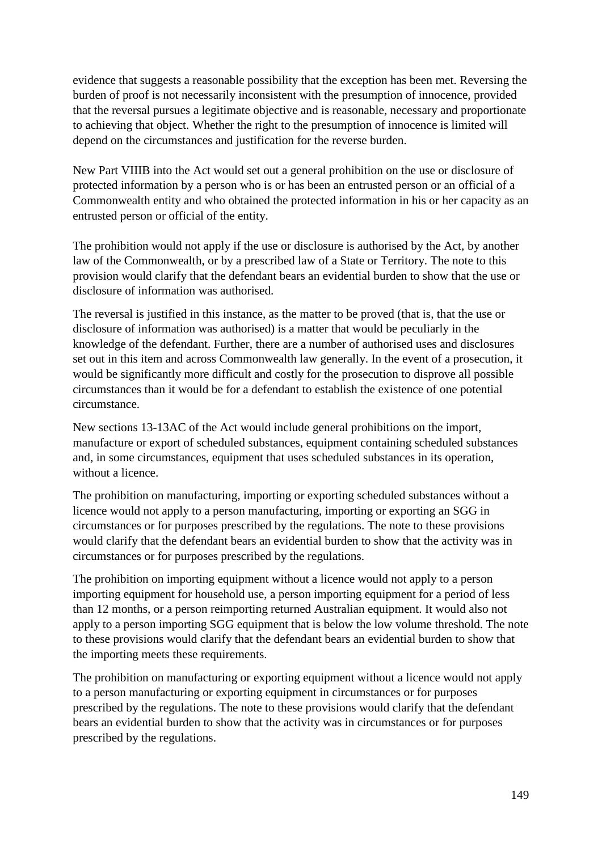evidence that suggests a reasonable possibility that the exception has been met. Reversing the burden of proof is not necessarily inconsistent with the presumption of innocence, provided that the reversal pursues a legitimate objective and is reasonable, necessary and proportionate to achieving that object. Whether the right to the presumption of innocence is limited will depend on the circumstances and justification for the reverse burden.

New Part VIIIB into the Act would set out a general prohibition on the use or disclosure of protected information by a person who is or has been an entrusted person or an official of a Commonwealth entity and who obtained the protected information in his or her capacity as an entrusted person or official of the entity.

The prohibition would not apply if the use or disclosure is authorised by the Act, by another law of the Commonwealth, or by a prescribed law of a State or Territory. The note to this provision would clarify that the defendant bears an evidential burden to show that the use or disclosure of information was authorised.

The reversal is justified in this instance, as the matter to be proved (that is, that the use or disclosure of information was authorised) is a matter that would be peculiarly in the knowledge of the defendant. Further, there are a number of authorised uses and disclosures set out in this item and across Commonwealth law generally. In the event of a prosecution, it would be significantly more difficult and costly for the prosecution to disprove all possible circumstances than it would be for a defendant to establish the existence of one potential circumstance.

New sections 13-13AC of the Act would include general prohibitions on the import, manufacture or export of scheduled substances, equipment containing scheduled substances and, in some circumstances, equipment that uses scheduled substances in its operation, without a licence.

The prohibition on manufacturing, importing or exporting scheduled substances without a licence would not apply to a person manufacturing, importing or exporting an SGG in circumstances or for purposes prescribed by the regulations. The note to these provisions would clarify that the defendant bears an evidential burden to show that the activity was in circumstances or for purposes prescribed by the regulations.

The prohibition on importing equipment without a licence would not apply to a person importing equipment for household use, a person importing equipment for a period of less than 12 months, or a person reimporting returned Australian equipment. It would also not apply to a person importing SGG equipment that is below the low volume threshold. The note to these provisions would clarify that the defendant bears an evidential burden to show that the importing meets these requirements.

The prohibition on manufacturing or exporting equipment without a licence would not apply to a person manufacturing or exporting equipment in circumstances or for purposes prescribed by the regulations. The note to these provisions would clarify that the defendant bears an evidential burden to show that the activity was in circumstances or for purposes prescribed by the regulations.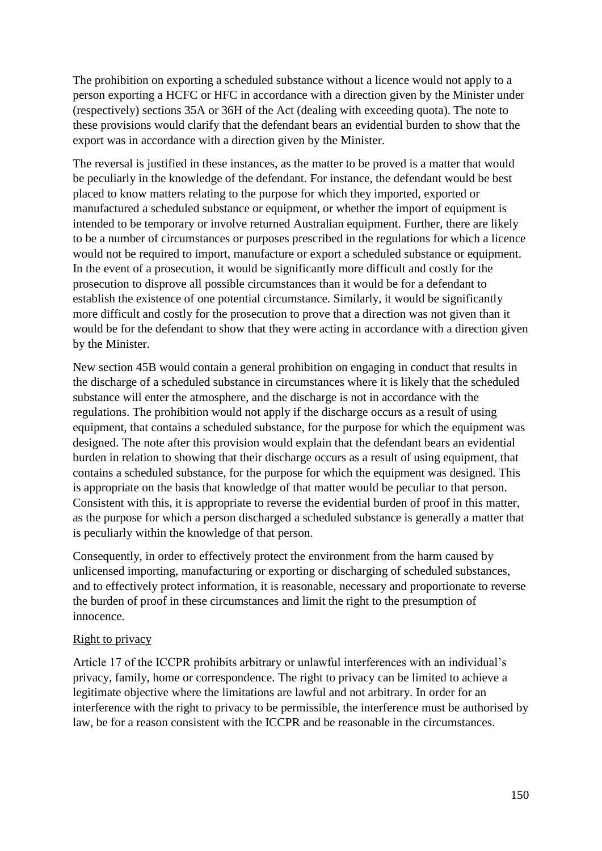The prohibition on exporting a scheduled substance without a licence would not apply to a person exporting a HCFC or HFC in accordance with a direction given by the Minister under (respectively) sections 35A or 36H of the Act (dealing with exceeding quota). The note to these provisions would clarify that the defendant bears an evidential burden to show that the export was in accordance with a direction given by the Minister.

The reversal is justified in these instances, as the matter to be proved is a matter that would be peculiarly in the knowledge of the defendant. For instance, the defendant would be best placed to know matters relating to the purpose for which they imported, exported or manufactured a scheduled substance or equipment, or whether the import of equipment is intended to be temporary or involve returned Australian equipment. Further, there are likely to be a number of circumstances or purposes prescribed in the regulations for which a licence would not be required to import, manufacture or export a scheduled substance or equipment. In the event of a prosecution, it would be significantly more difficult and costly for the prosecution to disprove all possible circumstances than it would be for a defendant to establish the existence of one potential circumstance. Similarly, it would be significantly more difficult and costly for the prosecution to prove that a direction was not given than it would be for the defendant to show that they were acting in accordance with a direction given by the Minister.

New section 45B would contain a general prohibition on engaging in conduct that results in the discharge of a scheduled substance in circumstances where it is likely that the scheduled substance will enter the atmosphere, and the discharge is not in accordance with the regulations. The prohibition would not apply if the discharge occurs as a result of using equipment, that contains a scheduled substance, for the purpose for which the equipment was designed. The note after this provision would explain that the defendant bears an evidential burden in relation to showing that their discharge occurs as a result of using equipment, that contains a scheduled substance, for the purpose for which the equipment was designed. This is appropriate on the basis that knowledge of that matter would be peculiar to that person. Consistent with this, it is appropriate to reverse the evidential burden of proof in this matter, as the purpose for which a person discharged a scheduled substance is generally a matter that is peculiarly within the knowledge of that person.

Consequently, in order to effectively protect the environment from the harm caused by unlicensed importing, manufacturing or exporting or discharging of scheduled substances, and to effectively protect information, it is reasonable, necessary and proportionate to reverse the burden of proof in these circumstances and limit the right to the presumption of innocence.

#### Right to privacy

Article 17 of the ICCPR prohibits arbitrary or unlawful interferences with an individual's privacy, family, home or correspondence. The right to privacy can be limited to achieve a legitimate objective where the limitations are lawful and not arbitrary. In order for an interference with the right to privacy to be permissible, the interference must be authorised by law, be for a reason consistent with the ICCPR and be reasonable in the circumstances.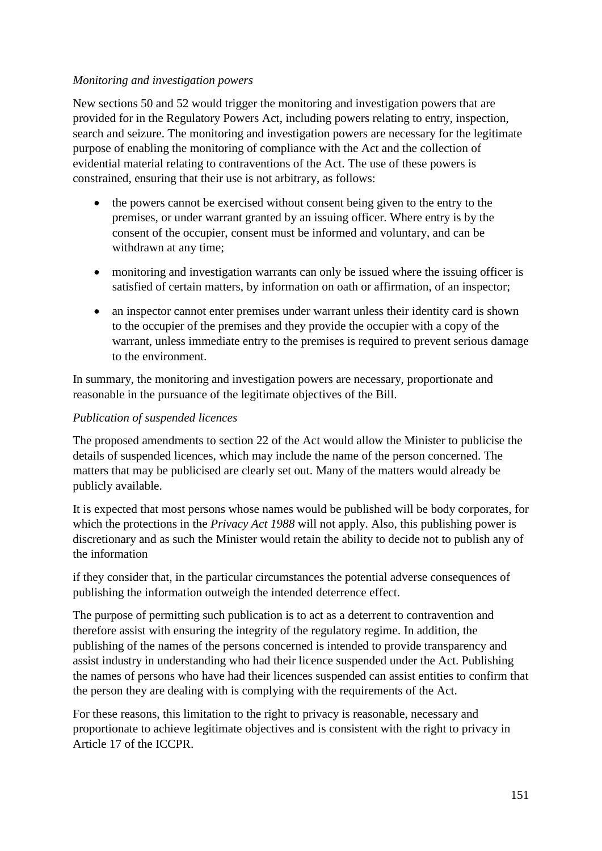### *Monitoring and investigation powers*

New sections 50 and 52 would trigger the monitoring and investigation powers that are provided for in the Regulatory Powers Act, including powers relating to entry, inspection, search and seizure. The monitoring and investigation powers are necessary for the legitimate purpose of enabling the monitoring of compliance with the Act and the collection of evidential material relating to contraventions of the Act. The use of these powers is constrained, ensuring that their use is not arbitrary, as follows:

- the powers cannot be exercised without consent being given to the entry to the premises, or under warrant granted by an issuing officer. Where entry is by the consent of the occupier, consent must be informed and voluntary, and can be withdrawn at any time;
- monitoring and investigation warrants can only be issued where the issuing officer is satisfied of certain matters, by information on oath or affirmation, of an inspector;
- an inspector cannot enter premises under warrant unless their identity card is shown to the occupier of the premises and they provide the occupier with a copy of the warrant, unless immediate entry to the premises is required to prevent serious damage to the environment.

In summary, the monitoring and investigation powers are necessary, proportionate and reasonable in the pursuance of the legitimate objectives of the Bill.

#### *Publication of suspended licences*

The proposed amendments to section 22 of the Act would allow the Minister to publicise the details of suspended licences, which may include the name of the person concerned. The matters that may be publicised are clearly set out. Many of the matters would already be publicly available.

It is expected that most persons whose names would be published will be body corporates, for which the protections in the *Privacy Act 1988* will not apply. Also, this publishing power is discretionary and as such the Minister would retain the ability to decide not to publish any of the information

if they consider that, in the particular circumstances the potential adverse consequences of publishing the information outweigh the intended deterrence effect.

The purpose of permitting such publication is to act as a deterrent to contravention and therefore assist with ensuring the integrity of the regulatory regime. In addition, the publishing of the names of the persons concerned is intended to provide transparency and assist industry in understanding who had their licence suspended under the Act. Publishing the names of persons who have had their licences suspended can assist entities to confirm that the person they are dealing with is complying with the requirements of the Act.

For these reasons, this limitation to the right to privacy is reasonable, necessary and proportionate to achieve legitimate objectives and is consistent with the right to privacy in Article 17 of the ICCPR.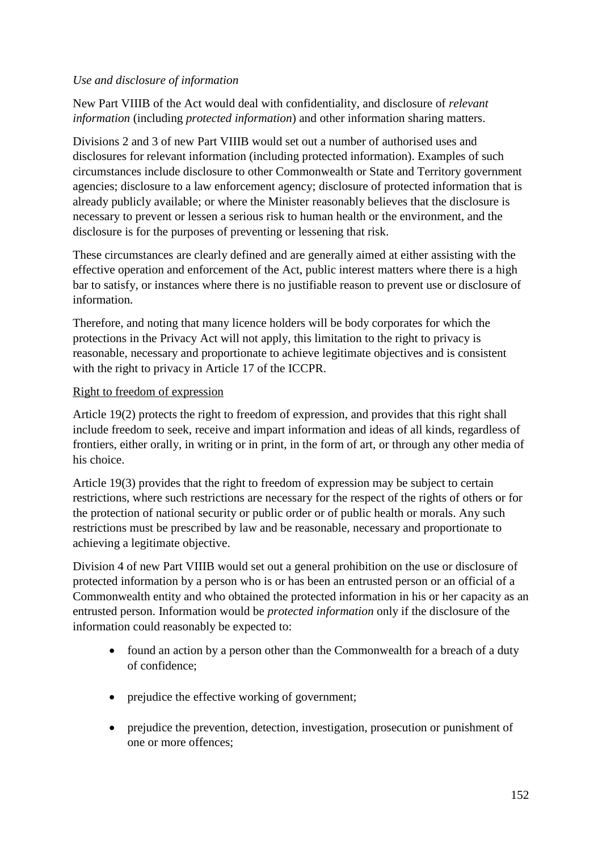# *Use and disclosure of information*

New Part VIIIB of the Act would deal with confidentiality, and disclosure of *relevant information* (including *protected information*) and other information sharing matters.

Divisions 2 and 3 of new Part VIIIB would set out a number of authorised uses and disclosures for relevant information (including protected information). Examples of such circumstances include disclosure to other Commonwealth or State and Territory government agencies; disclosure to a law enforcement agency; disclosure of protected information that is already publicly available; or where the Minister reasonably believes that the disclosure is necessary to prevent or lessen a serious risk to human health or the environment, and the disclosure is for the purposes of preventing or lessening that risk.

These circumstances are clearly defined and are generally aimed at either assisting with the effective operation and enforcement of the Act, public interest matters where there is a high bar to satisfy, or instances where there is no justifiable reason to prevent use or disclosure of information.

Therefore, and noting that many licence holders will be body corporates for which the protections in the Privacy Act will not apply, this limitation to the right to privacy is reasonable, necessary and proportionate to achieve legitimate objectives and is consistent with the right to privacy in Article 17 of the ICCPR.

# Right to freedom of expression

Article 19(2) protects the right to freedom of expression, and provides that this right shall include freedom to seek, receive and impart information and ideas of all kinds, regardless of frontiers, either orally, in writing or in print, in the form of art, or through any other media of his choice.

Article 19(3) provides that the right to freedom of expression may be subject to certain restrictions, where such restrictions are necessary for the respect of the rights of others or for the protection of national security or public order or of public health or morals. Any such restrictions must be prescribed by law and be reasonable, necessary and proportionate to achieving a legitimate objective.

Division 4 of new Part VIIIB would set out a general prohibition on the use or disclosure of protected information by a person who is or has been an entrusted person or an official of a Commonwealth entity and who obtained the protected information in his or her capacity as an entrusted person. Information would be *protected information* only if the disclosure of the information could reasonably be expected to:

- found an action by a person other than the Commonwealth for a breach of a duty of confidence;
- prejudice the effective working of government;
- prejudice the prevention, detection, investigation, prosecution or punishment of one or more offences;